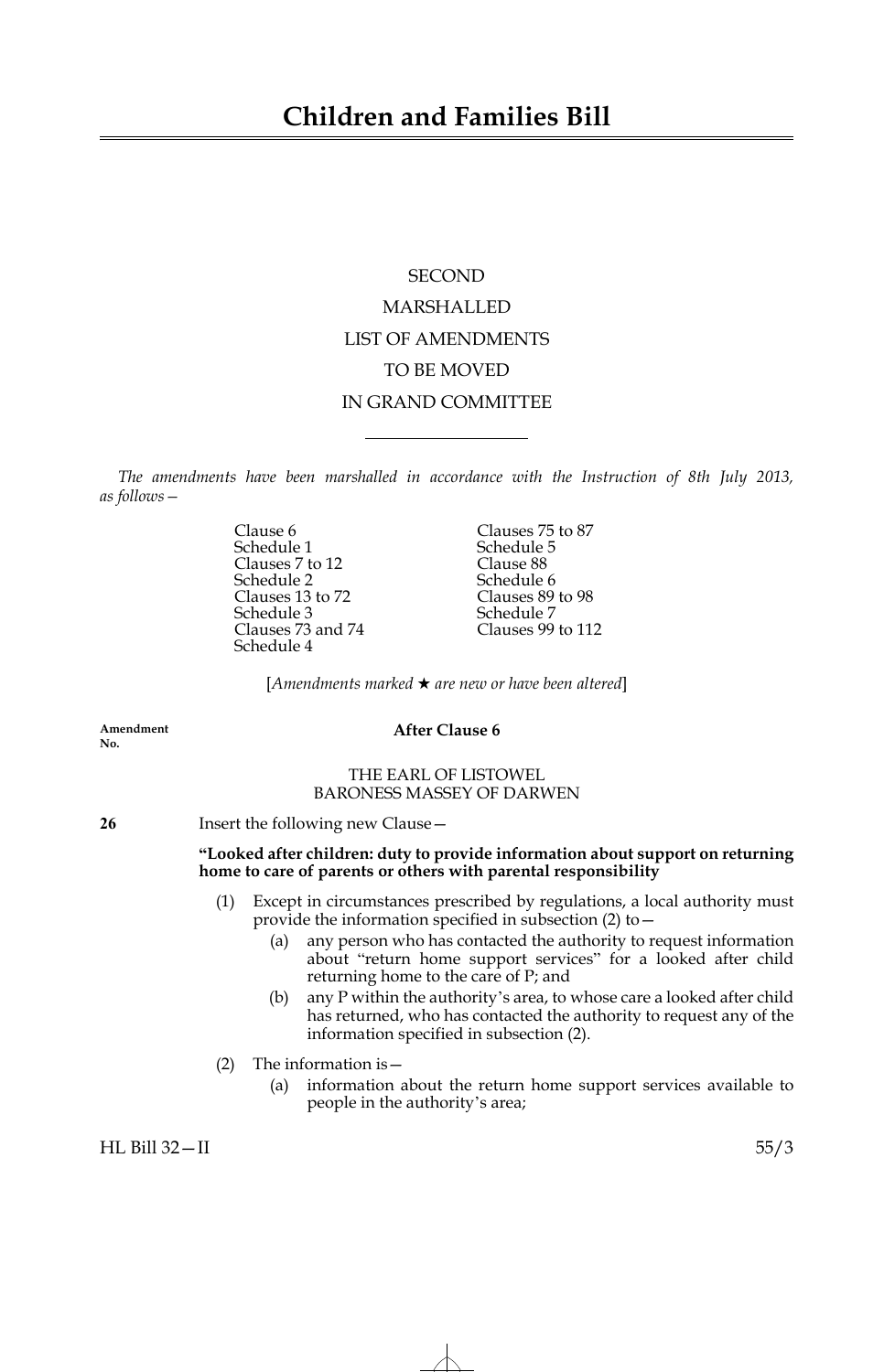# **SECOND** MARSHALLED LIST OF AMENDMENTS TO BE MOVED IN GRAND COMMITTEE

*The amendments have been marshalled in accordance with the Instruction of 8th July 2013, as follows—*

> Schedule 1 Schedule 5<br>Clauses 7 to 12 Clause 88 Clauses 7 to 12 Clause 88<br>
> Schedule 2 Schedule 6 Schedule 2<br>Clauses 13 to 72 Clauses 89 to 98 Clauses 13 to 72 Clauses 89<br>
> Schedule 3 Schedule 7 Clauses 73 and 74 Schedule 4

Clause 6 Clauses 75 to 87 Schedule 3<br>
Clauses 73 and 74 Clauses 99 to 112

[*Amendments marked* \* *are new or have been altered*]

**Amendment No.**

# **After Clause 6**

# THE EARL OF LISTOWEL BARONESS MASSEY OF DARWEN

**26** Insert the following new Clause—

# **"Looked after children: duty to provide information about support on returning home to care of parents or others with parental responsibility**

- (1) Except in circumstances prescribed by regulations, a local authority must provide the information specified in subsection (2) to—
	- (a) any person who has contacted the authority to request information about "return home support services" for a looked after child returning home to the care of P; and
	- (b) any P within the authority's area, to whose care a looked after child has returned, who has contacted the authority to request any of the information specified in subsection (2).
- (2) The information is  $-$ 
	- (a) information about the return home support services available to people in the authority's area;

HL Bill 32—II 55/3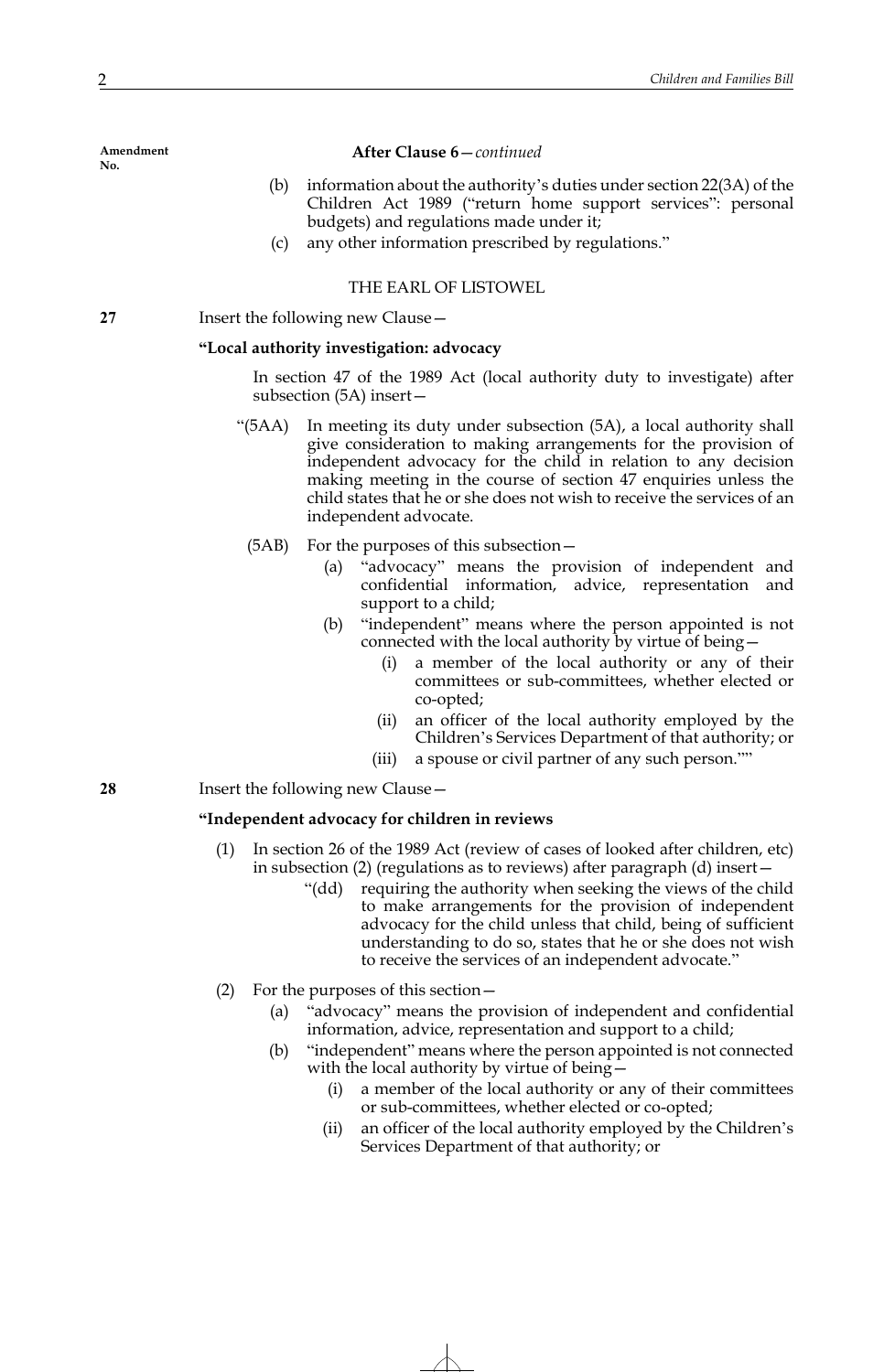## **After Clause 6**—*continued*

- (b) information about the authority's duties under section 22(3A) of the Children Act 1989 ("return home support services": personal budgets) and regulations made under it;
- (c) any other information prescribed by regulations."

# THE EARL OF LISTOWEL

# **27** Insert the following new Clause—

## **"Local authority investigation: advocacy**

In section 47 of the 1989 Act (local authority duty to investigate) after subsection (5A) insert—

- "(5AA) In meeting its duty under subsection (5A), a local authority shall give consideration to making arrangements for the provision of independent advocacy for the child in relation to any decision making meeting in the course of section 47 enquiries unless the child states that he or she does not wish to receive the services of an independent advocate.
	- (5AB) For the purposes of this subsection—
		- (a) "advocacy" means the provision of independent and confidential information, advice, representation and support to a child;
		- (b) "independent" means where the person appointed is not connected with the local authority by virtue of being—
			- (i) a member of the local authority or any of their committees or sub-committees, whether elected or co-opted;
			- (ii) an officer of the local authority employed by the Children's Services Department of that authority; or
			- (iii) a spouse or civil partner of any such person.""
- **28** Insert the following new Clause -

## **"Independent advocacy for children in reviews**

- (1) In section 26 of the 1989 Act (review of cases of looked after children, etc) in subsection (2) (regulations as to reviews) after paragraph (d) insert—
	- "(dd) requiring the authority when seeking the views of the child to make arrangements for the provision of independent advocacy for the child unless that child, being of sufficient understanding to do so, states that he or she does not wish to receive the services of an independent advocate."
- (2) For the purposes of this section—
	- (a) "advocacy" means the provision of independent and confidential information, advice, representation and support to a child;
	- (b) "independent" means where the person appointed is not connected with the local authority by virtue of being
		- a member of the local authority or any of their committees or sub-committees, whether elected or co-opted;
		- (ii) an officer of the local authority employed by the Children's Services Department of that authority; or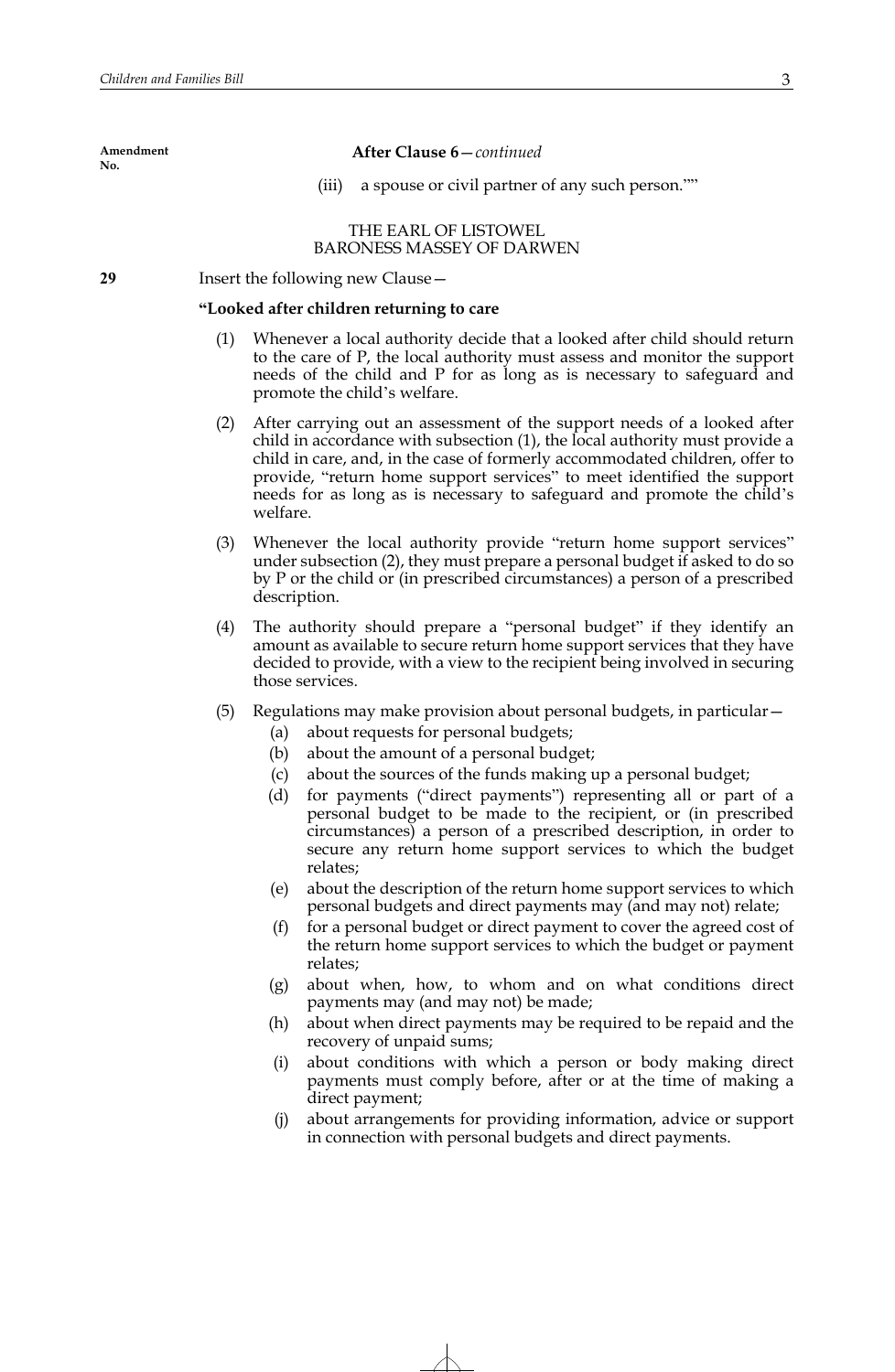#### **After Clause 6**—*continued*

(iii) a spouse or civil partner of any such person.""

## THE EARL OF LISTOWEL BARONESS MASSEY OF DARWEN

**29** Insert the following new Clause—

#### **"Looked after children returning to care**

- (1) Whenever a local authority decide that a looked after child should return to the care of P, the local authority must assess and monitor the support needs of the child and P for as long as is necessary to safeguard and promote the child's welfare.
- (2) After carrying out an assessment of the support needs of a looked after child in accordance with subsection (1), the local authority must provide a child in care, and, in the case of formerly accommodated children, offer to provide, "return home support services" to meet identified the support needs for as long as is necessary to safeguard and promote the child's welfare.
- (3) Whenever the local authority provide "return home support services" under subsection (2), they must prepare a personal budget if asked to do so by P or the child or (in prescribed circumstances) a person of a prescribed description.
- (4) The authority should prepare a "personal budget" if they identify an amount as available to secure return home support services that they have decided to provide, with a view to the recipient being involved in securing those services.
- (5) Regulations may make provision about personal budgets, in particular—
	- (a) about requests for personal budgets;
	- (b) about the amount of a personal budget;
	- (c) about the sources of the funds making up a personal budget;
	- (d) for payments ("direct payments") representing all or part of a personal budget to be made to the recipient, or (in prescribed circumstances) a person of a prescribed description, in order to secure any return home support services to which the budget relates;
	- (e) about the description of the return home support services to which personal budgets and direct payments may (and may not) relate;
	- (f) for a personal budget or direct payment to cover the agreed cost of the return home support services to which the budget or payment relates;
	- (g) about when, how, to whom and on what conditions direct payments may (and may not) be made;
	- (h) about when direct payments may be required to be repaid and the recovery of unpaid sums;
	- (i) about conditions with which a person or body making direct payments must comply before, after or at the time of making a direct payment;
	- (j) about arrangements for providing information, advice or support in connection with personal budgets and direct payments.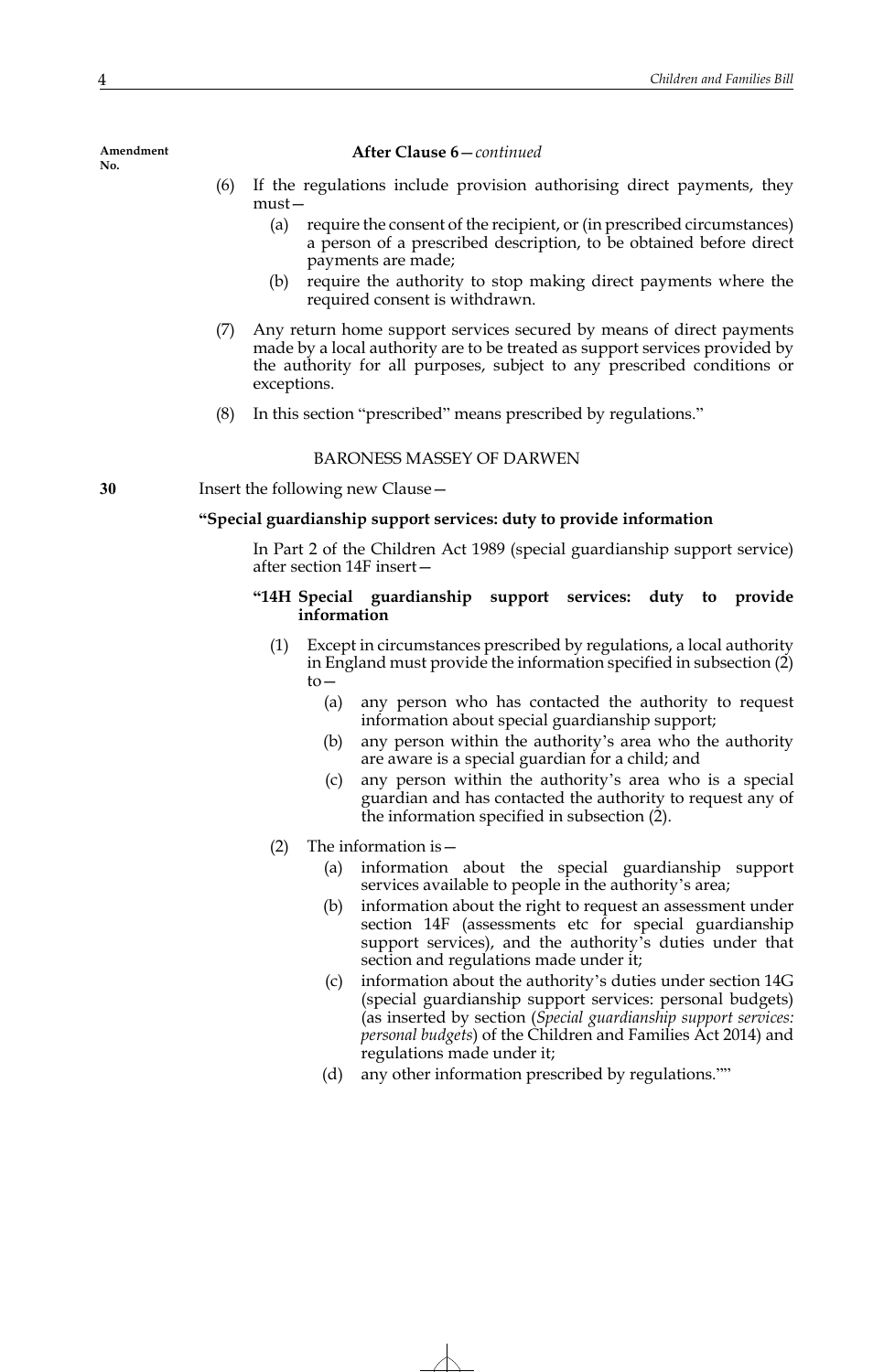## **After Clause 6**—*continued*

- (6) If the regulations include provision authorising direct payments, they must—
	- (a) require the consent of the recipient, or (in prescribed circumstances) a person of a prescribed description, to be obtained before direct payments are made;
	- (b) require the authority to stop making direct payments where the required consent is withdrawn.
- (7) Any return home support services secured by means of direct payments made by a local authority are to be treated as support services provided by the authority for all purposes, subject to any prescribed conditions or exceptions.
- (8) In this section "prescribed" means prescribed by regulations."

## BARONESS MASSEY OF DARWEN

**30** Insert the following new Clause—

## **"Special guardianship support services: duty to provide information**

In Part 2 of the Children Act 1989 (special guardianship support service) after section 14F insert—

## **"14H Special guardianship support services: duty to provide information**

- (1) Except in circumstances prescribed by regulations, a local authority in England must provide the information specified in subsection (2) to—
	- (a) any person who has contacted the authority to request information about special guardianship support;
	- (b) any person within the authority's area who the authority are aware is a special guardian for a child; and
	- (c) any person within the authority's area who is a special guardian and has contacted the authority to request any of the information specified in subsection (2).
- (2) The information is—
	- (a) information about the special guardianship support services available to people in the authority's area;
	- (b) information about the right to request an assessment under section 14F (assessments etc for special guardianship support services), and the authority's duties under that section and regulations made under it;
	- (c) information about the authority's duties under section 14G (special guardianship support services: personal budgets) (as inserted by section (*Special guardianship support services: personal budgets*) of the Children and Families Act 2014) and regulations made under it;
	- (d) any other information prescribed by regulations.""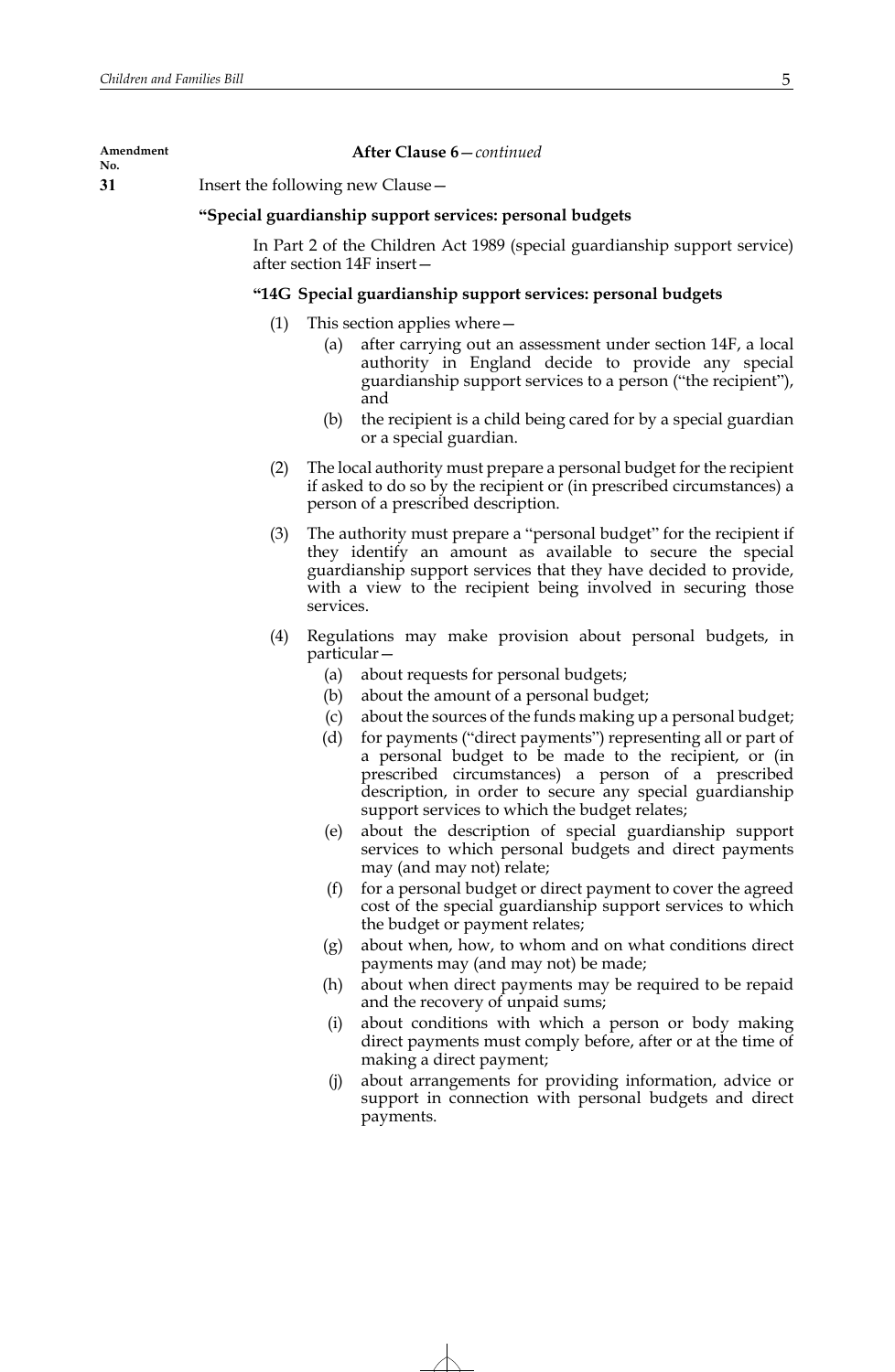#### **Amendment**

**No.**

# **After Clause 6**—*continued*

**31** Insert the following new Clause—

# **"Special guardianship support services: personal budgets**

In Part 2 of the Children Act 1989 (special guardianship support service) after section 14F insert—

# **"14G Special guardianship support services: personal budgets**

- (1) This section applies where—
	- (a) after carrying out an assessment under section 14F, a local authority in England decide to provide any special guardianship support services to a person ("the recipient"), and
	- (b) the recipient is a child being cared for by a special guardian or a special guardian.
- (2) The local authority must prepare a personal budget for the recipient if asked to do so by the recipient or (in prescribed circumstances) a person of a prescribed description.
- (3) The authority must prepare a "personal budget" for the recipient if they identify an amount as available to secure the special guardianship support services that they have decided to provide, with a view to the recipient being involved in securing those services.
- (4) Regulations may make provision about personal budgets, in particular—
	- (a) about requests for personal budgets;
	- (b) about the amount of a personal budget;
	- (c) about the sources of the funds making up a personal budget;
	- (d) for payments ("direct payments") representing all or part of a personal budget to be made to the recipient, or (in prescribed circumstances) a person of a prescribed description, in order to secure any special guardianship support services to which the budget relates;
	- (e) about the description of special guardianship support services to which personal budgets and direct payments may (and may not) relate;
	- (f) for a personal budget or direct payment to cover the agreed cost of the special guardianship support services to which the budget or payment relates;
	- (g) about when, how, to whom and on what conditions direct payments may (and may not) be made;
	- (h) about when direct payments may be required to be repaid and the recovery of unpaid sums;
	- (i) about conditions with which a person or body making direct payments must comply before, after or at the time of making a direct payment;
	- (j) about arrangements for providing information, advice or support in connection with personal budgets and direct payments.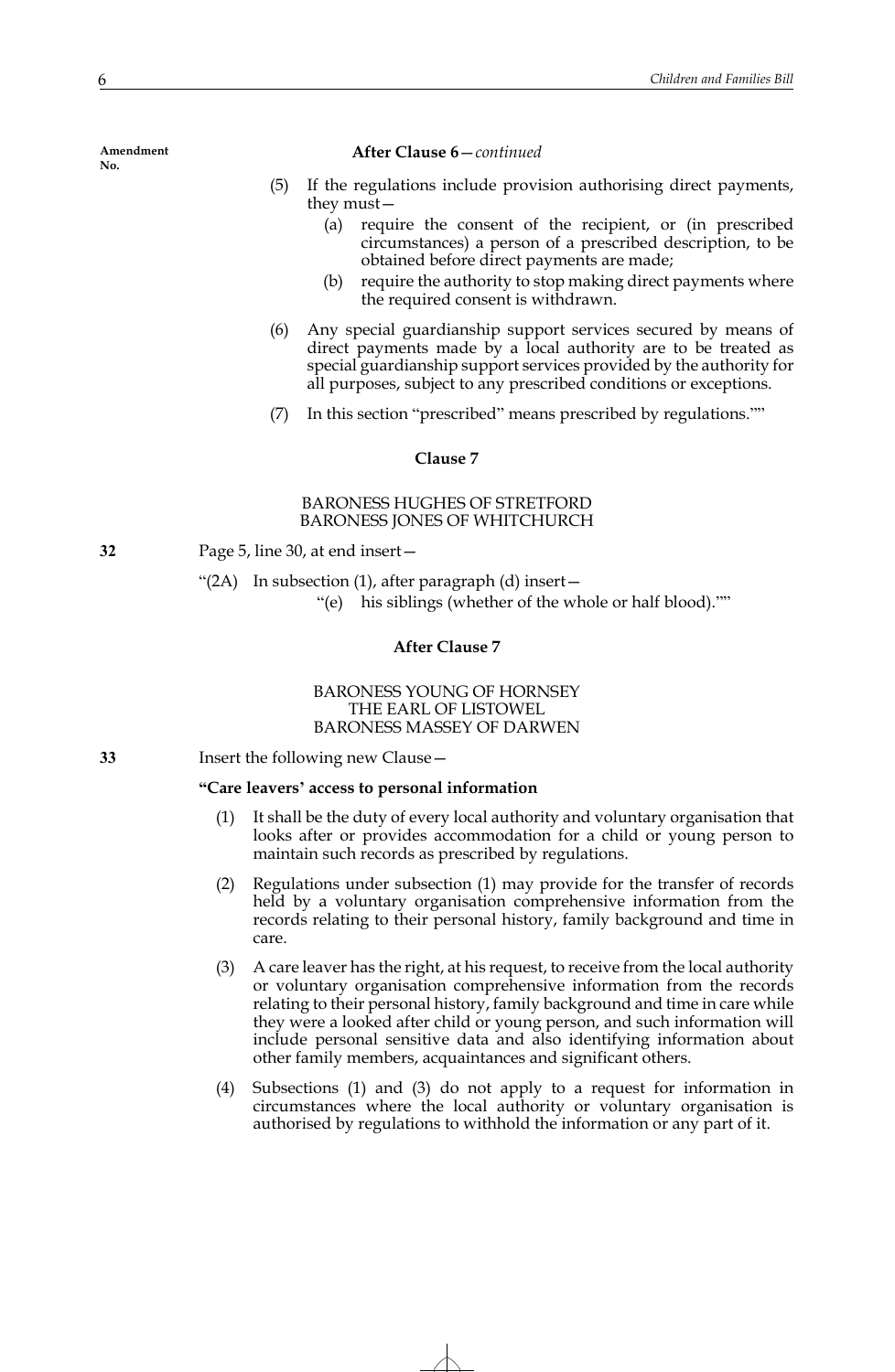## **After Clause 6**—*continued*

- (5) If the regulations include provision authorising direct payments, they must—
	- (a) require the consent of the recipient, or (in prescribed circumstances) a person of a prescribed description, to be obtained before direct payments are made;
	- (b) require the authority to stop making direct payments where the required consent is withdrawn.
- (6) Any special guardianship support services secured by means of direct payments made by a local authority are to be treated as special guardianship support services provided by the authority for all purposes, subject to any prescribed conditions or exceptions.
- (7) In this section "prescribed" means prescribed by regulations.""

#### **Clause 7**

# BARONESS HUGHES OF STRETFORD BARONESS JONES OF WHITCHURCH

**32** Page 5, line 30, at end insert—

" $(2A)$  In subsection  $(1)$ , after paragraph  $(d)$  insert —

"(e) his siblings (whether of the whole or half blood).""

# **After Clause 7**

# BARONESS YOUNG OF HORNSEY THE EARL OF LISTOWEL BARONESS MASSEY OF DARWEN

**33** Insert the following new Clause—

## **"Care leavers' access to personal information**

- (1) It shall be the duty of every local authority and voluntary organisation that looks after or provides accommodation for a child or young person to maintain such records as prescribed by regulations.
- (2) Regulations under subsection (1) may provide for the transfer of records held by a voluntary organisation comprehensive information from the records relating to their personal history, family background and time in care.
- (3) A care leaver has the right, at his request, to receive from the local authority or voluntary organisation comprehensive information from the records relating to their personal history, family background and time in care while they were a looked after child or young person, and such information will include personal sensitive data and also identifying information about other family members, acquaintances and significant others.
- (4) Subsections (1) and (3) do not apply to a request for information in circumstances where the local authority or voluntary organisation is authorised by regulations to withhold the information or any part of it.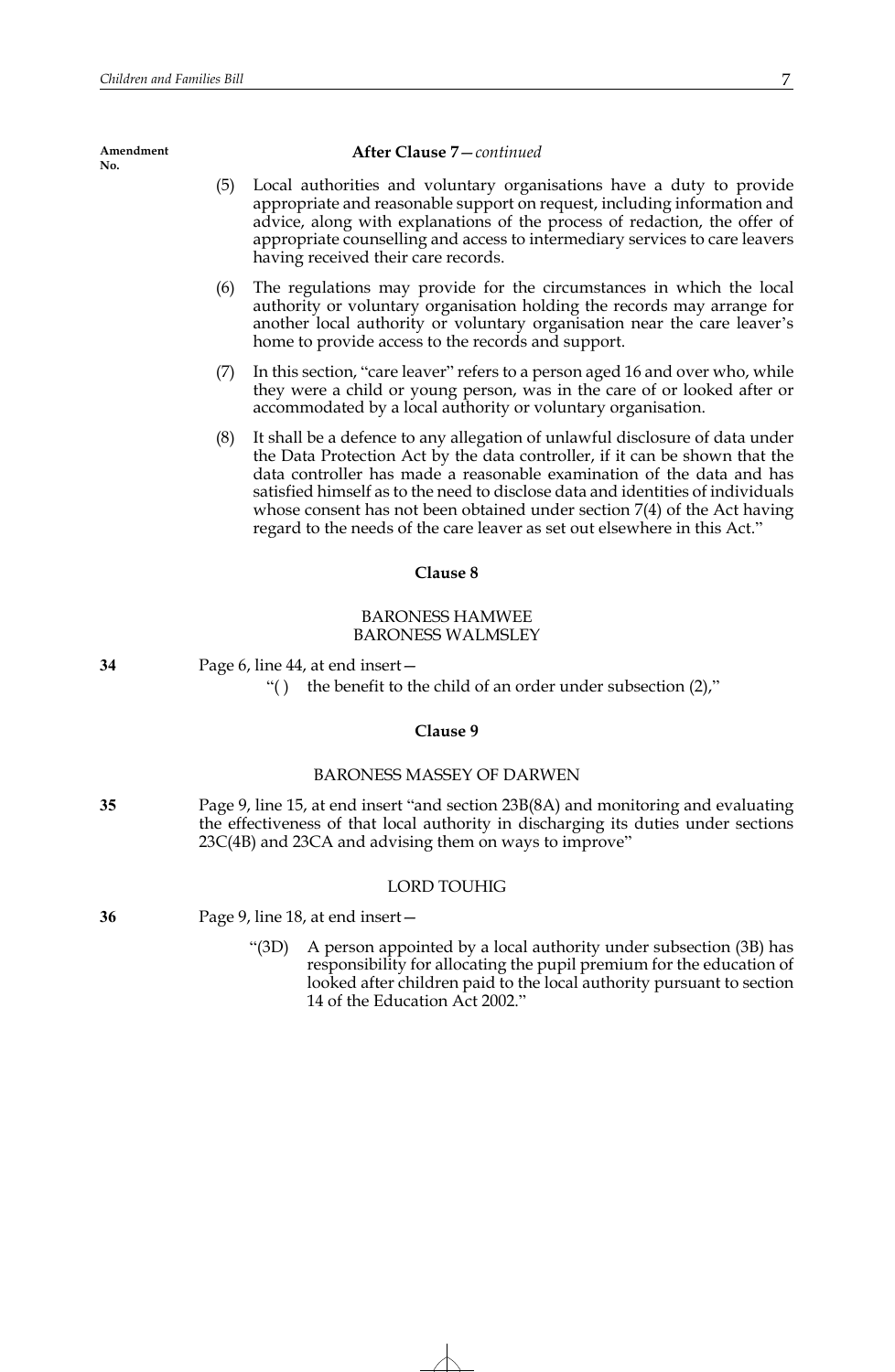#### **After Clause 7**—*continued*

- (5) Local authorities and voluntary organisations have a duty to provide appropriate and reasonable support on request, including information and advice, along with explanations of the process of redaction, the offer of appropriate counselling and access to intermediary services to care leavers having received their care records.
- (6) The regulations may provide for the circumstances in which the local authority or voluntary organisation holding the records may arrange for another local authority or voluntary organisation near the care leaver's home to provide access to the records and support.
- (7) In this section, "care leaver" refers to a person aged 16 and over who, while they were a child or young person, was in the care of or looked after or accommodated by a local authority or voluntary organisation.
- (8) It shall be a defence to any allegation of unlawful disclosure of data under the Data Protection Act by the data controller, if it can be shown that the data controller has made a reasonable examination of the data and has satisfied himself as to the need to disclose data and identities of individuals whose consent has not been obtained under section 7(4) of the Act having regard to the needs of the care leaver as set out elsewhere in this Act."

## **Clause 8**

# BARONESS HAMWEE BARONESS WALMSLEY

**34** Page 6, line 44, at end insert—

" $($ ) the benefit to the child of an order under subsection  $(2)$ ,"

## **Clause 9**

## BARONESS MASSEY OF DARWEN

**35** Page 9, line 15, at end insert "and section 23B(8A) and monitoring and evaluating the effectiveness of that local authority in discharging its duties under sections 23C(4B) and 23CA and advising them on ways to improve"

## LORD TOUHIG

**36** Page 9, line 18, at end insert—

"(3D) A person appointed by a local authority under subsection (3B) has responsibility for allocating the pupil premium for the education of looked after children paid to the local authority pursuant to section 14 of the Education Act 2002."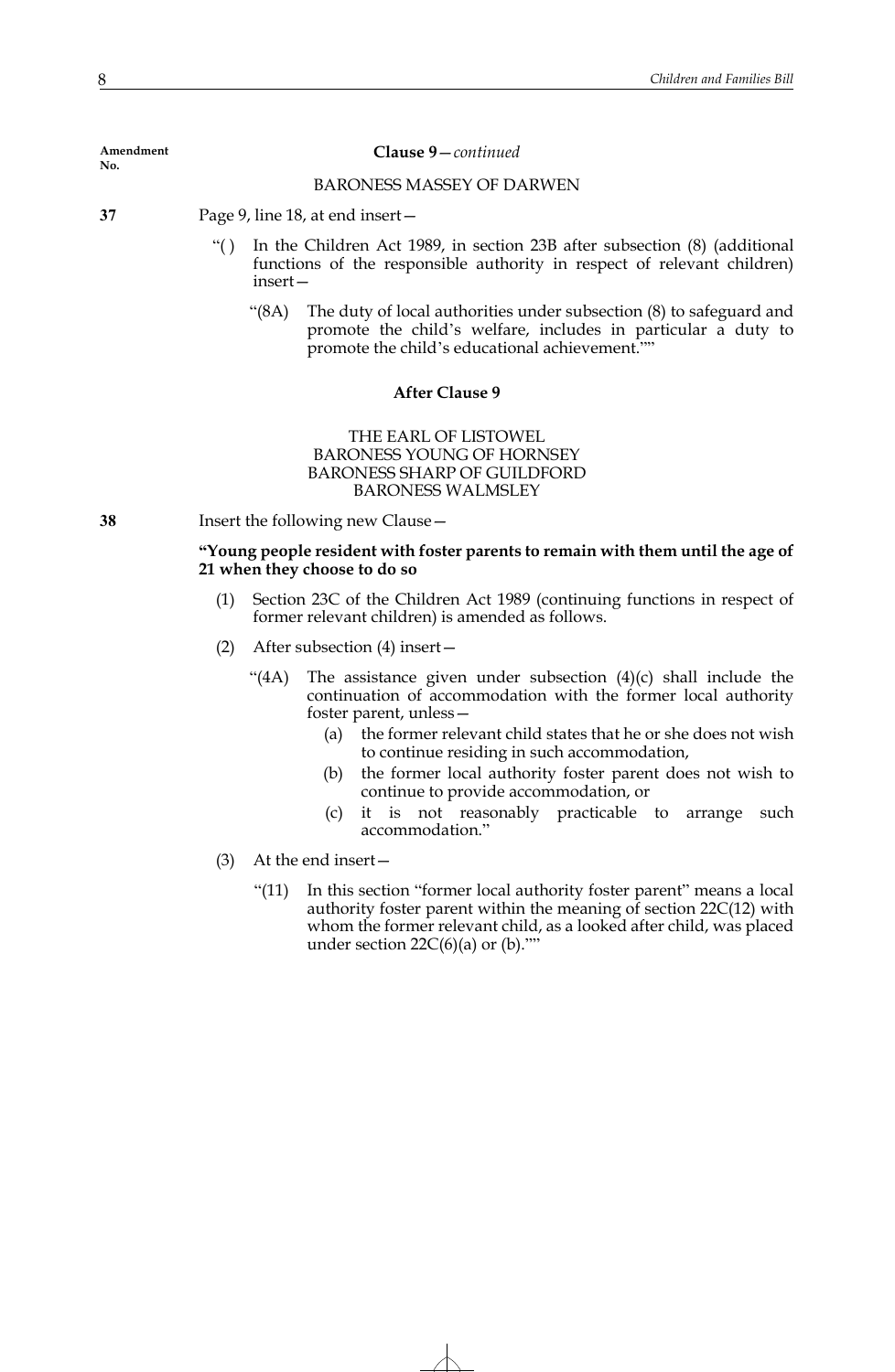#### **Clause 9**—*continued*

#### BARONESS MASSEY OF DARWEN

- **37** Page 9, line 18, at end insert—
	- "( ) In the Children Act 1989, in section 23B after subsection (8) (additional functions of the responsible authority in respect of relevant children) insert—
		- "(8A) The duty of local authorities under subsection (8) to safeguard and promote the child's welfare, includes in particular a duty to promote the child's educational achievement.""

## **After Clause 9**

# THE EARL OF LISTOWEL BARONESS YOUNG OF HORNSEY BARONESS SHARP OF GUILDFORD BARONESS WALMSLEY

**38** Insert the following new Clause—

## **"Young people resident with foster parents to remain with them until the age of 21 when they choose to do so**

- (1) Section 23C of the Children Act 1989 (continuing functions in respect of former relevant children) is amended as follows.
- (2) After subsection (4) insert—
	- "(4A) The assistance given under subsection  $(4)(c)$  shall include the continuation of accommodation with the former local authority foster parent, unless—
		- (a) the former relevant child states that he or she does not wish to continue residing in such accommodation,
		- (b) the former local authority foster parent does not wish to continue to provide accommodation, or
		- (c) it is not reasonably practicable to arrange such accommodation."
- (3) At the end insert—
	- "(11) In this section "former local authority foster parent" means a local authority foster parent within the meaning of section 22C(12) with whom the former relevant child, as a looked after child, was placed under section  $22C(6)(a)$  or  $(b)$ .""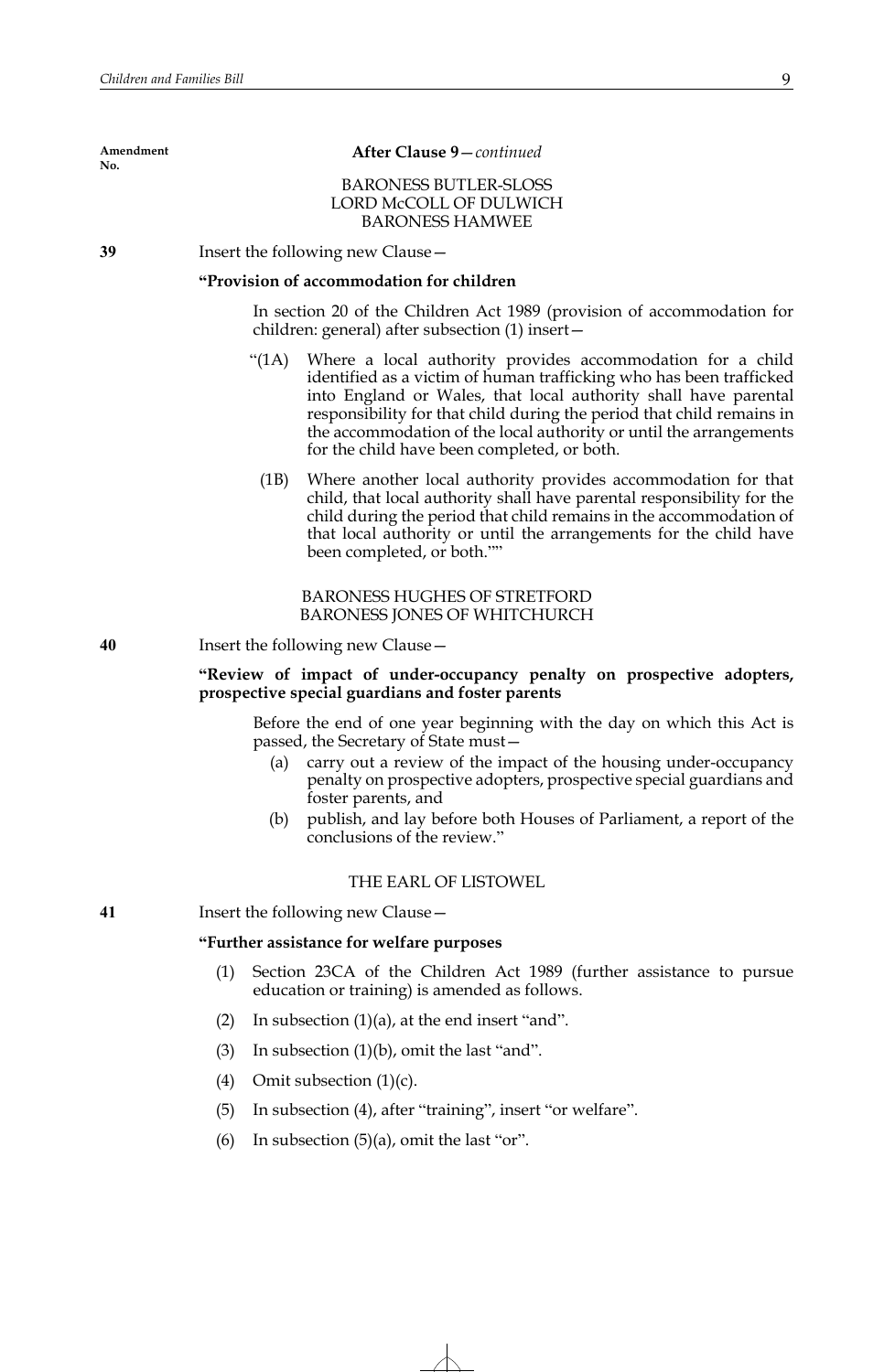## **After Clause 9**—*continued*

# BARONESS BUTLER-SLOSS LORD McCOLL OF DULWICH BARONESS HAMWEE

**39** Insert the following new Clause—

## **"Provision of accommodation for children**

In section 20 of the Children Act 1989 (provision of accommodation for children: general) after subsection (1) insert—

- "(1A) Where a local authority provides accommodation for a child identified as a victim of human trafficking who has been trafficked into England or Wales, that local authority shall have parental responsibility for that child during the period that child remains in the accommodation of the local authority or until the arrangements for the child have been completed, or both.
- (1B) Where another local authority provides accommodation for that child, that local authority shall have parental responsibility for the child during the period that child remains in the accommodation of that local authority or until the arrangements for the child have been completed, or both.""

# BARONESS HUGHES OF STRETFORD BARONESS JONES OF WHITCHURCH

**40** Insert the following new Clause—

# **"Review of impact of under-occupancy penalty on prospective adopters, prospective special guardians and foster parents**

Before the end of one year beginning with the day on which this Act is passed, the Secretary of State must—

- (a) carry out a review of the impact of the housing under-occupancy penalty on prospective adopters, prospective special guardians and foster parents, and
- (b) publish, and lay before both Houses of Parliament, a report of the conclusions of the review."

# THE EARL OF LISTOWEL

**41** Insert the following new Clause—

# **"Further assistance for welfare purposes**

- (1) Section 23CA of the Children Act 1989 (further assistance to pursue education or training) is amended as follows.
- (2) In subsection  $(1)(a)$ , at the end insert "and".
- (3) In subsection  $(1)(b)$ , omit the last "and".
- (4) Omit subsection  $(1)(c)$ .
- (5) In subsection (4), after "training", insert "or welfare".
- (6) In subsection  $(5)(a)$ , omit the last "or".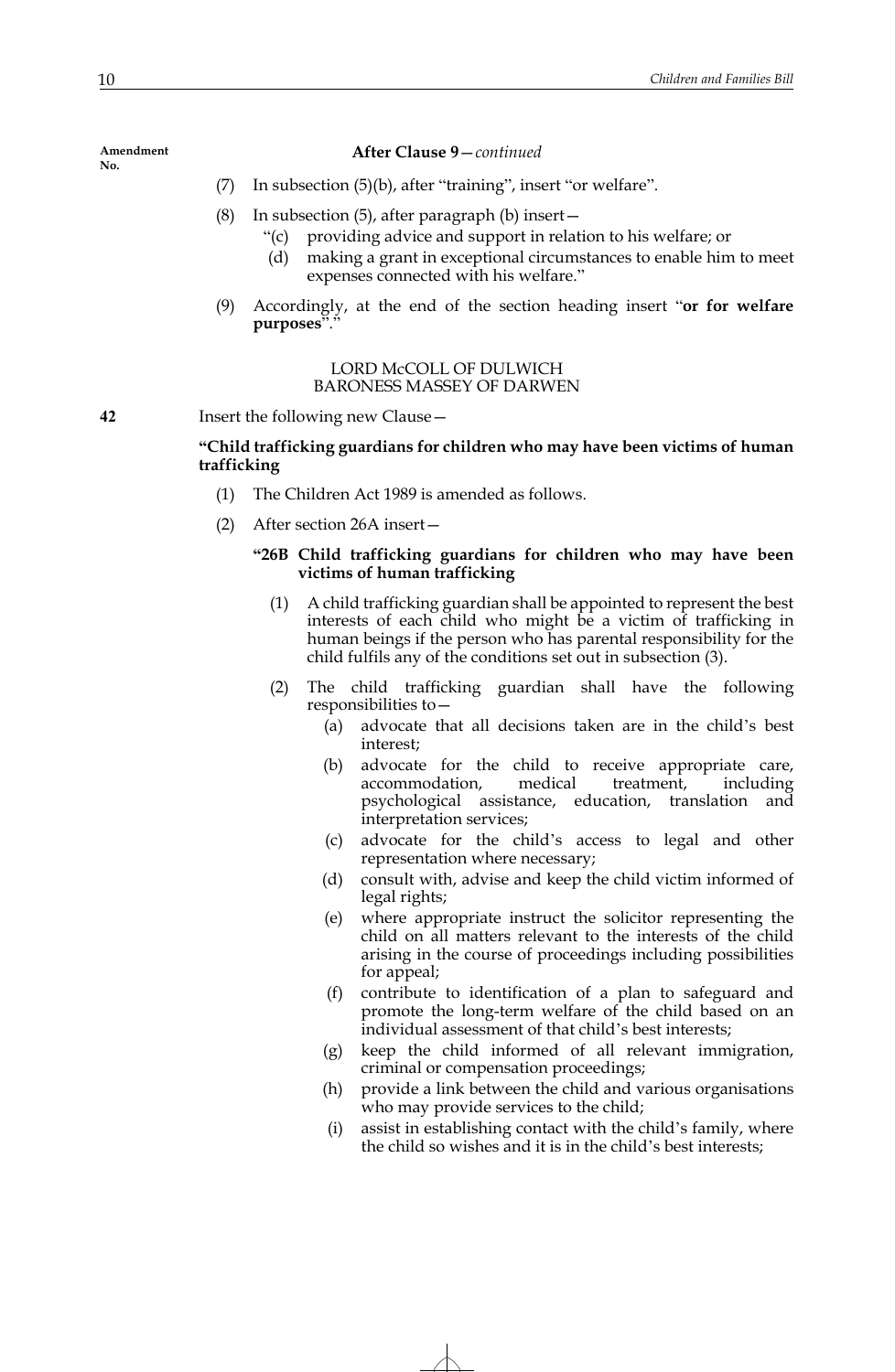## **After Clause 9**—*continued*

- (7) In subsection (5)(b), after "training", insert "or welfare".
- (8) In subsection (5), after paragraph (b) insert—
	- "(c) providing advice and support in relation to his welfare; or
	- (d) making a grant in exceptional circumstances to enable him to meet expenses connected with his welfare."
- (9) Accordingly, at the end of the section heading insert "**or for welfare purposes**"."

## LORD McCOLL OF DULWICH BARONESS MASSEY OF DARWEN

**42** Insert the following new Clause—

# **"Child trafficking guardians for children who may have been victims of human trafficking**

- (1) The Children Act 1989 is amended as follows.
- (2) After section 26A insert—

# **"26B Child trafficking guardians for children who may have been victims of human trafficking**

- (1) A child trafficking guardian shall be appointed to represent the best interests of each child who might be a victim of trafficking in human beings if the person who has parental responsibility for the child fulfils any of the conditions set out in subsection (3).
- (2) The child trafficking guardian shall have the following responsibilities to—
	- (a) advocate that all decisions taken are in the child's best interest;
	- (b) advocate for the child to receive appropriate care, accommodation, medical treatment, including psychological assistance, education, translation and interpretation services;
	- (c) advocate for the child's access to legal and other representation where necessary;
	- (d) consult with, advise and keep the child victim informed of legal rights;
	- (e) where appropriate instruct the solicitor representing the child on all matters relevant to the interests of the child arising in the course of proceedings including possibilities for appeal;
	- (f) contribute to identification of a plan to safeguard and promote the long-term welfare of the child based on an individual assessment of that child's best interests;
	- (g) keep the child informed of all relevant immigration, criminal or compensation proceedings;
	- (h) provide a link between the child and various organisations who may provide services to the child;
	- (i) assist in establishing contact with the child's family, where the child so wishes and it is in the child's best interests;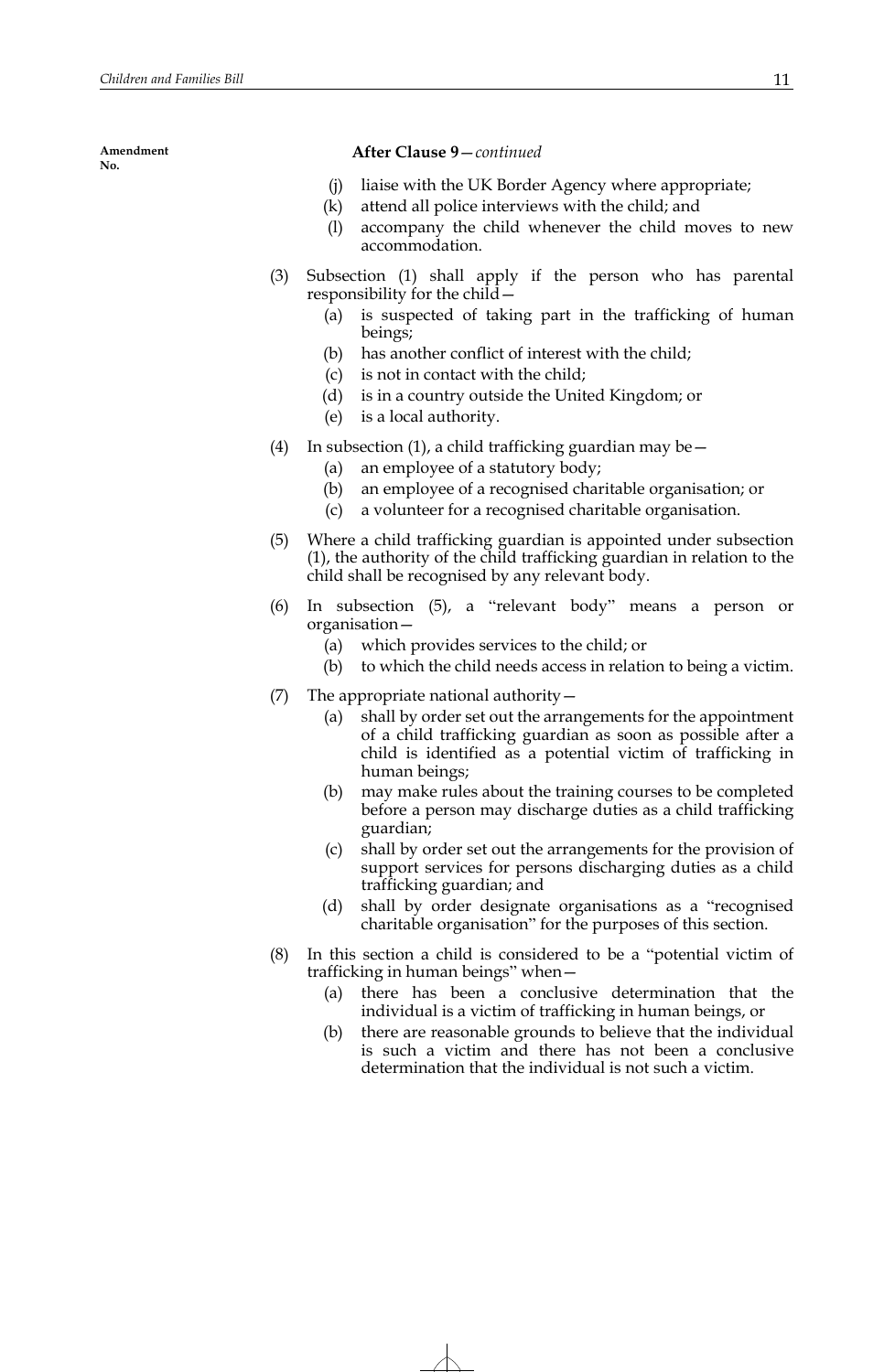## **After Clause 9**—*continued*

- (j) liaise with the UK Border Agency where appropriate;
- (k) attend all police interviews with the child; and
- (l) accompany the child whenever the child moves to new accommodation.
- (3) Subsection (1) shall apply if the person who has parental responsibility for the child—
	- (a) is suspected of taking part in the trafficking of human beings;
	- (b) has another conflict of interest with the child;
	- (c) is not in contact with the child;
	- (d) is in a country outside the United Kingdom; or
	- (e) is a local authority.
- (4) In subsection (1), a child trafficking guardian may be  $-$ 
	- (a) an employee of a statutory body;
	- (b) an employee of a recognised charitable organisation; or
	- (c) a volunteer for a recognised charitable organisation.
- (5) Where a child trafficking guardian is appointed under subsection (1), the authority of the child trafficking guardian in relation to the child shall be recognised by any relevant body.
- (6) In subsection (5), a "relevant body" means a person or organisation—
	- (a) which provides services to the child; or
	- (b) to which the child needs access in relation to being a victim.
- (7) The appropriate national authority—
	- (a) shall by order set out the arrangements for the appointment of a child trafficking guardian as soon as possible after a child is identified as a potential victim of trafficking in human beings;
	- (b) may make rules about the training courses to be completed before a person may discharge duties as a child trafficking guardian;
	- (c) shall by order set out the arrangements for the provision of support services for persons discharging duties as a child trafficking guardian; and
	- (d) shall by order designate organisations as a "recognised charitable organisation" for the purposes of this section.
- (8) In this section a child is considered to be a "potential victim of trafficking in human beings" when—
	- (a) there has been a conclusive determination that the individual is a victim of trafficking in human beings, or
	- (b) there are reasonable grounds to believe that the individual is such a victim and there has not been a conclusive determination that the individual is not such a victim.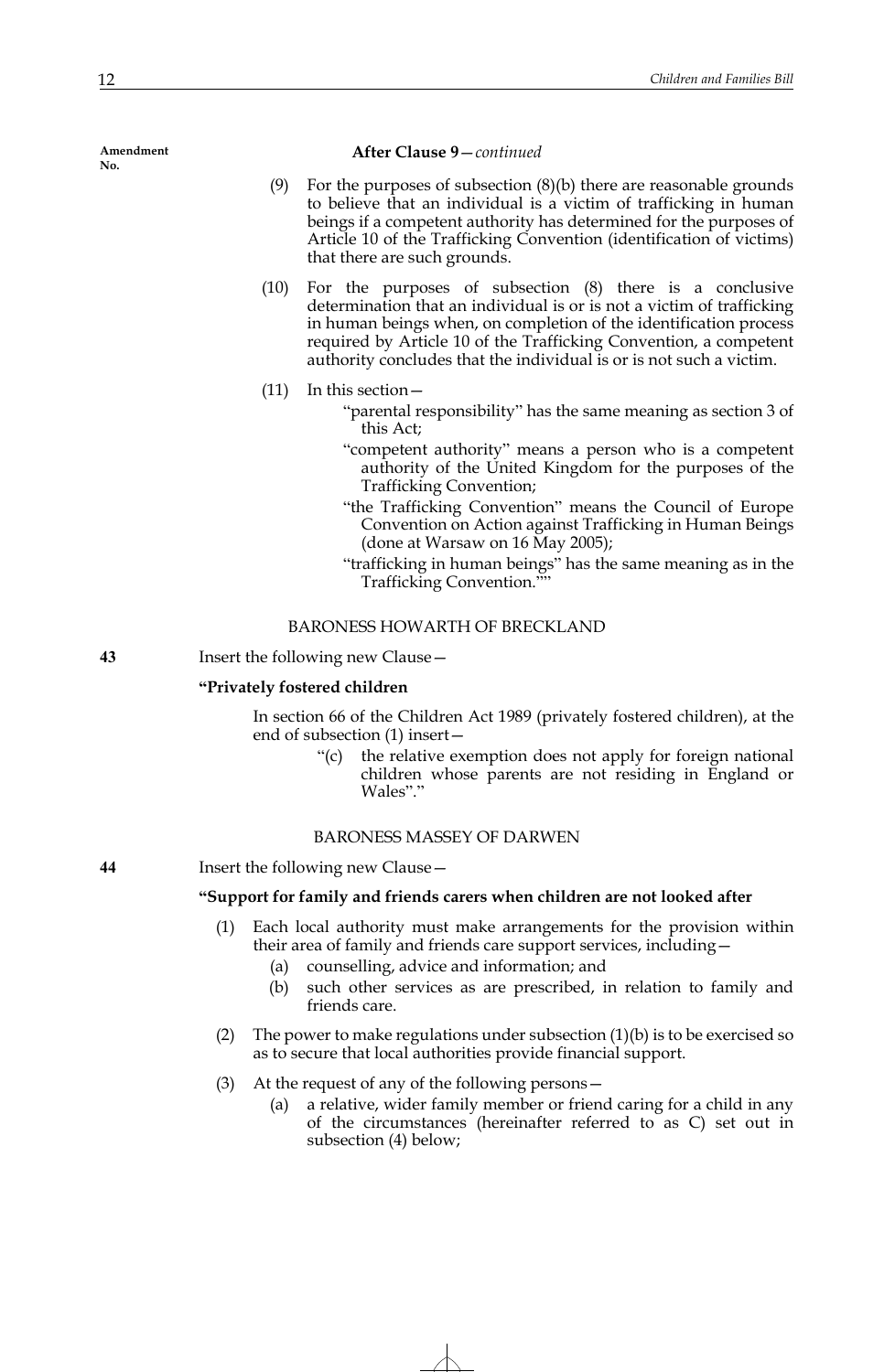#### **After Clause 9**—*continued*

- (9) For the purposes of subsection  $(8)(b)$  there are reasonable grounds to believe that an individual is a victim of trafficking in human beings if a competent authority has determined for the purposes of Article 10 of the Trafficking Convention (identification of victims) that there are such grounds.
- (10) For the purposes of subsection (8) there is a conclusive determination that an individual is or is not a victim of trafficking in human beings when, on completion of the identification process required by Article 10 of the Trafficking Convention, a competent authority concludes that the individual is or is not such a victim.
- (11) In this section—
	- "parental responsibility" has the same meaning as section 3 of this Act;
	- "competent authority" means a person who is a competent authority of the United Kingdom for the purposes of the Trafficking Convention;
	- "the Trafficking Convention" means the Council of Europe Convention on Action against Trafficking in Human Beings (done at Warsaw on 16 May 2005);
	- "trafficking in human beings" has the same meaning as in the Trafficking Convention.""

## BARONESS HOWARTH OF BRECKLAND

**43** Insert the following new Clause—

# **"Privately fostered children**

In section 66 of the Children Act 1989 (privately fostered children), at the end of subsection (1) insert—

> "(c) the relative exemption does not apply for foreign national children whose parents are not residing in England or Wales"."

## BARONESS MASSEY OF DARWEN

**44** Insert the following new Clause—

## **"Support for family and friends carers when children are not looked after**

- (1) Each local authority must make arrangements for the provision within their area of family and friends care support services, including—
	- (a) counselling, advice and information; and
	- (b) such other services as are prescribed, in relation to family and friends care.
- (2) The power to make regulations under subsection  $(1)(b)$  is to be exercised so as to secure that local authorities provide financial support.
- (3) At the request of any of the following persons—
	- (a) a relative, wider family member or friend caring for a child in any of the circumstances (hereinafter referred to as C) set out in subsection (4) below;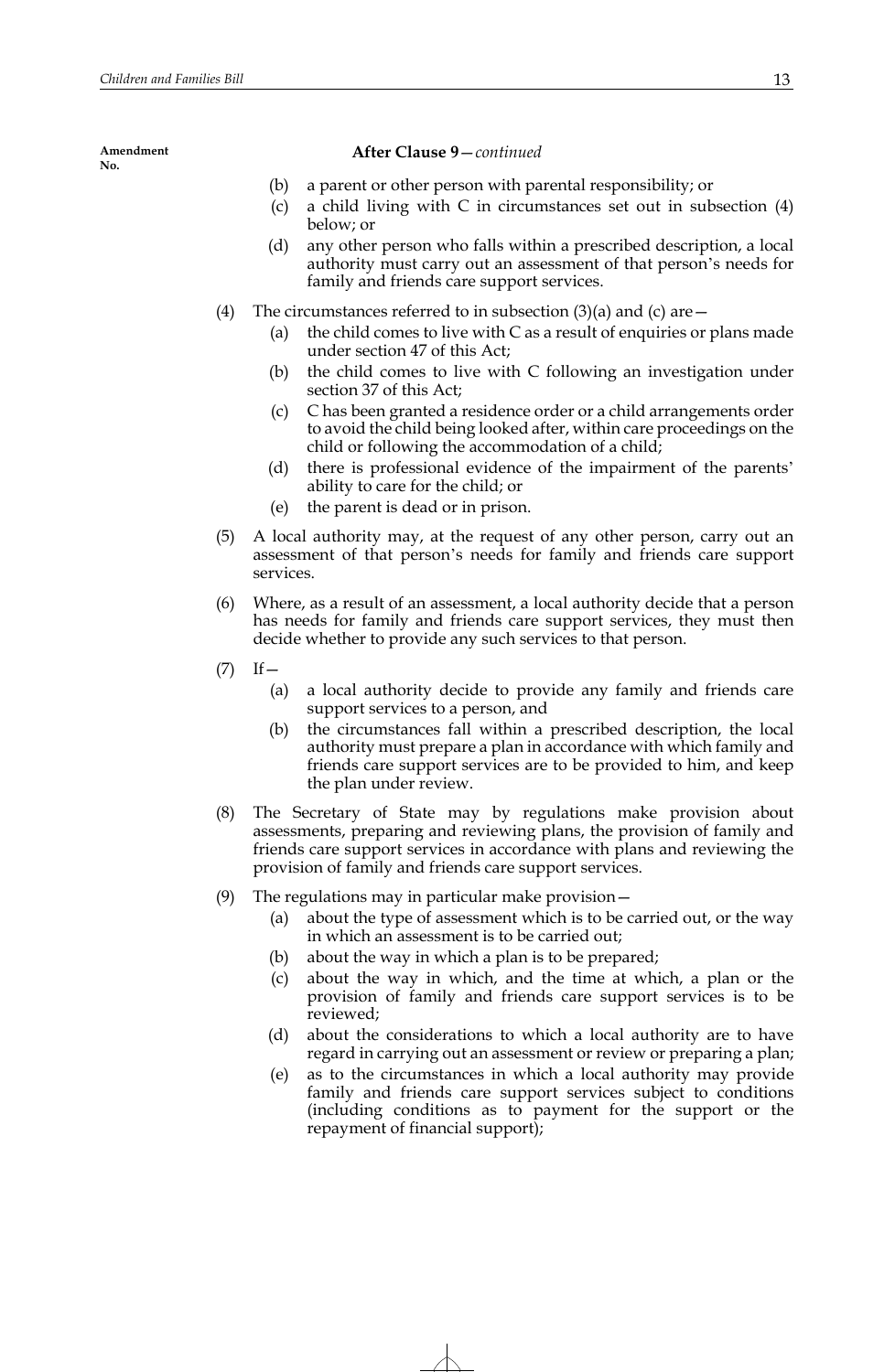## **After Clause 9**—*continued*

- (b) a parent or other person with parental responsibility; or
- (c) a child living with C in circumstances set out in subsection (4) below; or
- (d) any other person who falls within a prescribed description, a local authority must carry out an assessment of that person's needs for family and friends care support services.
- (4) The circumstances referred to in subsection  $(3)(a)$  and  $(c)$  are  $-$ 
	- (a) the child comes to live with C as a result of enquiries or plans made under section 47 of this Act;
	- (b) the child comes to live with C following an investigation under section 37 of this Act;
	- (c) C has been granted a residence order or a child arrangements order to avoid the child being looked after, within care proceedings on the child or following the accommodation of a child;
	- (d) there is professional evidence of the impairment of the parents' ability to care for the child; or
	- (e) the parent is dead or in prison.
- (5) A local authority may, at the request of any other person, carry out an assessment of that person's needs for family and friends care support services.
- (6) Where, as a result of an assessment, a local authority decide that a person has needs for family and friends care support services, they must then decide whether to provide any such services to that person.
- $(T)$  If  $-$ 
	- (a) a local authority decide to provide any family and friends care support services to a person, and
	- (b) the circumstances fall within a prescribed description, the local authority must prepare a plan in accordance with which family and friends care support services are to be provided to him, and keep the plan under review.
- (8) The Secretary of State may by regulations make provision about assessments, preparing and reviewing plans, the provision of family and friends care support services in accordance with plans and reviewing the provision of family and friends care support services.
- (9) The regulations may in particular make provision—
	- (a) about the type of assessment which is to be carried out, or the way in which an assessment is to be carried out;
	- (b) about the way in which a plan is to be prepared;
	- (c) about the way in which, and the time at which, a plan or the provision of family and friends care support services is to be reviewed;
	- (d) about the considerations to which a local authority are to have regard in carrying out an assessment or review or preparing a plan;
	- (e) as to the circumstances in which a local authority may provide family and friends care support services subject to conditions (including conditions as to payment for the support or the repayment of financial support);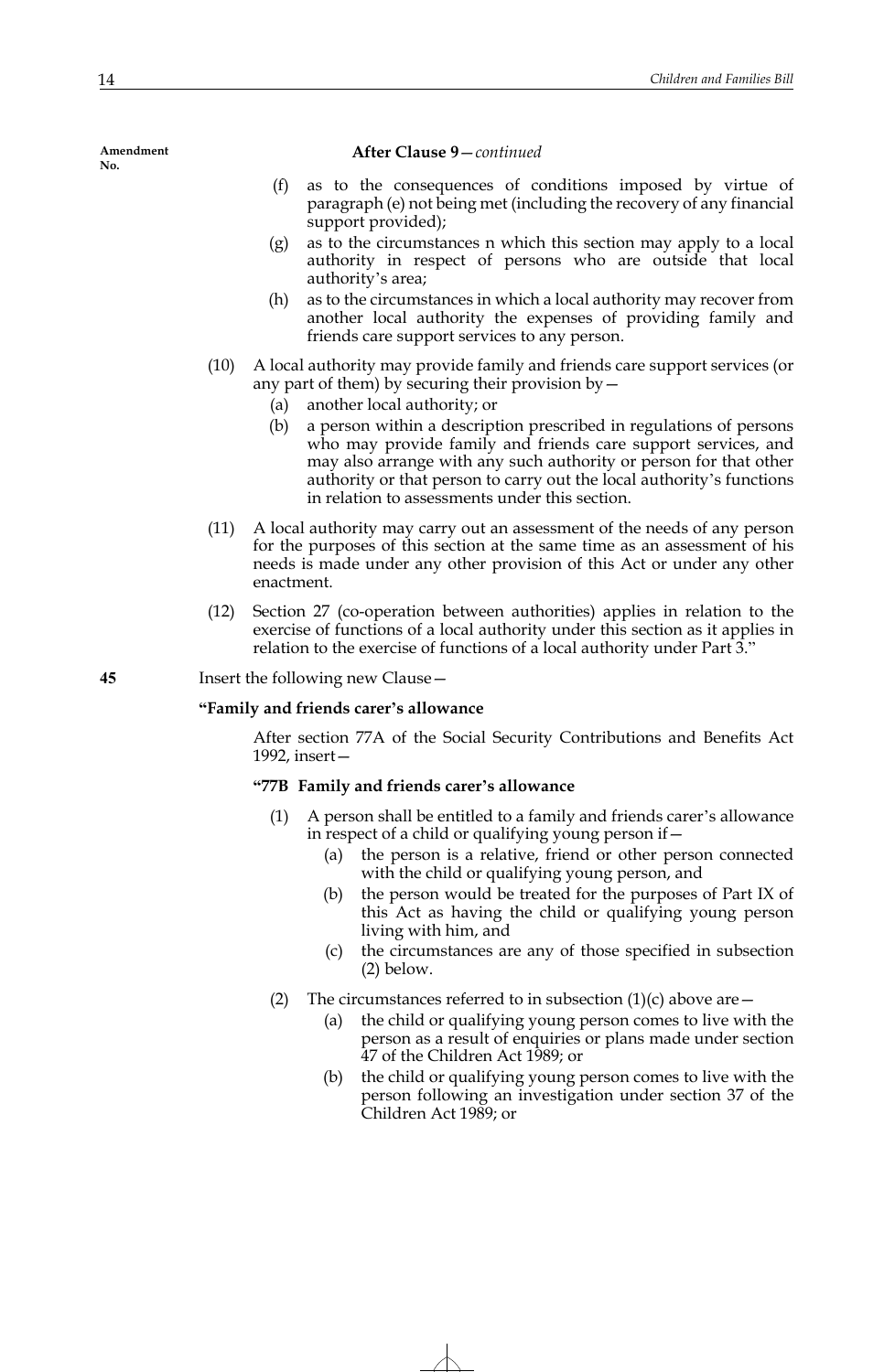### **After Clause 9**—*continued*

- (f) as to the consequences of conditions imposed by virtue of paragraph (e) not being met (including the recovery of any financial support provided);
- (g) as to the circumstances n which this section may apply to a local authority in respect of persons who are outside that local authority's area;
- (h) as to the circumstances in which a local authority may recover from another local authority the expenses of providing family and friends care support services to any person.
- (10) A local authority may provide family and friends care support services (or any part of them) by securing their provision by—
	- (a) another local authority; or
	- (b) a person within a description prescribed in regulations of persons who may provide family and friends care support services, and may also arrange with any such authority or person for that other authority or that person to carry out the local authority's functions in relation to assessments under this section.
- (11) A local authority may carry out an assessment of the needs of any person for the purposes of this section at the same time as an assessment of his needs is made under any other provision of this Act or under any other enactment.
- (12) Section 27 (co-operation between authorities) applies in relation to the exercise of functions of a local authority under this section as it applies in relation to the exercise of functions of a local authority under Part 3."

**45** Insert the following new Clause—

## **"Family and friends carer's allowance**

After section 77A of the Social Security Contributions and Benefits Act 1992, insert—

# **"77B Family and friends carer's allowance**

- (1) A person shall be entitled to a family and friends carer's allowance in respect of a child or qualifying young person if—
	- (a) the person is a relative, friend or other person connected with the child or qualifying young person, and
	- (b) the person would be treated for the purposes of Part IX of this Act as having the child or qualifying young person living with him, and
	- (c) the circumstances are any of those specified in subsection (2) below.
- (2) The circumstances referred to in subsection  $(1)(c)$  above are  $-$ 
	- (a) the child or qualifying young person comes to live with the person as a result of enquiries or plans made under section 47 of the Children Act 1989; or
	- (b) the child or qualifying young person comes to live with the person following an investigation under section 37 of the Children Act 1989; or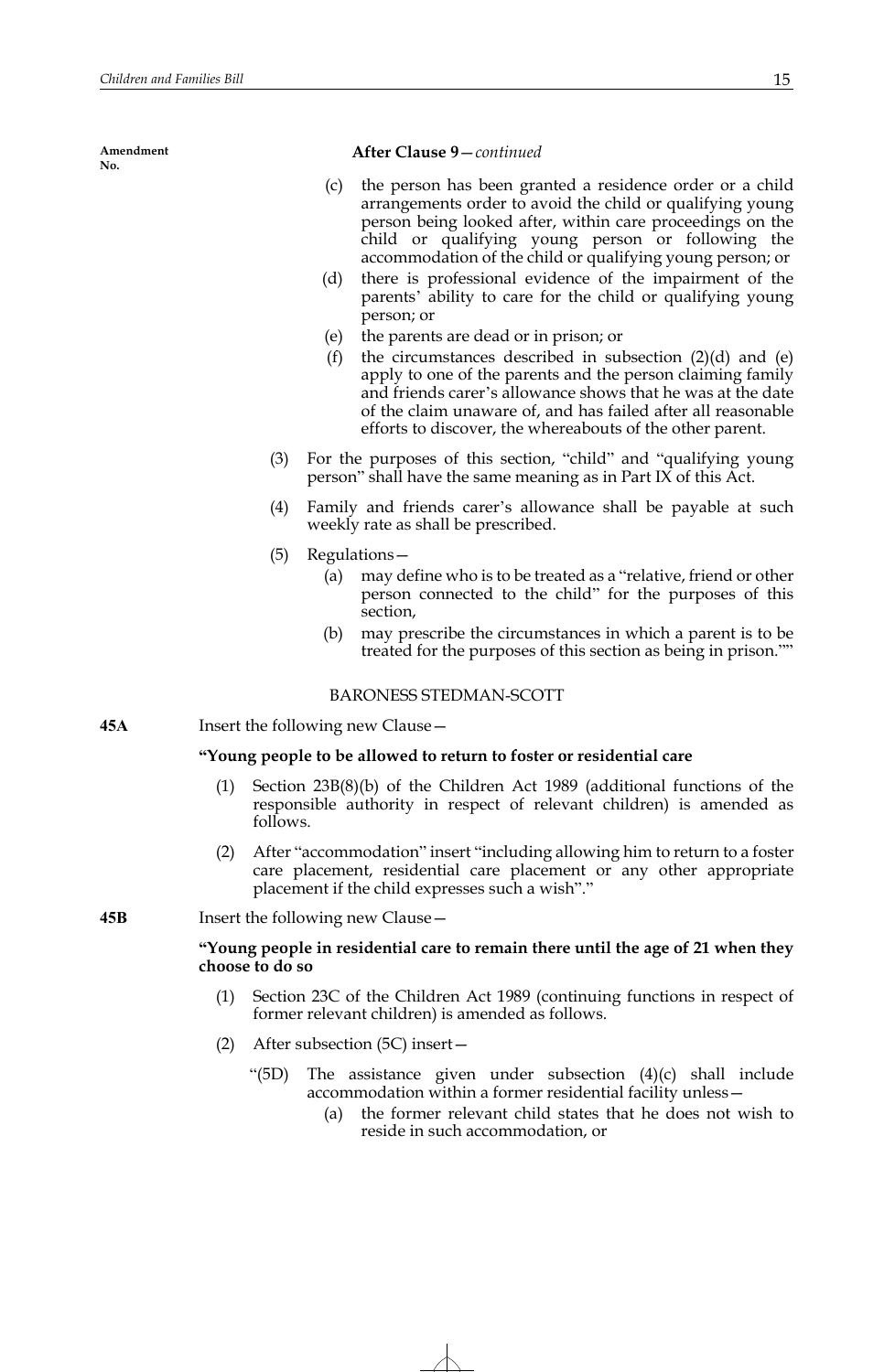## **After Clause 9**—*continued*

- (c) the person has been granted a residence order or a child arrangements order to avoid the child or qualifying young person being looked after, within care proceedings on the child or qualifying young person or following the accommodation of the child or qualifying young person; or
- (d) there is professional evidence of the impairment of the parents' ability to care for the child or qualifying young person; or
- (e) the parents are dead or in prison; or
- (f) the circumstances described in subsection  $(2)(d)$  and  $(e)$ apply to one of the parents and the person claiming family and friends carer's allowance shows that he was at the date of the claim unaware of, and has failed after all reasonable efforts to discover, the whereabouts of the other parent.
- (3) For the purposes of this section, "child" and "qualifying young person" shall have the same meaning as in Part IX of this Act.
- (4) Family and friends carer's allowance shall be payable at such weekly rate as shall be prescribed.
- (5) Regulations—
	- (a) may define who is to be treated as a "relative, friend or other person connected to the child" for the purposes of this section,
	- (b) may prescribe the circumstances in which a parent is to be treated for the purposes of this section as being in prison.""

## BARONESS STEDMAN-SCOTT

**45A** Insert the following new Clause—

## **"Young people to be allowed to return to foster or residential care**

- (1) Section 23B(8)(b) of the Children Act 1989 (additional functions of the responsible authority in respect of relevant children) is amended as follows.
- (2) After "accommodation" insert "including allowing him to return to a foster care placement, residential care placement or any other appropriate placement if the child expresses such a wish"."

## **45B** Insert the following new Clause—

# **"Young people in residential care to remain there until the age of 21 when they choose to do so**

- (1) Section 23C of the Children Act 1989 (continuing functions in respect of former relevant children) is amended as follows.
- (2) After subsection (5C) insert—
	- "(5D) The assistance given under subsection (4)(c) shall include accommodation within a former residential facility unless—
		- (a) the former relevant child states that he does not wish to reside in such accommodation, or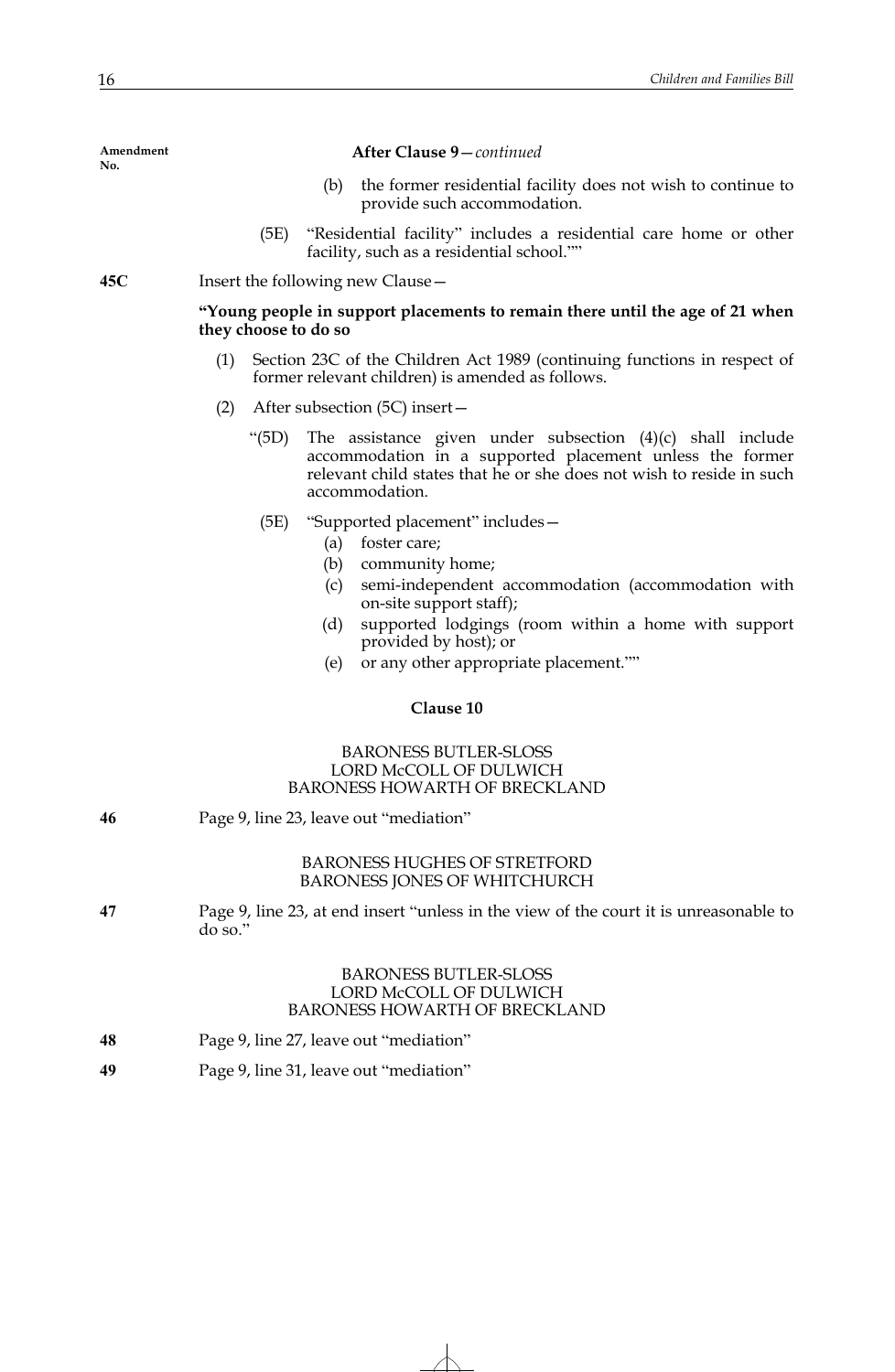| Amendment<br>No. | After Clause 9-continued                                                                                                                                                                                                                                                                                                 |
|------------------|--------------------------------------------------------------------------------------------------------------------------------------------------------------------------------------------------------------------------------------------------------------------------------------------------------------------------|
|                  | (b)<br>the former residential facility does not wish to continue to<br>provide such accommodation.                                                                                                                                                                                                                       |
|                  | "Residential facility" includes a residential care home or other<br>(5E)<br>facility, such as a residential school.""                                                                                                                                                                                                    |
| 45C              | Insert the following new Clause –                                                                                                                                                                                                                                                                                        |
|                  | "Young people in support placements to remain there until the age of 21 when<br>they choose to do so                                                                                                                                                                                                                     |
|                  | (1)<br>Section 23C of the Children Act 1989 (continuing functions in respect of<br>former relevant children) is amended as follows.                                                                                                                                                                                      |
|                  | (2)<br>After subsection (5C) insert-                                                                                                                                                                                                                                                                                     |
|                  | The assistance given under subsection $(4)(c)$ shall include<br>"(5D)<br>accommodation in a supported placement unless the former<br>relevant child states that he or she does not wish to reside in such<br>accommodation.                                                                                              |
|                  | "Supported placement" includes -<br>(5E)<br>foster care;<br>(a)<br>(b)<br>community home;<br>semi-independent accommodation (accommodation with<br>(c)<br>on-site support staff);<br>supported lodgings (room within a home with support<br>(d)<br>provided by host); or<br>(e)<br>or any other appropriate placement."" |
|                  | Clause 10                                                                                                                                                                                                                                                                                                                |
|                  | <b>BARONESS BUTLER-SLOSS</b><br>LORD McCOLL OF DULWICH<br>BARONESS HOWARTH OF BRECKLAND                                                                                                                                                                                                                                  |
| 46               | Page 9, line 23, leave out "mediation"                                                                                                                                                                                                                                                                                   |
|                  | <b>BARONESS HUGHES OF STRETFORD</b><br><b>BARONESS JONES OF WHITCHURCH</b>                                                                                                                                                                                                                                               |
| 47               | Page 9, line 23, at end insert "unless in the view of the court it is unreasonable to<br>$d$ o so."                                                                                                                                                                                                                      |
|                  | <b>BARONESS BUTLER-SLOSS</b><br>LORD McCOLL OF DULWICH<br><b>BARONESS HOWARTH OF BRECKLAND</b>                                                                                                                                                                                                                           |
| 48               | Page 9, line 27, leave out "mediation"                                                                                                                                                                                                                                                                                   |
| 49               | Page 9, line 31, leave out "mediation"                                                                                                                                                                                                                                                                                   |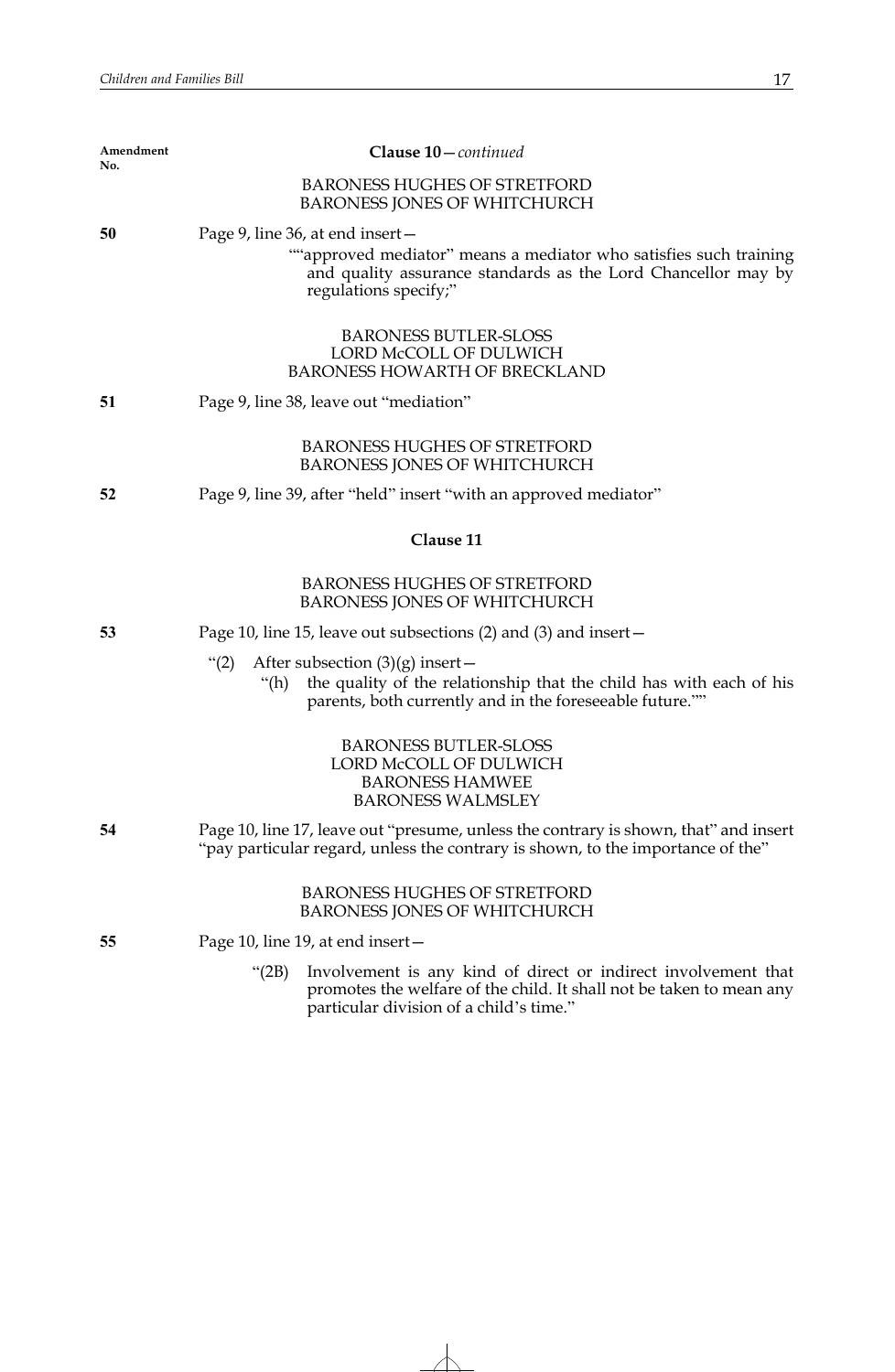| <b>BARONESS HUGHES OF STRETFORD</b><br><b>BARONESS JONES OF WHITCHURCH</b>                                                                                                                    |
|-----------------------------------------------------------------------------------------------------------------------------------------------------------------------------------------------|
| Page 9, line 36, at end insert -<br>""approved mediator" means a mediator who satisfies such training<br>and quality assurance standards as the Lord Chancellor may by                        |
| regulations specify;"                                                                                                                                                                         |
| <b>BARONESS BUTLER-SLOSS</b><br>LORD McCOLL OF DULWICH<br><b>BARONESS HOWARTH OF BRECKLAND</b>                                                                                                |
| Page 9, line 38, leave out "mediation"                                                                                                                                                        |
| <b>BARONESS HUGHES OF STRETFORD</b><br><b>BARONESS JONES OF WHITCHURCH</b>                                                                                                                    |
| Page 9, line 39, after "held" insert "with an approved mediator"                                                                                                                              |
| Clause 11                                                                                                                                                                                     |
| <b>BARONESS HUGHES OF STRETFORD</b><br><b>BARONESS JONES OF WHITCHURCH</b>                                                                                                                    |
| Page 10, line 15, leave out subsections $(2)$ and $(3)$ and insert –                                                                                                                          |
| After subsection $(3)(g)$ insert –<br>" $(2)$<br>the quality of the relationship that the child has with each of his<br>"(h)<br>parents, both currently and in the foreseeable future.""      |
| <b>BARONESS BUTLER-SLOSS</b><br>LORD McCOLL OF DULWICH<br><b>BARONESS HAMWEE</b><br><b>BARONESS WALMSLEY</b>                                                                                  |
| Page 10, line 17, leave out "presume, unless the contrary is shown, that" and insert<br>"pay particular regard, unless the contrary is shown, to the importance of the"                       |
| <b>BARONESS HUGHES OF STRETFORD</b><br><b>BARONESS JONES OF WHITCHURCH</b>                                                                                                                    |
| Page 10, line 19, at end insert-                                                                                                                                                              |
| Involvement is any kind of direct or indirect involvement that<br>" $(2B)$<br>promotes the welfare of the child. It shall not be taken to mean any<br>particular division of a child's time." |
|                                                                                                                                                                                               |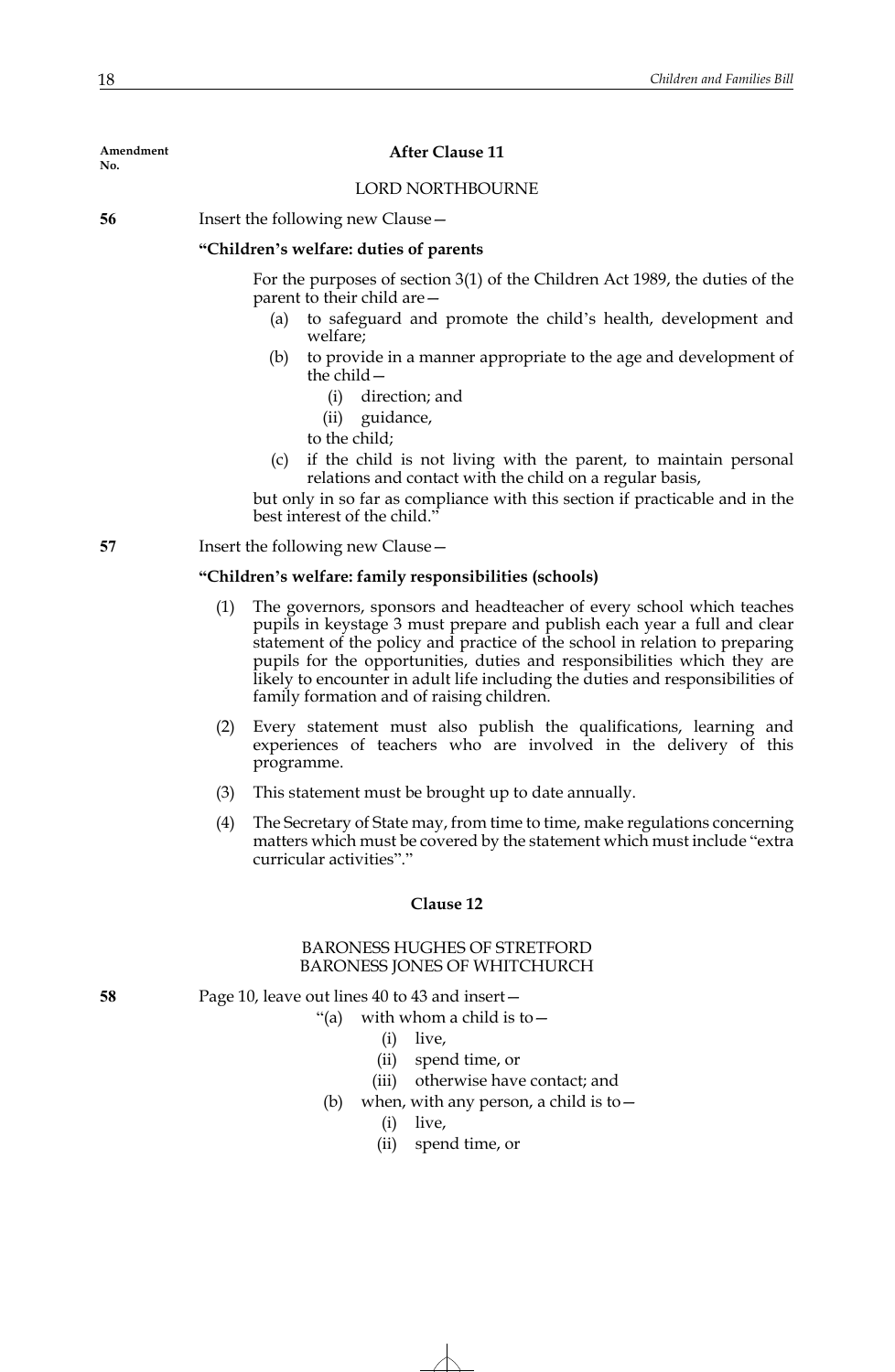## **After Clause 11**

# LORD NORTHBOURNE

**56** Insert the following new Clause -

# **"Children's welfare: duties of parents**

For the purposes of section 3(1) of the Children Act 1989, the duties of the parent to their child are—

- (a) to safeguard and promote the child's health, development and welfare;
- (b) to provide in a manner appropriate to the age and development of the child $-$ 
	- (i) direction; and
	- (ii) guidance,
	- to the child;
- (c) if the child is not living with the parent, to maintain personal relations and contact with the child on a regular basis,

but only in so far as compliance with this section if practicable and in the best interest of the child."

**57** Insert the following new Clause –

## **"Children's welfare: family responsibilities (schools)**

- (1) The governors, sponsors and headteacher of every school which teaches pupils in keystage 3 must prepare and publish each year a full and clear statement of the policy and practice of the school in relation to preparing pupils for the opportunities, duties and responsibilities which they are likely to encounter in adult life including the duties and responsibilities of family formation and of raising children.
- (2) Every statement must also publish the qualifications, learning and experiences of teachers who are involved in the delivery of this programme.
- (3) This statement must be brought up to date annually.
- (4) The Secretary of State may, from time to time, make regulations concerning matters which must be covered by the statement which must include "extra curricular activities"."

## **Clause 12**

# BARONESS HUGHES OF STRETFORD BARONESS JONES OF WHITCHURCH

**58** Page 10, leave out lines 40 to 43 and insert—

"(a) with whom a child is to  $-$ 

- (i) live,
- (ii) spend time, or
- (iii) otherwise have contact; and
- (b) when, with any person, a child is to  $-$ 
	- (i) live,
	- (ii) spend time, or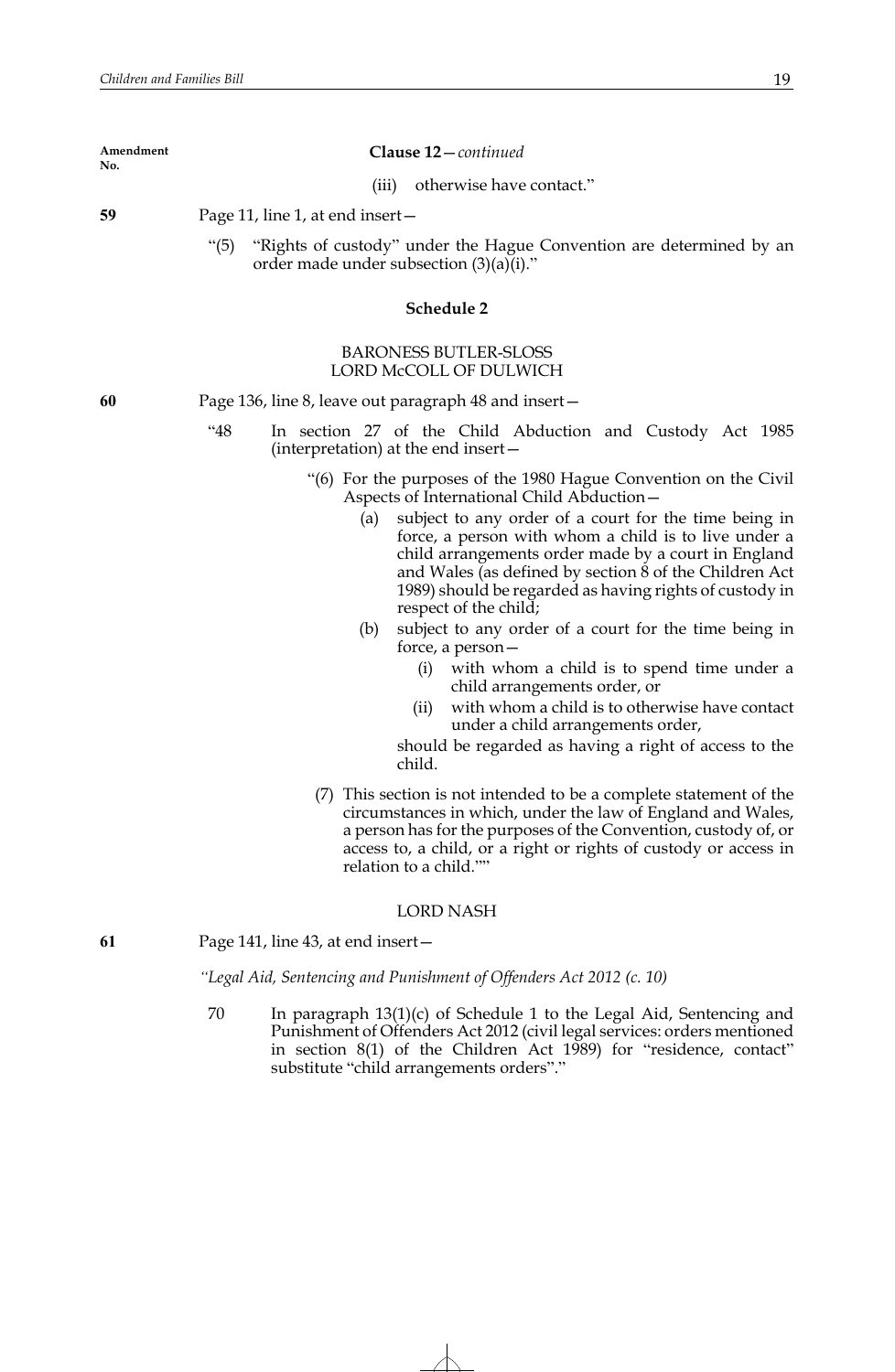| Amendment<br>No. | <b>Clause 12</b> – <i>continued</i>                                 |
|------------------|---------------------------------------------------------------------|
|                  | otherwise have contact."<br>(iii)                                   |
| 59               | Page 11, line 1, at end insert $-$                                  |
|                  | "Rights of custody" under the Hague Convention are determined by an |

order made under subsection  $(3)(a)(i)$ ."

## **Schedule 2**

## BARONESS BUTLER-SLOSS LORD McCOLL OF DULWICH

**60** Page 136, line 8, leave out paragraph 48 and insert—

"48 In section 27 of the Child Abduction and Custody Act 1985 (interpretation) at the end insert—

- "(6) For the purposes of the 1980 Hague Convention on the Civil Aspects of International Child Abduction—
	- (a) subject to any order of a court for the time being in force, a person with whom a child is to live under a child arrangements order made by a court in England and Wales (as defined by section 8 of the Children Act 1989) should be regarded as having rights of custody in respect of the child;
	- (b) subject to any order of a court for the time being in force, a person—
		- (i) with whom a child is to spend time under a child arrangements order, or
		- (ii) with whom a child is to otherwise have contact under a child arrangements order,

should be regarded as having a right of access to the child.

(7) This section is not intended to be a complete statement of the circumstances in which, under the law of England and Wales, a person has for the purposes of the Convention, custody of, or access to, a child, or a right or rights of custody or access in relation to a child.""

## LORD NASH

**61** Page 141, line 43, at end insert—

*"Legal Aid, Sentencing and Punishment of Offenders Act 2012 (c. 10)*

70 In paragraph 13(1)(c) of Schedule 1 to the Legal Aid, Sentencing and Punishment of Offenders Act 2012 (civil legal services: orders mentioned in section 8(1) of the Children Act 1989) for "residence, contact" substitute "child arrangements orders"."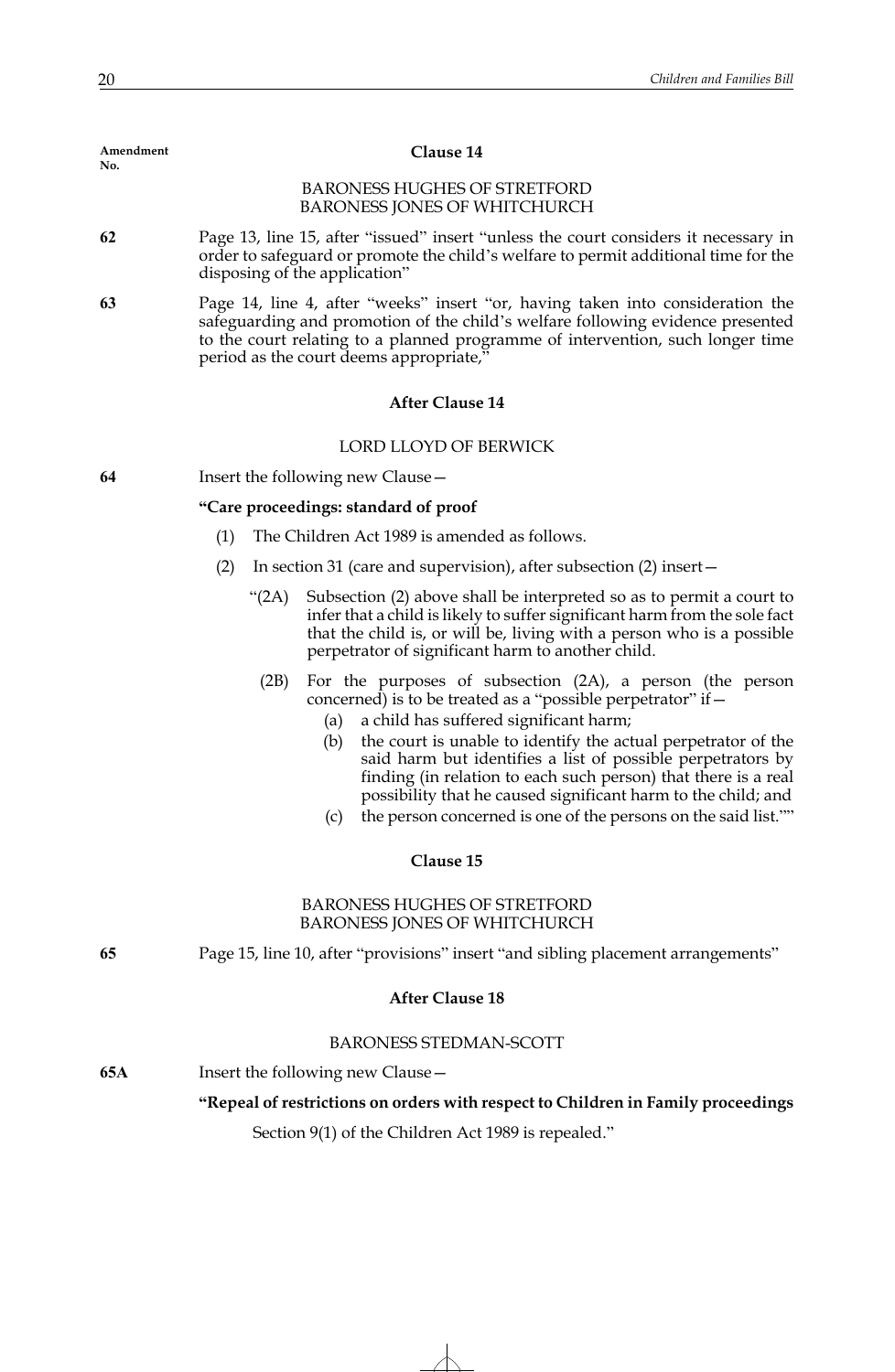| No. |                                                                                                                                                                                                                                                                                                                                                                                                                                                                                                                                          |
|-----|------------------------------------------------------------------------------------------------------------------------------------------------------------------------------------------------------------------------------------------------------------------------------------------------------------------------------------------------------------------------------------------------------------------------------------------------------------------------------------------------------------------------------------------|
|     | <b>BARONESS HUGHES OF STRETFORD</b><br><b>BARONESS JONES OF WHITCHURCH</b>                                                                                                                                                                                                                                                                                                                                                                                                                                                               |
| 62  | Page 13, line 15, after "issued" insert "unless the court considers it necessary in<br>order to safeguard or promote the child's welfare to permit additional time for the<br>disposing of the application"                                                                                                                                                                                                                                                                                                                              |
| 63  | Page 14, line 4, after "weeks" insert "or, having taken into consideration the<br>safeguarding and promotion of the child's welfare following evidence presented<br>to the court relating to a planned programme of intervention, such longer time<br>period as the court deems appropriate,"                                                                                                                                                                                                                                            |
|     | <b>After Clause 14</b>                                                                                                                                                                                                                                                                                                                                                                                                                                                                                                                   |
|     | LORD LLOYD OF BERWICK                                                                                                                                                                                                                                                                                                                                                                                                                                                                                                                    |
| 64  | Insert the following new Clause-                                                                                                                                                                                                                                                                                                                                                                                                                                                                                                         |
|     | "Care proceedings: standard of proof                                                                                                                                                                                                                                                                                                                                                                                                                                                                                                     |
|     | The Children Act 1989 is amended as follows.<br>(1)                                                                                                                                                                                                                                                                                                                                                                                                                                                                                      |
|     | (2)<br>In section 31 (care and supervision), after subsection (2) insert –                                                                                                                                                                                                                                                                                                                                                                                                                                                               |
|     | Subsection (2) above shall be interpreted so as to permit a court to<br>" $(2A)$<br>infer that a child is likely to suffer significant harm from the sole fact<br>that the child is, or will be, living with a person who is a possible<br>perpetrator of significant harm to another child.                                                                                                                                                                                                                                             |
|     | (2B)<br>For the purposes of subsection $(2A)$ , a person (the person<br>concerned) is to be treated as a "possible perpetrator" if -<br>a child has suffered significant harm;<br>(a)<br>the court is unable to identify the actual perpetrator of the<br>(b)<br>said harm but identifies a list of possible perpetrators by<br>finding (in relation to each such person) that there is a real<br>possibility that he caused significant harm to the child; and<br>the person concerned is one of the persons on the said list.""<br>(c) |
|     | Clause 15                                                                                                                                                                                                                                                                                                                                                                                                                                                                                                                                |
|     | <b>BARONESS HUGHES OF STRETFORD</b><br><b>BARONESS JONES OF WHITCHURCH</b>                                                                                                                                                                                                                                                                                                                                                                                                                                                               |
| 65  | Page 15, line 10, after "provisions" insert "and sibling placement arrangements"                                                                                                                                                                                                                                                                                                                                                                                                                                                         |
|     | <b>After Clause 18</b>                                                                                                                                                                                                                                                                                                                                                                                                                                                                                                                   |
|     | <b>BARONESS STEDMAN-SCOTT</b>                                                                                                                                                                                                                                                                                                                                                                                                                                                                                                            |
| 65A | Insert the following new Clause -                                                                                                                                                                                                                                                                                                                                                                                                                                                                                                        |
|     | "Repeal of restrictions on orders with respect to Children in Family proceedings                                                                                                                                                                                                                                                                                                                                                                                                                                                         |
|     | Section 9(1) of the Children Act 1989 is repealed."                                                                                                                                                                                                                                                                                                                                                                                                                                                                                      |
|     |                                                                                                                                                                                                                                                                                                                                                                                                                                                                                                                                          |

**Clause 14**

**Amendment**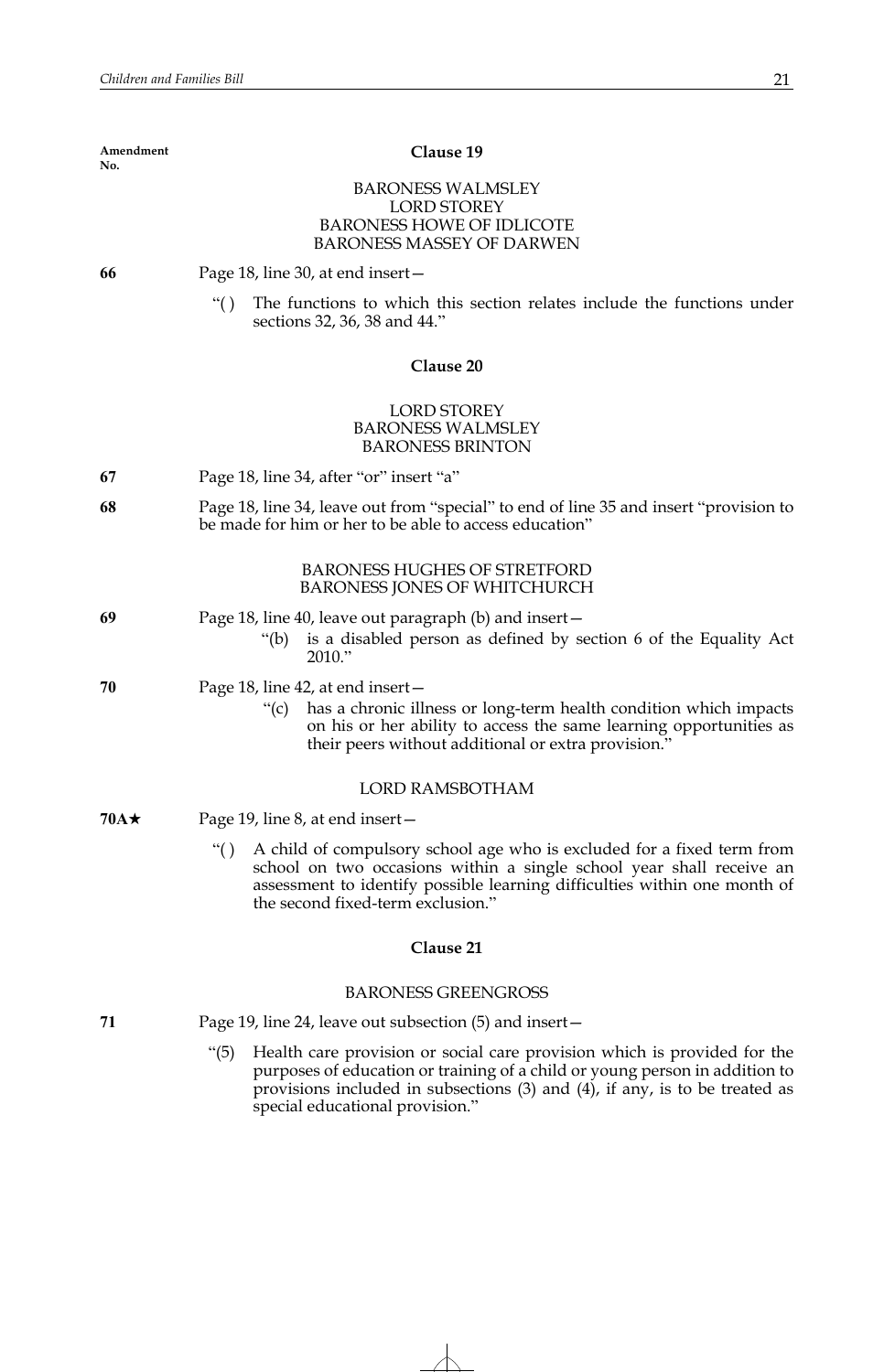| Amendment<br>No. | Clause 19                                                                                                                                                                                                                                                                                 |
|------------------|-------------------------------------------------------------------------------------------------------------------------------------------------------------------------------------------------------------------------------------------------------------------------------------------|
|                  | <b>BARONESS WALMSLEY</b><br><b>LORD STOREY</b><br><b>BARONESS HOWE OF IDLICOTE</b><br><b>BARONESS MASSEY OF DARWEN</b>                                                                                                                                                                    |
| 66               | Page 18, line 30, at end insert –                                                                                                                                                                                                                                                         |
|                  | The functions to which this section relates include the functions under<br>``()<br>sections 32, 36, 38 and 44."                                                                                                                                                                           |
|                  | Clause 20                                                                                                                                                                                                                                                                                 |
|                  | <b>LORD STOREY</b><br><b>BARONESS WALMSLEY</b><br><b>BARONESS BRINTON</b>                                                                                                                                                                                                                 |
| 67               | Page 18, line 34, after "or" insert "a"                                                                                                                                                                                                                                                   |
| 68               | Page 18, line 34, leave out from "special" to end of line 35 and insert "provision to<br>be made for him or her to be able to access education"                                                                                                                                           |
|                  | <b>BARONESS HUGHES OF STRETFORD</b><br>BARONESS JONES OF WHITCHURCH                                                                                                                                                                                                                       |
| 69               | Page 18, line 40, leave out paragraph (b) and insert –<br>is a disabled person as defined by section 6 of the Equality Act<br>"(b)<br>2010."                                                                                                                                              |
| 70               | Page 18, line 42, at end insert –<br>has a chronic illness or long-term health condition which impacts<br>" $(c)$<br>on his or her ability to access the same learning opportunities as<br>their peers without additional or extra provision."                                            |
|                  | <b>LORD RAMSBOTHAM</b>                                                                                                                                                                                                                                                                    |
| $70A\star$       | Page 19, line 8, at end insert -                                                                                                                                                                                                                                                          |
|                  | A child of compulsory school age who is excluded for a fixed term from<br>``()<br>school on two occasions within a single school year shall receive an<br>assessment to identify possible learning difficulties within one month of<br>the second fixed-term exclusion."                  |
|                  | Clause 21                                                                                                                                                                                                                                                                                 |
|                  | <b>BARONESS GREENGROSS</b>                                                                                                                                                                                                                                                                |
| 71               | Page 19, line 24, leave out subsection $(5)$ and insert $-$                                                                                                                                                                                                                               |
|                  | " $(5)$<br>Health care provision or social care provision which is provided for the<br>purposes of education or training of a child or young person in addition to<br>provisions included in subsections $(3)$ and $(4)$ , if any, is to be treated as<br>special educational provision." |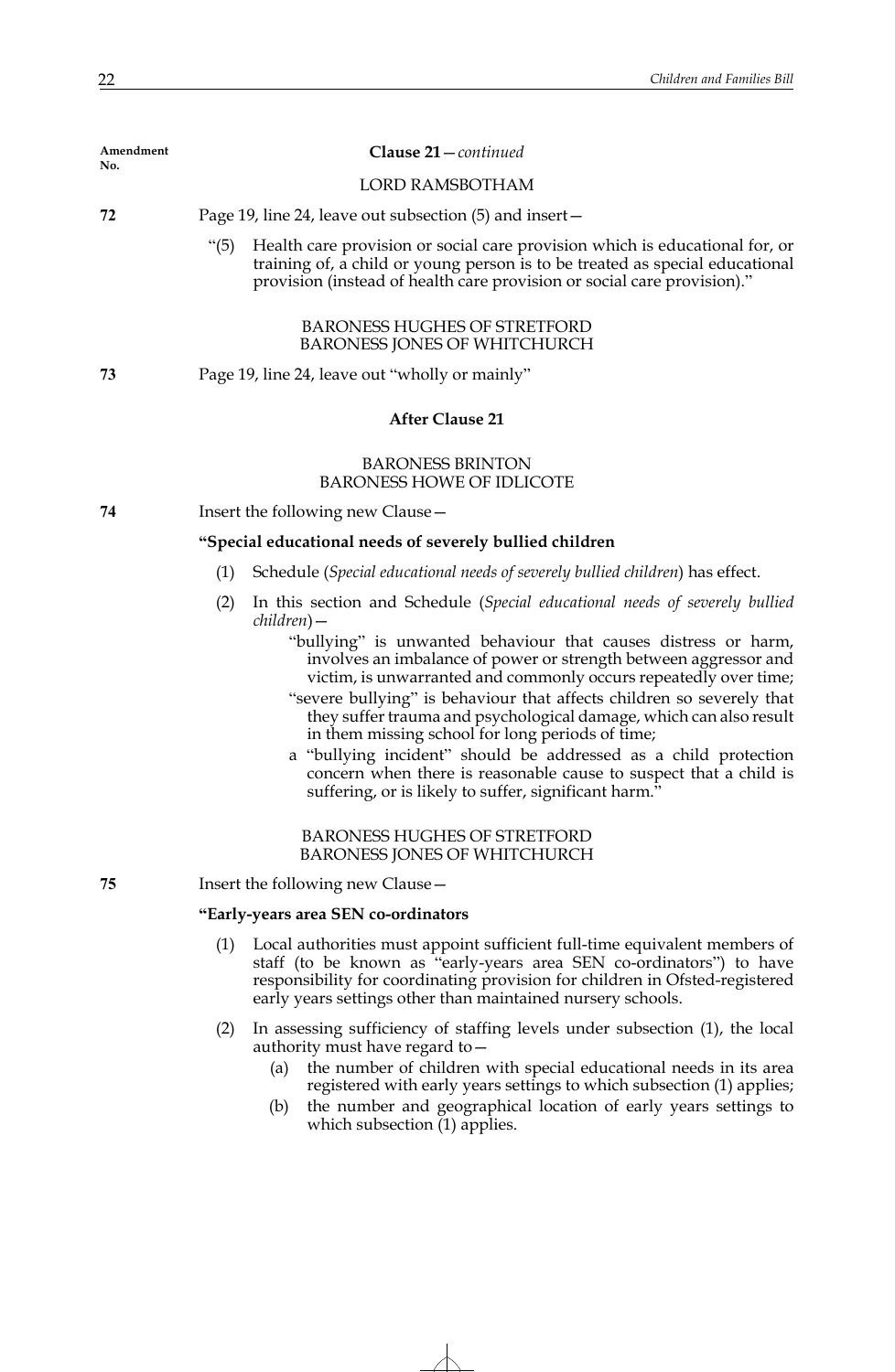| Amendment<br>No. | Clause 21 – continued                                                                                                                                                                                                                                                                                                                                                                                                                                                                                                                                                                                                                                                                                                                                                                         |
|------------------|-----------------------------------------------------------------------------------------------------------------------------------------------------------------------------------------------------------------------------------------------------------------------------------------------------------------------------------------------------------------------------------------------------------------------------------------------------------------------------------------------------------------------------------------------------------------------------------------------------------------------------------------------------------------------------------------------------------------------------------------------------------------------------------------------|
|                  | <b>LORD RAMSBOTHAM</b>                                                                                                                                                                                                                                                                                                                                                                                                                                                                                                                                                                                                                                                                                                                                                                        |
| 72               | Page 19, line 24, leave out subsection (5) and insert –                                                                                                                                                                                                                                                                                                                                                                                                                                                                                                                                                                                                                                                                                                                                       |
|                  | Health care provision or social care provision which is educational for, or<br>" $(5)$<br>training of, a child or young person is to be treated as special educational<br>provision (instead of health care provision or social care provision)."                                                                                                                                                                                                                                                                                                                                                                                                                                                                                                                                             |
|                  | <b>BARONESS HUGHES OF STRETFORD</b><br><b>BARONESS JONES OF WHITCHURCH</b>                                                                                                                                                                                                                                                                                                                                                                                                                                                                                                                                                                                                                                                                                                                    |
| 73               | Page 19, line 24, leave out "wholly or mainly"                                                                                                                                                                                                                                                                                                                                                                                                                                                                                                                                                                                                                                                                                                                                                |
|                  | <b>After Clause 21</b>                                                                                                                                                                                                                                                                                                                                                                                                                                                                                                                                                                                                                                                                                                                                                                        |
|                  | <b>BARONESS BRINTON</b><br><b>BARONESS HOWE OF IDLICOTE</b>                                                                                                                                                                                                                                                                                                                                                                                                                                                                                                                                                                                                                                                                                                                                   |
| 74               | Insert the following new Clause –                                                                                                                                                                                                                                                                                                                                                                                                                                                                                                                                                                                                                                                                                                                                                             |
|                  | "Special educational needs of severely bullied children                                                                                                                                                                                                                                                                                                                                                                                                                                                                                                                                                                                                                                                                                                                                       |
|                  | Schedule (Special educational needs of severely bullied children) has effect.<br>(1)                                                                                                                                                                                                                                                                                                                                                                                                                                                                                                                                                                                                                                                                                                          |
|                  | In this section and Schedule (Special educational needs of severely bullied<br>(2)<br>children) —<br>"bullying" is unwanted behaviour that causes distress or harm,<br>involves an imbalance of power or strength between aggressor and<br>victim, is unwarranted and commonly occurs repeatedly over time;<br>"severe bullying" is behaviour that affects children so severely that<br>they suffer trauma and psychological damage, which can also result<br>in them missing school for long periods of time;<br>a "bullying incident" should be addressed as a child protection<br>concern when there is reasonable cause to suspect that a child is<br>suffering, or is likely to suffer, significant harm."<br><b>BARONESS HUGHES OF STRETFORD</b><br><b>BARONESS JONES OF WHITCHURCH</b> |
| 75               | Insert the following new Clause -                                                                                                                                                                                                                                                                                                                                                                                                                                                                                                                                                                                                                                                                                                                                                             |
|                  | "Early-years area SEN co-ordinators                                                                                                                                                                                                                                                                                                                                                                                                                                                                                                                                                                                                                                                                                                                                                           |
|                  | Local authorities must appoint sufficient full-time equivalent members of<br>(1)<br>staff (to be known as "early-years area SEN co-ordinators") to have<br>responsibility for coordinating provision for children in Ofsted-registered<br>early years settings other than maintained nursery schools.                                                                                                                                                                                                                                                                                                                                                                                                                                                                                         |
|                  | In assessing sufficiency of staffing levels under subsection (1), the local<br>(2)<br>authority must have regard to -<br>the number of children with special educational needs in its area<br>(a)<br>registered with early years settings to which subsection (1) applies;                                                                                                                                                                                                                                                                                                                                                                                                                                                                                                                    |

(b) the number and geographical location of early years settings to which subsection (1) applies.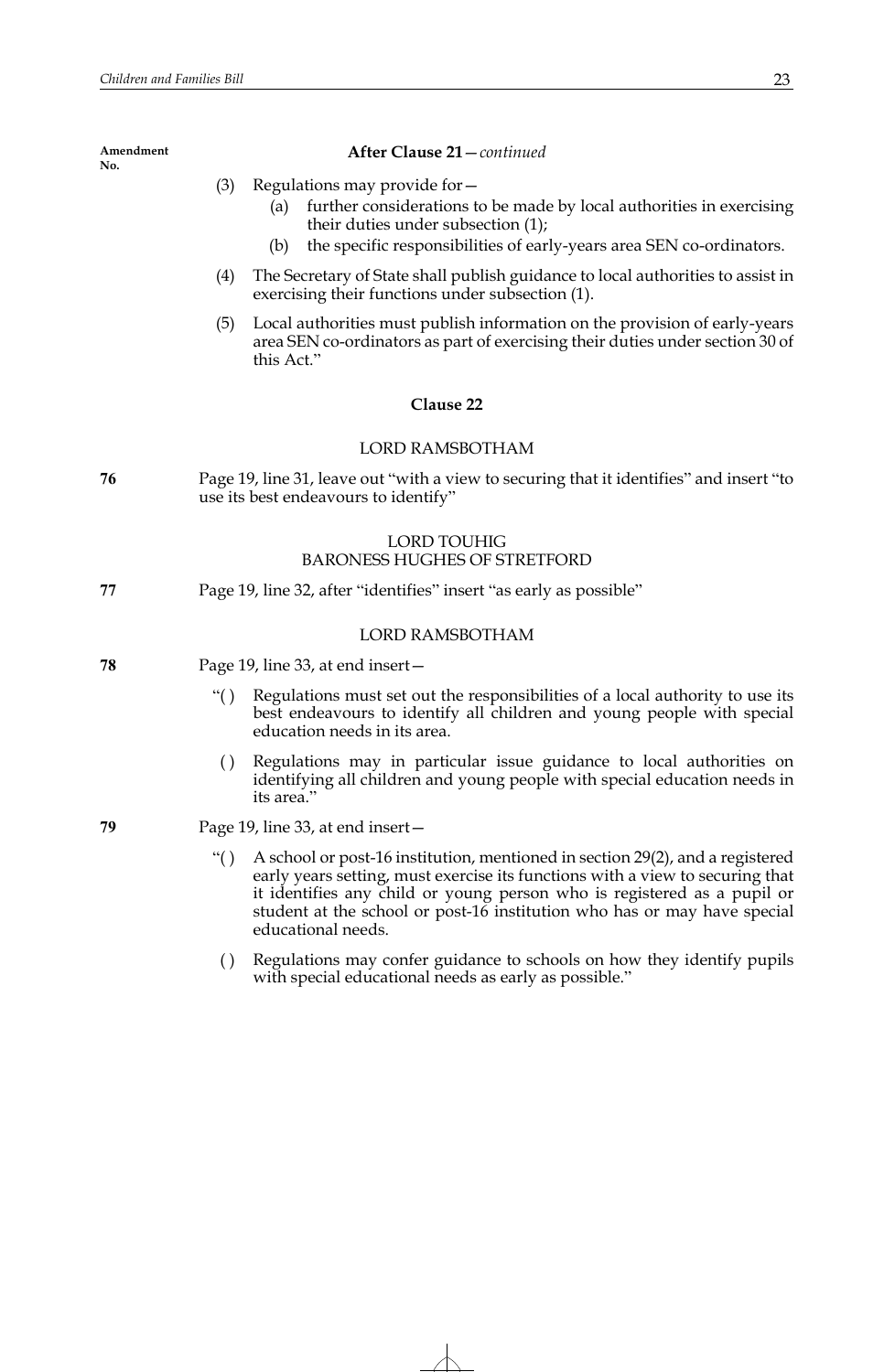- (3) Regulations may provide for—
	- (a) further considerations to be made by local authorities in exercising their duties under subsection (1);
	- (b) the specific responsibilities of early-years area SEN co-ordinators.
- (4) The Secretary of State shall publish guidance to local authorities to assist in exercising their functions under subsection (1).
- (5) Local authorities must publish information on the provision of early-years area SEN co-ordinators as part of exercising their duties under section 30 of this Act."

## **Clause 22**

#### LORD RAMSBOTHAM

**76** Page 19, line 31, leave out "with a view to securing that it identifies" and insert "to use its best endeavours to identify"

# LORD TOUHIG BARONESS HUGHES OF STRETFORD

**77** Page 19, line 32, after "identifies" insert "as early as possible"

## LORD RAMSBOTHAM

- **78** Page 19, line 33, at end insert—
	- "( ) Regulations must set out the responsibilities of a local authority to use its best endeavours to identify all children and young people with special education needs in its area.
	- ( ) Regulations may in particular issue guidance to local authorities on identifying all children and young people with special education needs in its area."
- **79** Page 19, line 33, at end insert—
	- "( ) A school or post-16 institution, mentioned in section 29(2), and a registered early years setting, must exercise its functions with a view to securing that it identifies any child or young person who is registered as a pupil or student at the school or post-16 institution who has or may have special educational needs.
	- ( ) Regulations may confer guidance to schools on how they identify pupils with special educational needs as early as possible."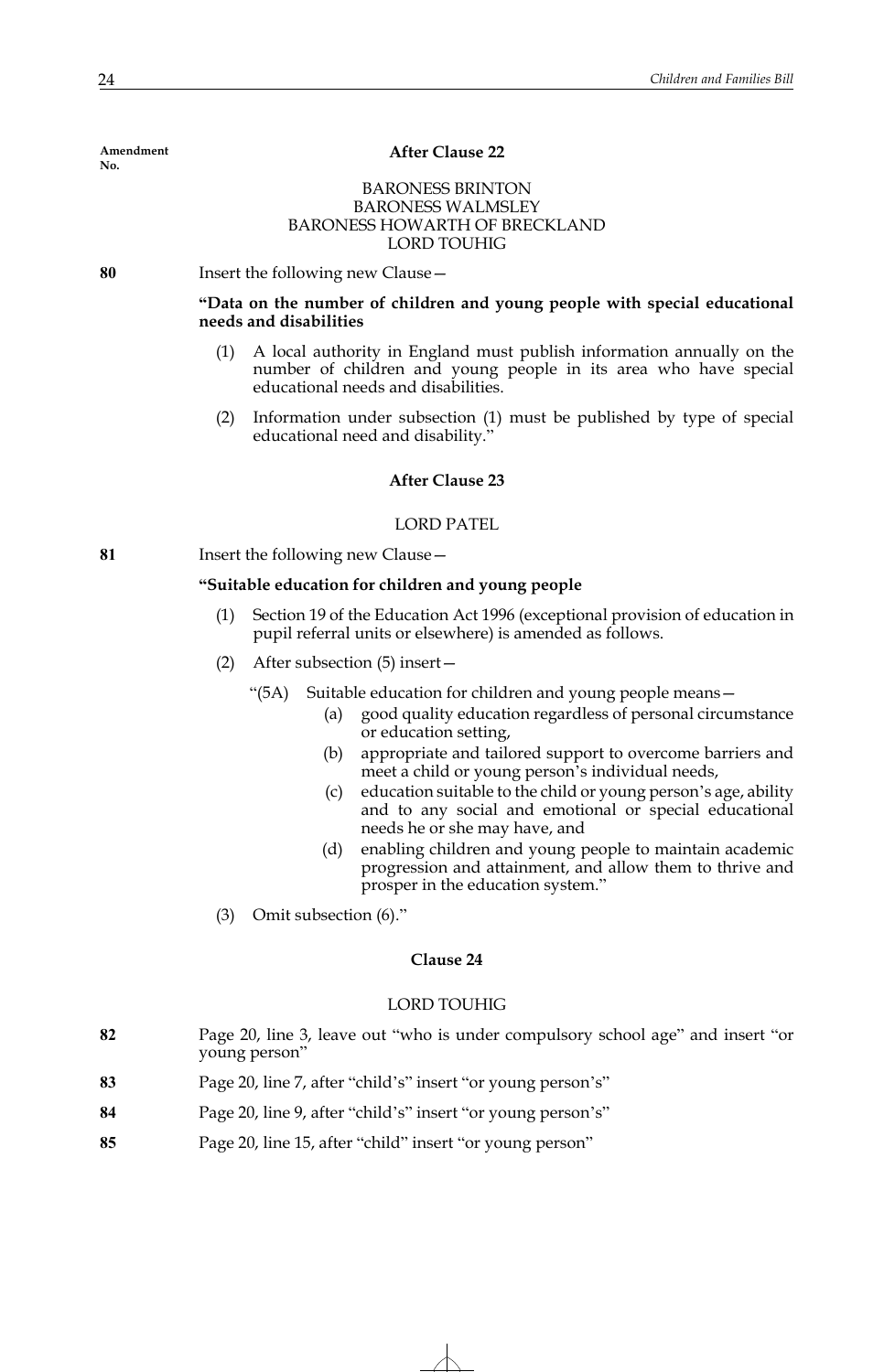## **After Clause 22**

# **BARONESS BRINTON** BARONESS WALMSLEY BARONESS HOWARTH OF BRECKLAND LORD TOUHIG

**80** Insert the following new Clause—

## **"Data on the number of children and young people with special educational needs and disabilities**

- (1) A local authority in England must publish information annually on the number of children and young people in its area who have special educational needs and disabilities.
- (2) Information under subsection (1) must be published by type of special educational need and disability.'

## **After Clause 23**

# LORD PATEL

**81** Insert the following new Clause—

# **"Suitable education for children and young people**

- (1) Section 19 of the Education Act 1996 (exceptional provision of education in pupil referral units or elsewhere) is amended as follows.
- (2) After subsection (5) insert—
	- "(5A) Suitable education for children and young people means—
		- (a) good quality education regardless of personal circumstance or education setting,
		- (b) appropriate and tailored support to overcome barriers and meet a child or young person's individual needs,
		- (c) education suitable to the child or young person's age, ability and to any social and emotional or special educational needs he or she may have, and
		- (d) enabling children and young people to maintain academic progression and attainment, and allow them to thrive and prosper in the education system."
- (3) Omit subsection (6)."

## **Clause 24**

#### LORD TOUHIG

| 82 | Page 20, line 3, leave out "who is under compulsory school age" and insert "or |
|----|--------------------------------------------------------------------------------|
|    | young person"                                                                  |

- **83** Page 20, line 7, after "child's" insert "or young person's"
- **84** Page 20, line 9, after "child's" insert "or young person's"
- **85** Page 20, line 15, after "child" insert "or young person"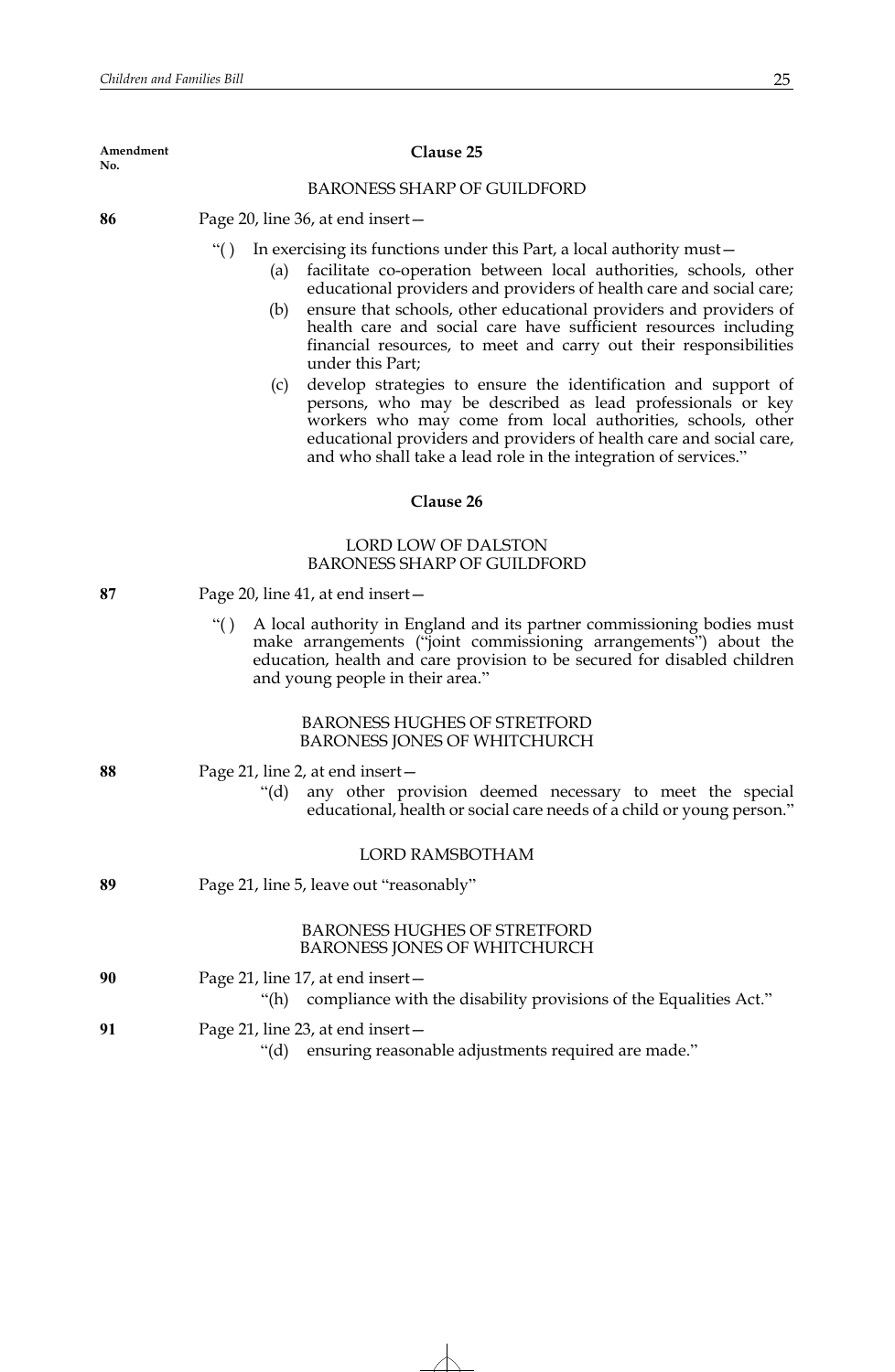## **Clause 25**

# BARONESS SHARP OF GUILDFORD

**86** Page 20, line 36, at end insert—

"( ) In exercising its functions under this Part, a local authority must—

- (a) facilitate co-operation between local authorities, schools, other educational providers and providers of health care and social care;
- (b) ensure that schools, other educational providers and providers of health care and social care have sufficient resources including financial resources, to meet and carry out their responsibilities under this Part;
- (c) develop strategies to ensure the identification and support of persons, who may be described as lead professionals or key workers who may come from local authorities, schools, other educational providers and providers of health care and social care, and who shall take a lead role in the integration of services."

## **Clause 26**

# LORD LOW OF DALSTON BARONESS SHARP OF GUILDFORD

| 87 | Page 20, line 41, at end insert- |
|----|----------------------------------|
|----|----------------------------------|

"( ) A local authority in England and its partner commissioning bodies must make arrangements ("joint commissioning arrangements") about the education, health and care provision to be secured for disabled children and young people in their area."

## BARONESS HUGHES OF STRETFORD BARONESS JONES OF WHITCHURCH

| 88 | Page 21, line 2, at end insert -<br>any other provision deemed necessary to meet the special<br>" $(d)$<br>educational, health or social care needs of a child or young person." |
|----|----------------------------------------------------------------------------------------------------------------------------------------------------------------------------------|
|    | LORD RAMSBOTHAM                                                                                                                                                                  |
| 89 | Page 21, line 5, leave out "reasonably"                                                                                                                                          |
|    | <b>BARONESS HUGHES OF STRETFORD</b><br><b>BARONESS JONES OF WHITCHURCH</b>                                                                                                       |
| 90 | Page 21, line 17, at end insert $-$<br>"(h) compliance with the disability provisions of the Equalities Act."                                                                    |
| 91 | Page 21, line 23, at end insert $-$<br>"(d) ensuring reasonable adjustments required are made."                                                                                  |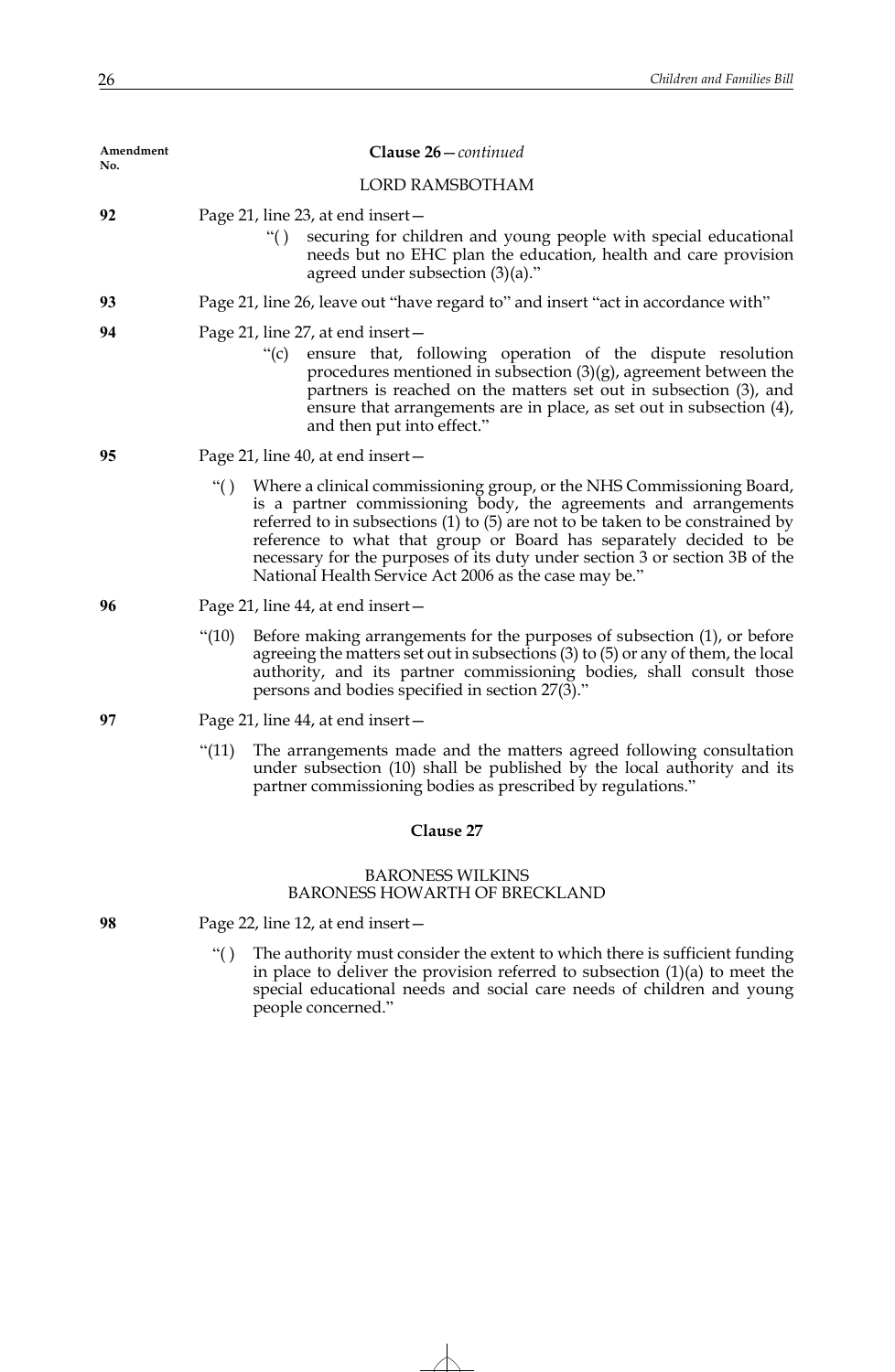| Amendment |             | Clause 26-continued                                                                                                                                                                                                                                                                                                                                                                                                                           |
|-----------|-------------|-----------------------------------------------------------------------------------------------------------------------------------------------------------------------------------------------------------------------------------------------------------------------------------------------------------------------------------------------------------------------------------------------------------------------------------------------|
| No.       |             | <b>LORD RAMSBOTHAM</b>                                                                                                                                                                                                                                                                                                                                                                                                                        |
| 92        |             | Page 21, line 23, at end insert –<br>securing for children and young people with special educational<br>``()<br>needs but no EHC plan the education, health and care provision<br>agreed under subsection $(3)(a)$ ."                                                                                                                                                                                                                         |
| 93        |             | Page 21, line 26, leave out "have regard to" and insert "act in accordance with"                                                                                                                                                                                                                                                                                                                                                              |
| 94        |             | Page 21, line 27, at end insert-<br>"(c) ensure that, following operation of the dispute resolution<br>procedures mentioned in subsection $(3)(g)$ , agreement between the<br>partners is reached on the matters set out in subsection (3), and<br>ensure that arrangements are in place, as set out in subsection (4),<br>and then put into effect."                                                                                         |
| 95        |             | Page 21, line 40, at end insert-                                                                                                                                                                                                                                                                                                                                                                                                              |
|           | $\lq\lq($ ) | Where a clinical commissioning group, or the NHS Commissioning Board,<br>is a partner commissioning body, the agreements and arrangements<br>referred to in subsections $(1)$ to $(5)$ are not to be taken to be constrained by<br>reference to what that group or Board has separately decided to be<br>necessary for the purposes of its duty under section 3 or section 3B of the<br>National Health Service Act 2006 as the case may be." |
| 96        |             | Page 21, line 44, at end insert –                                                                                                                                                                                                                                                                                                                                                                                                             |
|           | " $(10)$    | Before making arrangements for the purposes of subsection (1), or before<br>agreeing the matters set out in subsections (3) to (5) or any of them, the local<br>authority, and its partner commissioning bodies, shall consult those<br>persons and bodies specified in section 27(3)."                                                                                                                                                       |
| 97        |             | Page 21, line 44, at end insert –                                                                                                                                                                                                                                                                                                                                                                                                             |
|           | " $(11)$    | The arrangements made and the matters agreed following consultation<br>under subsection (10) shall be published by the local authority and its<br>partner commissioning bodies as prescribed by regulations."                                                                                                                                                                                                                                 |
|           |             | Clause 27                                                                                                                                                                                                                                                                                                                                                                                                                                     |
|           |             | <b>BARONESS WILKINS</b><br><b>BARONESS HOWARTH OF BRECKLAND</b>                                                                                                                                                                                                                                                                                                                                                                               |

**98** Page 22, line 12, at end insert—

"( ) The authority must consider the extent to which there is sufficient funding in place to deliver the provision referred to subsection (1)(a) to meet the special educational needs and social care needs of children and young people concerned."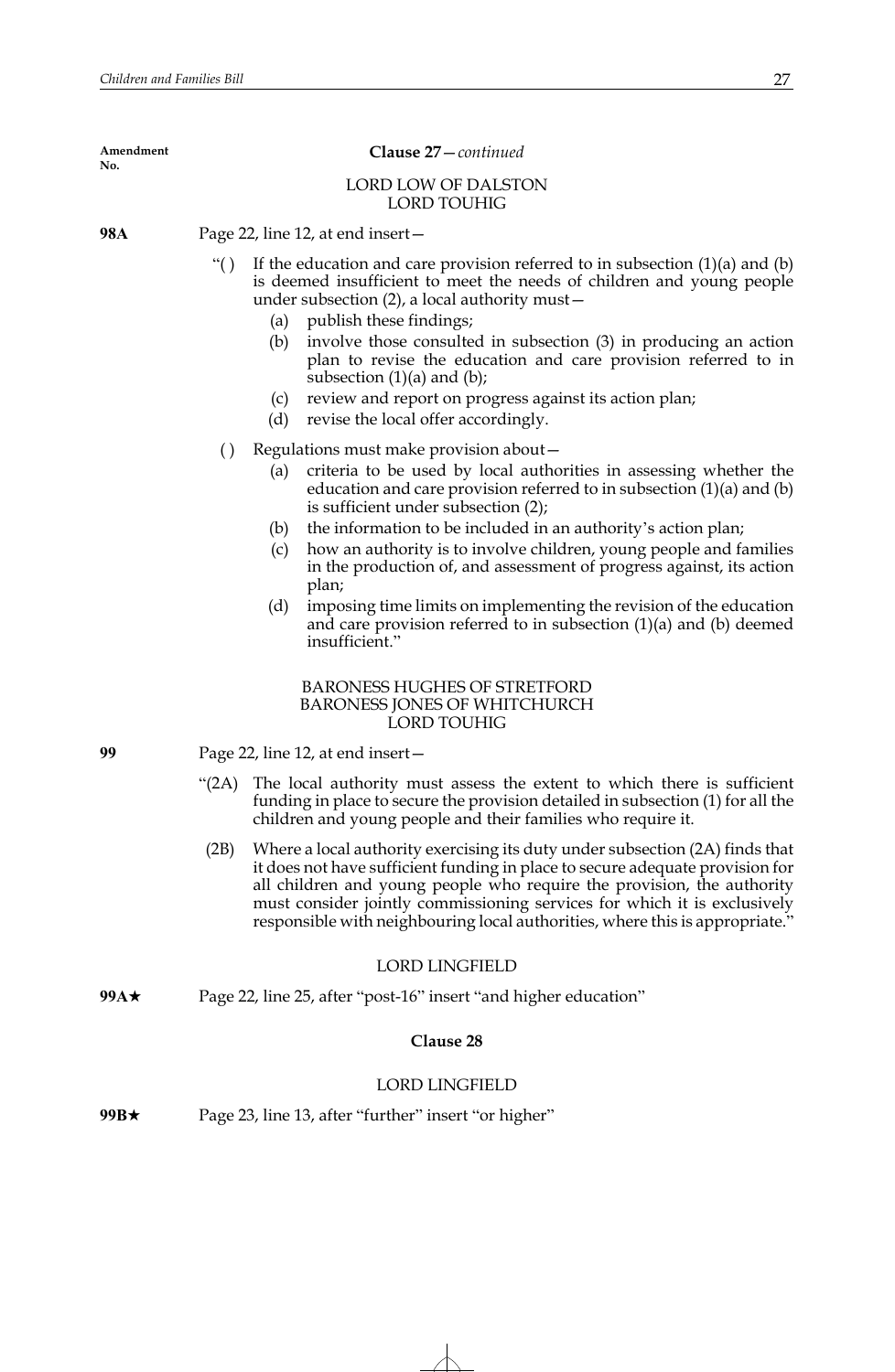### **Clause 27**—*continued*

## LORD LOW OF DALSTON LORD TOUHIG

**98A** Page 22, line 12, at end insert—

- "() If the education and care provision referred to in subsection  $(1)(a)$  and  $(b)$ is deemed insufficient to meet the needs of children and young people under subsection (2), a local authority must—
	- (a) publish these findings;
	- (b) involve those consulted in subsection (3) in producing an action plan to revise the education and care provision referred to in subsection  $(1)(a)$  and  $(b)$ ;
	- (c) review and report on progress against its action plan;
	- (d) revise the local offer accordingly.
- ( ) Regulations must make provision about—
	- (a) criteria to be used by local authorities in assessing whether the education and care provision referred to in subsection (1)(a) and (b) is sufficient under subsection (2);
	- (b) the information to be included in an authority's action plan;
	- (c) how an authority is to involve children, young people and families in the production of, and assessment of progress against, its action plan;
	- (d) imposing time limits on implementing the revision of the education and care provision referred to in subsection (1)(a) and (b) deemed insufficient."

## BARONESS HUGHES OF STRETFORD BARONESS JONES OF WHITCHURCH LORD TOUHIG

- **99** Page 22, line 12, at end insert—
	- "(2A) The local authority must assess the extent to which there is sufficient funding in place to secure the provision detailed in subsection (1) for all the children and young people and their families who require it.
	- (2B) Where a local authority exercising its duty under subsection (2A) finds that it does not have sufficient funding in place to secure adequate provision for all children and young people who require the provision, the authority must consider jointly commissioning services for which it is exclusively responsible with neighbouring local authorities, where this is appropriate."

# LORD LINGFIELD

**99A**★ Page 22, line 25, after "post-16" insert "and higher education"

## **Clause 28**

## LORD LINGFIELD

**99B**★ Page 23, line 13, after "further" insert "or higher"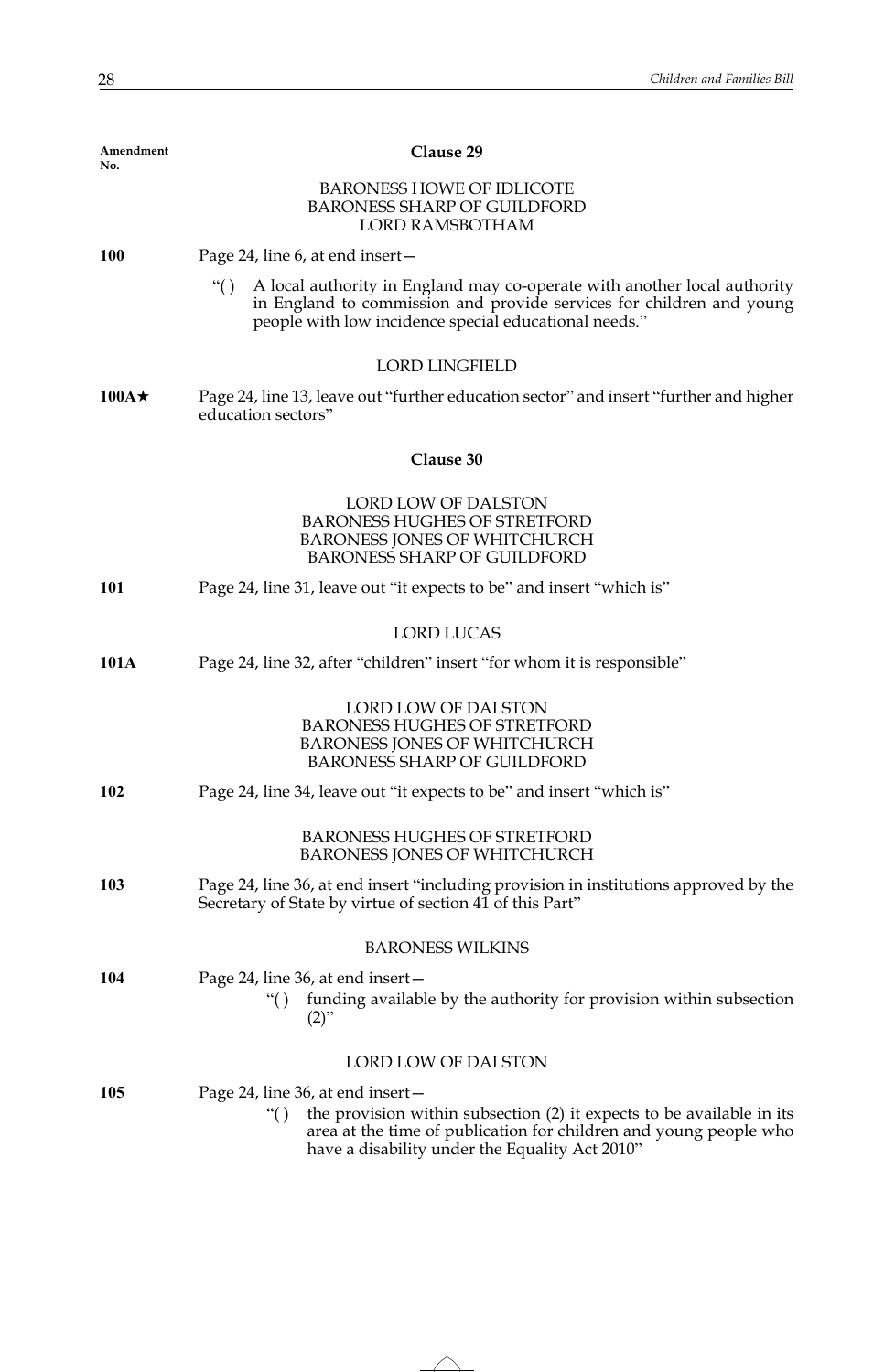| Amendment<br>No. | Clause 29                                                                                                                                                                                                                                 |  |
|------------------|-------------------------------------------------------------------------------------------------------------------------------------------------------------------------------------------------------------------------------------------|--|
|                  | <b>BARONESS HOWE OF IDLICOTE</b><br><b>BARONESS SHARP OF GUILDFORD</b><br><b>LORD RAMSBOTHAM</b>                                                                                                                                          |  |
| <b>100</b>       | Page 24, line 6, at end insert –                                                                                                                                                                                                          |  |
|                  | A local authority in England may co-operate with another local authority<br>``()<br>in England to commission and provide services for children and young<br>people with low incidence special educational needs."                         |  |
|                  | <b>LORD LINGFIELD</b>                                                                                                                                                                                                                     |  |
| $100A \star$     | Page 24, line 13, leave out "further education sector" and insert "further and higher<br>education sectors"                                                                                                                               |  |
|                  | Clause 30                                                                                                                                                                                                                                 |  |
|                  | LORD LOW OF DALSTON<br><b>BARONESS HUGHES OF STRETFORD</b><br><b>BARONESS JONES OF WHITCHURCH</b><br><b>BARONESS SHARP OF GUILDFORD</b>                                                                                                   |  |
| 101              | Page 24, line 31, leave out "it expects to be" and insert "which is"                                                                                                                                                                      |  |
|                  | <b>LORD LUCAS</b>                                                                                                                                                                                                                         |  |
| 101A             | Page 24, line 32, after "children" insert "for whom it is responsible"                                                                                                                                                                    |  |
|                  | <b>LORD LOW OF DALSTON</b><br><b>BARONESS HUGHES OF STRETFORD</b><br><b>BARONESS JONES OF WHITCHURCH</b><br><b>BARONESS SHARP OF GUILDFORD</b>                                                                                            |  |
| <b>102</b>       | Page 24, line 34, leave out "it expects to be" and insert "which is"                                                                                                                                                                      |  |
|                  | <b>BARONESS HUGHES OF STRETFORD</b><br><b>BARONESS JONES OF WHITCHURCH</b>                                                                                                                                                                |  |
| 103              | Page 24, line 36, at end insert "including provision in institutions approved by the<br>Secretary of State by virtue of section 41 of this Part"                                                                                          |  |
|                  | <b>BARONESS WILKINS</b>                                                                                                                                                                                                                   |  |
| 104              | Page 24, line 36, at end insert –<br>funding available by the authority for provision within subsection<br>``()<br>$(2)$ "                                                                                                                |  |
|                  | <b>LORD LOW OF DALSTON</b>                                                                                                                                                                                                                |  |
| 105              | Page 24, line 36, at end insert –<br>the provision within subsection (2) it expects to be available in its<br>``()<br>area at the time of publication for children and young people who<br>have a disability under the Equality Act 2010" |  |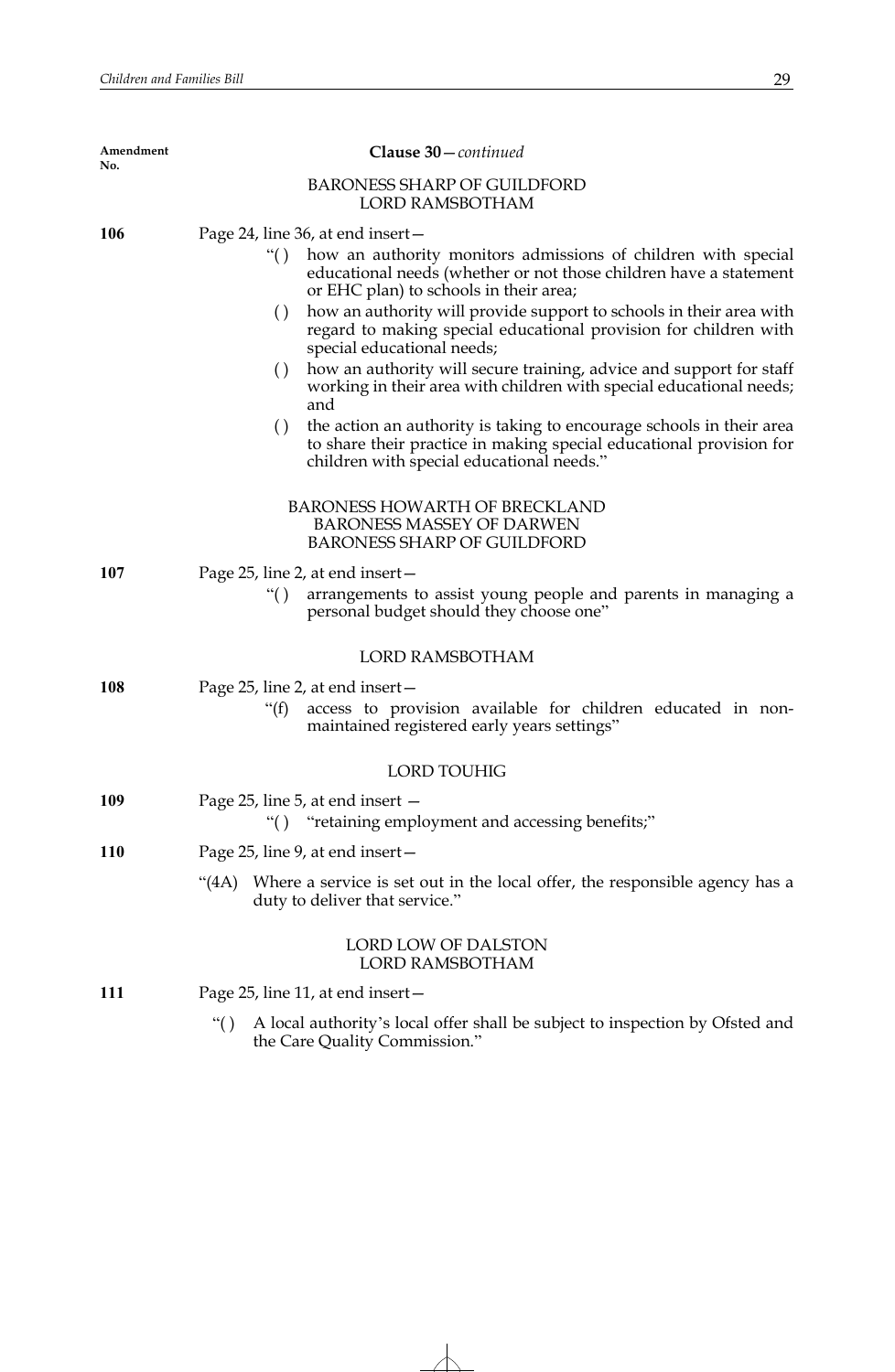| Amendment<br>No. | Clause 30 – continued                                                                                                                                                                                                                                                                                                                                                                                                                                                                                                                                                                                                                                                                                                                                                                                             |
|------------------|-------------------------------------------------------------------------------------------------------------------------------------------------------------------------------------------------------------------------------------------------------------------------------------------------------------------------------------------------------------------------------------------------------------------------------------------------------------------------------------------------------------------------------------------------------------------------------------------------------------------------------------------------------------------------------------------------------------------------------------------------------------------------------------------------------------------|
|                  | <b>BARONESS SHARP OF GUILDFORD</b><br><b>LORD RAMSBOTHAM</b>                                                                                                                                                                                                                                                                                                                                                                                                                                                                                                                                                                                                                                                                                                                                                      |
| 106              | Page 24, line 36, at end insert –<br>how an authority monitors admissions of children with special<br>``()<br>educational needs (whether or not those children have a statement<br>or EHC plan) to schools in their area;<br>how an authority will provide support to schools in their area with<br>$\left( \right)$<br>regard to making special educational provision for children with<br>special educational needs;<br>how an authority will secure training, advice and support for staff<br>$\left( \ \right)$<br>working in their area with children with special educational needs;<br>and<br>$\left( \right)$<br>the action an authority is taking to encourage schools in their area<br>to share their practice in making special educational provision for<br>children with special educational needs." |
|                  | <b>BARONESS HOWARTH OF BRECKLAND</b><br><b>BARONESS MASSEY OF DARWEN</b><br><b>BARONESS SHARP OF GUILDFORD</b>                                                                                                                                                                                                                                                                                                                                                                                                                                                                                                                                                                                                                                                                                                    |
| 107              | Page 25, line 2, at end insert -<br>arrangements to assist young people and parents in managing a<br>``()<br>personal budget should they choose one"                                                                                                                                                                                                                                                                                                                                                                                                                                                                                                                                                                                                                                                              |
|                  | <b>LORD RAMSBOTHAM</b>                                                                                                                                                                                                                                                                                                                                                                                                                                                                                                                                                                                                                                                                                                                                                                                            |
| 108              | Page 25, line 2, at end insert –<br>access to provision available for children educated in non-<br>" $(f)$<br>maintained registered early years settings"                                                                                                                                                                                                                                                                                                                                                                                                                                                                                                                                                                                                                                                         |
|                  | <b>LORD TOUHIG</b>                                                                                                                                                                                                                                                                                                                                                                                                                                                                                                                                                                                                                                                                                                                                                                                                |
| 109              | Page 25, line 5, at end insert –<br>"retaining employment and accessing benefits;"<br>``()                                                                                                                                                                                                                                                                                                                                                                                                                                                                                                                                                                                                                                                                                                                        |
| <b>110</b>       | Page 25, line 9, at end insert –                                                                                                                                                                                                                                                                                                                                                                                                                                                                                                                                                                                                                                                                                                                                                                                  |
|                  | Where a service is set out in the local offer, the responsible agency has a<br>(4A)<br>duty to deliver that service."                                                                                                                                                                                                                                                                                                                                                                                                                                                                                                                                                                                                                                                                                             |
|                  | LORD LOW OF DALSTON<br>LORD RAMSBOTHAM                                                                                                                                                                                                                                                                                                                                                                                                                                                                                                                                                                                                                                                                                                                                                                            |
| 111              | Page 25, line 11, at end insert –                                                                                                                                                                                                                                                                                                                                                                                                                                                                                                                                                                                                                                                                                                                                                                                 |
|                  | A local authority's local offer shall be subject to inspection by Ofsted and<br>``()<br>the Care Quality Commission."                                                                                                                                                                                                                                                                                                                                                                                                                                                                                                                                                                                                                                                                                             |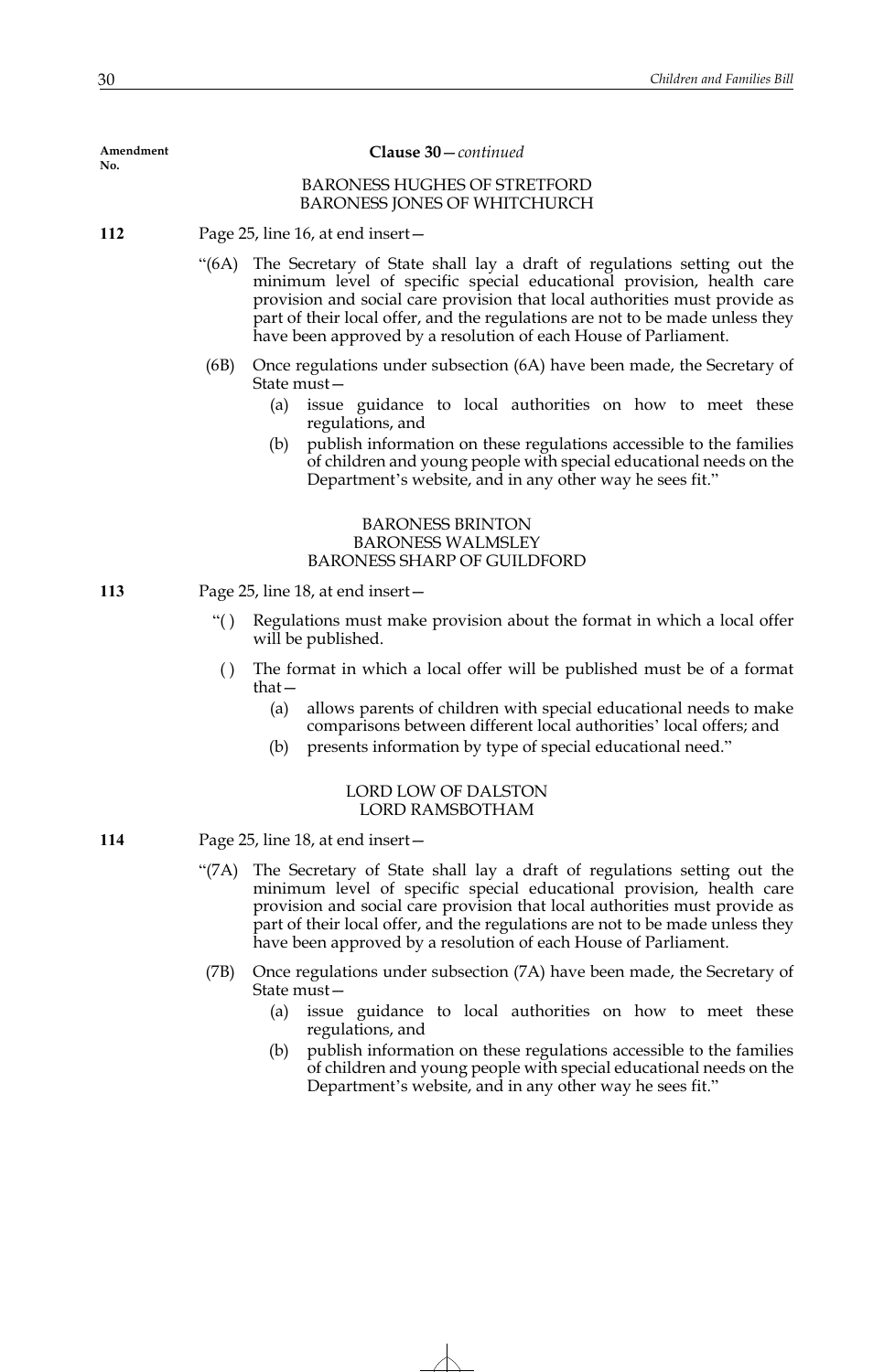| Amendment<br>No. | Clause 30-continued              |                                                                                                                                                                                                                                                                                                                                                                                               |  |
|------------------|----------------------------------|-----------------------------------------------------------------------------------------------------------------------------------------------------------------------------------------------------------------------------------------------------------------------------------------------------------------------------------------------------------------------------------------------|--|
|                  |                                  | <b>BARONESS HUGHES OF STRETFORD</b><br><b>BARONESS JONES OF WHITCHURCH</b>                                                                                                                                                                                                                                                                                                                    |  |
| 112              | Page 25, line 16, at end insert- |                                                                                                                                                                                                                                                                                                                                                                                               |  |
|                  | $\cdot (6A)$                     | The Secretary of State shall lay a draft of regulations setting out the<br>minimum level of specific special educational provision, health care<br>provision and social care provision that local authorities must provide as<br>part of their local offer, and the regulations are not to be made unless they<br>have been approved by a resolution of each House of Parliament.             |  |
|                  | (6B)                             | Once regulations under subsection (6A) have been made, the Secretary of<br>State must-<br>issue guidance to local authorities on how to meet these<br>(a)<br>regulations, and<br>publish information on these regulations accessible to the families<br>(b)<br>of children and young people with special educational needs on the<br>Department's website, and in any other way he sees fit." |  |
|                  |                                  | <b>BARONESS BRINTON</b><br><b>BARONESS WALMSLEY</b><br><b>BARONESS SHARP OF GUILDFORD</b>                                                                                                                                                                                                                                                                                                     |  |
| 113              |                                  | Page 25, line 18, at end insert-                                                                                                                                                                                                                                                                                                                                                              |  |
|                  | $\lq\lq($ )                      | Regulations must make provision about the format in which a local offer<br>will be published.                                                                                                                                                                                                                                                                                                 |  |
|                  |                                  | () The format in which a local offer will be published must be of a format                                                                                                                                                                                                                                                                                                                    |  |

- ( ) The format in which a local offer will be published must be of a format that—
	- (a) allows parents of children with special educational needs to make comparisons between different local authorities' local offers; and
	- (b) presents information by type of special educational need."

## LORD LOW OF DALSTON LORD RAMSBOTHAM

**114** Page 25, line 18, at end insert—

- "(7A) The Secretary of State shall lay a draft of regulations setting out the minimum level of specific special educational provision, health care provision and social care provision that local authorities must provide as part of their local offer, and the regulations are not to be made unless they have been approved by a resolution of each House of Parliament.
- (7B) Once regulations under subsection (7A) have been made, the Secretary of State must—
	- (a) issue guidance to local authorities on how to meet these regulations, and
	- (b) publish information on these regulations accessible to the families of children and young people with special educational needs on the Department's website, and in any other way he sees fit."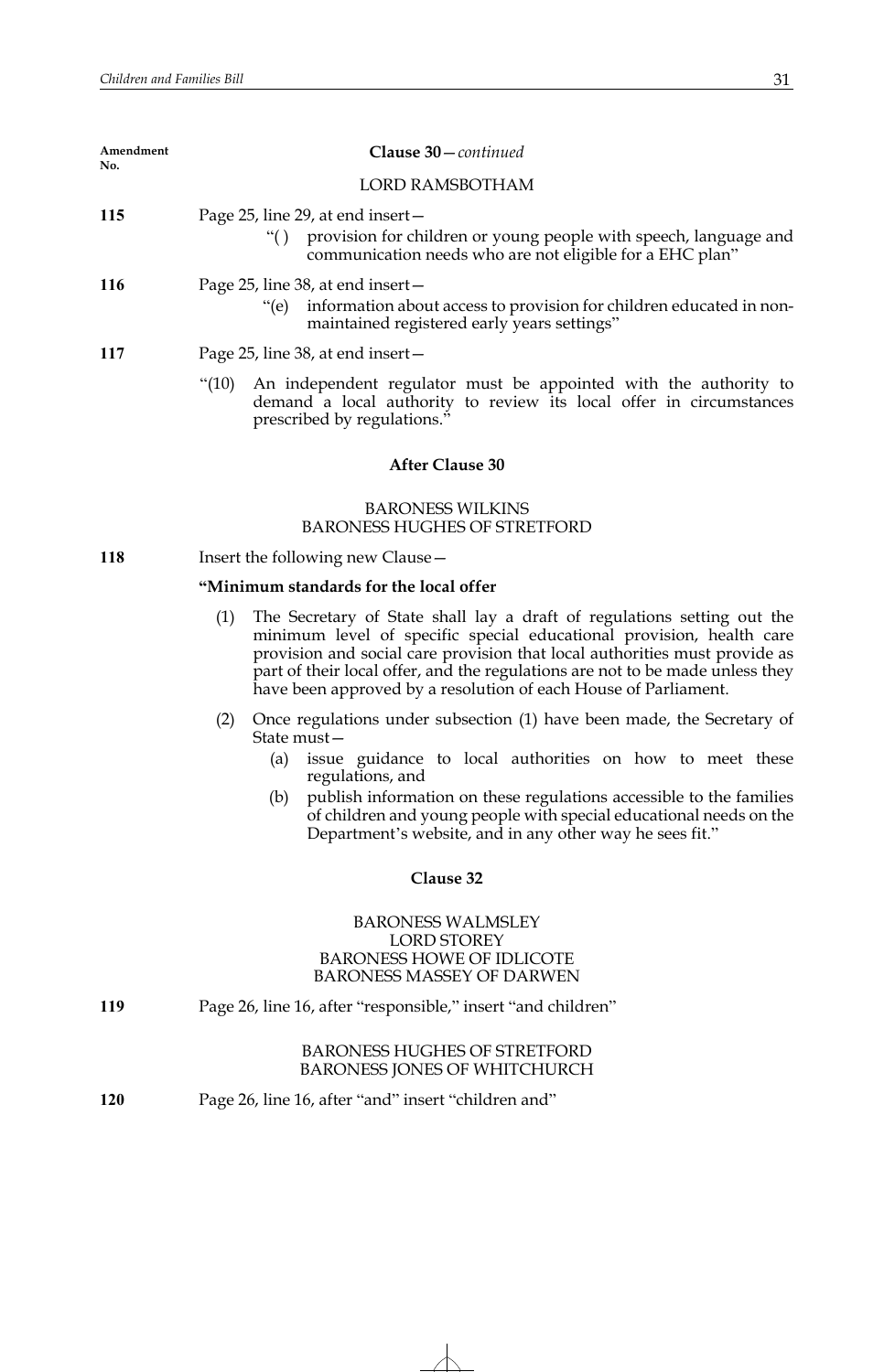| Amendment<br>No. | Clause 30-continued                                                                                                                                                                                                                                                                                                                                                                      |  |  |  |  |
|------------------|------------------------------------------------------------------------------------------------------------------------------------------------------------------------------------------------------------------------------------------------------------------------------------------------------------------------------------------------------------------------------------------|--|--|--|--|
|                  | <b>LORD RAMSBOTHAM</b>                                                                                                                                                                                                                                                                                                                                                                   |  |  |  |  |
| 115              | Page 25, line 29, at end insert-<br>"() provision for children or young people with speech, language and<br>communication needs who are not eligible for a EHC plan"                                                                                                                                                                                                                     |  |  |  |  |
| 116              | Page 25, line 38, at end insert –<br>information about access to provision for children educated in non-<br>$"$ (e)<br>maintained registered early years settings"                                                                                                                                                                                                                       |  |  |  |  |
| 117              | Page 25, line 38, at end insert –                                                                                                                                                                                                                                                                                                                                                        |  |  |  |  |
|                  | " $(10)$<br>An independent regulator must be appointed with the authority to<br>demand a local authority to review its local offer in circumstances<br>prescribed by regulations."                                                                                                                                                                                                       |  |  |  |  |
|                  | <b>After Clause 30</b>                                                                                                                                                                                                                                                                                                                                                                   |  |  |  |  |
|                  | <b>BARONESS WILKINS</b><br><b>BARONESS HUGHES OF STRETFORD</b>                                                                                                                                                                                                                                                                                                                           |  |  |  |  |
| 118              | Insert the following new Clause -                                                                                                                                                                                                                                                                                                                                                        |  |  |  |  |
|                  | "Minimum standards for the local offer                                                                                                                                                                                                                                                                                                                                                   |  |  |  |  |
|                  | (1)<br>The Secretary of State shall lay a draft of regulations setting out the<br>minimum level of specific special educational provision, health care<br>provision and social care provision that local authorities must provide as<br>part of their local offer, and the regulations are not to be made unless they<br>have been approved by a resolution of each House of Parliament. |  |  |  |  |
|                  | Once regulations under subsection (1) have been made, the Secretary of<br>(2)<br>State must-                                                                                                                                                                                                                                                                                             |  |  |  |  |
|                  | issue guidance to local authorities on how to meet these<br>(a)<br>regulations, and                                                                                                                                                                                                                                                                                                      |  |  |  |  |
|                  | publish information on these regulations accessible to the families<br>(b)<br>of children and young people with special educational needs on the<br>Department's website, and in any other way he sees fit."                                                                                                                                                                             |  |  |  |  |
|                  | Clause 32                                                                                                                                                                                                                                                                                                                                                                                |  |  |  |  |
|                  | <b>BARONESS WALMSLEY</b><br><b>LORD STOREY</b><br><b>BARONESS HOWE OF IDLICOTE</b><br><b>BARONESS MASSEY OF DARWEN</b>                                                                                                                                                                                                                                                                   |  |  |  |  |
| 119              | Page 26, line 16, after "responsible," insert "and children"                                                                                                                                                                                                                                                                                                                             |  |  |  |  |
|                  | <b>BARONESS HUGHES OF STRETFORD</b><br><b>BARONESS JONES OF WHITCHURCH</b>                                                                                                                                                                                                                                                                                                               |  |  |  |  |
| 120              | Page 26, line 16, after "and" insert "children and"                                                                                                                                                                                                                                                                                                                                      |  |  |  |  |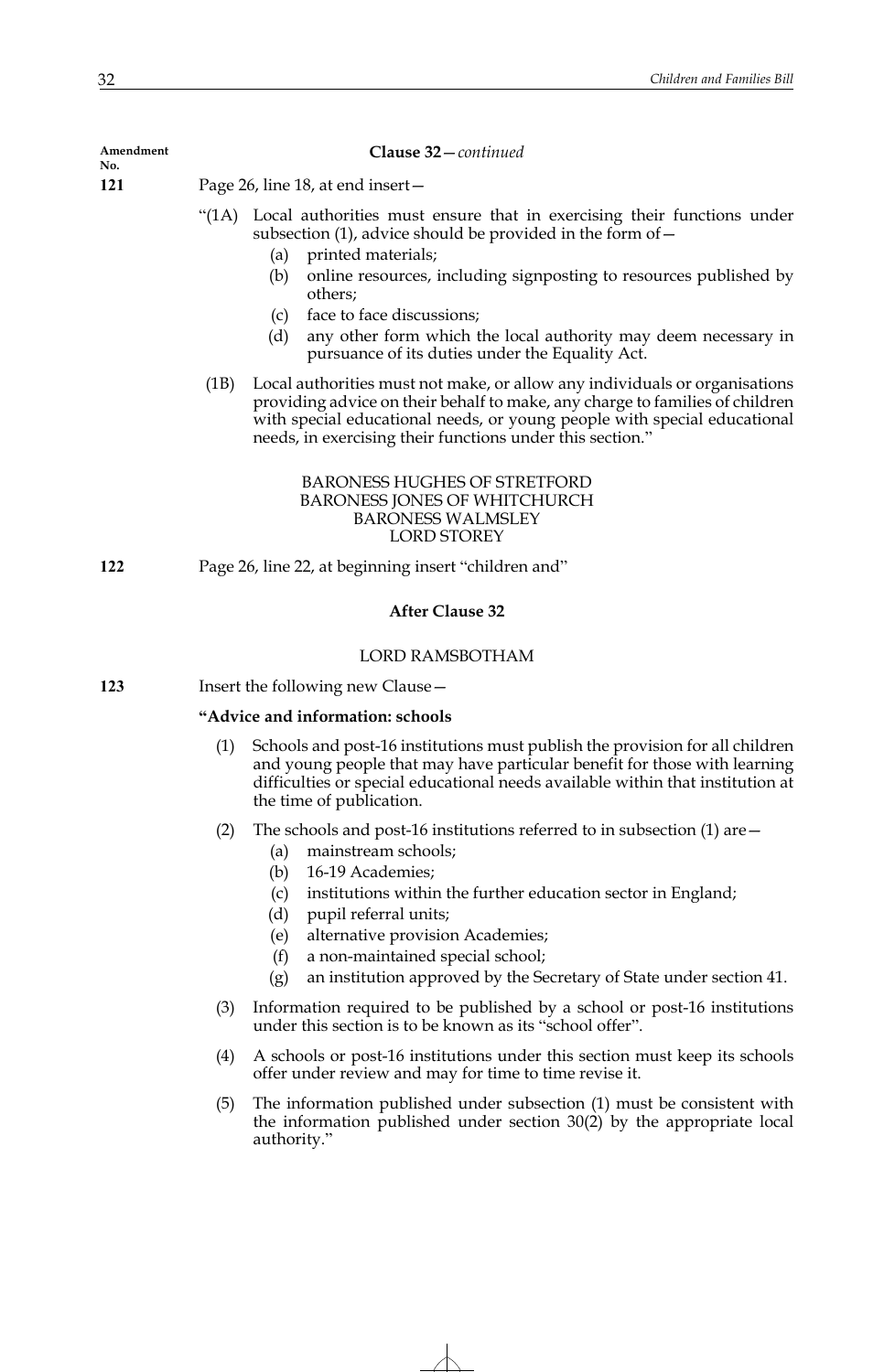**Amendment** 

**Clause 32**—*continued*

**No.**

**121** Page 26, line 18, at end insert—

- "(1A) Local authorities must ensure that in exercising their functions under subsection (1), advice should be provided in the form of  $-$ 
	- (a) printed materials;
	- (b) online resources, including signposting to resources published by others;
	- (c) face to face discussions;
	- (d) any other form which the local authority may deem necessary in pursuance of its duties under the Equality Act.
- (1B) Local authorities must not make, or allow any individuals or organisations providing advice on their behalf to make, any charge to families of children with special educational needs, or young people with special educational needs, in exercising their functions under this section."

# BARONESS HUGHES OF STRETFORD BARONESS JONES OF WHITCHURCH BARONESS WALMSLEY LORD STOREY

**122** Page 26, line 22, at beginning insert "children and"

# **After Clause 32**

## LORD RAMSBOTHAM

**123** Insert the following new Clause—

# **"Advice and information: schools**

- (1) Schools and post-16 institutions must publish the provision for all children and young people that may have particular benefit for those with learning difficulties or special educational needs available within that institution at the time of publication.
- (2) The schools and post-16 institutions referred to in subsection (1) are  $-$ 
	- (a) mainstream schools;
	- (b) 16-19 Academies;
	- (c) institutions within the further education sector in England;
	- (d) pupil referral units;
	- (e) alternative provision Academies;
	- (f) a non-maintained special school;
	- (g) an institution approved by the Secretary of State under section 41.
- (3) Information required to be published by a school or post-16 institutions under this section is to be known as its "school offer".
- (4) A schools or post-16 institutions under this section must keep its schools offer under review and may for time to time revise it.
- (5) The information published under subsection (1) must be consistent with the information published under section 30(2) by the appropriate local authority."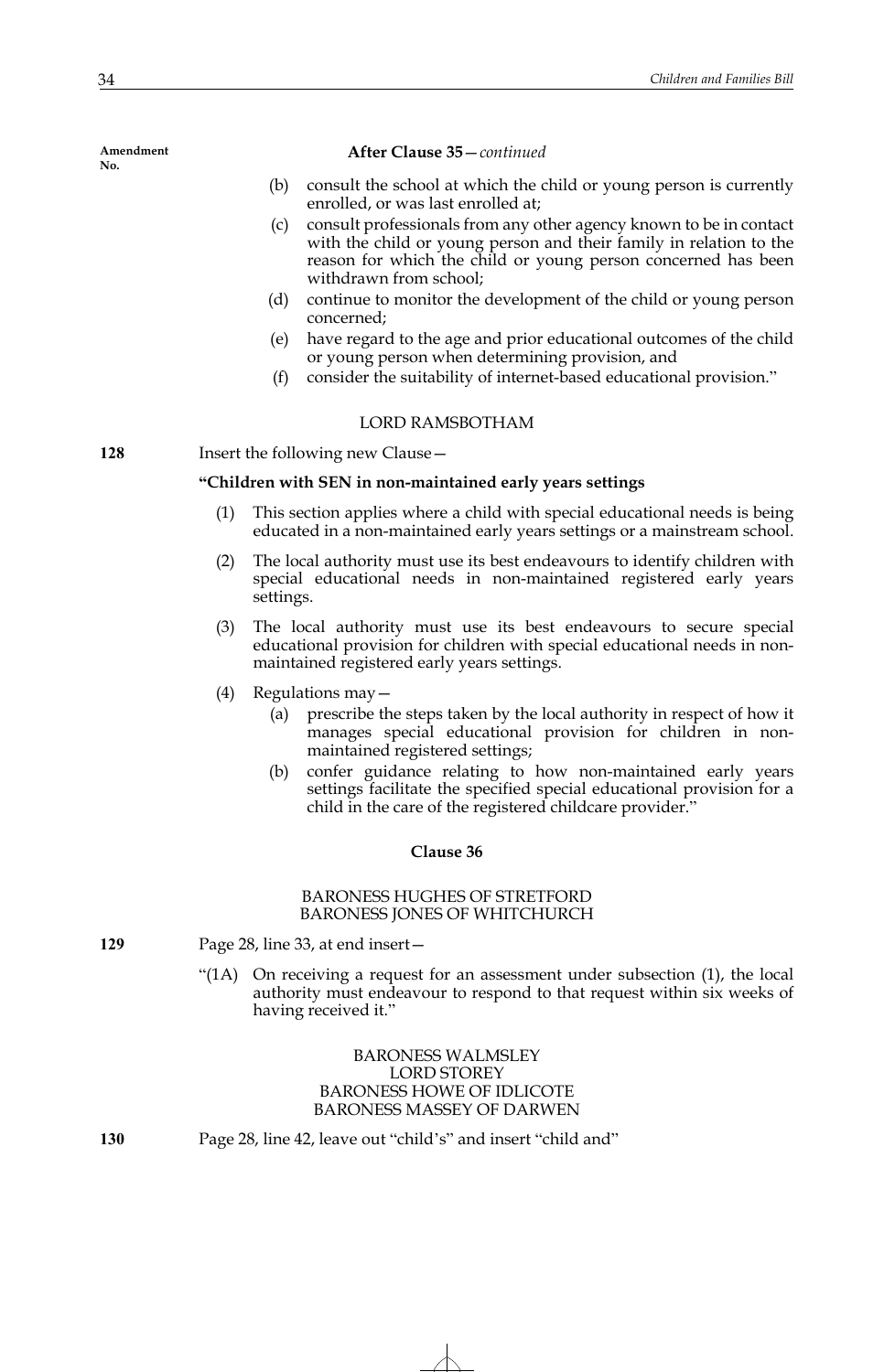### **After Clause 35**—*continued*

- (b) consult the school at which the child or young person is currently enrolled, or was last enrolled at;
- (c) consult professionals from any other agency known to be in contact with the child or young person and their family in relation to the reason for which the child or young person concerned has been withdrawn from school;
- (d) continue to monitor the development of the child or young person concerned;
- (e) have regard to the age and prior educational outcomes of the child or young person when determining provision, and
- (f) consider the suitability of internet-based educational provision."

# LORD RAMSBOTHAM

**128** Insert the following new Clause -

# **"Children with SEN in non-maintained early years settings**

- (1) This section applies where a child with special educational needs is being educated in a non-maintained early years settings or a mainstream school.
- (2) The local authority must use its best endeavours to identify children with special educational needs in non-maintained registered early years settings.
- (3) The local authority must use its best endeavours to secure special educational provision for children with special educational needs in nonmaintained registered early years settings.
- (4) Regulations may—
	- (a) prescribe the steps taken by the local authority in respect of how it manages special educational provision for children in nonmaintained registered settings;
	- (b) confer guidance relating to how non-maintained early years settings facilitate the specified special educational provision for a child in the care of the registered childcare provider."

## **Clause 36**

## BARONESS HUGHES OF STRETFORD BARONESS JONES OF WHITCHURCH

- **129** Page 28, line 33, at end insert—
	- "(1A) On receiving a request for an assessment under subsection (1), the local authority must endeavour to respond to that request within six weeks of having received it."

BARONESS WALMSLEY LORD STOREY BARONESS HOWE OF IDLICOTE BARONESS MASSEY OF DARWEN

**130** Page 28, line 42, leave out "child's" and insert "child and"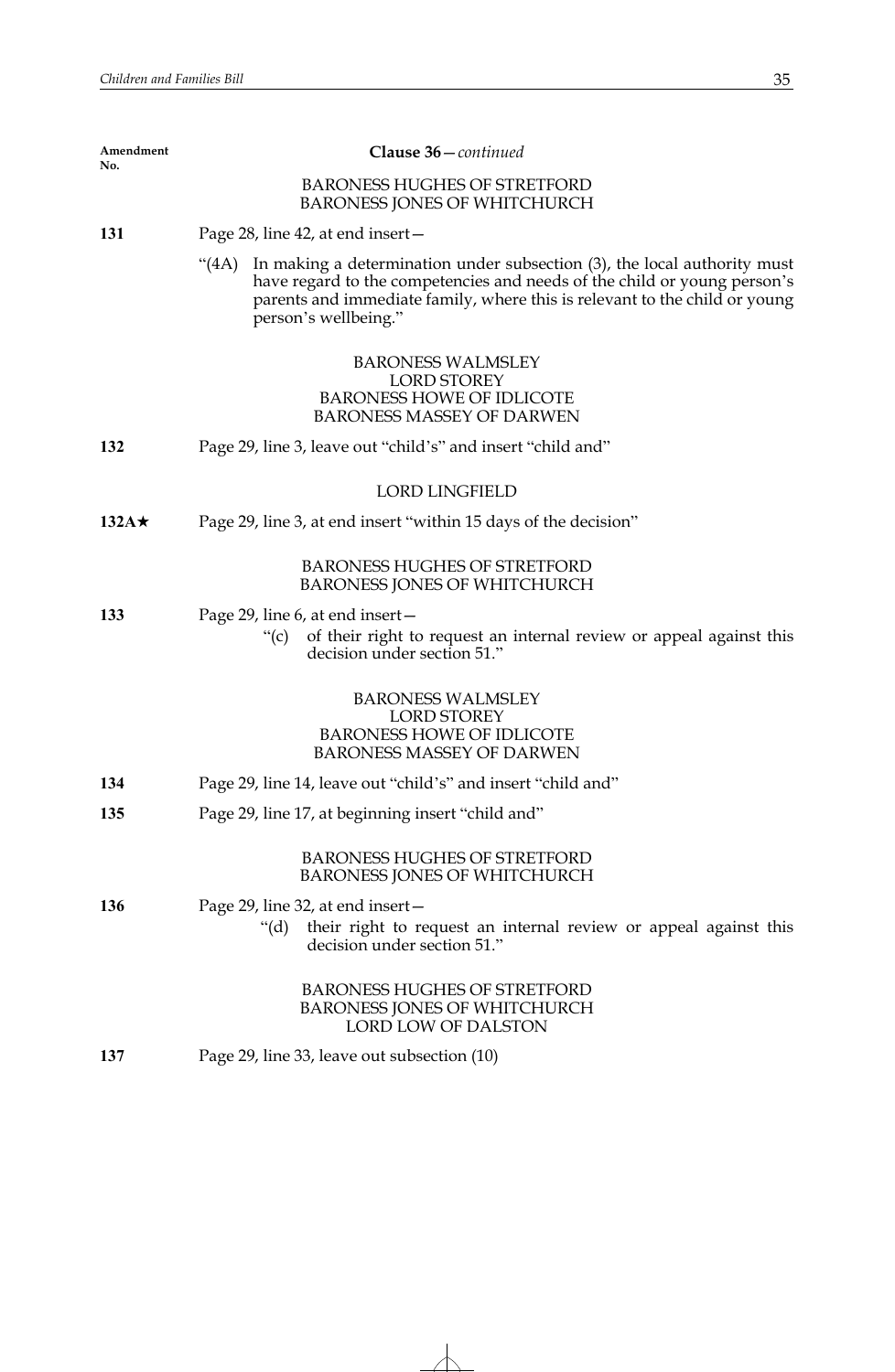| Amendment<br>No. | Clause 36-continued                                                                                                                                                                                                                                                |  |  |  |  |
|------------------|--------------------------------------------------------------------------------------------------------------------------------------------------------------------------------------------------------------------------------------------------------------------|--|--|--|--|
|                  | <b>BARONESS HUGHES OF STRETFORD</b><br>BARONESS JONES OF WHITCHURCH                                                                                                                                                                                                |  |  |  |  |
| 131              | Page 28, line 42, at end insert –                                                                                                                                                                                                                                  |  |  |  |  |
|                  | In making a determination under subsection (3), the local authority must<br>(4A)<br>have regard to the competencies and needs of the child or young person's<br>parents and immediate family, where this is relevant to the child or young<br>person's wellbeing." |  |  |  |  |
|                  | <b>BARONESS WALMSLEY</b><br><b>LORD STOREY</b><br><b>BARONESS HOWE OF IDLICOTE</b><br><b>BARONESS MASSEY OF DARWEN</b>                                                                                                                                             |  |  |  |  |
| 132              | Page 29, line 3, leave out "child's" and insert "child and"                                                                                                                                                                                                        |  |  |  |  |
|                  | <b>LORD LINGFIELD</b>                                                                                                                                                                                                                                              |  |  |  |  |
| 132A $\star$     | Page 29, line 3, at end insert "within 15 days of the decision"                                                                                                                                                                                                    |  |  |  |  |
|                  | <b>BARONESS HUGHES OF STRETFORD</b><br>BARONESS JONES OF WHITCHURCH                                                                                                                                                                                                |  |  |  |  |
| 133              | Page 29, line 6, at end insert –<br>of their right to request an internal review or appeal against this<br>$\degree$ (C)<br>decision under section 51."                                                                                                            |  |  |  |  |
|                  | <b>BARONESS WALMSLEY</b><br><b>LORD STOREY</b><br><b>BARONESS HOWE OF IDLICOTE</b><br><b>BARONESS MASSEY OF DARWEN</b>                                                                                                                                             |  |  |  |  |
| 134              | Page 29, line 14, leave out "child's" and insert "child and"                                                                                                                                                                                                       |  |  |  |  |
| 135              | Page 29, line 17, at beginning insert "child and"                                                                                                                                                                                                                  |  |  |  |  |
|                  | <b>BARONESS HUGHES OF STRETFORD</b><br><b>BARONESS JONES OF WHITCHURCH</b>                                                                                                                                                                                         |  |  |  |  |
| 136              | Page 29, line 32, at end insert-<br>their right to request an internal review or appeal against this<br>" $(d)$<br>decision under section 51."                                                                                                                     |  |  |  |  |
|                  | <b>BARONESS HUGHES OF STRETFORD</b><br><b>BARONESS JONES OF WHITCHURCH</b><br><b>LORD LOW OF DALSTON</b>                                                                                                                                                           |  |  |  |  |
| 137              | Page 29, line 33, leave out subsection (10)                                                                                                                                                                                                                        |  |  |  |  |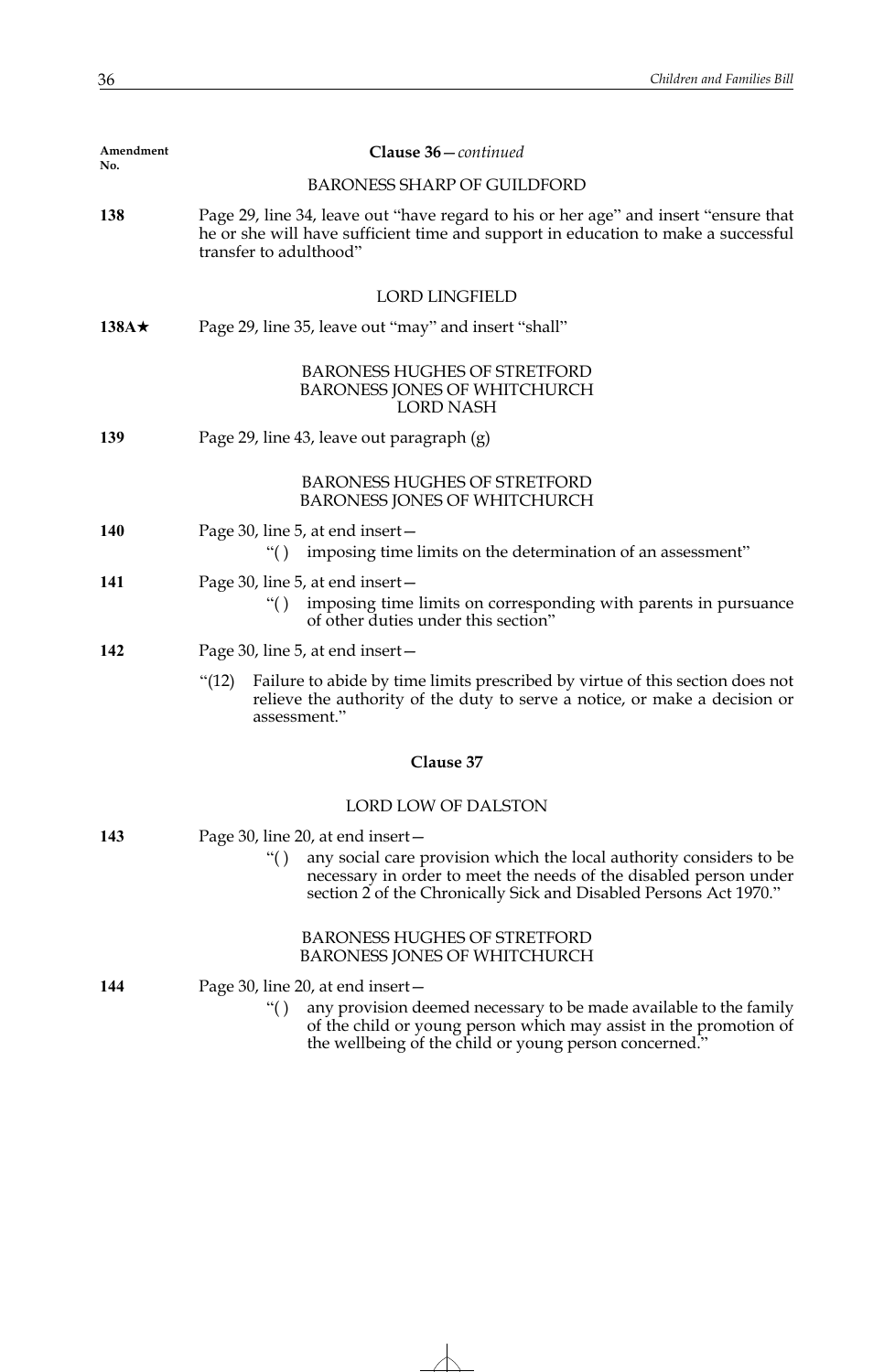| Amendment<br>No. | Clause 36 - continued                                                                                                                                                                                                                                             |
|------------------|-------------------------------------------------------------------------------------------------------------------------------------------------------------------------------------------------------------------------------------------------------------------|
|                  | <b>BARONESS SHARP OF GUILDFORD</b>                                                                                                                                                                                                                                |
| 138              | Page 29, line 34, leave out "have regard to his or her age" and insert "ensure that<br>he or she will have sufficient time and support in education to make a successful<br>transfer to adulthood"                                                                |
|                  | <b>LORD LINGFIELD</b>                                                                                                                                                                                                                                             |
| 138A $\star$     | Page 29, line 35, leave out "may" and insert "shall"                                                                                                                                                                                                              |
|                  | <b>BARONESS HUGHES OF STRETFORD</b><br><b>BARONESS JONES OF WHITCHURCH</b><br><b>LORD NASH</b>                                                                                                                                                                    |
| 139              | Page 29, line 43, leave out paragraph (g)                                                                                                                                                                                                                         |
|                  | <b>BARONESS HUGHES OF STRETFORD</b><br><b>BARONESS JONES OF WHITCHURCH</b>                                                                                                                                                                                        |
| 140              | Page 30, line 5, at end insert -<br>imposing time limits on the determination of an assessment"<br>``()                                                                                                                                                           |
| 141              | Page 30, line 5, at end insert -<br>imposing time limits on corresponding with parents in pursuance<br>``()<br>of other duties under this section"                                                                                                                |
| 142              | Page 30, line 5, at end insert -                                                                                                                                                                                                                                  |
|                  | Failure to abide by time limits prescribed by virtue of this section does not<br>" $(12)$<br>relieve the authority of the duty to serve a notice, or make a decision or<br>assessment."                                                                           |
|                  | Clause 37                                                                                                                                                                                                                                                         |
|                  | LORD LOW OF DALSTON                                                                                                                                                                                                                                               |
| 143              | Page 30, line 20, at end insert -<br>any social care provision which the local authority considers to be<br>$\lq\lq($ )<br>necessary in order to meet the needs of the disabled person under<br>section 2 of the Chronically Sick and Disabled Persons Act 1970." |
|                  | <b>BARONESS HUGHES OF STRETFORD</b><br><b>BARONESS JONES OF WHITCHURCH</b>                                                                                                                                                                                        |
| 144              | Page 30, line 20, at end insert-<br>$\lq\lq($ )<br>any provision deemed necessary to be made available to the family<br>of the child or young person which may assist in the promotion of<br>the wellbeing of the child or young person concerned."               |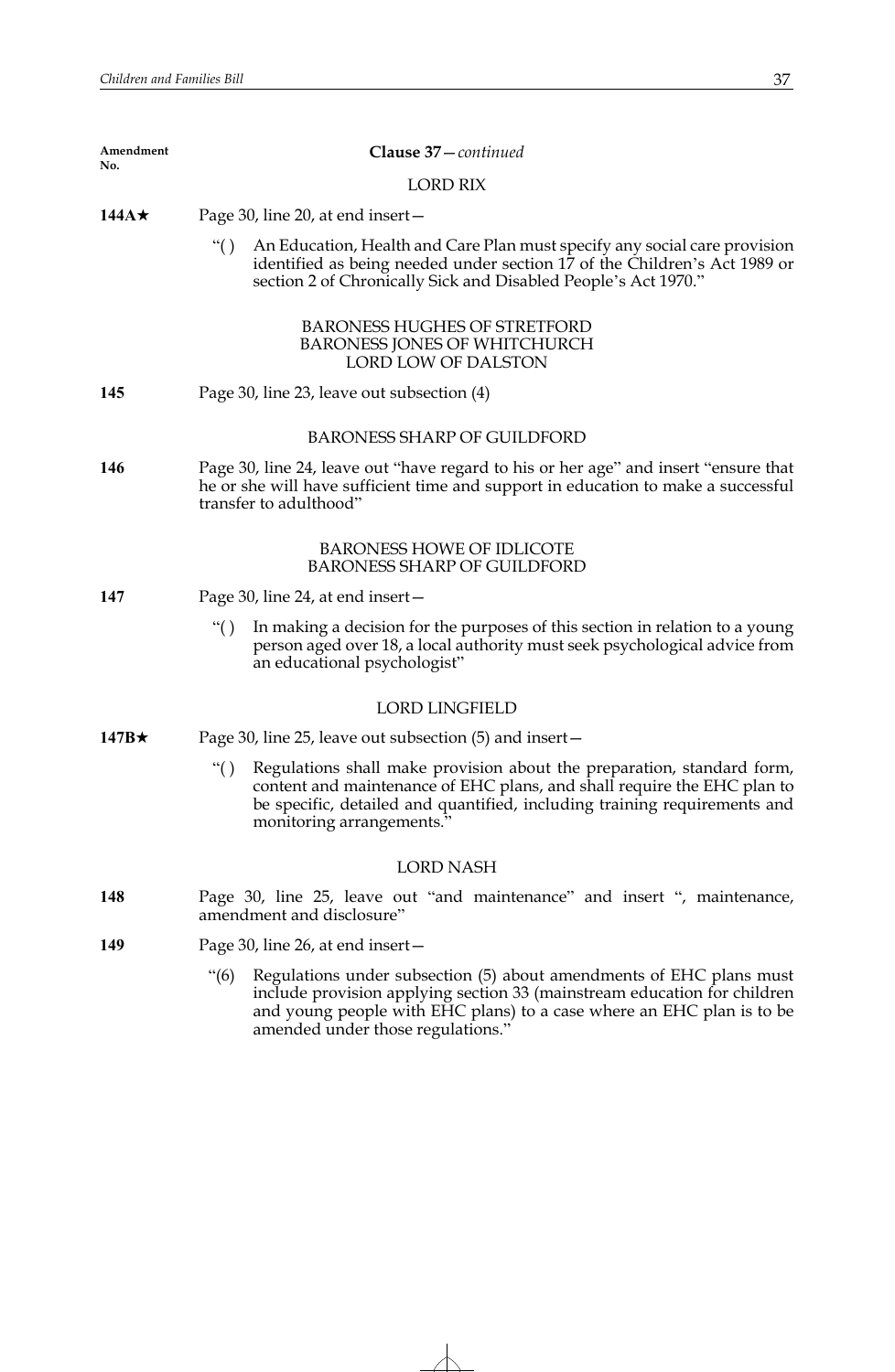| Amendment<br>No. | Clause 37-continued                                                                                                                                                                                                                                                              |
|------------------|----------------------------------------------------------------------------------------------------------------------------------------------------------------------------------------------------------------------------------------------------------------------------------|
|                  | <b>LORD RIX</b>                                                                                                                                                                                                                                                                  |
| 144 $A\star$     | Page 30, line 20, at end insert-                                                                                                                                                                                                                                                 |
|                  | An Education, Health and Care Plan must specify any social care provision<br>``()<br>identified as being needed under section 17 of the Children's Act 1989 or<br>section 2 of Chronically Sick and Disabled People's Act 1970."                                                 |
|                  | <b>BARONESS HUGHES OF STRETFORD</b><br><b>BARONESS JONES OF WHITCHURCH</b><br><b>LORD LOW OF DALSTON</b>                                                                                                                                                                         |
| 145              | Page 30, line 23, leave out subsection (4)                                                                                                                                                                                                                                       |
|                  | <b>BARONESS SHARP OF GUILDFORD</b>                                                                                                                                                                                                                                               |
| 146              | Page 30, line 24, leave out "have regard to his or her age" and insert "ensure that<br>he or she will have sufficient time and support in education to make a successful<br>transfer to adulthood"                                                                               |
|                  | <b>BARONESS HOWE OF IDLICOTE</b><br><b>BARONESS SHARP OF GUILDFORD</b>                                                                                                                                                                                                           |
| 147              | Page 30, line 24, at end insert –                                                                                                                                                                                                                                                |
|                  | In making a decision for the purposes of this section in relation to a young<br>``()<br>person aged over 18, a local authority must seek psychological advice from<br>an educational psychologist"                                                                               |
|                  | <b>LORD LINGFIELD</b>                                                                                                                                                                                                                                                            |
| 147B $\star$     | Page 30, line 25, leave out subsection (5) and insert –                                                                                                                                                                                                                          |
|                  | Regulations shall make provision about the preparation, standard form,<br>$\lq\lq($ )<br>content and maintenance of EHC plans, and shall require the EHC plan to<br>be specific, detailed and quantified, including training requirements and<br>monitoring arrangements."       |
|                  | <b>LORD NASH</b>                                                                                                                                                                                                                                                                 |
| 148              | Page 30, line 25, leave out "and maintenance" and insert ", maintenance,<br>amendment and disclosure"                                                                                                                                                                            |
| 149              | Page 30, line 26, at end insert-                                                                                                                                                                                                                                                 |
|                  | $\cdot\cdot(6)$<br>Regulations under subsection (5) about amendments of EHC plans must<br>include provision applying section 33 (mainstream education for children<br>and young people with EHC plans) to a case where an EHC plan is to be<br>amended under those regulations." |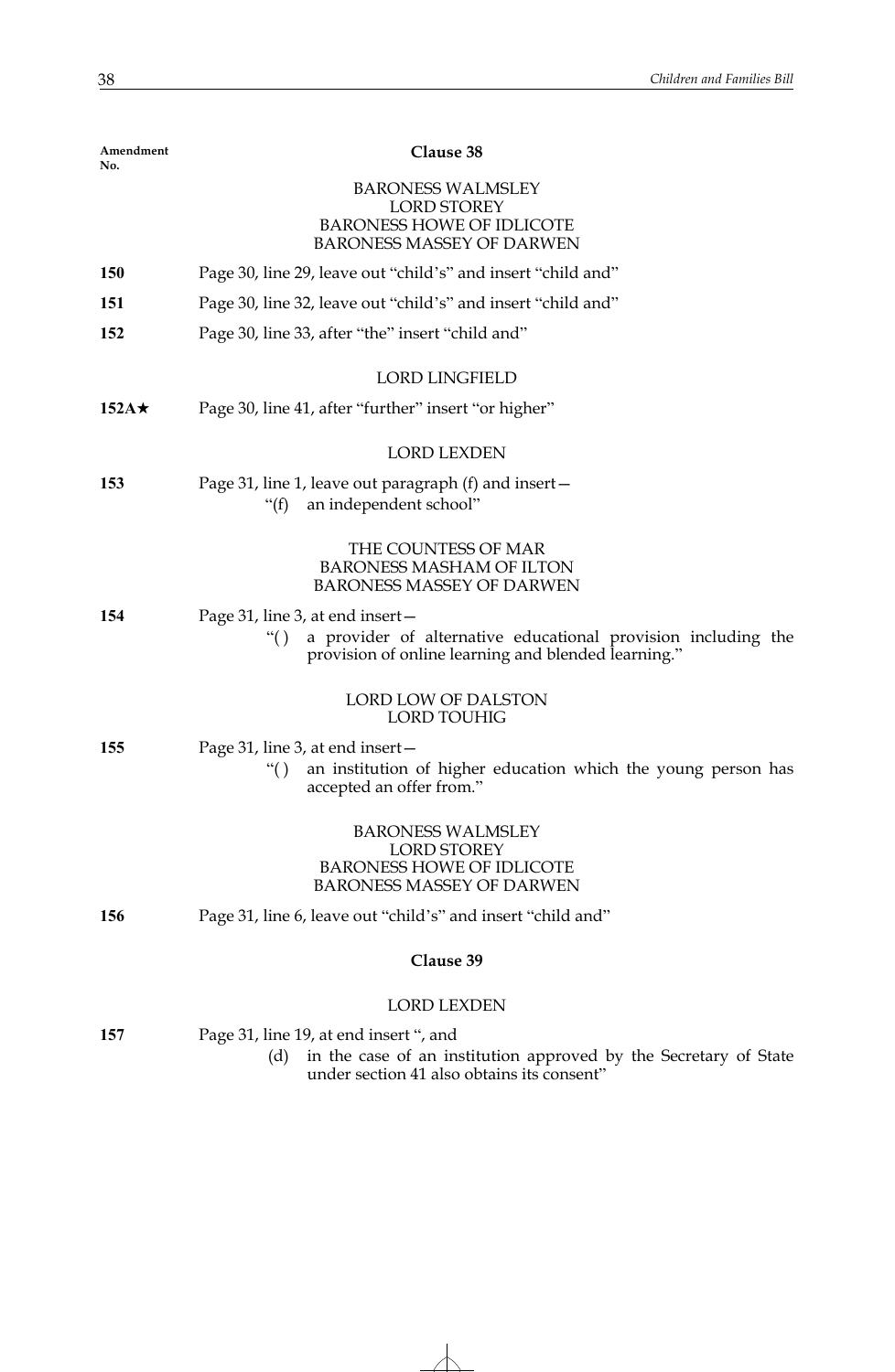| Amendment<br>No. | Clause 38                                                                                                                    |
|------------------|------------------------------------------------------------------------------------------------------------------------------|
|                  | <b>BARONESS WALMSLEY</b>                                                                                                     |
|                  | <b>LORD STOREY</b><br><b>BARONESS HOWE OF IDLICOTE</b>                                                                       |
|                  | <b>BARONESS MASSEY OF DARWEN</b>                                                                                             |
| 150              | Page 30, line 29, leave out "child's" and insert "child and"                                                                 |
| 151              | Page 30, line 32, leave out "child's" and insert "child and"                                                                 |
| 152              | Page 30, line 33, after "the" insert "child and"                                                                             |
|                  | <b>LORD LINGFIELD</b>                                                                                                        |
| $152A\star$      | Page 30, line 41, after "further" insert "or higher"                                                                         |
|                  | <b>LORD LEXDEN</b>                                                                                                           |
| 153              | Page 31, line 1, leave out paragraph (f) and insert-<br>an independent school"                                               |
|                  | " $(f)$                                                                                                                      |
|                  | THE COUNTESS OF MAR                                                                                                          |
|                  | <b>BARONESS MASHAM OF ILTON</b><br><b>BARONESS MASSEY OF DARWEN</b>                                                          |
| 154              | Page 31, line 3, at end insert -                                                                                             |
|                  | a provider of alternative educational provision including the<br>``()<br>provision of online learning and blended learning." |
|                  | LORD LOW OF DALSTON                                                                                                          |
|                  | <b>LORD TOUHIG</b>                                                                                                           |
| 155              | Page 31, line 3, at end insert -                                                                                             |
|                  | an institution of higher education which the young person has<br>``()<br>accepted an offer from."                            |
|                  | <b>BARONESS WALMSLEY</b>                                                                                                     |
|                  | <b>LORD STOREY</b><br><b>BARONESS HOWE OF IDLICOTE</b>                                                                       |
|                  | <b>BARONESS MASSEY OF DARWEN</b>                                                                                             |
| 156              | Page 31, line 6, leave out "child's" and insert "child and"                                                                  |
|                  | Clause 39                                                                                                                    |
|                  | <b>LORD LEXDEN</b>                                                                                                           |
| 157              | Page 31, line 19, at end insert ", and                                                                                       |
|                  | in the case of an institution approved by the Secretary of State<br>(d)<br>under section 41 also obtains its consent"        |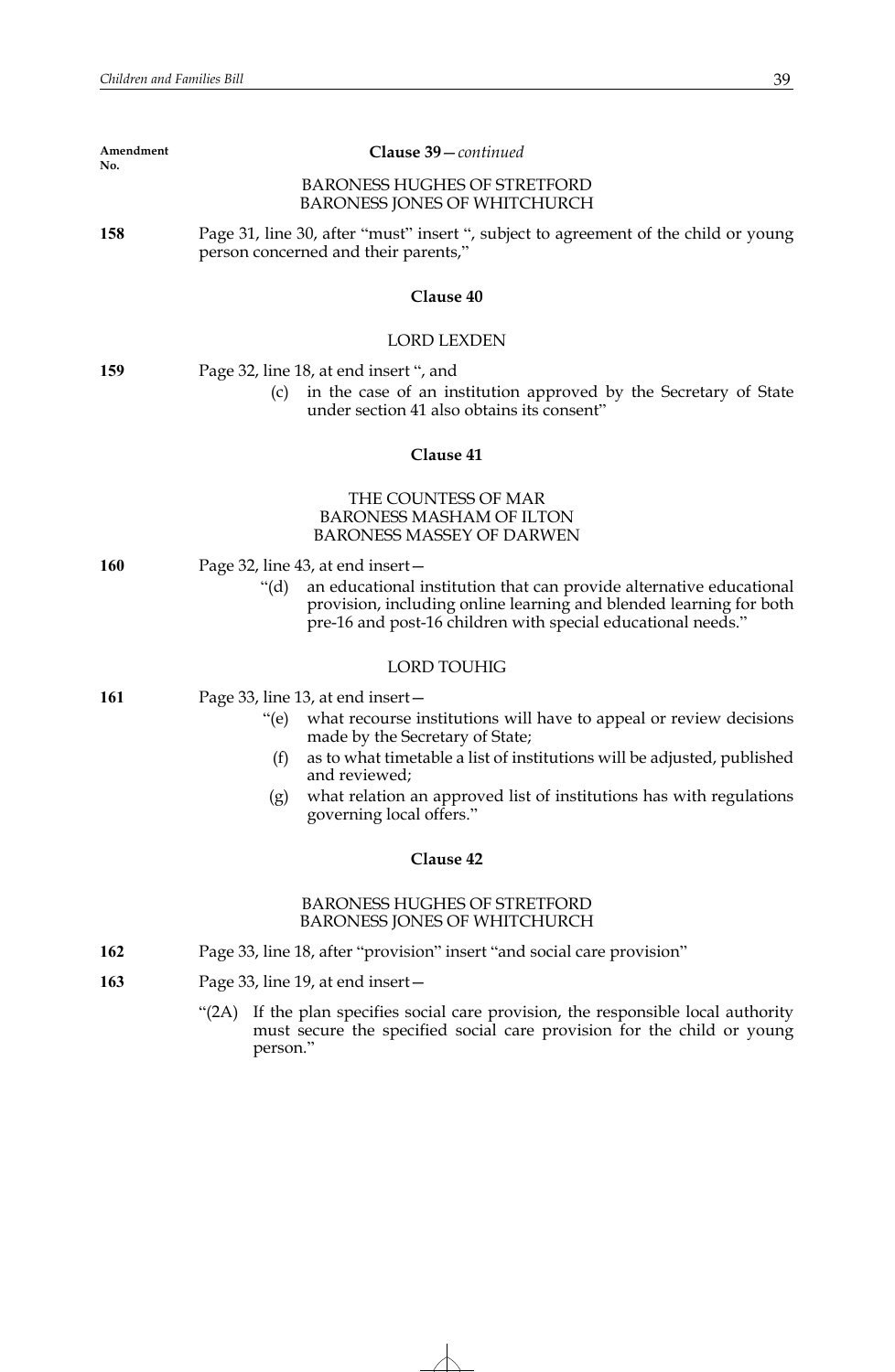| Amendment<br>No. | Clause 39-continued                                                                                                                                                                                                  |
|------------------|----------------------------------------------------------------------------------------------------------------------------------------------------------------------------------------------------------------------|
|                  | <b>BARONESS HUGHES OF STRETFORD</b><br><b>BARONESS JONES OF WHITCHURCH</b>                                                                                                                                           |
| 158              | Page 31, line 30, after "must" insert ", subject to agreement of the child or young<br>person concerned and their parents,"                                                                                          |
|                  | Clause 40                                                                                                                                                                                                            |
|                  | <b>LORD LEXDEN</b>                                                                                                                                                                                                   |
| 159              | Page 32, line 18, at end insert ", and                                                                                                                                                                               |
|                  | in the case of an institution approved by the Secretary of State<br>(c)<br>under section 41 also obtains its consent"                                                                                                |
|                  | Clause 41                                                                                                                                                                                                            |
|                  | THE COUNTESS OF MAR<br><b>BARONESS MASHAM OF ILTON</b><br><b>BARONESS MASSEY OF DARWEN</b>                                                                                                                           |
| 160              | Page 32, line 43, at end insert –                                                                                                                                                                                    |
|                  | an educational institution that can provide alternative educational<br>" $(d)$<br>provision, including online learning and blended learning for both<br>pre-16 and post-16 children with special educational needs." |
|                  | <b>LORD TOUHIG</b>                                                                                                                                                                                                   |
| 161              | Page 33, line 13, at end insert –                                                                                                                                                                                    |
|                  | what recourse institutions will have to appeal or review decisions<br>$\degree$ (e)<br>made by the Secretary of State;                                                                                               |
|                  | as to what timetable a list of institutions will be adjusted, published<br>(f)<br>and reviewed;                                                                                                                      |
|                  | what relation an approved list of institutions has with regulations<br>(g)<br>governing local offers.'                                                                                                               |
|                  | Clause 42                                                                                                                                                                                                            |
|                  | <b>BARONESS HUGHES OF STRETFORD</b><br>BARONESS JONES OF WHITCHURCH                                                                                                                                                  |
| 162              | Page 33, line 18, after "provision" insert "and social care provision"                                                                                                                                               |
| 163              | Page 33, line 19, at end insert-                                                                                                                                                                                     |
|                  | If the plan specifies social care provision, the responsible local authority<br>" $(2A)$<br>must secure the specified social care provision for the child or young<br>person."                                       |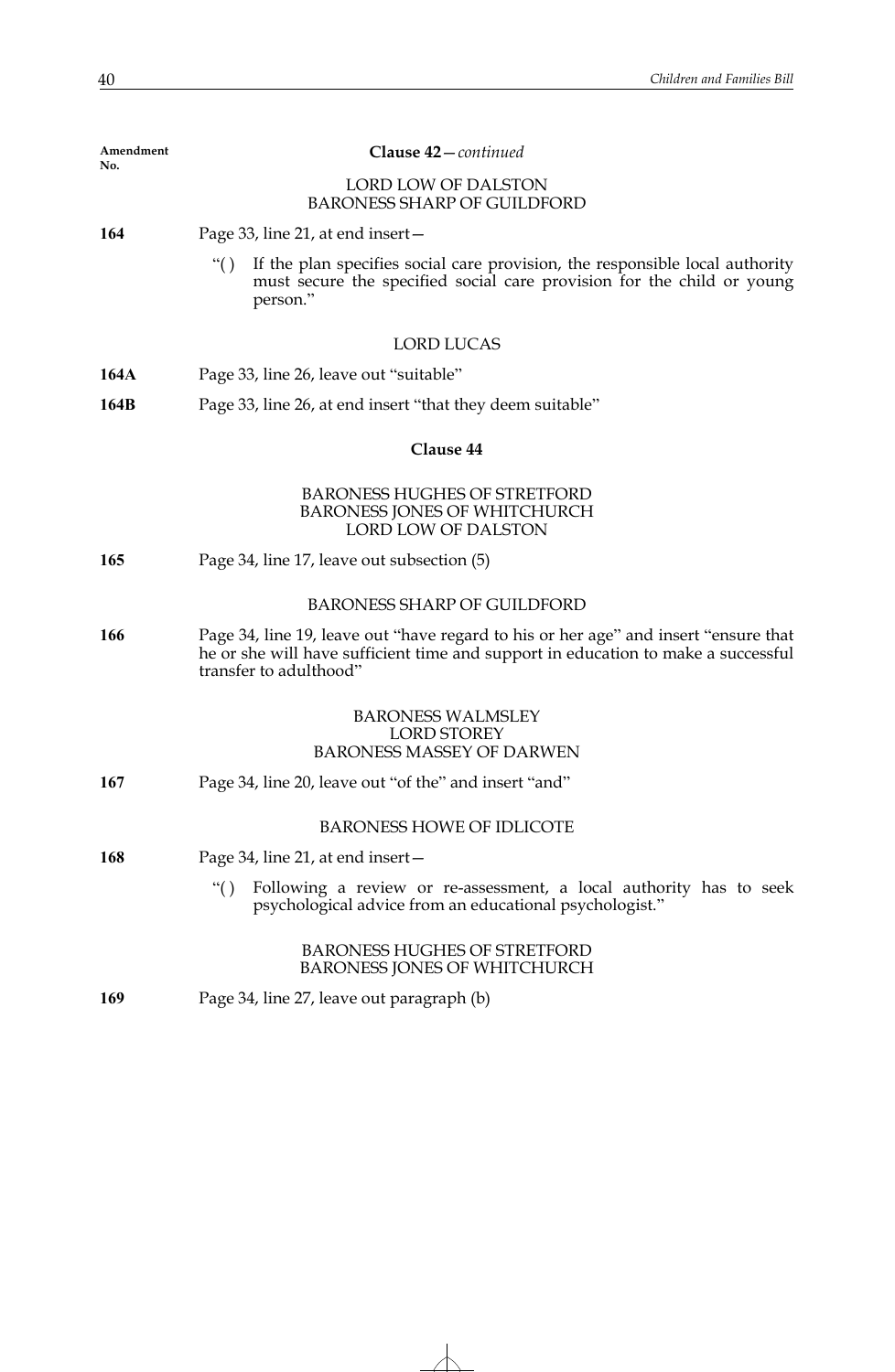| Amendment<br>No. | Clause 42-continued                                                                                                                                                                                |
|------------------|----------------------------------------------------------------------------------------------------------------------------------------------------------------------------------------------------|
|                  | <b>LORD LOW OF DALSTON</b><br><b>BARONESS SHARP OF GUILDFORD</b>                                                                                                                                   |
| 164              | Page 33, line 21, at end insert -                                                                                                                                                                  |
|                  | If the plan specifies social care provision, the responsible local authority<br>``()<br>must secure the specified social care provision for the child or young<br>person."                         |
|                  | <b>LORD LUCAS</b>                                                                                                                                                                                  |
| 164A             | Page 33, line 26, leave out "suitable"                                                                                                                                                             |
| 164B             | Page 33, line 26, at end insert "that they deem suitable"                                                                                                                                          |
|                  | Clause 44                                                                                                                                                                                          |
|                  | <b>BARONESS HUGHES OF STRETFORD</b><br><b>BARONESS JONES OF WHITCHURCH</b><br>LORD LOW OF DALSTON                                                                                                  |
| 165              | Page 34, line 17, leave out subsection (5)                                                                                                                                                         |
|                  | <b>BARONESS SHARP OF GUILDFORD</b>                                                                                                                                                                 |
| 166              | Page 34, line 19, leave out "have regard to his or her age" and insert "ensure that<br>he or she will have sufficient time and support in education to make a successful<br>transfer to adulthood" |
|                  | <b>BARONESS WALMSLEY</b><br><b>LORD STOREY</b><br><b>BARONESS MASSEY OF DARWEN</b>                                                                                                                 |
| 167              | Page 34, line 20, leave out "of the" and insert "and"                                                                                                                                              |
|                  | <b>BARONESS HOWE OF IDLICOTE</b>                                                                                                                                                                   |
| 168              | Page 34, line 21, at end insert-                                                                                                                                                                   |
|                  | Following a review or re-assessment, a local authority has to seek<br>``()<br>psychological advice from an educational psychologist."                                                              |
|                  | <b>BARONESS HUGHES OF STRETFORD</b><br>BARONESS JONES OF WHITCHURCH                                                                                                                                |
| 169              | Page 34, line 27, leave out paragraph (b)                                                                                                                                                          |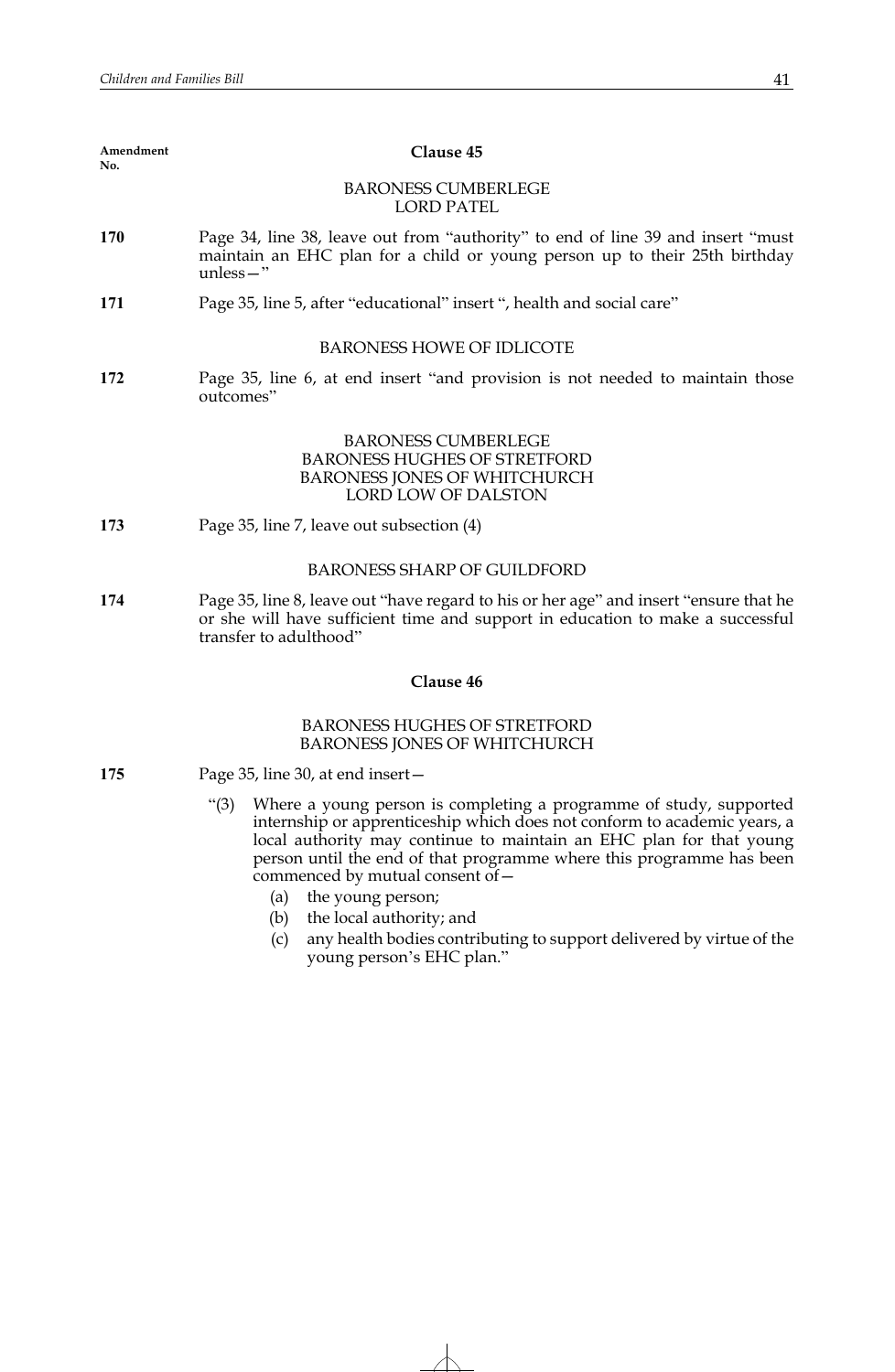| Amendment<br>No. | Clause 45                                                                                                                                                                                                                                                                                                                                                                                                                                                                                                   |
|------------------|-------------------------------------------------------------------------------------------------------------------------------------------------------------------------------------------------------------------------------------------------------------------------------------------------------------------------------------------------------------------------------------------------------------------------------------------------------------------------------------------------------------|
|                  | <b>BARONESS CUMBERLEGE</b><br><b>LORD PATEL</b>                                                                                                                                                                                                                                                                                                                                                                                                                                                             |
| <b>170</b>       | Page 34, line 38, leave out from "authority" to end of line 39 and insert "must"<br>maintain an EHC plan for a child or young person up to their 25th birthday<br>$unless -"$                                                                                                                                                                                                                                                                                                                               |
| 171              | Page 35, line 5, after "educational" insert ", health and social care"                                                                                                                                                                                                                                                                                                                                                                                                                                      |
|                  | <b>BARONESS HOWE OF IDLICOTE</b>                                                                                                                                                                                                                                                                                                                                                                                                                                                                            |
| 172              | Page 35, line 6, at end insert "and provision is not needed to maintain those<br>outcomes"                                                                                                                                                                                                                                                                                                                                                                                                                  |
|                  | <b>BARONESS CUMBERLEGE</b><br><b>BARONESS HUGHES OF STRETFORD</b><br><b>BARONESS JONES OF WHITCHURCH</b><br>LORD LOW OF DALSTON                                                                                                                                                                                                                                                                                                                                                                             |
| 173              | Page 35, line 7, leave out subsection (4)                                                                                                                                                                                                                                                                                                                                                                                                                                                                   |
|                  | <b>BARONESS SHARP OF GUILDFORD</b>                                                                                                                                                                                                                                                                                                                                                                                                                                                                          |
| 174              | Page 35, line 8, leave out "have regard to his or her age" and insert "ensure that he<br>or she will have sufficient time and support in education to make a successful<br>transfer to adulthood"                                                                                                                                                                                                                                                                                                           |
|                  | Clause 46                                                                                                                                                                                                                                                                                                                                                                                                                                                                                                   |
|                  | <b>BARONESS HUGHES OF STRETFORD</b><br>BARONESS JONES OF WHITCHURCH                                                                                                                                                                                                                                                                                                                                                                                                                                         |
| 175              | Page 35, line 30, at end insert-                                                                                                                                                                                                                                                                                                                                                                                                                                                                            |
|                  | "(3) Where a young person is completing a programme of study, supported<br>internship or apprenticeship which does not conform to academic years, a<br>local authority may continue to maintain an EHC plan for that young<br>person until the end of that programme where this programme has been<br>commenced by mutual consent of -<br>(a) the young person;<br>(b) the local authority; and<br>any health bodies contributing to support delivered by virtue of the<br>(c)<br>young person's EHC plan." |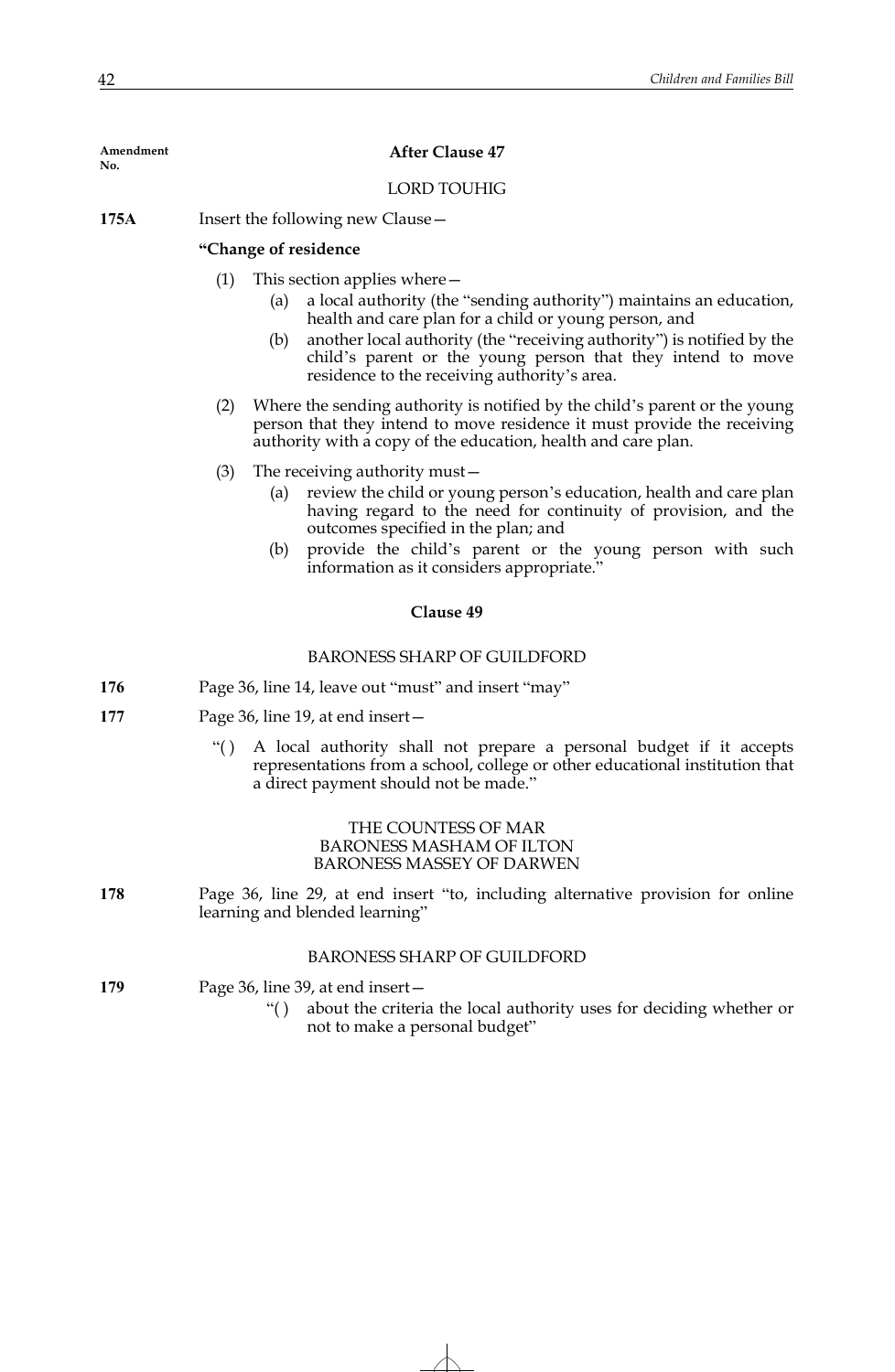| Amendment<br>No. | <b>After Clause 47</b>                                                                                                                                                                                                                                                                                                                                                       |
|------------------|------------------------------------------------------------------------------------------------------------------------------------------------------------------------------------------------------------------------------------------------------------------------------------------------------------------------------------------------------------------------------|
|                  | <b>LORD TOUHIG</b>                                                                                                                                                                                                                                                                                                                                                           |
| 175A             | Insert the following new Clause –                                                                                                                                                                                                                                                                                                                                            |
|                  | "Change of residence                                                                                                                                                                                                                                                                                                                                                         |
|                  | (1)<br>This section applies where $-$<br>a local authority (the "sending authority") maintains an education,<br>(a)<br>health and care plan for a child or young person, and<br>another local authority (the "receiving authority") is notified by the<br>(b)<br>child's parent or the young person that they intend to move<br>residence to the receiving authority's area. |
|                  | Where the sending authority is notified by the child's parent or the young<br>(2)<br>person that they intend to move residence it must provide the receiving<br>authority with a copy of the education, health and care plan.                                                                                                                                                |
|                  | (3)<br>The receiving authority must –<br>review the child or young person's education, health and care plan<br>(a)<br>having regard to the need for continuity of provision, and the<br>outcomes specified in the plan; and<br>provide the child's parent or the young person with such<br>(b)<br>information as it considers appropriate."                                  |
|                  | Clause 49                                                                                                                                                                                                                                                                                                                                                                    |
|                  | <b>BARONESS SHARP OF GUILDFORD</b>                                                                                                                                                                                                                                                                                                                                           |
| 176              | Page 36, line 14, leave out "must" and insert "may"                                                                                                                                                                                                                                                                                                                          |
| 177              | Page 36, line 19, at end insert –                                                                                                                                                                                                                                                                                                                                            |
|                  | A local authority shall not prepare a personal budget if it accepts<br>``()<br>representations from a school, college or other educational institution that<br>a direct payment should not be made."                                                                                                                                                                         |
|                  | THE COUNTESS OF MAR<br><b>BARONESS MASHAM OF ILTON</b><br><b>BARONESS MASSEY OF DARWEN</b>                                                                                                                                                                                                                                                                                   |
| 178              | Page 36, line 29, at end insert "to, including alternative provision for online<br>learning and blended learning"                                                                                                                                                                                                                                                            |
|                  | <b>BARONESS SHARP OF GUILDFORD</b>                                                                                                                                                                                                                                                                                                                                           |
| 179              | Page 36, line 39, at end insert –<br>about the criteria the local authority uses for deciding whether or<br>``( )                                                                                                                                                                                                                                                            |

not to make a personal budget"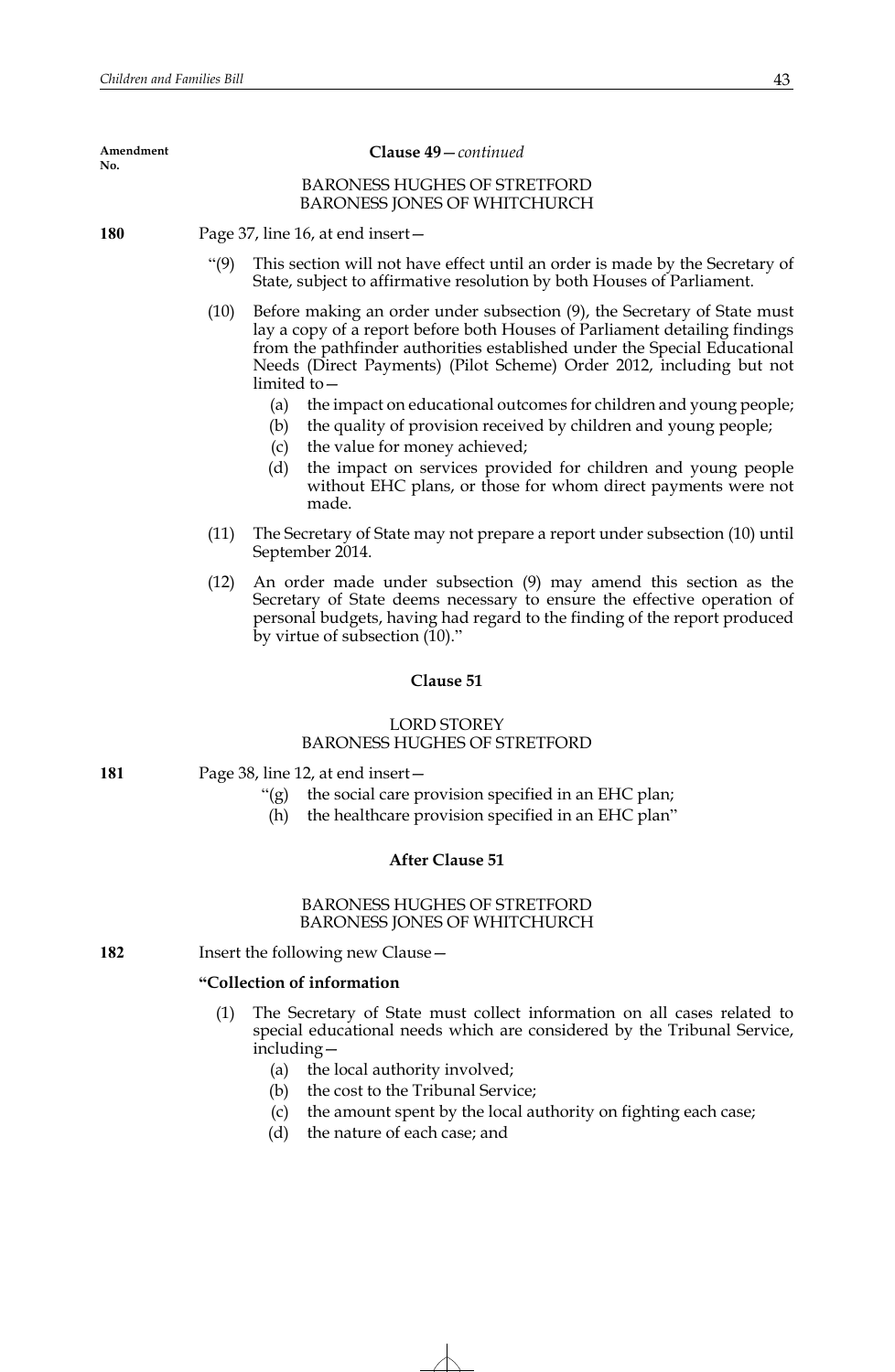BARONESS HUGHES OF STRETFORD BARONESS JONES OF WHITCHURCH **180** Page 37, line 16, at end insert— **Amendment No. Clause 49**—*continued*

- "(9) This section will not have effect until an order is made by the Secretary of State, subject to affirmative resolution by both Houses of Parliament.
- (10) Before making an order under subsection (9), the Secretary of State must lay a copy of a report before both Houses of Parliament detailing findings from the pathfinder authorities established under the Special Educational Needs (Direct Payments) (Pilot Scheme) Order 2012, including but not limited to—
	- (a) the impact on educational outcomes for children and young people;
	- (b) the quality of provision received by children and young people;
	- (c) the value for money achieved;
	- (d) the impact on services provided for children and young people without EHC plans, or those for whom direct payments were not made.
- (11) The Secretary of State may not prepare a report under subsection (10) until September 2014.
- (12) An order made under subsection (9) may amend this section as the Secretary of State deems necessary to ensure the effective operation of personal budgets, having had regard to the finding of the report produced by virtue of subsection  $(10)$ ."

## **Clause 51**

# LORD STOREY BARONESS HUGHES OF STRETFORD

# **181** Page 38, line 12, at end insert—

- "(g) the social care provision specified in an EHC plan;
- (h) the healthcare provision specified in an EHC plan"

## **After Clause 51**

## BARONESS HUGHES OF STRETFORD BARONESS JONES OF WHITCHURCH

**182** Insert the following new Clause—

## **"Collection of information**

- (1) The Secretary of State must collect information on all cases related to special educational needs which are considered by the Tribunal Service, including—
	- (a) the local authority involved;
	- (b) the cost to the Tribunal Service;
	- (c) the amount spent by the local authority on fighting each case;
	- (d) the nature of each case; and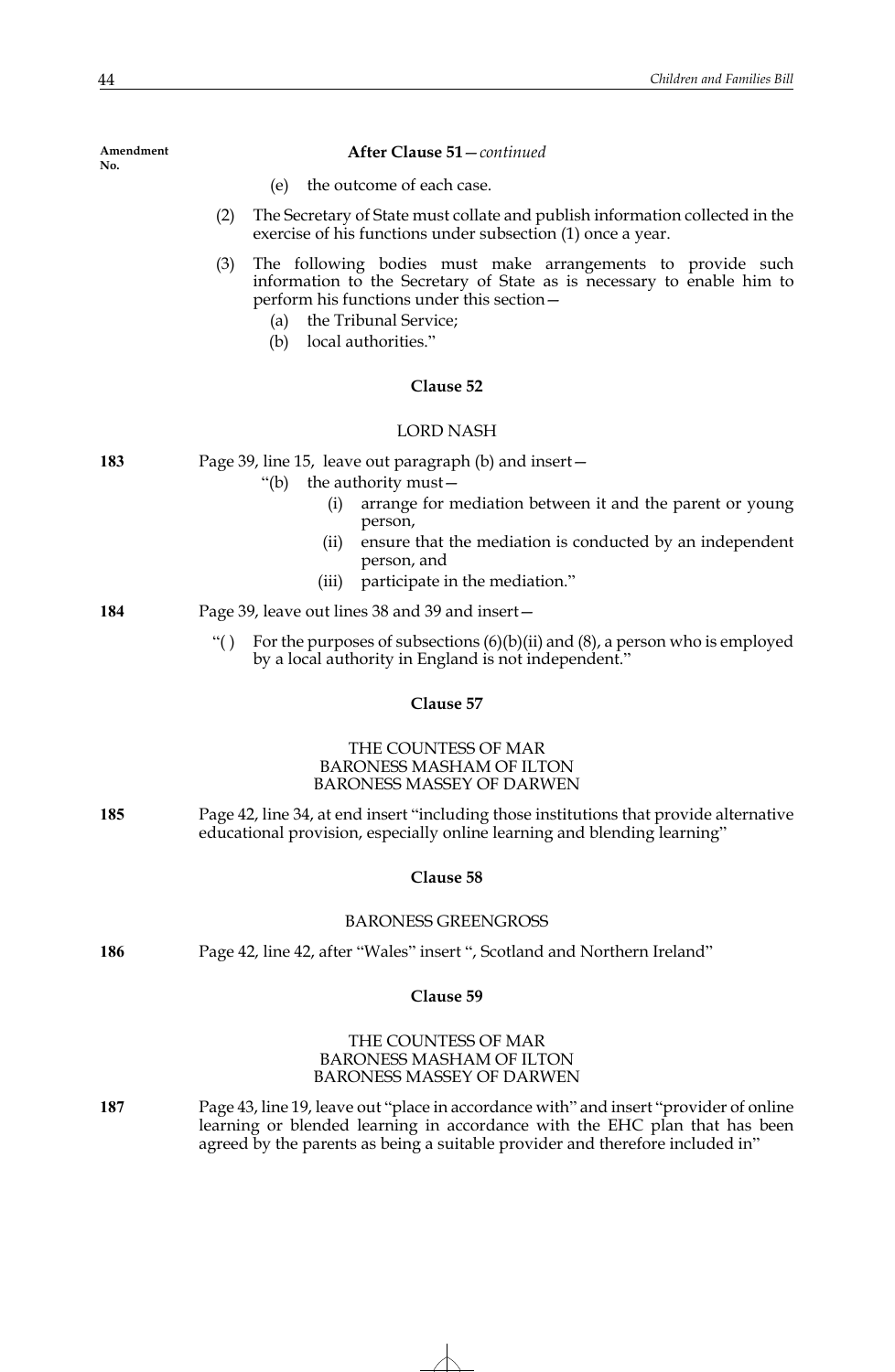|     | (2)<br>The Secretary of State must collate and publish information collected in the<br>exercise of his functions under subsection (1) once a year.                                                                                                                                                |
|-----|---------------------------------------------------------------------------------------------------------------------------------------------------------------------------------------------------------------------------------------------------------------------------------------------------|
|     | (3)<br>The following bodies must make arrangements to provide such<br>information to the Secretary of State as is necessary to enable him to<br>perform his functions under this section -<br>(a) the Tribunal Service;<br>local authorities."<br>(b)                                             |
|     | Clause 52                                                                                                                                                                                                                                                                                         |
|     | <b>LORD NASH</b>                                                                                                                                                                                                                                                                                  |
| 183 | Page 39, line 15, leave out paragraph (b) and insert –<br>the authority must-<br>"(b)<br>(i)<br>arrange for mediation between it and the parent or young<br>person,<br>ensure that the mediation is conducted by an independent<br>(ii)<br>person, and<br>participate in the mediation."<br>(iii) |
| 184 | Page 39, leave out lines 38 and 39 and insert –                                                                                                                                                                                                                                                   |
|     | For the purposes of subsections $(6)(b)(ii)$ and $(8)$ , a person who is employed<br>``()<br>by a local authority in England is not independent."                                                                                                                                                 |
|     | Clause 57                                                                                                                                                                                                                                                                                         |
|     | THE COUNTESS OF MAR<br><b>BARONESS MASHAM OF ILTON</b><br><b>BARONESS MASSEY OF DARWEN</b>                                                                                                                                                                                                        |
| 185 | Page 42, line 34, at end insert "including those institutions that provide alternative<br>educational provision, especially online learning and blending learning"                                                                                                                                |
|     | Clause 58                                                                                                                                                                                                                                                                                         |
|     | <b>BARONESS GREENGROSS</b>                                                                                                                                                                                                                                                                        |
| 186 | Page 42, line 42, after "Wales" insert ", Scotland and Northern Ireland"                                                                                                                                                                                                                          |
|     | Clause 59                                                                                                                                                                                                                                                                                         |
|     | THE COUNTESS OF MAR<br><b>BARONESS MASHAM OF ILTON</b><br><b>BARONESS MASSEY OF DARWEN</b>                                                                                                                                                                                                        |
| 187 | Page 43, line 19, leave out "place in accordance with" and insert "provider of online<br>learning or blended learning in accordance with the EHC plan that has been<br>agreed by the parents as being a suitable provider and therefore included in"                                              |

(e) the outcome of each case.

**After Clause 51**—*continued*

**Amendment No.**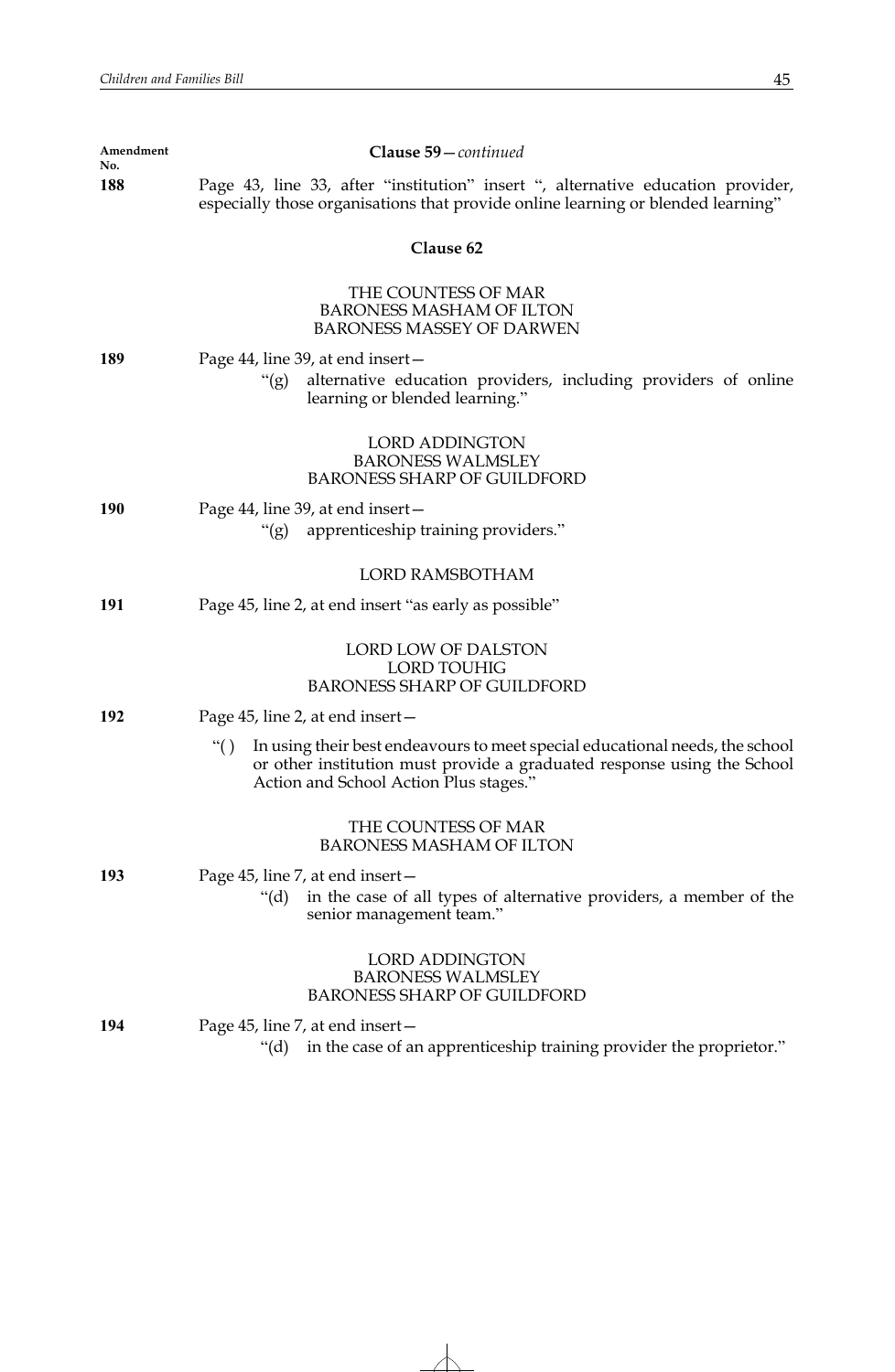| Amendment<br>No. | Clause 59-continued                                                                                                                                                                                       |
|------------------|-----------------------------------------------------------------------------------------------------------------------------------------------------------------------------------------------------------|
| 188              | Page 43, line 33, after "institution" insert ", alternative education provider,<br>especially those organisations that provide online learning or blended learning"                                       |
|                  | Clause 62                                                                                                                                                                                                 |
|                  | THE COUNTESS OF MAR<br><b>BARONESS MASHAM OF ILTON</b><br><b>BARONESS MASSEY OF DARWEN</b>                                                                                                                |
| 189              | Page 44, line 39, at end insert-<br>alternative education providers, including providers of online<br>" $(g)$<br>learning or blended learning."                                                           |
|                  | <b>LORD ADDINGTON</b><br><b>BARONESS WALMSLEY</b><br><b>BARONESS SHARP OF GUILDFORD</b>                                                                                                                   |
| 190              | Page 44, line 39, at end insert –<br>"(g) apprenticeship training providers."                                                                                                                             |
|                  | <b>LORD RAMSBOTHAM</b>                                                                                                                                                                                    |
| 191              | Page 45, line 2, at end insert "as early as possible"                                                                                                                                                     |
|                  | LORD LOW OF DALSTON<br><b>LORD TOUHIG</b><br><b>BARONESS SHARP OF GUILDFORD</b>                                                                                                                           |
| 192              | Page 45, line 2, at end insert –                                                                                                                                                                          |
|                  | ``()<br>In using their best endeavours to meet special educational needs, the school<br>or other institution must provide a graduated response using the School<br>Action and School Action Plus stages." |
|                  | THE COUNTESS OF MAR<br><b>BARONESS MASHAM OF ILTON</b>                                                                                                                                                    |
| 193              | Page 45, line 7, at end insert-<br>in the case of all types of alternative providers, a member of the<br>" $(d)$<br>senior management team."                                                              |
|                  | <b>LORD ADDINGTON</b><br><b>BARONESS WALMSLEY</b><br><b>BARONESS SHARP OF GUILDFORD</b>                                                                                                                   |
| 194              | Page 45, line 7, at end insert –<br>"(d) in the case of an apprenticeship training provider the proprietor."                                                                                              |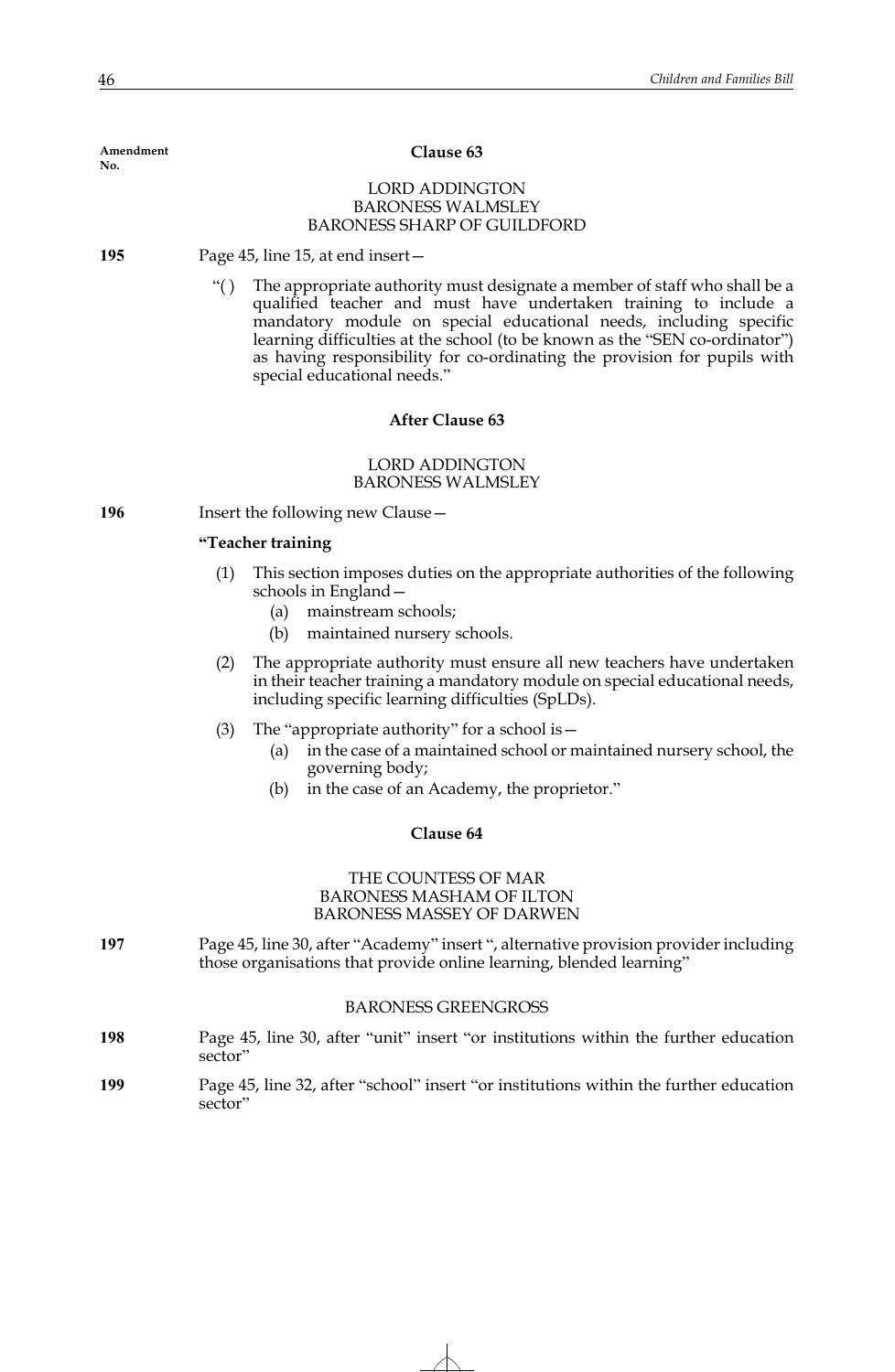#### **Clause 63**

## LORD ADDINGTON BARONESS WALMSLEY BARONESS SHARP OF GUILDFORD

**195** Page 45, line 15, at end insert—

"( ) The appropriate authority must designate a member of staff who shall be a qualified teacher and must have undertaken training to include a mandatory module on special educational needs, including specific learning difficulties at the school (to be known as the "SEN co-ordinator") as having responsibility for co-ordinating the provision for pupils with special educational needs."

## **After Clause 63**

## LORD ADDINGTON BARONESS WALMSLEY

**196** Insert the following new Clause—

#### **"Teacher training**

- (1) This section imposes duties on the appropriate authorities of the following schools in England—
	- (a) mainstream schools;
	- (b) maintained nursery schools.
- (2) The appropriate authority must ensure all new teachers have undertaken in their teacher training a mandatory module on special educational needs, including specific learning difficulties (SpLDs).
- (3) The "appropriate authority" for a school is—
	- (a) in the case of a maintained school or maintained nursery school, the governing body;
	- (b) in the case of an Academy, the proprietor."

#### **Clause 64**

## THE COUNTESS OF MAR BARONESS MASHAM OF ILTON BARONESS MASSEY OF DARWEN

**197** Page 45, line 30, after "Academy" insert ", alternative provision provider including those organisations that provide online learning, blended learning"

#### BARONESS GREENGROSS

| 198 | Page 45, line 30, after "unit" insert "or institutions within the further education |
|-----|-------------------------------------------------------------------------------------|
|     | sector"                                                                             |

**199** Page 45, line 32, after "school" insert "or institutions within the further education sector"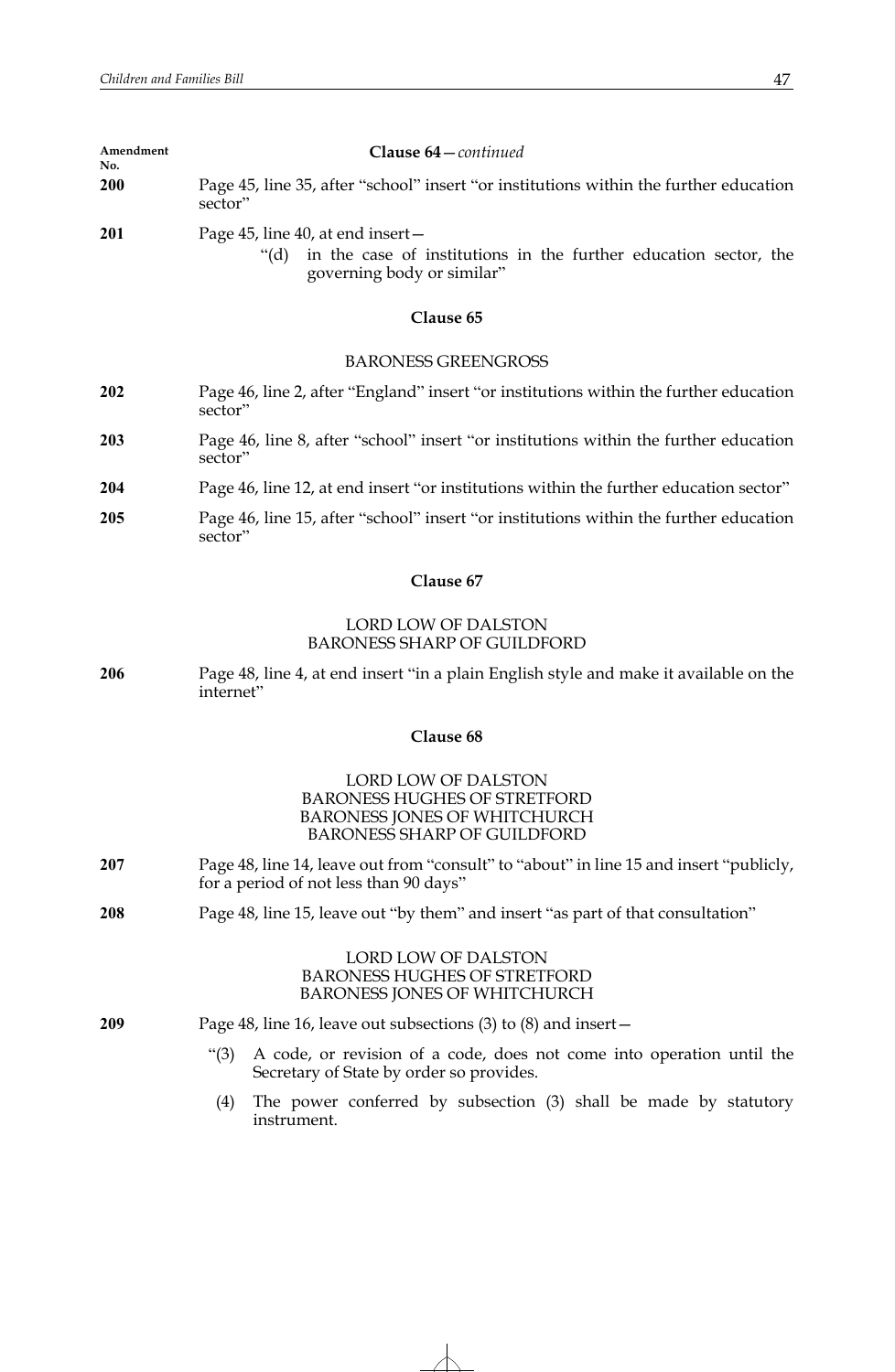| Amendment<br>No. | <b>Clause 64</b> – <i>continued</i>                                                                                                              |
|------------------|--------------------------------------------------------------------------------------------------------------------------------------------------|
| <b>200</b>       | Page 45, line 35, after "school" insert "or institutions within the further education<br>sector"                                                 |
| 201              | Page 45, line 40, at end insert $-$<br>in the case of institutions in the further education sector, the<br>" $(d)$<br>governing body or similar" |

# **Clause 65**

# BARONESS GREENGROSS

- **202** Page 46, line 2, after "England" insert "or institutions within the further education sector"
- **203** Page 46, line 8, after "school" insert "or institutions within the further education sector"
- **204** Page 46, line 12, at end insert "or institutions within the further education sector"
- **205** Page 46, line 15, after "school" insert "or institutions within the further education sector"

# **Clause 67**

# LORD LOW OF DALSTON BARONESS SHARP OF GUILDFORD

**206** Page 48, line 4, at end insert "in a plain English style and make it available on the internet"

## **Clause 68**

# LORD LOW OF DALSTON BARONESS HUGHES OF STRETFORD BARONESS JONES OF WHITCHURCH BARONESS SHARP OF GUILDFORD

- **207** Page 48, line 14, leave out from "consult" to "about" in line 15 and insert "publicly, for a period of not less than 90 days"
- **208** Page 48, line 15, leave out "by them" and insert "as part of that consultation"

# LORD LOW OF DALSTON BARONESS HUGHES OF STRETFORD BARONESS JONES OF WHITCHURCH

**209** Page 48, line 16, leave out subsections (3) to (8) and insert—

- "(3) A code, or revision of a code, does not come into operation until the Secretary of State by order so provides.
- (4) The power conferred by subsection (3) shall be made by statutory instrument.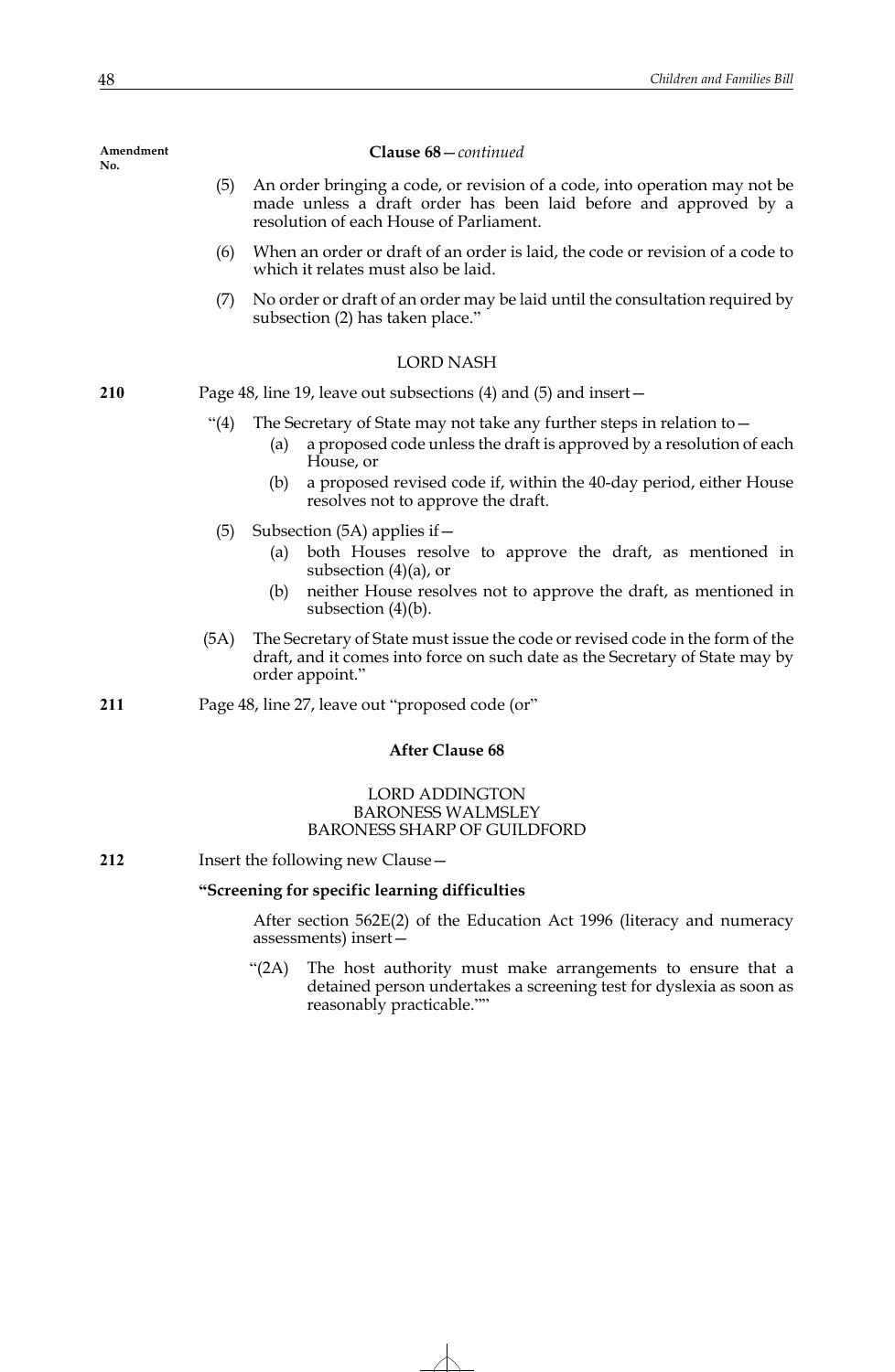## **Clause 68**—*continued*

- (5) An order bringing a code, or revision of a code, into operation may not be made unless a draft order has been laid before and approved by a resolution of each House of Parliament.
- (6) When an order or draft of an order is laid, the code or revision of a code to which it relates must also be laid.
- (7) No order or draft of an order may be laid until the consultation required by subsection (2) has taken place."

## LORD NASH

**210** Page 48, line 19, leave out subsections (4) and (5) and insert—

- "(4) The Secretary of State may not take any further steps in relation to  $-$ 
	- (a) a proposed code unless the draft is approved by a resolution of each House, or
	- (b) a proposed revised code if, within the 40-day period, either House resolves not to approve the draft.
- (5) Subsection (5A) applies if—
	- (a) both Houses resolve to approve the draft, as mentioned in subsection (4)(a), or
	- (b) neither House resolves not to approve the draft, as mentioned in subsection (4)(b).
- (5A) The Secretary of State must issue the code or revised code in the form of the draft, and it comes into force on such date as the Secretary of State may by order appoint."
- **211** Page 48, line 27, leave out "proposed code (or"

# **After Clause 68**

## LORD ADDINGTON BARONESS WALMSLEY BARONESS SHARP OF GUILDFORD

**212** Insert the following new Clause—

## **"Screening for specific learning difficulties**

After section 562E(2) of the Education Act 1996 (literacy and numeracy assessments) insert—

"(2A) The host authority must make arrangements to ensure that a detained person undertakes a screening test for dyslexia as soon as reasonably practicable.""

**Amendment No.**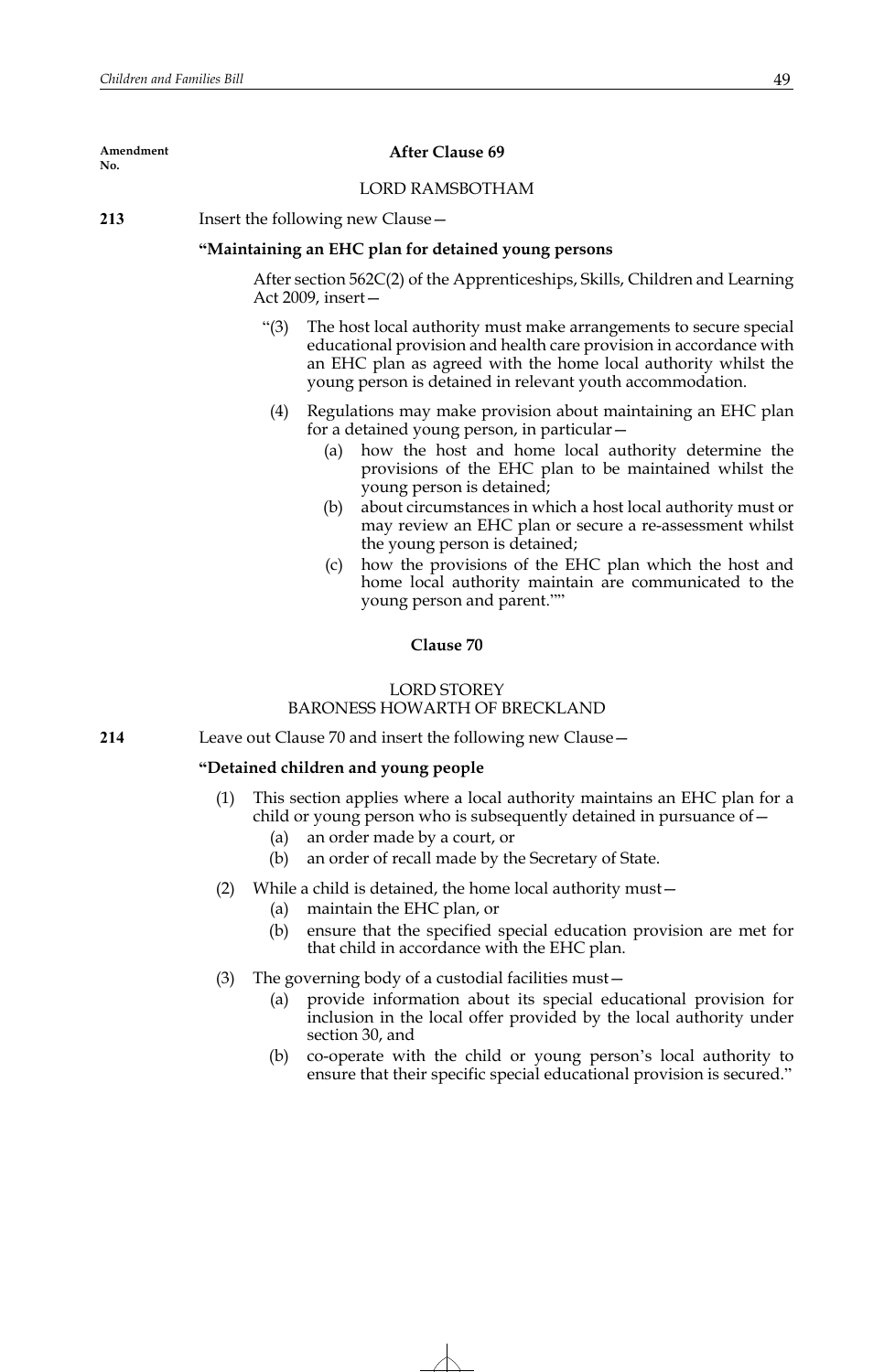| Amendment<br>No. | <b>After Clause 69</b>                              |
|------------------|-----------------------------------------------------|
|                  | <b>LORD RAMSBOTHAM</b>                              |
| 213              | Insert the following new Clause -                   |
|                  | "Maintaining an EHC plan for detained young persons |

After section 562C(2) of the Apprenticeships, Skills, Children and Learning Act 2009, insert—

- "(3) The host local authority must make arrangements to secure special educational provision and health care provision in accordance with an EHC plan as agreed with the home local authority whilst the young person is detained in relevant youth accommodation.
- (4) Regulations may make provision about maintaining an EHC plan for a detained young person, in particular—
	- (a) how the host and home local authority determine the provisions of the EHC plan to be maintained whilst the young person is detained;
	- (b) about circumstances in which a host local authority must or may review an EHC plan or secure a re-assessment whilst the young person is detained;
	- (c) how the provisions of the EHC plan which the host and home local authority maintain are communicated to the young person and parent.""

# **Clause 70**

# LORD STOREY BARONESS HOWARTH OF BRECKLAND

**214** Leave out Clause 70 and insert the following new Clause—

# **"Detained children and young people**

- This section applies where a local authority maintains an EHC plan for a child or young person who is subsequently detained in pursuance of—
	- (a) an order made by a court, or
	- (b) an order of recall made by the Secretary of State.
- (2) While a child is detained, the home local authority must—
	- (a) maintain the EHC plan, or
	- (b) ensure that the specified special education provision are met for that child in accordance with the EHC plan.
- (3) The governing body of a custodial facilities must—
	- (a) provide information about its special educational provision for inclusion in the local offer provided by the local authority under section 30, and
	- (b) co-operate with the child or young person's local authority to ensure that their specific special educational provision is secured."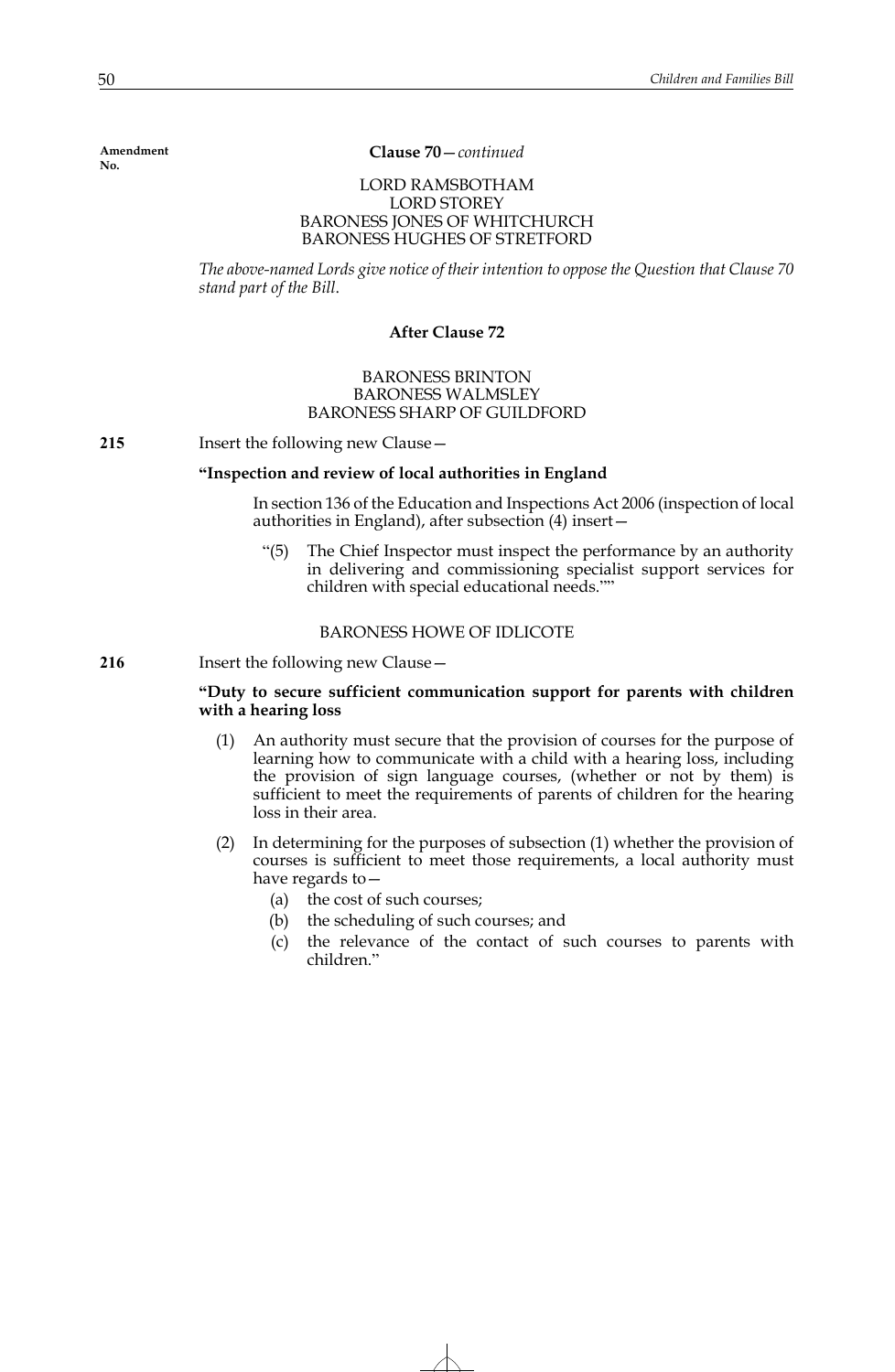**Clause 70**—*continued*

# LORD RAMSBOTHAM LORD STOREY BARONESS JONES OF WHITCHURCH BARONESS HUGHES OF STRETFORD

*The above-named Lords give notice of their intention to oppose the Question that Clause 70 stand part of the Bill*.

# **After Clause 72**

# BARONESS BRINTON BARONESS WALMSLEY BARONESS SHARP OF GUILDFORD

**215** Insert the following new Clause—

## **"Inspection and review of local authorities in England**

In section 136 of the Education and Inspections Act 2006 (inspection of local authorities in England), after subsection (4) insert—

"(5) The Chief Inspector must inspect the performance by an authority in delivering and commissioning specialist support services for children with special educational needs.""

# BARONESS HOWE OF IDLICOTE

**216** Insert the following new Clause—

# **"Duty to secure sufficient communication support for parents with children with a hearing loss**

- (1) An authority must secure that the provision of courses for the purpose of learning how to communicate with a child with a hearing loss, including the provision of sign language courses, (whether or not by them) is sufficient to meet the requirements of parents of children for the hearing loss in their area.
- (2) In determining for the purposes of subsection (1) whether the provision of courses is sufficient to meet those requirements, a local authority must have regards to—
	- (a) the cost of such courses;
	- (b) the scheduling of such courses; and
	- (c) the relevance of the contact of such courses to parents with children."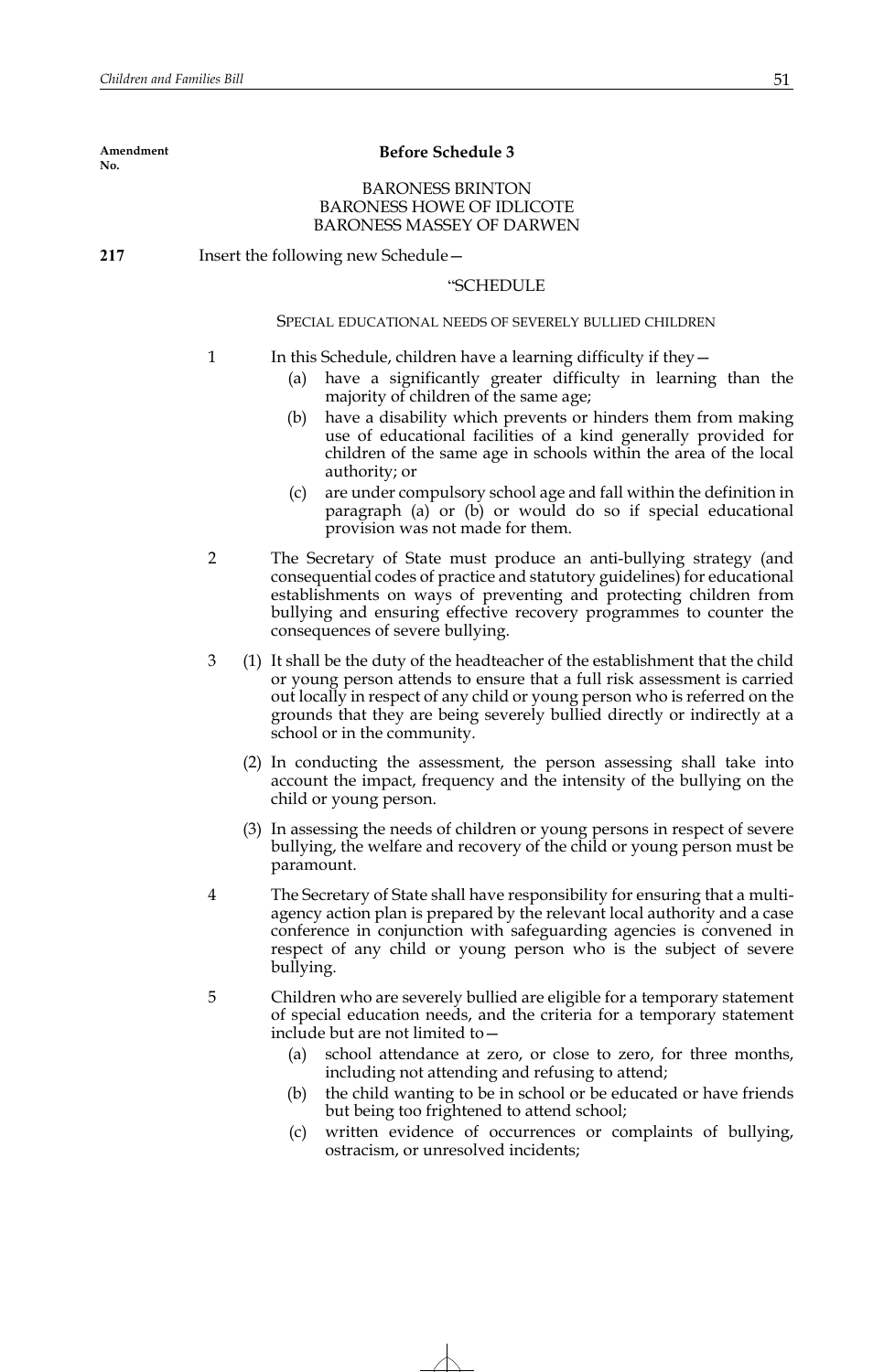| <b>BARONESS BRINTON</b><br><b>BARONESS HOWE OF IDLICOTE</b><br><b>BARONESS MASSEY OF DARWEN</b><br>Insert the following new Schedule -<br>217<br>"SCHEDULE<br>SPECIAL EDUCATIONAL NEEDS OF SEVERELY BULLIED CHILDREN<br>$\mathbf{1}$<br>In this Schedule, children have a learning difficulty if they $-$<br>have a significantly greater difficulty in learning than the<br>(a)<br>majority of children of the same age;<br>have a disability which prevents or hinders them from making<br>(b)<br>use of educational facilities of a kind generally provided for<br>children of the same age in schools within the area of the local<br>authority; or<br>are under compulsory school age and fall within the definition in<br>(c)<br>paragraph (a) or (b) or would do so if special educational<br>provision was not made for them.<br>$\overline{2}$<br>The Secretary of State must produce an anti-bullying strategy (and<br>consequential codes of practice and statutory guidelines) for educational<br>establishments on ways of preventing and protecting children from<br>bullying and ensuring effective recovery programmes to counter the |
|-------------------------------------------------------------------------------------------------------------------------------------------------------------------------------------------------------------------------------------------------------------------------------------------------------------------------------------------------------------------------------------------------------------------------------------------------------------------------------------------------------------------------------------------------------------------------------------------------------------------------------------------------------------------------------------------------------------------------------------------------------------------------------------------------------------------------------------------------------------------------------------------------------------------------------------------------------------------------------------------------------------------------------------------------------------------------------------------------------------------------------------------------------|
|                                                                                                                                                                                                                                                                                                                                                                                                                                                                                                                                                                                                                                                                                                                                                                                                                                                                                                                                                                                                                                                                                                                                                       |
|                                                                                                                                                                                                                                                                                                                                                                                                                                                                                                                                                                                                                                                                                                                                                                                                                                                                                                                                                                                                                                                                                                                                                       |
|                                                                                                                                                                                                                                                                                                                                                                                                                                                                                                                                                                                                                                                                                                                                                                                                                                                                                                                                                                                                                                                                                                                                                       |
|                                                                                                                                                                                                                                                                                                                                                                                                                                                                                                                                                                                                                                                                                                                                                                                                                                                                                                                                                                                                                                                                                                                                                       |
|                                                                                                                                                                                                                                                                                                                                                                                                                                                                                                                                                                                                                                                                                                                                                                                                                                                                                                                                                                                                                                                                                                                                                       |
|                                                                                                                                                                                                                                                                                                                                                                                                                                                                                                                                                                                                                                                                                                                                                                                                                                                                                                                                                                                                                                                                                                                                                       |
|                                                                                                                                                                                                                                                                                                                                                                                                                                                                                                                                                                                                                                                                                                                                                                                                                                                                                                                                                                                                                                                                                                                                                       |
| consequences of severe bullying.                                                                                                                                                                                                                                                                                                                                                                                                                                                                                                                                                                                                                                                                                                                                                                                                                                                                                                                                                                                                                                                                                                                      |
| 3<br>(1) It shall be the duty of the headteacher of the establishment that the child<br>or young person attends to ensure that a full risk assessment is carried<br>out locally in respect of any child or young person who is referred on the<br>grounds that they are being severely bullied directly or indirectly at a<br>school or in the community.                                                                                                                                                                                                                                                                                                                                                                                                                                                                                                                                                                                                                                                                                                                                                                                             |
| (2) In conducting the assessment, the person assessing shall take into<br>account the impact, frequency and the intensity of the bullying on the<br>child or young person.                                                                                                                                                                                                                                                                                                                                                                                                                                                                                                                                                                                                                                                                                                                                                                                                                                                                                                                                                                            |
| (3) In assessing the needs of children or young persons in respect of severe<br>bullying, the welfare and recovery of the child or young person must be<br>paramount.                                                                                                                                                                                                                                                                                                                                                                                                                                                                                                                                                                                                                                                                                                                                                                                                                                                                                                                                                                                 |
| The Secretary of State shall have responsibility for ensuring that a multi-<br>4<br>agency action plan is prepared by the relevant local authority and a case<br>conference in conjunction with safeguarding agencies is convened in<br>respect of any child or young person who is the subject of severe<br>bullying.                                                                                                                                                                                                                                                                                                                                                                                                                                                                                                                                                                                                                                                                                                                                                                                                                                |
| 5<br>Children who are severely bullied are eligible for a temporary statement<br>of special education needs, and the criteria for a temporary statement<br>include but are not limited to -                                                                                                                                                                                                                                                                                                                                                                                                                                                                                                                                                                                                                                                                                                                                                                                                                                                                                                                                                           |
| school attendance at zero, or close to zero, for three months,<br>(a)<br>including not attending and refusing to attend;<br>the child wanting to be in school or be educated or have friends<br>(b)                                                                                                                                                                                                                                                                                                                                                                                                                                                                                                                                                                                                                                                                                                                                                                                                                                                                                                                                                   |
| but being too frightened to attend school;                                                                                                                                                                                                                                                                                                                                                                                                                                                                                                                                                                                                                                                                                                                                                                                                                                                                                                                                                                                                                                                                                                            |

(c) written evidence of occurrences or complaints of bullying, ostracism, or unresolved incidents;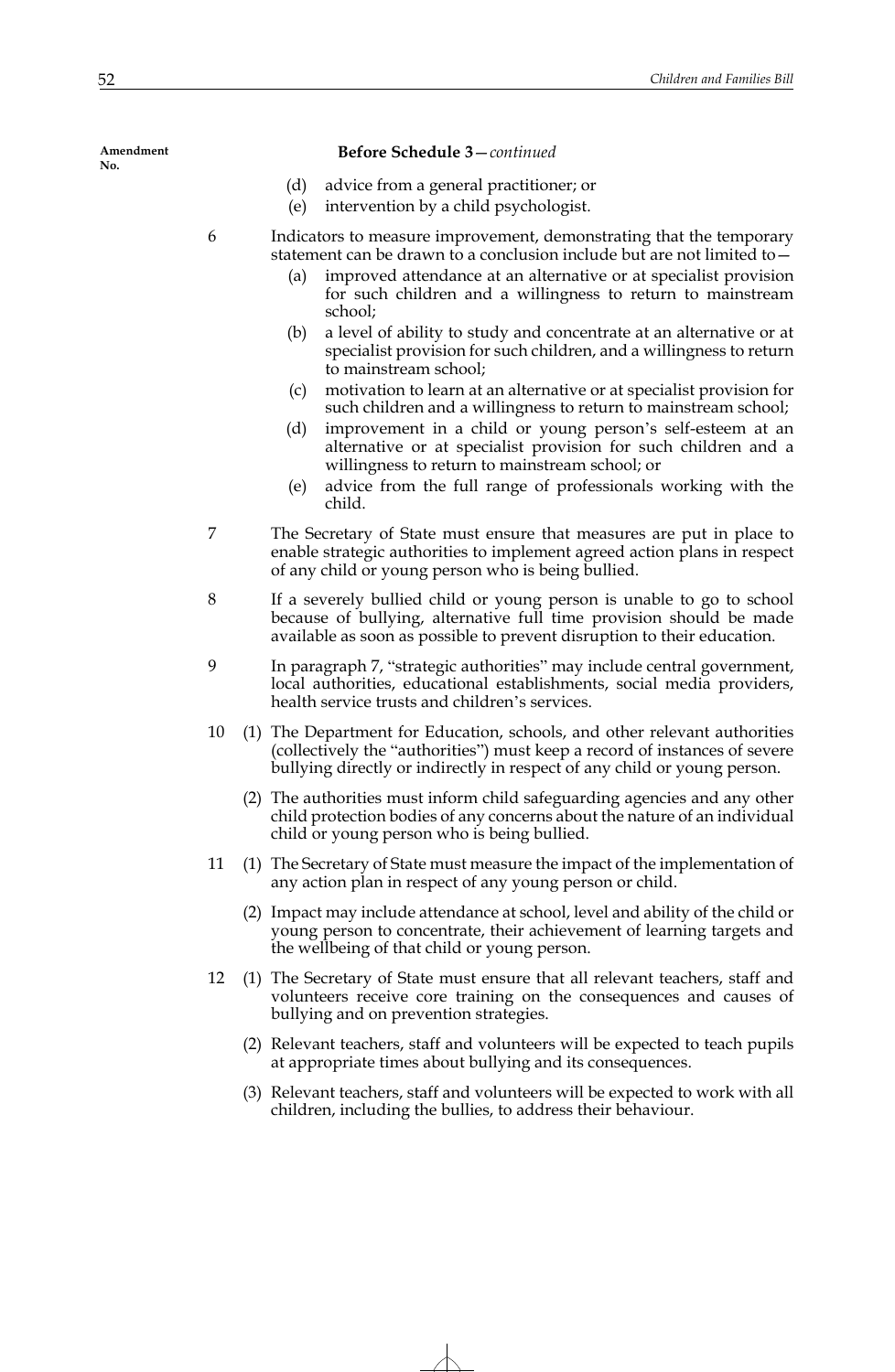#### **Before Schedule 3**—*continued*

- (d) advice from a general practitioner; or
- (e) intervention by a child psychologist.
- 6 Indicators to measure improvement, demonstrating that the temporary statement can be drawn to a conclusion include but are not limited to—
	- (a) improved attendance at an alternative or at specialist provision for such children and a willingness to return to mainstream school;
	- (b) a level of ability to study and concentrate at an alternative or at specialist provision for such children, and a willingness to return to mainstream school;
	- (c) motivation to learn at an alternative or at specialist provision for such children and a willingness to return to mainstream school;
	- (d) improvement in a child or young person's self-esteem at an alternative or at specialist provision for such children and a willingness to return to mainstream school; or
	- (e) advice from the full range of professionals working with the child.
- 7 The Secretary of State must ensure that measures are put in place to enable strategic authorities to implement agreed action plans in respect of any child or young person who is being bullied.
- 8 If a severely bullied child or young person is unable to go to school because of bullying, alternative full time provision should be made available as soon as possible to prevent disruption to their education.
- 9 In paragraph 7, "strategic authorities" may include central government, local authorities, educational establishments, social media providers, health service trusts and children's services.
- 10 (1) The Department for Education, schools, and other relevant authorities (collectively the "authorities") must keep a record of instances of severe bullying directly or indirectly in respect of any child or young person.
	- (2) The authorities must inform child safeguarding agencies and any other child protection bodies of any concerns about the nature of an individual child or young person who is being bullied.
- 11 (1) The Secretary of State must measure the impact of the implementation of any action plan in respect of any young person or child.
	- (2) Impact may include attendance at school, level and ability of the child or young person to concentrate, their achievement of learning targets and the wellbeing of that child or young person.
- 12 (1) The Secretary of State must ensure that all relevant teachers, staff and volunteers receive core training on the consequences and causes of bullying and on prevention strategies.
	- (2) Relevant teachers, staff and volunteers will be expected to teach pupils at appropriate times about bullying and its consequences.
	- (3) Relevant teachers, staff and volunteers will be expected to work with all children, including the bullies, to address their behaviour.

**Amendment No.**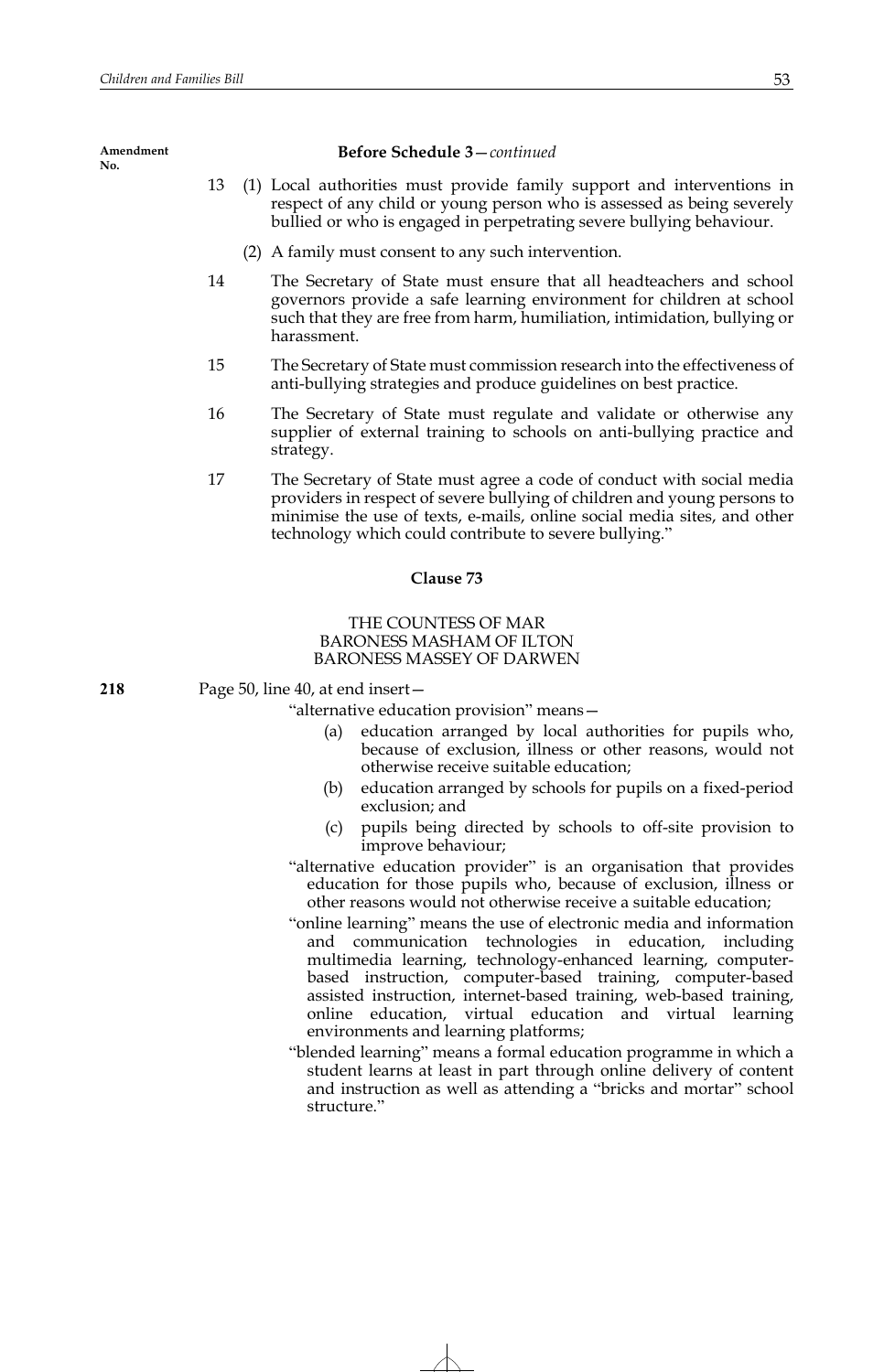| Amendment<br>No. |    | <b>Before Schedule 3-continued</b>                                                                                                                                                                                                      |
|------------------|----|-----------------------------------------------------------------------------------------------------------------------------------------------------------------------------------------------------------------------------------------|
|                  | 13 | (1) Local authorities must provide family support and interventions in<br>respect of any child or young person who is assessed as being severely<br>bullied or who is engaged in perpetrating severe bullying behaviour.                |
|                  |    | (2) A family must consent to any such intervention.                                                                                                                                                                                     |
|                  | 14 | The Secretary of State must ensure that all headteachers and school<br>governors provide a safe learning environment for children at school<br>such that they are free from harm, humiliation, intimidation, bullying or<br>harassment. |

- 15 The Secretary of State must commission research into the effectiveness of anti-bullying strategies and produce guidelines on best practice.
- 16 The Secretary of State must regulate and validate or otherwise any supplier of external training to schools on anti-bullying practice and strategy.
- 17 The Secretary of State must agree a code of conduct with social media providers in respect of severe bullying of children and young persons to minimise the use of texts, e-mails, online social media sites, and other technology which could contribute to severe bullying."

## **Clause 73**

## THE COUNTESS OF MAR BARONESS MASHAM OF ILTON BARONESS MASSEY OF DARWEN

**218** Page 50, line 40, at end insert—

"alternative education provision" means—

- (a) education arranged by local authorities for pupils who, because of exclusion, illness or other reasons, would not otherwise receive suitable education;
- (b) education arranged by schools for pupils on a fixed-period exclusion; and
- (c) pupils being directed by schools to off-site provision to improve behaviour;
- "alternative education provider" is an organisation that provides education for those pupils who, because of exclusion, illness or other reasons would not otherwise receive a suitable education;
- "online learning" means the use of electronic media and information and communication technologies in education, including multimedia learning, technology-enhanced learning, computerbased instruction, computer-based training, computer-based assisted instruction, internet-based training, web-based training, online education, virtual education and virtual learning environments and learning platforms;
- "blended learning" means a formal education programme in which a student learns at least in part through online delivery of content and instruction as well as attending a "bricks and mortar" school structure."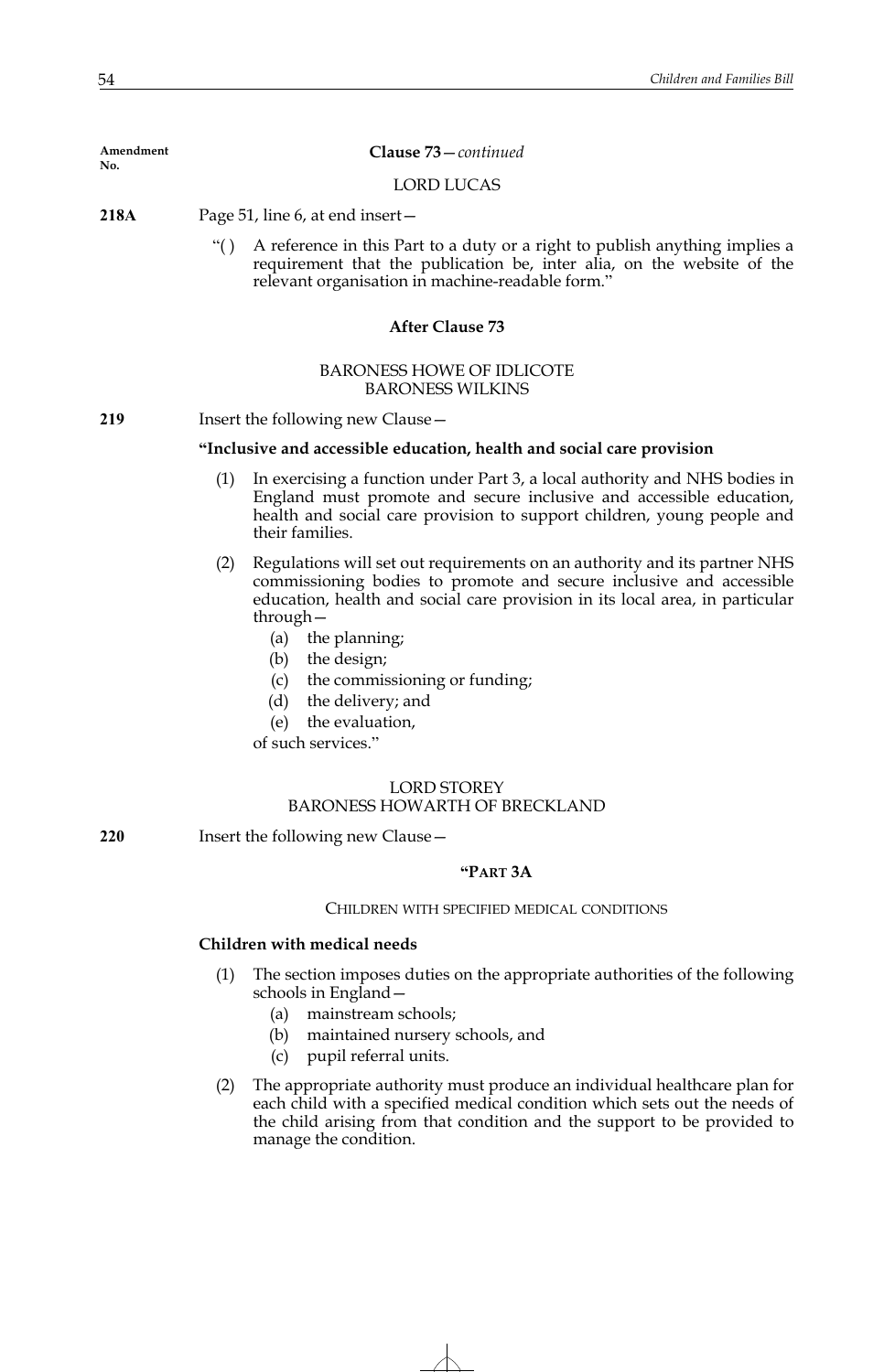**Clause 73**—*continued*

LORD LUCAS

- **218A** Page 51, line 6, at end insert—
	- "( ) A reference in this Part to a duty or a right to publish anything implies a requirement that the publication be, inter alia, on the website of the relevant organisation in machine-readable form."

# **After Clause 73**

## BARONESS HOWE OF IDLICOTE BARONESS WILKINS

**219** Insert the following new Clause—

# **"Inclusive and accessible education, health and social care provision**

- (1) In exercising a function under Part 3, a local authority and NHS bodies in England must promote and secure inclusive and accessible education, health and social care provision to support children, young people and their families.
- (2) Regulations will set out requirements on an authority and its partner NHS commissioning bodies to promote and secure inclusive and accessible education, health and social care provision in its local area, in particular through—
	- (a) the planning;
	- (b) the design;
	- (c) the commissioning or funding;
	- (d) the delivery; and
	- (e) the evaluation,

of such services."

# LORD STOREY BARONESS HOWARTH OF BRECKLAND

**220** Insert the following new Clause—

## **"PART 3A**

#### CHILDREN WITH SPECIFIED MEDICAL CONDITIONS

## **Children with medical needs**

- (1) The section imposes duties on the appropriate authorities of the following schools in England—
	- (a) mainstream schools;
	- (b) maintained nursery schools, and
	- (c) pupil referral units.
- (2) The appropriate authority must produce an individual healthcare plan for each child with a specified medical condition which sets out the needs of the child arising from that condition and the support to be provided to manage the condition.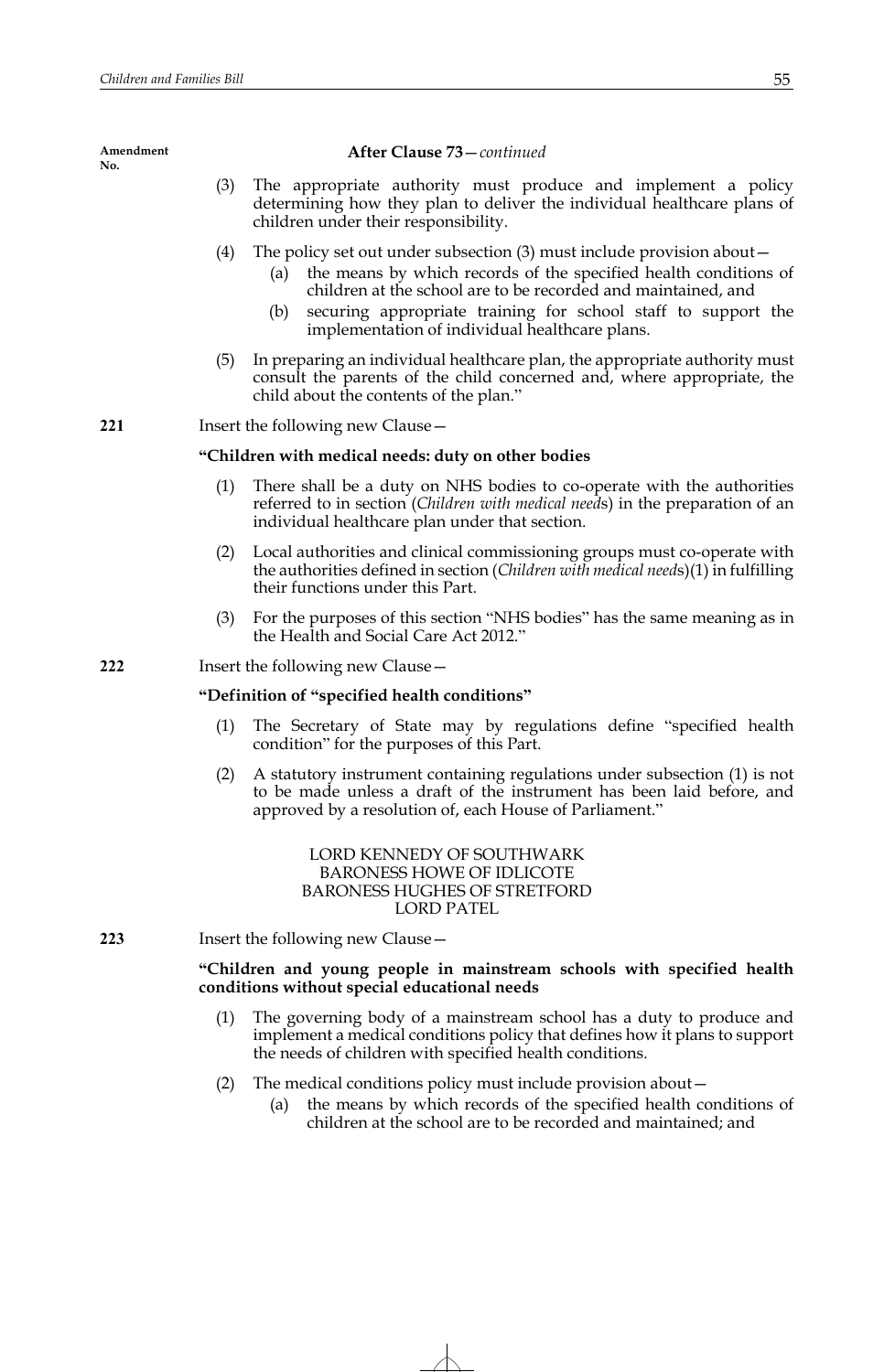**After Clause 73**—*continued*

- (3) The appropriate authority must produce and implement a policy determining how they plan to deliver the individual healthcare plans of children under their responsibility.
- (4) The policy set out under subsection (3) must include provision about—
	- (a) the means by which records of the specified health conditions of children at the school are to be recorded and maintained, and
	- (b) securing appropriate training for school staff to support the implementation of individual healthcare plans.
- (5) In preparing an individual healthcare plan, the appropriate authority must consult the parents of the child concerned and, where appropriate, the child about the contents of the plan."

**221** Insert the following new Clause—

## **"Children with medical needs: duty on other bodies**

- (1) There shall be a duty on NHS bodies to co-operate with the authorities referred to in section (*Children with medical need*s) in the preparation of an individual healthcare plan under that section.
- (2) Local authorities and clinical commissioning groups must co-operate with the authorities defined in section (*Children with medical need*s)(1) in fulfilling their functions under this Part.
- (3) For the purposes of this section "NHS bodies" has the same meaning as in the Health and Social Care Act 2012."
- **222** Insert the following new Clause—

## **"Definition of "specified health conditions"**

- (1) The Secretary of State may by regulations define "specified health condition" for the purposes of this Part.
- (2) A statutory instrument containing regulations under subsection (1) is not to be made unless a draft of the instrument has been laid before, and approved by a resolution of, each House of Parliament."

LORD KENNEDY OF SOUTHWARK BARONESS HOWE OF IDLICOTE BARONESS HUGHES OF STRETFORD LORD PATEL

## **223** Insert the following new Clause—

# **"Children and young people in mainstream schools with specified health conditions without special educational needs**

- (1) The governing body of a mainstream school has a duty to produce and implement a medical conditions policy that defines how it plans to support the needs of children with specified health conditions.
- (2) The medical conditions policy must include provision about—
	- (a) the means by which records of the specified health conditions of children at the school are to be recorded and maintained; and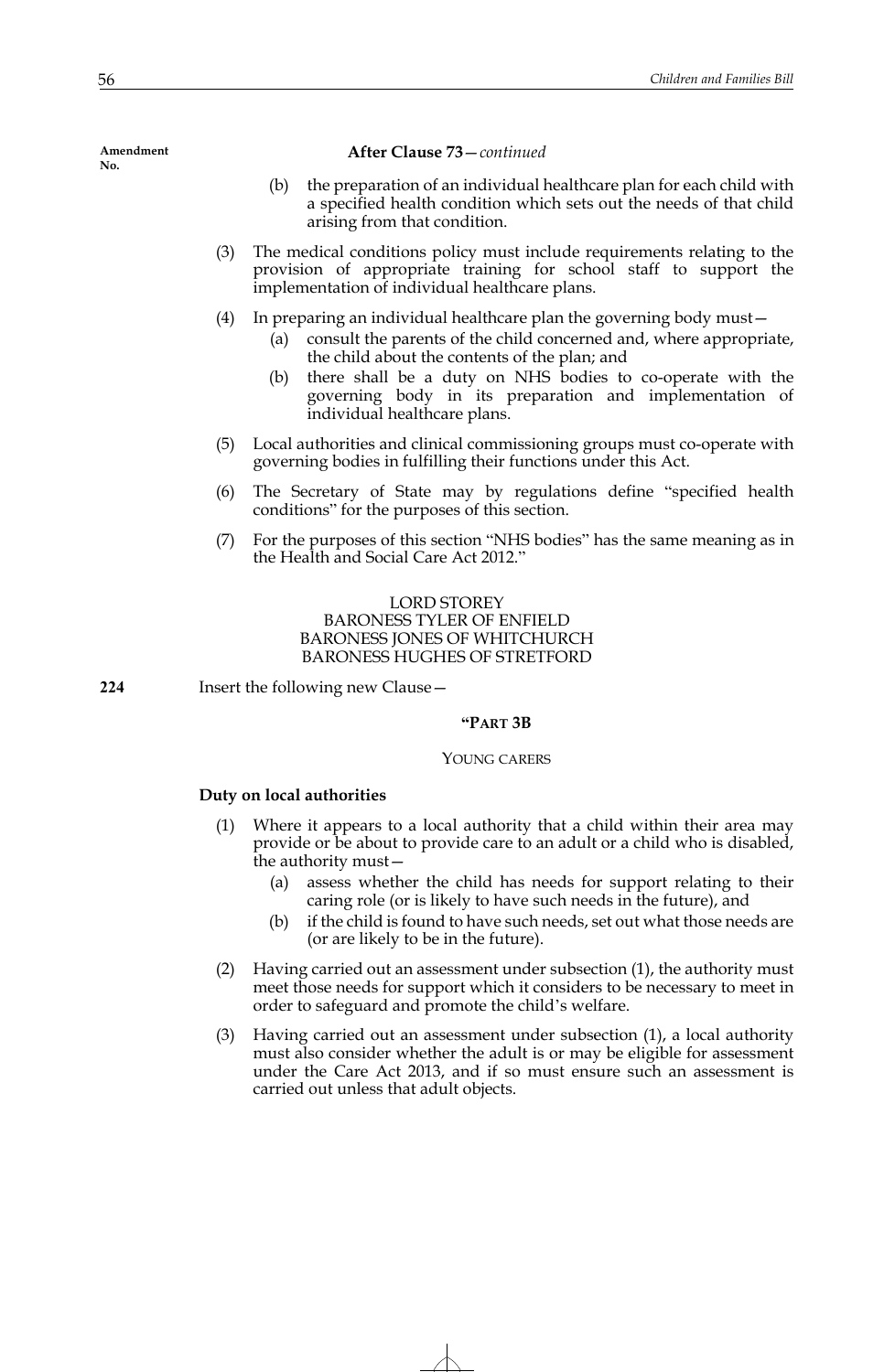**After Clause 73**—*continued*

- (b) the preparation of an individual healthcare plan for each child with a specified health condition which sets out the needs of that child arising from that condition.
- (3) The medical conditions policy must include requirements relating to the provision of appropriate training for school staff to support the implementation of individual healthcare plans.
- (4) In preparing an individual healthcare plan the governing body must—
	- (a) consult the parents of the child concerned and, where appropriate, the child about the contents of the plan; and
	- (b) there shall be a duty on NHS bodies to co-operate with the governing body in its preparation and implementation of individual healthcare plans.
- (5) Local authorities and clinical commissioning groups must co-operate with governing bodies in fulfilling their functions under this Act.
- (6) The Secretary of State may by regulations define "specified health conditions" for the purposes of this section.
- (7) For the purposes of this section "NHS bodies" has the same meaning as in the Health and Social Care Act 2012."

# LORD STOREY BARONESS TYLER OF ENFIELD BARONESS JONES OF WHITCHURCH BARONESS HUGHES OF STRETFORD

**224** Insert the following new Clause—

## **"PART 3B**

## YOUNG CARERS

# **Duty on local authorities**

- (1) Where it appears to a local authority that a child within their area may provide or be about to provide care to an adult or a child who is disabled, the authority must—
	- (a) assess whether the child has needs for support relating to their caring role (or is likely to have such needs in the future), and
	- (b) if the child is found to have such needs, set out what those needs are (or are likely to be in the future).
- (2) Having carried out an assessment under subsection (1), the authority must meet those needs for support which it considers to be necessary to meet in order to safeguard and promote the child's welfare.
- (3) Having carried out an assessment under subsection (1), a local authority must also consider whether the adult is or may be eligible for assessment under the Care Act 2013, and if so must ensure such an assessment is carried out unless that adult objects.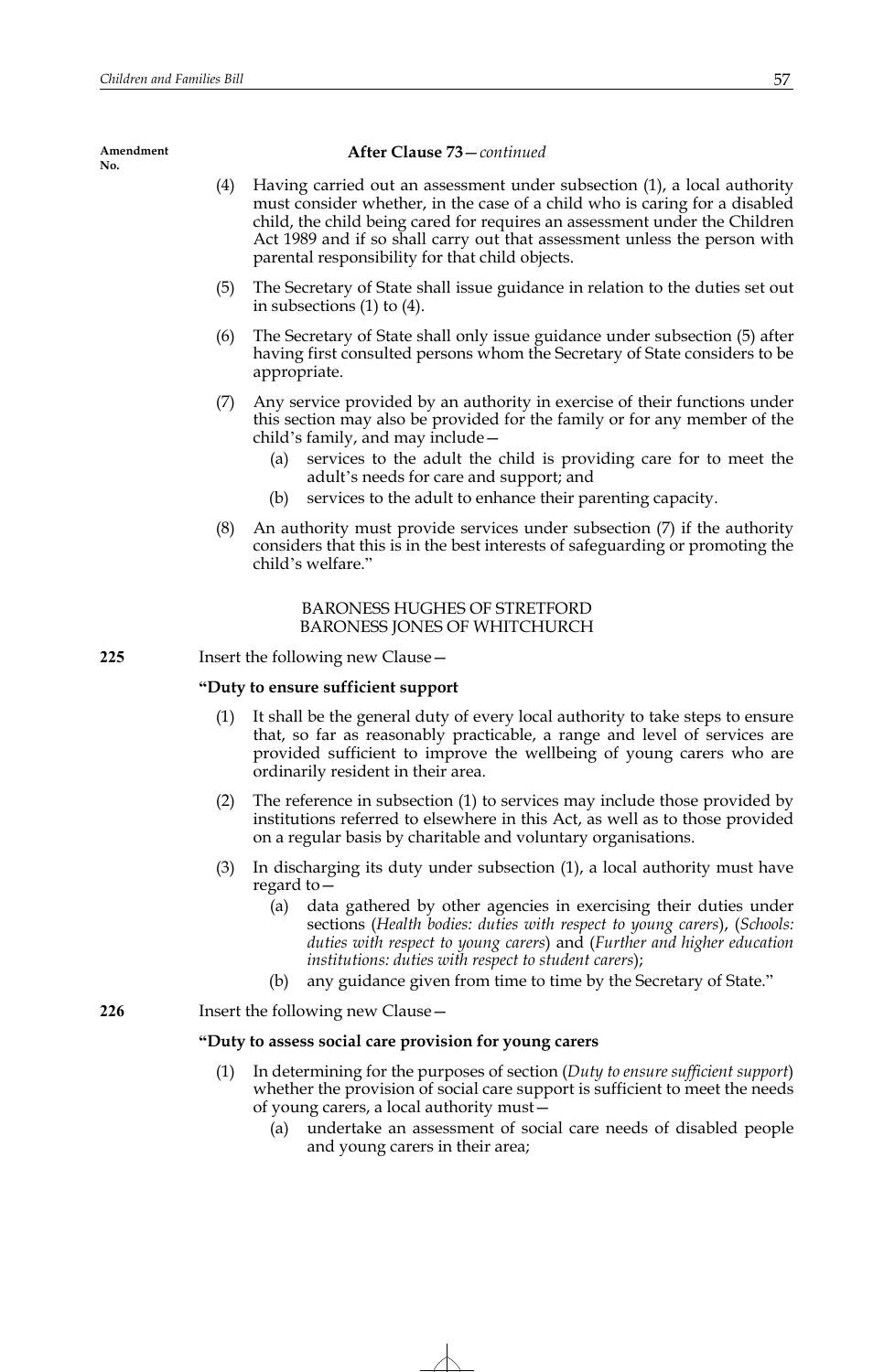**Amendment** 

# parental responsibility for that child objects. in subsections (1) to (4). appropriate. child's family, and may include adult's needs for care and support; and (b) services to the adult to enhance their parenting capacity. child's welfare." BARONESS HUGHES OF STRETFORD BARONESS JONES OF WHITCHURCH **"Duty to ensure sufficient support** (1) It shall be the general duty of every local authority to take steps to ensure ordinarily resident in their area. on a regular basis by charitable and voluntary organisations. regard to *institutions: duties with respect to student carers*); (b) any guidance given from time to time by the Secretary of State." **"Duty to assess social care provision for young carers** of young carers, a local authority must— **No.**

# **After Clause 73**—*continued*

- (4) Having carried out an assessment under subsection (1), a local authority must consider whether, in the case of a child who is caring for a disabled child, the child being cared for requires an assessment under the Children Act 1989 and if so shall carry out that assessment unless the person with
- (5) The Secretary of State shall issue guidance in relation to the duties set out
- (6) The Secretary of State shall only issue guidance under subsection (5) after having first consulted persons whom the Secretary of State considers to be
- (7) Any service provided by an authority in exercise of their functions under this section may also be provided for the family or for any member of the
	- (a) services to the adult the child is providing care for to meet the
- (8) An authority must provide services under subsection (7) if the authority considers that this is in the best interests of safeguarding or promoting the
- **225** Insert the following new Clause
	- that, so far as reasonably practicable, a range and level of services are provided sufficient to improve the wellbeing of young carers who are
	- (2) The reference in subsection (1) to services may include those provided by institutions referred to elsewhere in this Act, as well as to those provided
	- (3) In discharging its duty under subsection (1), a local authority must have
		- (a) data gathered by other agencies in exercising their duties under sections (*Health bodies: duties with respect to young carers*), (*Schools: duties with respect to young carers*) and (*Further and higher education*

# **226** Insert the following new Clause—

- (1) In determining for the purposes of section (*Duty to ensure sufficient support*) whether the provision of social care support is sufficient to meet the needs
	- (a) undertake an assessment of social care needs of disabled people and young carers in their area;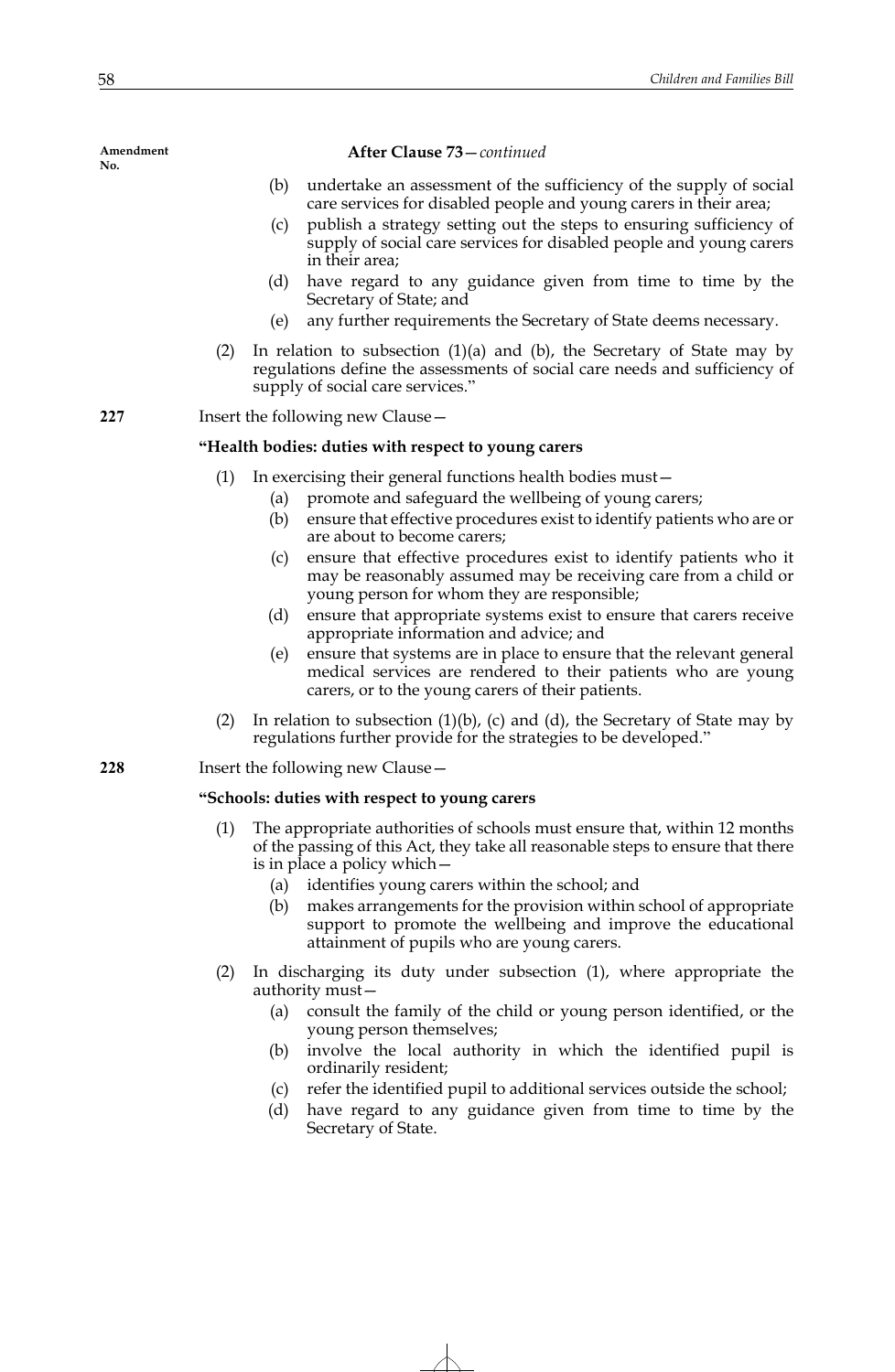## **After Clause 73**—*continued*

- (b) undertake an assessment of the sufficiency of the supply of social care services for disabled people and young carers in their area;
- (c) publish a strategy setting out the steps to ensuring sufficiency of supply of social care services for disabled people and young carers in their area;
- (d) have regard to any guidance given from time to time by the Secretary of State; and
- (e) any further requirements the Secretary of State deems necessary.
- (2) In relation to subsection  $(1)(a)$  and  $(b)$ , the Secretary of State may by regulations define the assessments of social care needs and sufficiency of supply of social care services."

**227** Insert the following new Clause—

### **"Health bodies: duties with respect to young carers**

- (1) In exercising their general functions health bodies must—
	- (a) promote and safeguard the wellbeing of young carers;
	- (b) ensure that effective procedures exist to identify patients who are or are about to become carers;
	- (c) ensure that effective procedures exist to identify patients who it may be reasonably assumed may be receiving care from a child or young person for whom they are responsible;
	- (d) ensure that appropriate systems exist to ensure that carers receive appropriate information and advice; and
	- (e) ensure that systems are in place to ensure that the relevant general medical services are rendered to their patients who are young carers, or to the young carers of their patients.
- (2) In relation to subsection  $(1)(b)$ , (c) and  $(d)$ , the Secretary of State may by regulations further provide for the strategies to be developed."

# **228** Insert the following new Clause—

## **"Schools: duties with respect to young carers**

- The appropriate authorities of schools must ensure that, within 12 months of the passing of this Act, they take all reasonable steps to ensure that there is in place a policy which—
	- (a) identifies young carers within the school; and
	- (b) makes arrangements for the provision within school of appropriate support to promote the wellbeing and improve the educational attainment of pupils who are young carers.
- (2) In discharging its duty under subsection (1), where appropriate the authority must—
	- (a) consult the family of the child or young person identified, or the young person themselves;
	- (b) involve the local authority in which the identified pupil is ordinarily resident;
	- (c) refer the identified pupil to additional services outside the school;
	- (d) have regard to any guidance given from time to time by the Secretary of State.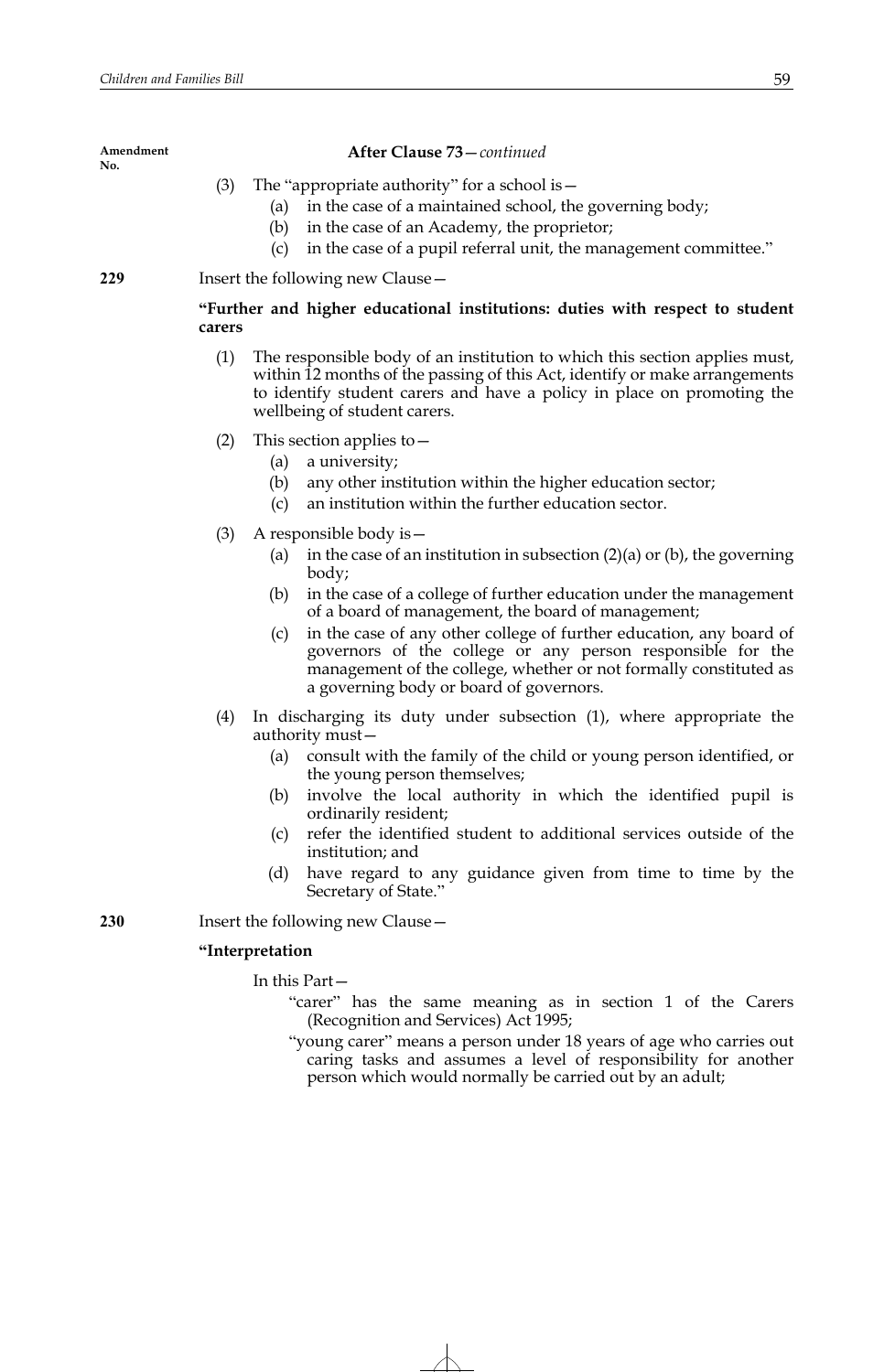**Amendment** 

| No. |                                                                                                                                                                                                                                                                                                                                                                                                                                                                                                                                  |
|-----|----------------------------------------------------------------------------------------------------------------------------------------------------------------------------------------------------------------------------------------------------------------------------------------------------------------------------------------------------------------------------------------------------------------------------------------------------------------------------------------------------------------------------------|
|     | (3)<br>The "appropriate authority" for a school is $-$<br>in the case of a maintained school, the governing body;<br>(a)<br>in the case of an Academy, the proprietor;<br>(b)<br>in the case of a pupil referral unit, the management committee."<br>(c)                                                                                                                                                                                                                                                                         |
| 229 | Insert the following new Clause-                                                                                                                                                                                                                                                                                                                                                                                                                                                                                                 |
|     | "Further and higher educational institutions: duties with respect to student<br>carers                                                                                                                                                                                                                                                                                                                                                                                                                                           |
|     | (1)<br>The responsible body of an institution to which this section applies must,<br>within 12 months of the passing of this Act, identify or make arrangements<br>to identify student carers and have a policy in place on promoting the<br>wellbeing of student carers.                                                                                                                                                                                                                                                        |
|     | This section applies to $-$<br>(2)<br>a university;<br>(a)<br>(b)<br>any other institution within the higher education sector;<br>an institution within the further education sector.<br>(c)                                                                                                                                                                                                                                                                                                                                     |
|     | (3)<br>A responsible body is $-$<br>in the case of an institution in subsection $(2)(a)$ or $(b)$ , the governing<br>(a)<br>body;<br>in the case of a college of further education under the management<br>(b)<br>of a board of management, the board of management;<br>in the case of any other college of further education, any board of<br>(c)<br>governors of the college or any person responsible for the<br>management of the college, whether or not formally constituted as<br>a governing body or board of governors. |
|     | In discharging its duty under subsection (1), where appropriate the<br>(4)<br>authority must-<br>consult with the family of the child or young person identified, or<br>(a)<br>the young person themselves;<br>involve the local authority in which the identified pupil is<br>(b)<br>ordinarily resident;<br>refer the identified student to additional services outside of the<br>(c)<br>institution; and<br>have regard to any guidance given from time to time by the<br>(d)<br>Secretary of State."                         |
| 230 | Insert the following new Clause -                                                                                                                                                                                                                                                                                                                                                                                                                                                                                                |
|     | "Interpretation                                                                                                                                                                                                                                                                                                                                                                                                                                                                                                                  |
|     | In this Part-<br>"carer" has the same meaning as in section 1 of the Carers<br>(Recognition and Services) Act 1995;                                                                                                                                                                                                                                                                                                                                                                                                              |

**After Clause 73**—*continued*

"young carer" means a person under 18 years of age who carries out caring tasks and assumes a level of responsibility for another person which would normally be carried out by an adult;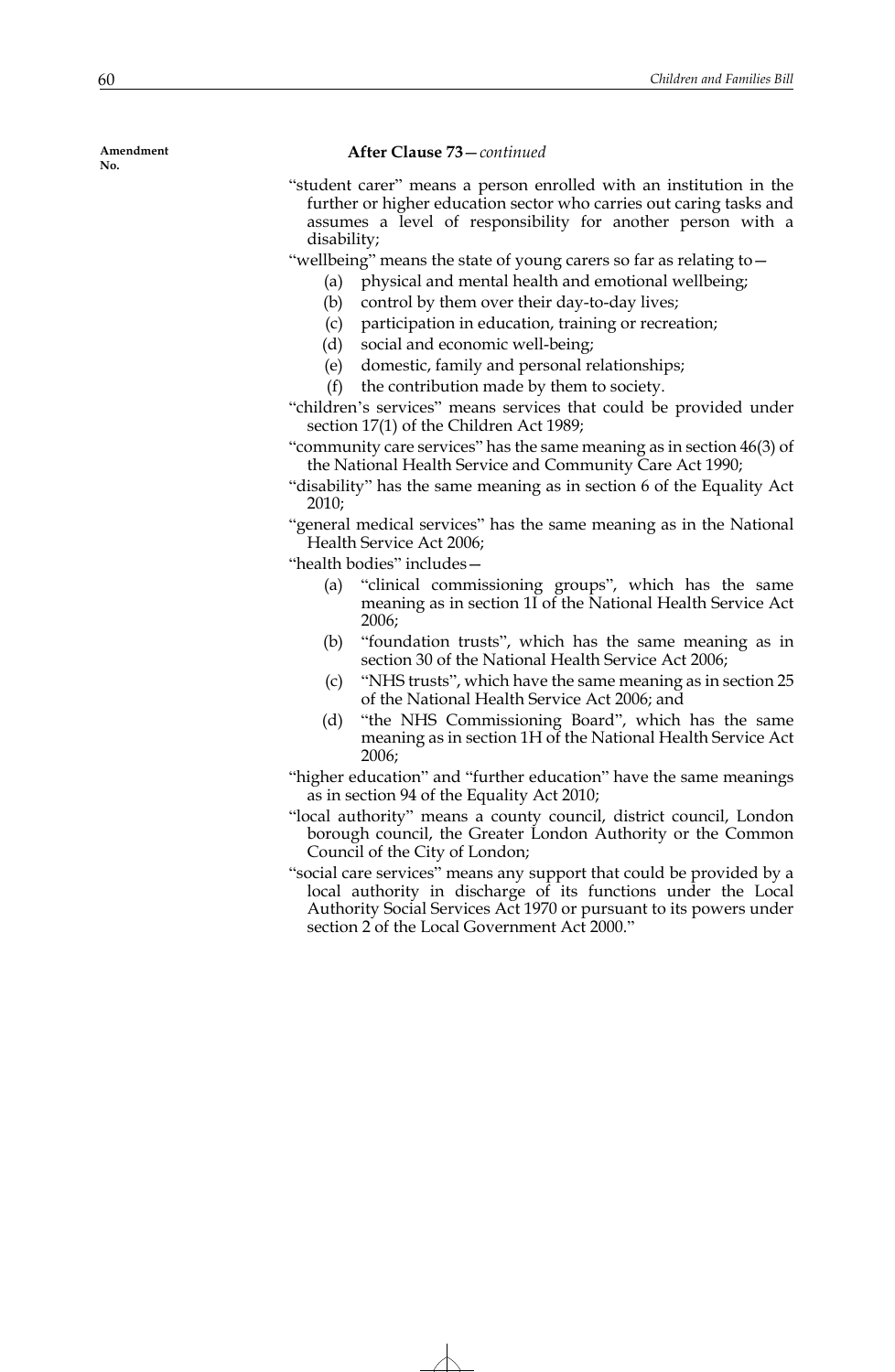#### **After Clause 73**—*continued*

- "student carer" means a person enrolled with an institution in the further or higher education sector who carries out caring tasks and assumes a level of responsibility for another person with a disability;
- "wellbeing" means the state of young carers so far as relating to—
	- (a) physical and mental health and emotional wellbeing;
	- (b) control by them over their day-to-day lives;
	- (c) participation in education, training or recreation;
	- (d) social and economic well-being;
	- (e) domestic, family and personal relationships;
	- (f) the contribution made by them to society.

"children's services" means services that could be provided under section 17(1) of the Children Act 1989;

"community care services" has the same meaning as in section 46(3) of the National Health Service and Community Care Act 1990;

"disability" has the same meaning as in section 6 of the Equality Act 2010;

"general medical services" has the same meaning as in the National Health Service Act 2006;

"health bodies" includes—

- (a) "clinical commissioning groups", which has the same meaning as in section 1I of the National Health Service Act 2006;
- (b) "foundation trusts", which has the same meaning as in section 30 of the National Health Service Act 2006;
- (c) "NHS trusts", which have the same meaning as in section 25 of the National Health Service Act 2006; and
- (d) "the NHS Commissioning Board", which has the same meaning as in section 1H of the National Health Service Act 2006;
- "higher education" and "further education" have the same meanings as in section 94 of the Equality Act 2010;
- "local authority" means a county council, district council, London borough council, the Greater London Authority or the Common Council of the City of London;
- "social care services" means any support that could be provided by a local authority in discharge of its functions under the Local Authority Social Services Act 1970 or pursuant to its powers under section 2 of the Local Government Act 2000."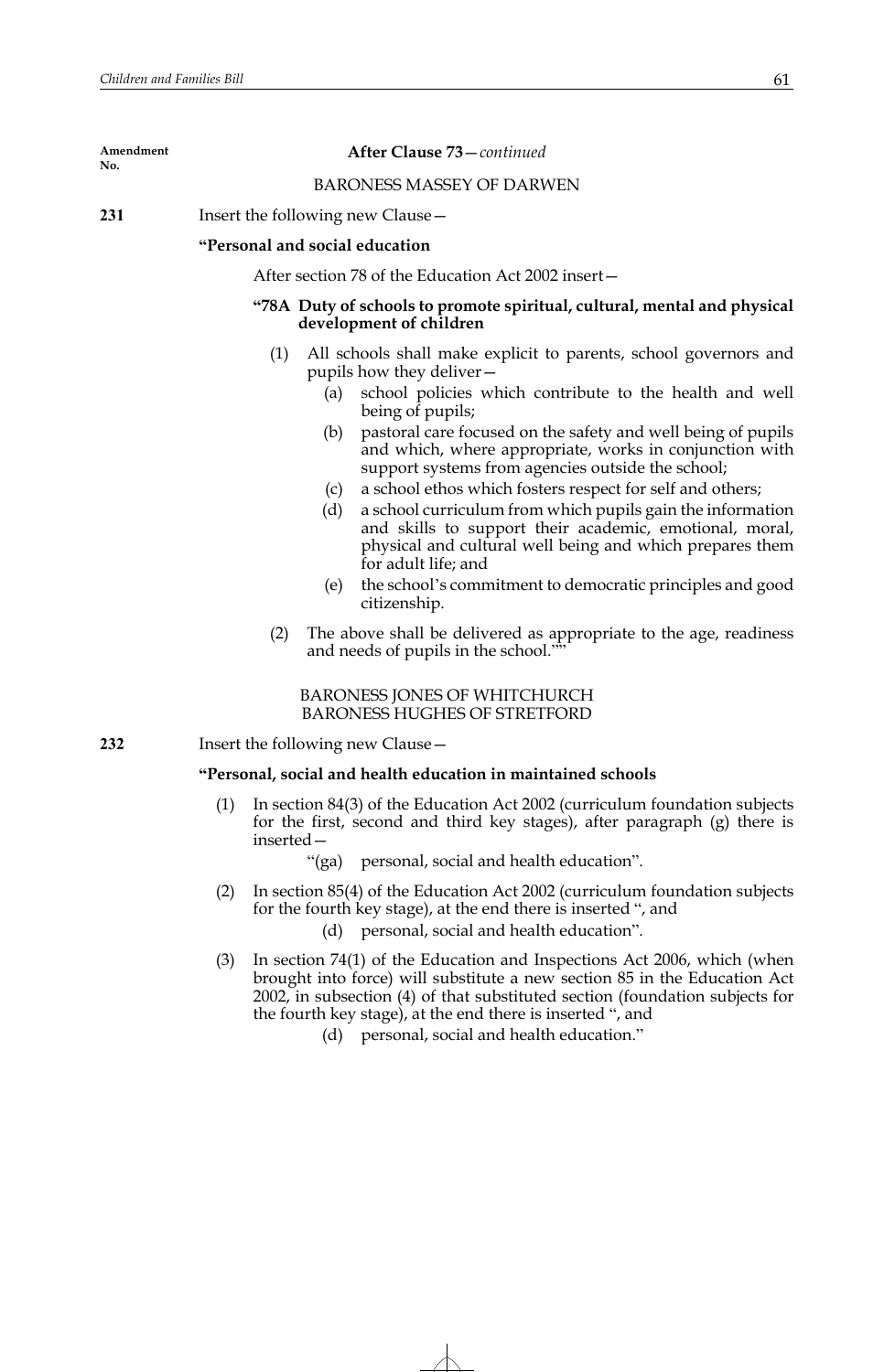## **After Clause 73**—*continued*

## BARONESS MASSEY OF DARWEN

**231** Insert the following new Clause—

## **"Personal and social education**

After section 78 of the Education Act 2002 insert—

# **"78A Duty of schools to promote spiritual, cultural, mental and physical development of children**

- (1) All schools shall make explicit to parents, school governors and pupils how they deliver—
	- (a) school policies which contribute to the health and well being of pupils;
	- (b) pastoral care focused on the safety and well being of pupils and which, where appropriate, works in conjunction with support systems from agencies outside the school;
	- (c) a school ethos which fosters respect for self and others;
	- (d) a school curriculum from which pupils gain the information and skills to support their academic, emotional, moral, physical and cultural well being and which prepares them for adult life; and
	- (e) the school's commitment to democratic principles and good citizenship.
- (2) The above shall be delivered as appropriate to the age, readiness and needs of pupils in the school."

BARONESS JONES OF WHITCHURCH BARONESS HUGHES OF STRETFORD

**232** Insert the following new Clause—

#### **"Personal, social and health education in maintained schools**

- In section 84(3) of the Education Act 2002 (curriculum foundation subjects for the first, second and third key stages), after paragraph (g) there is inserted—
	- "(ga) personal, social and health education".
- (2) In section 85(4) of the Education Act 2002 (curriculum foundation subjects for the fourth key stage), at the end there is inserted ", and
	- (d) personal, social and health education".
- (3) In section 74(1) of the Education and Inspections Act 2006, which (when brought into force) will substitute a new section 85 in the Education Act 2002, in subsection (4) of that substituted section (foundation subjects for the fourth key stage), at the end there is inserted ", and
	- (d) personal, social and health education."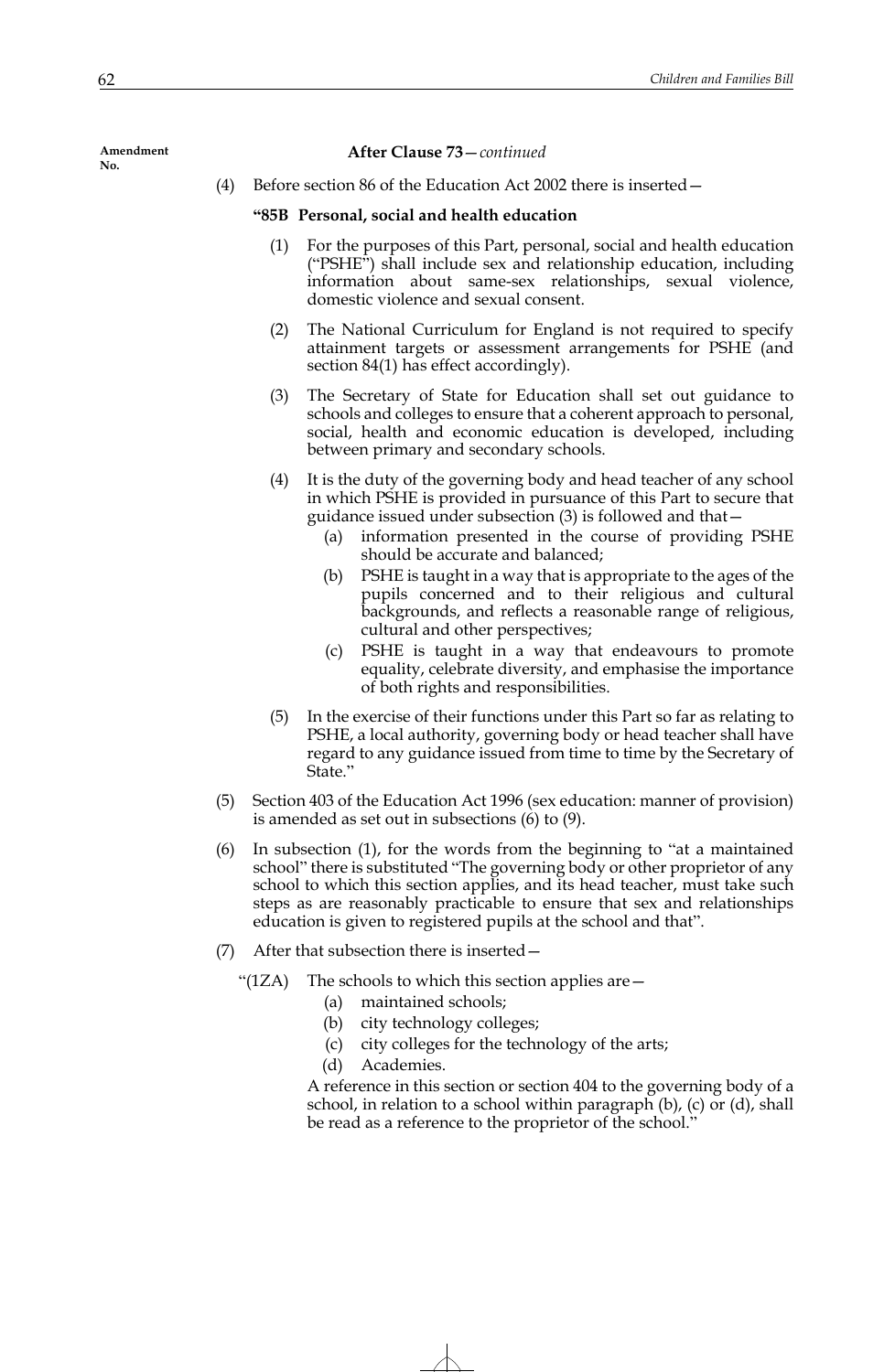#### **After Clause 73**—*continued*

(4) Before section 86 of the Education Act 2002 there is inserted—

## **"85B Personal, social and health education**

- (1) For the purposes of this Part, personal, social and health education ("PSHE") shall include sex and relationship education, including information about same-sex relationships, sexual violence, domestic violence and sexual consent.
- (2) The National Curriculum for England is not required to specify attainment targets or assessment arrangements for PSHE (and section 84(1) has effect accordingly).
- (3) The Secretary of State for Education shall set out guidance to schools and colleges to ensure that a coherent approach to personal, social, health and economic education is developed, including between primary and secondary schools.
- (4) It is the duty of the governing body and head teacher of any school in which PSHE is provided in pursuance of this Part to secure that guidance issued under subsection (3) is followed and that—
	- (a) information presented in the course of providing PSHE should be accurate and balanced;
	- (b) PSHE is taught in a way that is appropriate to the ages of the pupils concerned and to their religious and cultural backgrounds, and reflects a reasonable range of religious, cultural and other perspectives;
	- (c) PSHE is taught in a way that endeavours to promote equality, celebrate diversity, and emphasise the importance of both rights and responsibilities.
- (5) In the exercise of their functions under this Part so far as relating to PSHE, a local authority, governing body or head teacher shall have regard to any guidance issued from time to time by the Secretary of State."
- (5) Section 403 of the Education Act 1996 (sex education: manner of provision) is amended as set out in subsections (6) to (9).
- (6) In subsection (1), for the words from the beginning to "at a maintained school" there is substituted "The governing body or other proprietor of any school to which this section applies, and its head teacher, must take such steps as are reasonably practicable to ensure that sex and relationships education is given to registered pupils at the school and that".
- (7) After that subsection there is inserted—
	- "(1ZA) The schools to which this section applies are  $-$ 
		- (a) maintained schools;
		- (b) city technology colleges;
		- (c) city colleges for the technology of the arts;
		- (d) Academies.

A reference in this section or section 404 to the governing body of a school, in relation to a school within paragraph (b), (c) or (d), shall be read as a reference to the proprietor of the school."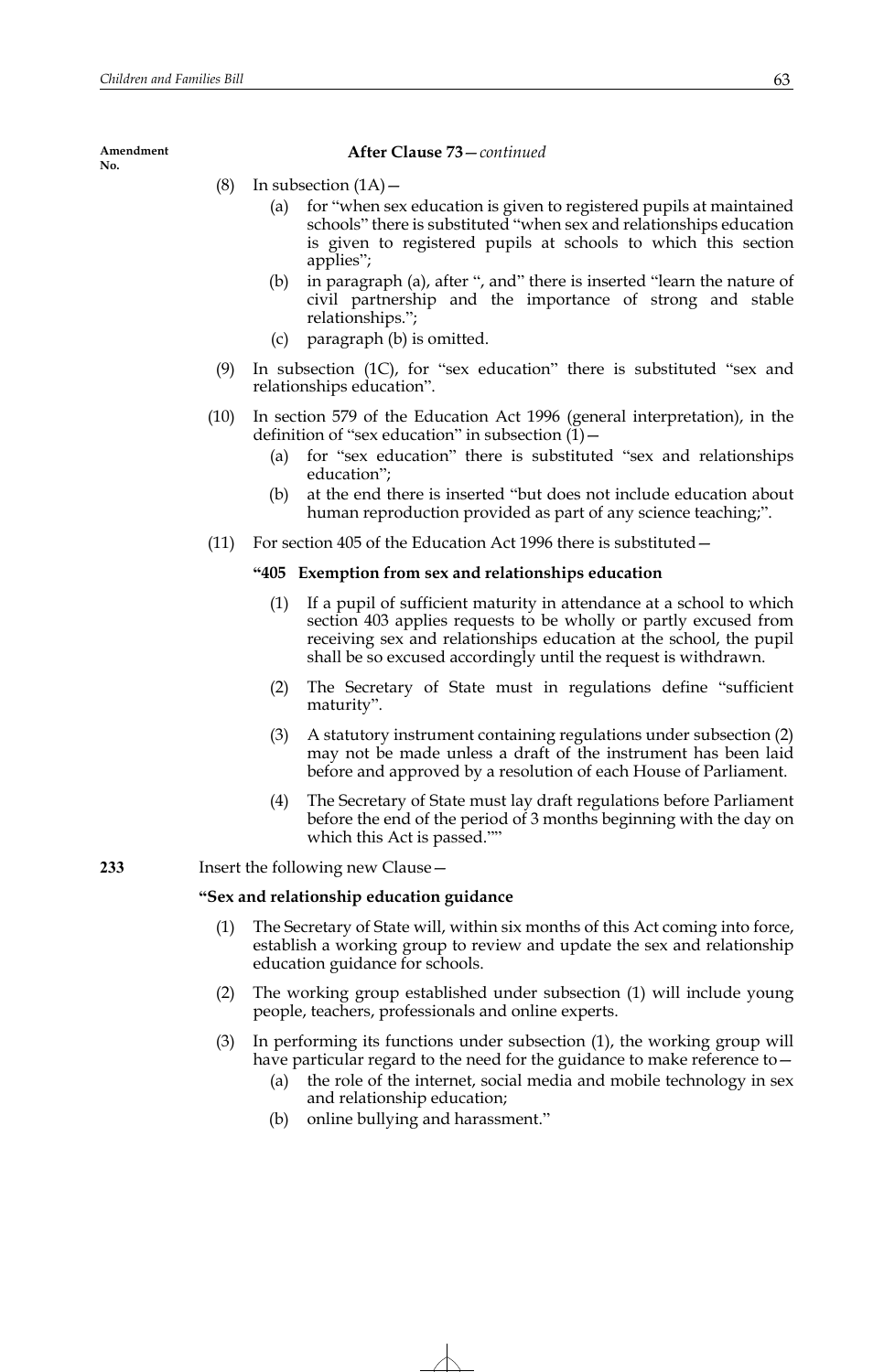## **After Clause 73**—*continued*

- (8) In subsection  $(1A)$ 
	- (a) for "when sex education is given to registered pupils at maintained schools" there is substituted "when sex and relationships education is given to registered pupils at schools to which this section applies";
	- (b) in paragraph (a), after ", and" there is inserted "learn the nature of civil partnership and the importance of strong and stable relationships.";
	- (c) paragraph (b) is omitted.
- (9) In subsection (1C), for "sex education" there is substituted "sex and relationships education".
- (10) In section 579 of the Education Act 1996 (general interpretation), in the definition of "sex education" in subsection  $(1)$  –
	- (a) for "sex education" there is substituted "sex and relationships education";
	- (b) at the end there is inserted "but does not include education about human reproduction provided as part of any science teaching;".
- (11) For section 405 of the Education Act 1996 there is substituted—

# **"405 Exemption from sex and relationships education**

- (1) If a pupil of sufficient maturity in attendance at a school to which section 403 applies requests to be wholly or partly excused from receiving sex and relationships education at the school, the pupil shall be so excused accordingly until the request is withdrawn.
- (2) The Secretary of State must in regulations define "sufficient maturity".
- (3) A statutory instrument containing regulations under subsection (2) may not be made unless a draft of the instrument has been laid before and approved by a resolution of each House of Parliament.
- (4) The Secretary of State must lay draft regulations before Parliament before the end of the period of 3 months beginning with the day on which this Act is passed.""

**233** Insert the following new Clause—

# **"Sex and relationship education guidance**

- (1) The Secretary of State will, within six months of this Act coming into force, establish a working group to review and update the sex and relationship education guidance for schools.
- (2) The working group established under subsection (1) will include young people, teachers, professionals and online experts.
- (3) In performing its functions under subsection (1), the working group will have particular regard to the need for the guidance to make reference to—
	- (a) the role of the internet, social media and mobile technology in sex and relationship education;
	- (b) online bullying and harassment."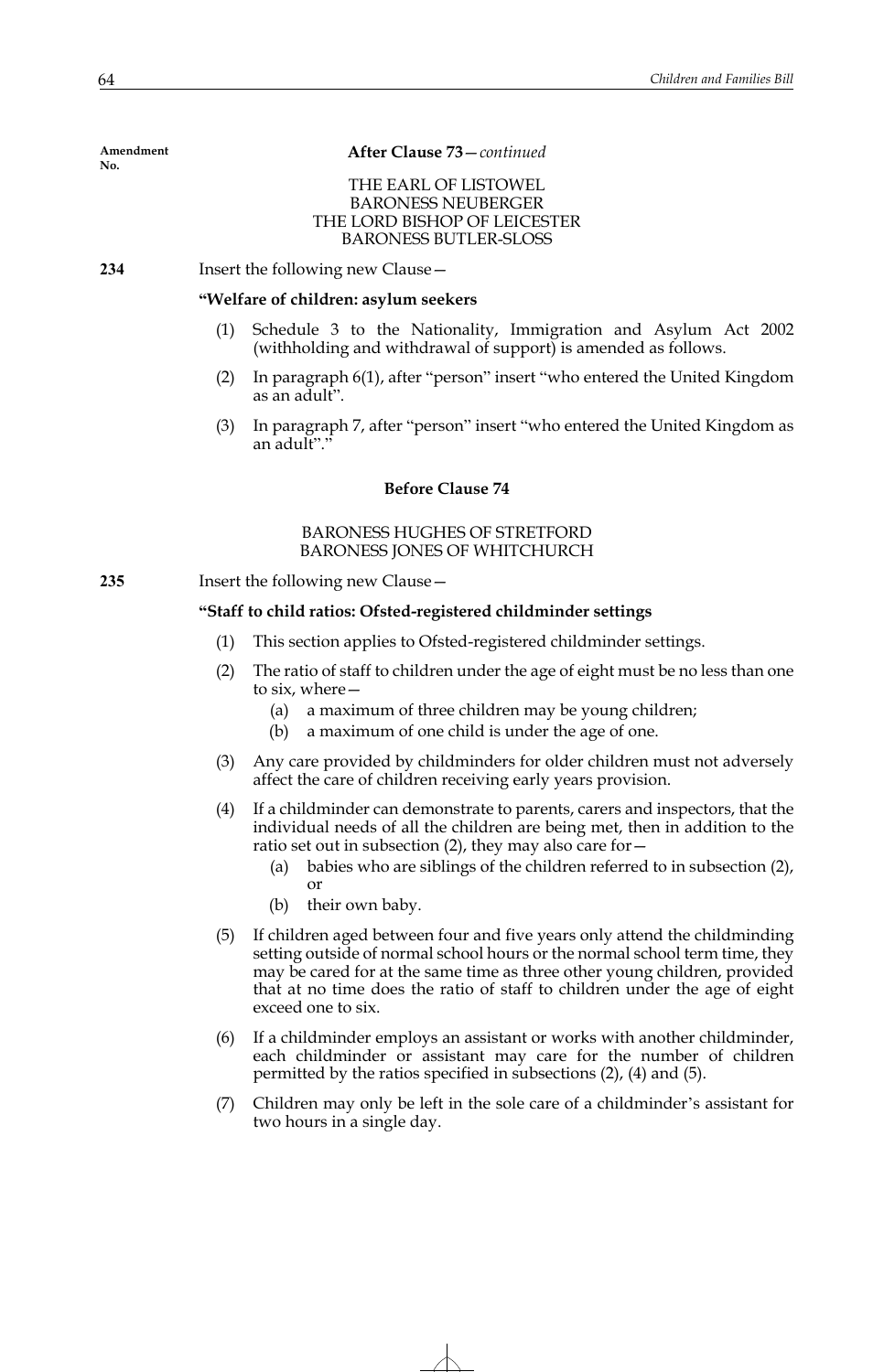**After Clause 73**—*continued*

## THE EARL OF LISTOWEL BARONESS NEUBERGER THE LORD BISHOP OF LEICESTER BARONESS BUTLER-SLOSS

**234** Insert the following new Clause—

### **"Welfare of children: asylum seekers**

- Schedule 3 to the Nationality, Immigration and Asylum Act 2002 (withholding and withdrawal of support) is amended as follows.
- (2) In paragraph 6(1), after "person" insert "who entered the United Kingdom as an adult".
- (3) In paragraph 7, after "person" insert "who entered the United Kingdom as an adult"."

# **Before Clause 74**

## BARONESS HUGHES OF STRETFORD BARONESS JONES OF WHITCHURCH

**235** Insert the following new Clause—

## **"Staff to child ratios: Ofsted-registered childminder settings**

- (1) This section applies to Ofsted-registered childminder settings.
- (2) The ratio of staff to children under the age of eight must be no less than one to six, where—
	- (a) a maximum of three children may be young children;
	- (b) a maximum of one child is under the age of one.
- (3) Any care provided by childminders for older children must not adversely affect the care of children receiving early years provision.
- (4) If a childminder can demonstrate to parents, carers and inspectors, that the individual needs of all the children are being met, then in addition to the ratio set out in subsection  $(2)$ , they may also care for  $-$ 
	- (a) babies who are siblings of the children referred to in subsection (2), or
	- (b) their own baby.
- (5) If children aged between four and five years only attend the childminding setting outside of normal school hours or the normal school term time, they may be cared for at the same time as three other young children, provided that at no time does the ratio of staff to children under the age of eight exceed one to six.
- (6) If a childminder employs an assistant or works with another childminder, each childminder or assistant may care for the number of children permitted by the ratios specified in subsections (2), (4) and (5).
- (7) Children may only be left in the sole care of a childminder's assistant for two hours in a single day.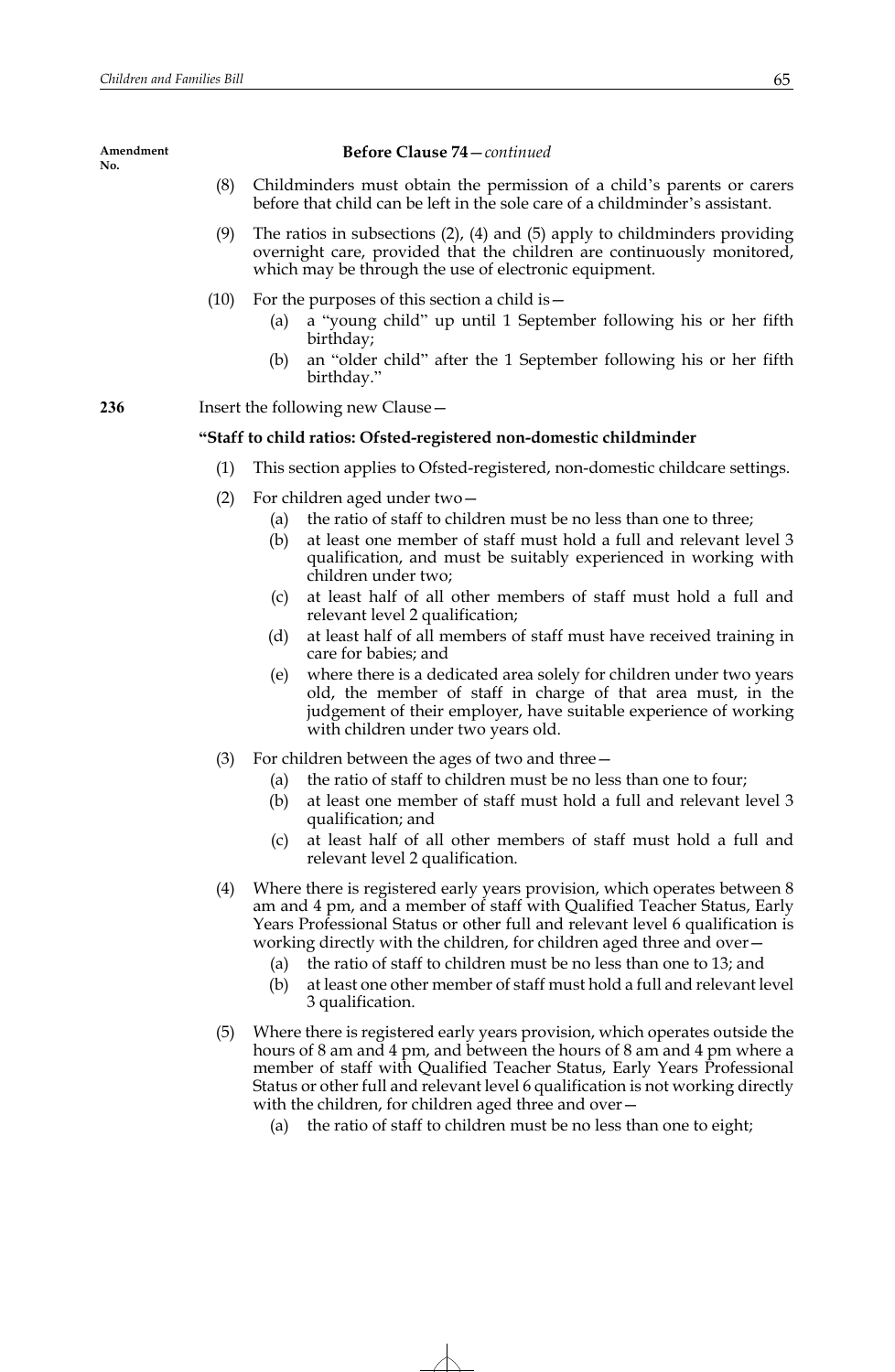**Before Clause 74**—*continued*

- (8) Childminders must obtain the permission of a child's parents or carers before that child can be left in the sole care of a childminder's assistant.
- (9) The ratios in subsections (2), (4) and (5) apply to childminders providing overnight care, provided that the children are continuously monitored, which may be through the use of electronic equipment.
- (10) For the purposes of this section a child is—
	- (a) a "young child" up until 1 September following his or her fifth birthday;
	- (b) an "older child" after the 1 September following his or her fifth birthday."

**236** Insert the following new Clause—

# **"Staff to child ratios: Ofsted-registered non-domestic childminder**

- (1) This section applies to Ofsted-registered, non-domestic childcare settings.
- (2) For children aged under two—
	- (a) the ratio of staff to children must be no less than one to three;
	- (b) at least one member of staff must hold a full and relevant level 3 qualification, and must be suitably experienced in working with children under two;
	- (c) at least half of all other members of staff must hold a full and relevant level 2 qualification;
	- (d) at least half of all members of staff must have received training in care for babies; and
	- (e) where there is a dedicated area solely for children under two years old, the member of staff in charge of that area must, in the judgement of their employer, have suitable experience of working with children under two years old.
- (3) For children between the ages of two and three—
	- (a) the ratio of staff to children must be no less than one to four;
	- (b) at least one member of staff must hold a full and relevant level 3 qualification; and
	- (c) at least half of all other members of staff must hold a full and relevant level 2 qualification.
- (4) Where there is registered early years provision, which operates between 8 am and 4 pm, and a member of staff with Qualified Teacher Status, Early Years Professional Status or other full and relevant level 6 qualification is working directly with the children, for children aged three and over—
	- (a) the ratio of staff to children must be no less than one to 13; and
	- (b) at least one other member of staff must hold a full and relevant level 3 qualification.
- (5) Where there is registered early years provision, which operates outside the hours of 8 am and 4 pm, and between the hours of 8 am and 4 pm where a member of staff with Qualified Teacher Status, Early Years Professional Status or other full and relevant level 6 qualification is not working directly with the children, for children aged three and over-
	- (a) the ratio of staff to children must be no less than one to eight;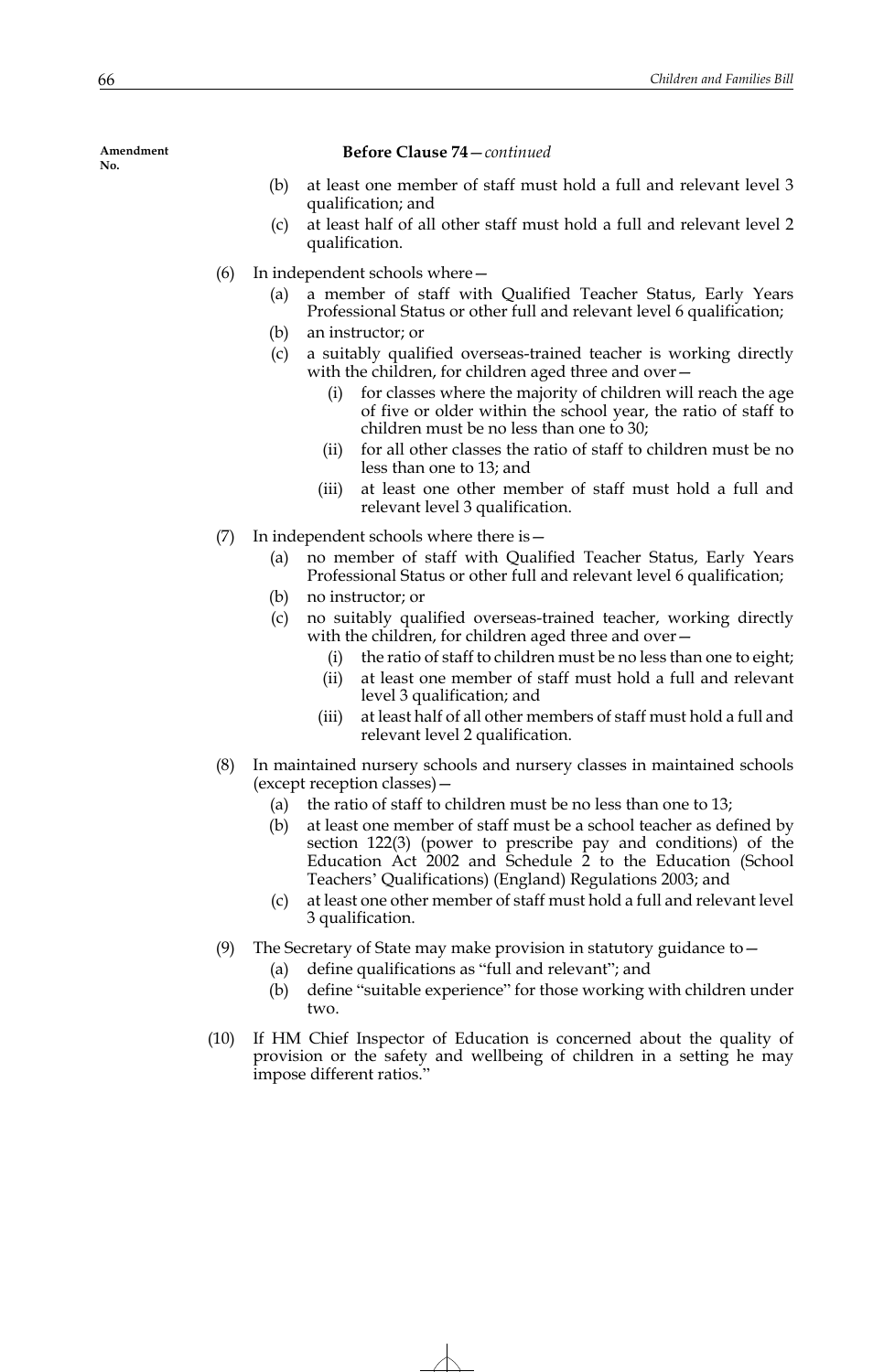**Before Clause 74**—*continued*

- (b) at least one member of staff must hold a full and relevant level 3 qualification; and
- (c) at least half of all other staff must hold a full and relevant level 2 qualification.
- (6) In independent schools where—
	- (a) a member of staff with Qualified Teacher Status, Early Years Professional Status or other full and relevant level 6 qualification;
	- (b) an instructor; or
	- (c) a suitably qualified overseas-trained teacher is working directly with the children, for children aged three and over-
		- (i) for classes where the majority of children will reach the age of five or older within the school year, the ratio of staff to children must be no less than one to 30;
		- (ii) for all other classes the ratio of staff to children must be no less than one to 13; and
		- (iii) at least one other member of staff must hold a full and relevant level 3 qualification.
- (7) In independent schools where there is—
	- (a) no member of staff with Qualified Teacher Status, Early Years Professional Status or other full and relevant level 6 qualification;
	- (b) no instructor; or
	- (c) no suitably qualified overseas-trained teacher, working directly with the children, for children aged three and over -
		- (i) the ratio of staff to children must be no less than one to eight;
		- (ii) at least one member of staff must hold a full and relevant level 3 qualification; and
		- (iii) at least half of all other members of staff must hold a full and relevant level 2 qualification.
- (8) In maintained nursery schools and nursery classes in maintained schools (except reception classes)—
	- (a) the ratio of staff to children must be no less than one to 13;
	- (b) at least one member of staff must be a school teacher as defined by section 122(3) (power to prescribe pay and conditions) of the Education Act 2002 and Schedule 2 to the Education (School Teachers' Qualifications) (England) Regulations 2003; and
	- (c) at least one other member of staff must hold a full and relevant level 3 qualification.
- (9) The Secretary of State may make provision in statutory guidance to—
	- (a) define qualifications as "full and relevant"; and
	- (b) define "suitable experience" for those working with children under two.
- (10) If HM Chief Inspector of Education is concerned about the quality of provision or the safety and wellbeing of children in a setting he may impose different ratios."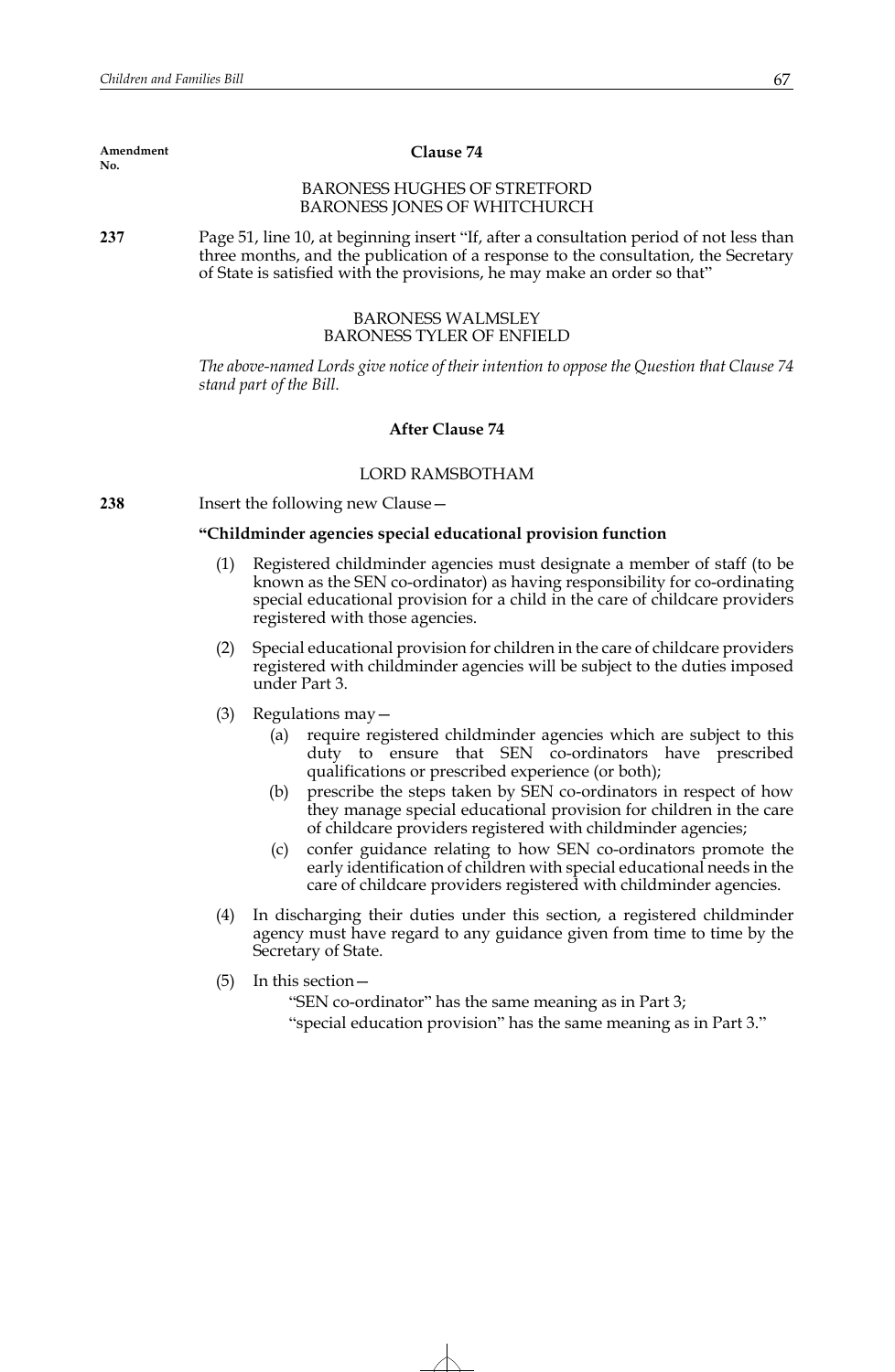#### **Clause 74**

# BARONESS HUGHES OF STRETFORD BARONESS JONES OF WHITCHURCH

**237** Page 51, line 10, at beginning insert "If, after a consultation period of not less than three months, and the publication of a response to the consultation, the Secretary of State is satisfied with the provisions, he may make an order so that"

## BARONESS WALMSLEY BARONESS TYLER OF ENFIELD

*The above-named Lords give notice of their intention to oppose the Question that Clause 74 stand part of the Bill.*

## **After Clause 74**

## LORD RAMSBOTHAM

**238** Insert the following new Clause—

# **"Childminder agencies special educational provision function**

- (1) Registered childminder agencies must designate a member of staff (to be known as the SEN co-ordinator) as having responsibility for co-ordinating special educational provision for a child in the care of childcare providers registered with those agencies.
- (2) Special educational provision for children in the care of childcare providers registered with childminder agencies will be subject to the duties imposed under Part 3.
- (3) Regulations may—
	- (a) require registered childminder agencies which are subject to this duty to ensure that SEN co-ordinators have prescribed qualifications or prescribed experience (or both);
	- (b) prescribe the steps taken by SEN co-ordinators in respect of how they manage special educational provision for children in the care of childcare providers registered with childminder agencies;
	- (c) confer guidance relating to how SEN co-ordinators promote the early identification of children with special educational needs in the care of childcare providers registered with childminder agencies.
- (4) In discharging their duties under this section, a registered childminder agency must have regard to any guidance given from time to time by the Secretary of State.
- (5) In this section—

"SEN co-ordinator" has the same meaning as in Part 3;

"special education provision" has the same meaning as in Part 3."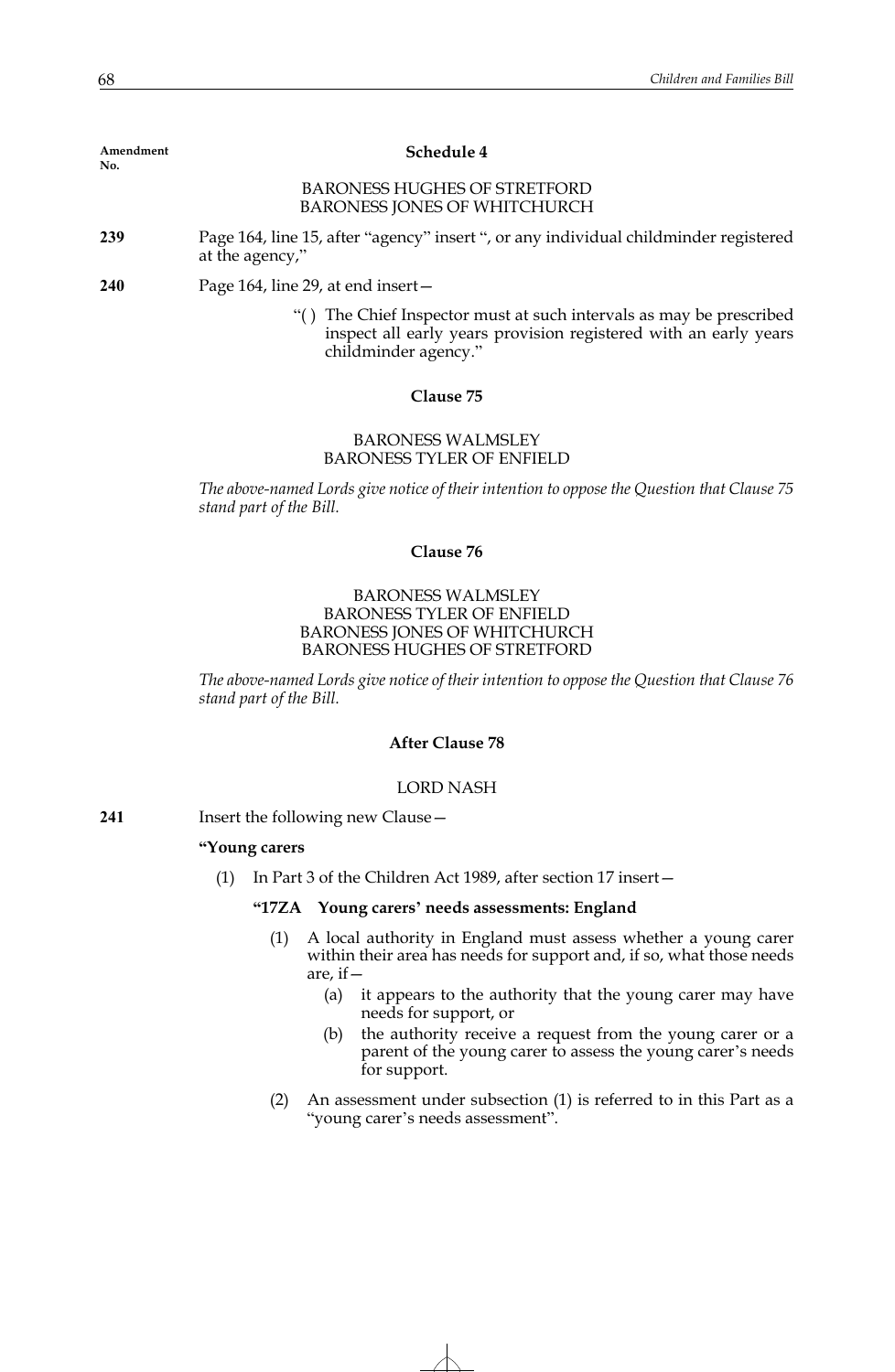| Amendment |  |
|-----------|--|
| No.       |  |

#### **Schedule 4**

## BARONESS HUGHES OF STRETFORD BARONESS JONES OF WHITCHURCH

- **239** Page 164, line 15, after "agency" insert ", or any individual childminder registered at the agency,"
- **240** Page 164, line 29, at end insert—
	- "( ) The Chief Inspector must at such intervals as may be prescribed inspect all early years provision registered with an early years childminder agency."

### **Clause 75**

## BARONESS WALMSLEY BARONESS TYLER OF ENFIELD

*The above-named Lords give notice of their intention to oppose the Question that Clause 75 stand part of the Bill.*

## **Clause 76**

## BARONESS WALMSLEY BARONESS TYLER OF ENFIELD BARONESS JONES OF WHITCHURCH BARONESS HUGHES OF STRETFORD

*The above-named Lords give notice of their intention to oppose the Question that Clause 76 stand part of the Bill.*

# **After Clause 78**

#### LORD NASH

**241** Insert the following new Clause—

## **"Young carers**

(1) In Part 3 of the Children Act 1989, after section 17 insert—

# **"17ZA Young carers' needs assessments: England**

- (1) A local authority in England must assess whether a young carer within their area has needs for support and, if so, what those needs are, if—
	- (a) it appears to the authority that the young carer may have needs for support, or
	- (b) the authority receive a request from the young carer or a parent of the young carer to assess the young carer's needs for support.
- (2) An assessment under subsection (1) is referred to in this Part as a "young carer's needs assessment".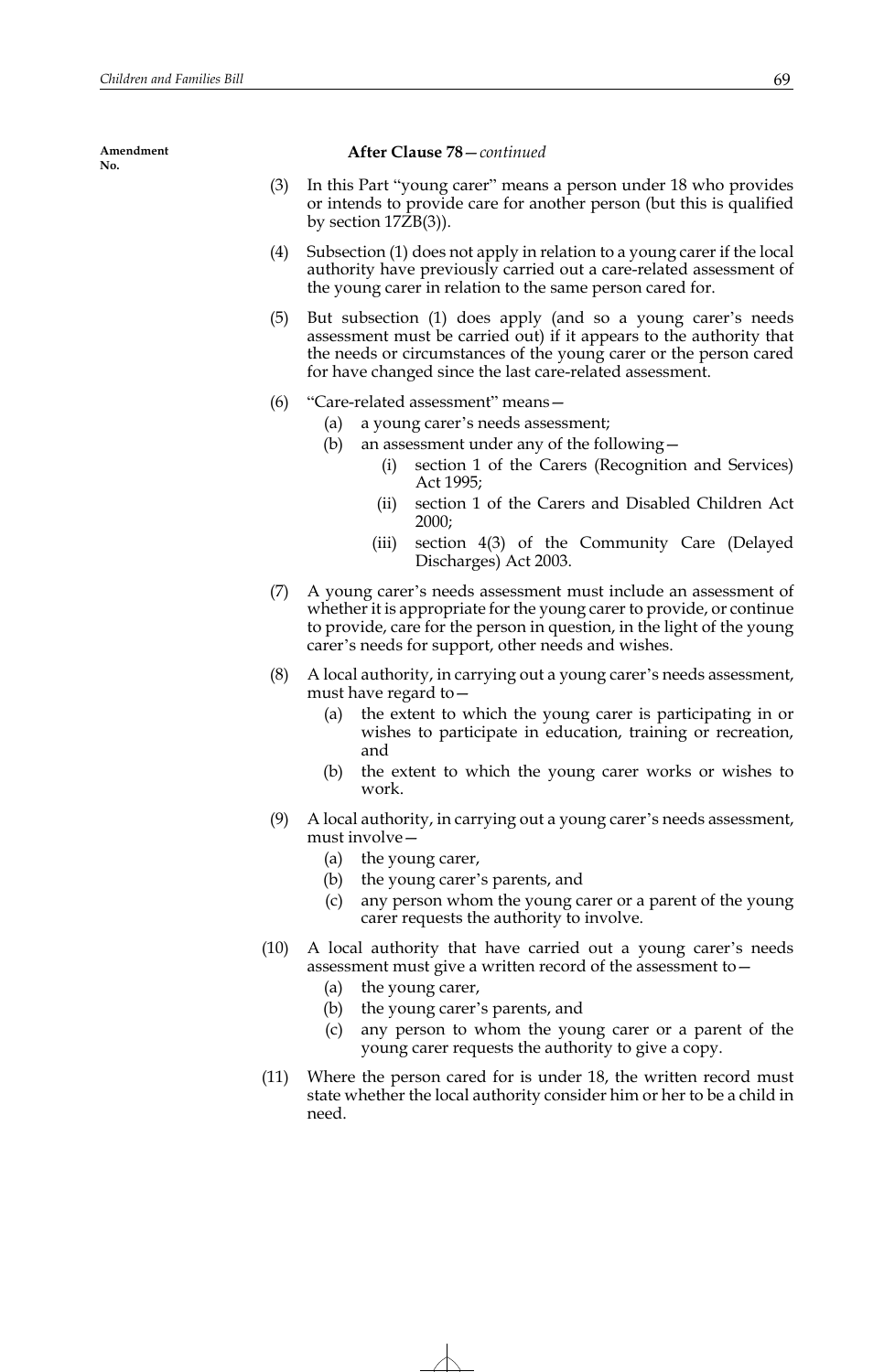## **After Clause 78**—*continued*

- (3) In this Part "young carer" means a person under 18 who provides or intends to provide care for another person (but this is qualified by section 17ZB(3)).
- (4) Subsection (1) does not apply in relation to a young carer if the local authority have previously carried out a care-related assessment of the young carer in relation to the same person cared for.
- (5) But subsection (1) does apply (and so a young carer's needs assessment must be carried out) if it appears to the authority that the needs or circumstances of the young carer or the person cared for have changed since the last care-related assessment.
- (6) "Care-related assessment" means—
	- (a) a young carer's needs assessment;
	- (b) an assessment under any of the following—
		- (i) section 1 of the Carers (Recognition and Services) Act 1995;
		- (ii) section 1 of the Carers and Disabled Children Act 2000;
		- (iii) section 4(3) of the Community Care (Delayed Discharges) Act 2003.
- (7) A young carer's needs assessment must include an assessment of whether it is appropriate for the young carer to provide, or continue to provide, care for the person in question, in the light of the young carer's needs for support, other needs and wishes.
- (8) A local authority, in carrying out a young carer's needs assessment, must have regard to—
	- (a) the extent to which the young carer is participating in or wishes to participate in education, training or recreation, and
	- (b) the extent to which the young carer works or wishes to work.
- (9) A local authority, in carrying out a young carer's needs assessment, must involve—
	- (a) the young carer,
	- (b) the young carer's parents, and
	- (c) any person whom the young carer or a parent of the young carer requests the authority to involve.
- (10) A local authority that have carried out a young carer's needs assessment must give a written record of the assessment to—
	- (a) the young carer,
	- (b) the young carer's parents, and
	- (c) any person to whom the young carer or a parent of the young carer requests the authority to give a copy.
- (11) Where the person cared for is under 18, the written record must state whether the local authority consider him or her to be a child in need.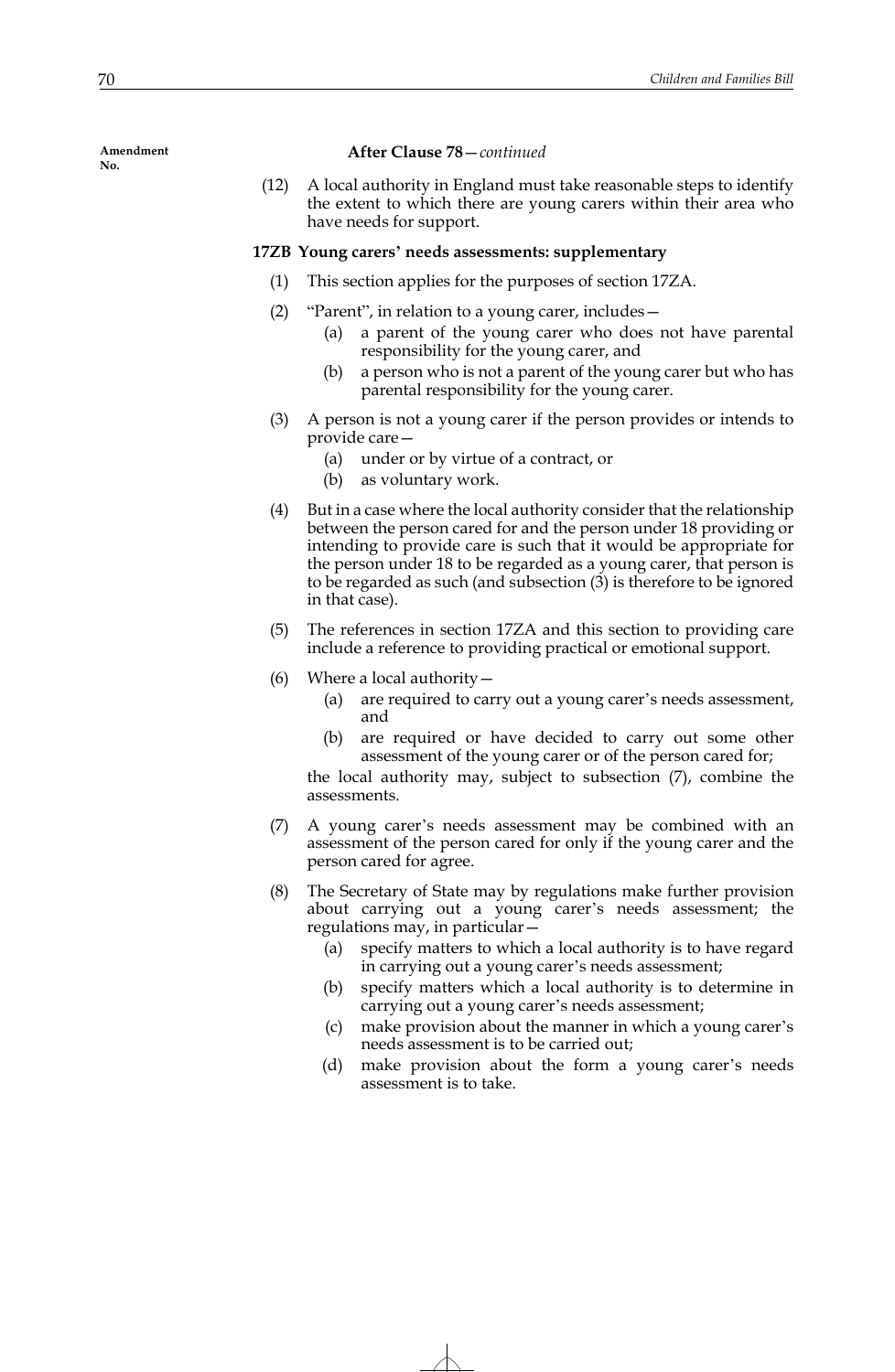#### **After Clause 78**—*continued*

(12) A local authority in England must take reasonable steps to identify the extent to which there are young carers within their area who have needs for support.

# **17ZB Young carers' needs assessments: supplementary**

- (1) This section applies for the purposes of section 17ZA.
- (2) "Parent", in relation to a young carer, includes—
	- (a) a parent of the young carer who does not have parental responsibility for the young carer, and
	- (b) a person who is not a parent of the young carer but who has parental responsibility for the young carer.
- (3) A person is not a young carer if the person provides or intends to provide care—
	- (a) under or by virtue of a contract, or
	- (b) as voluntary work.
- (4) But in a case where the local authority consider that the relationship between the person cared for and the person under 18 providing or intending to provide care is such that it would be appropriate for the person under 18 to be regarded as a young carer, that person is to be regarded as such (and subsection (3) is therefore to be ignored in that case).
- (5) The references in section 17ZA and this section to providing care include a reference to providing practical or emotional support.
- (6) Where a local authority—
	- (a) are required to carry out a young carer's needs assessment, and
	- (b) are required or have decided to carry out some other assessment of the young carer or of the person cared for;

the local authority may, subject to subsection (7), combine the assessments.

- (7) A young carer's needs assessment may be combined with an assessment of the person cared for only if the young carer and the person cared for agree.
- (8) The Secretary of State may by regulations make further provision about carrying out a young carer's needs assessment; the regulations may, in particular—
	- (a) specify matters to which a local authority is to have regard in carrying out a young carer's needs assessment;
	- (b) specify matters which a local authority is to determine in carrying out a young carer's needs assessment;
	- (c) make provision about the manner in which a young carer's needs assessment is to be carried out;
	- (d) make provision about the form a young carer's needs assessment is to take.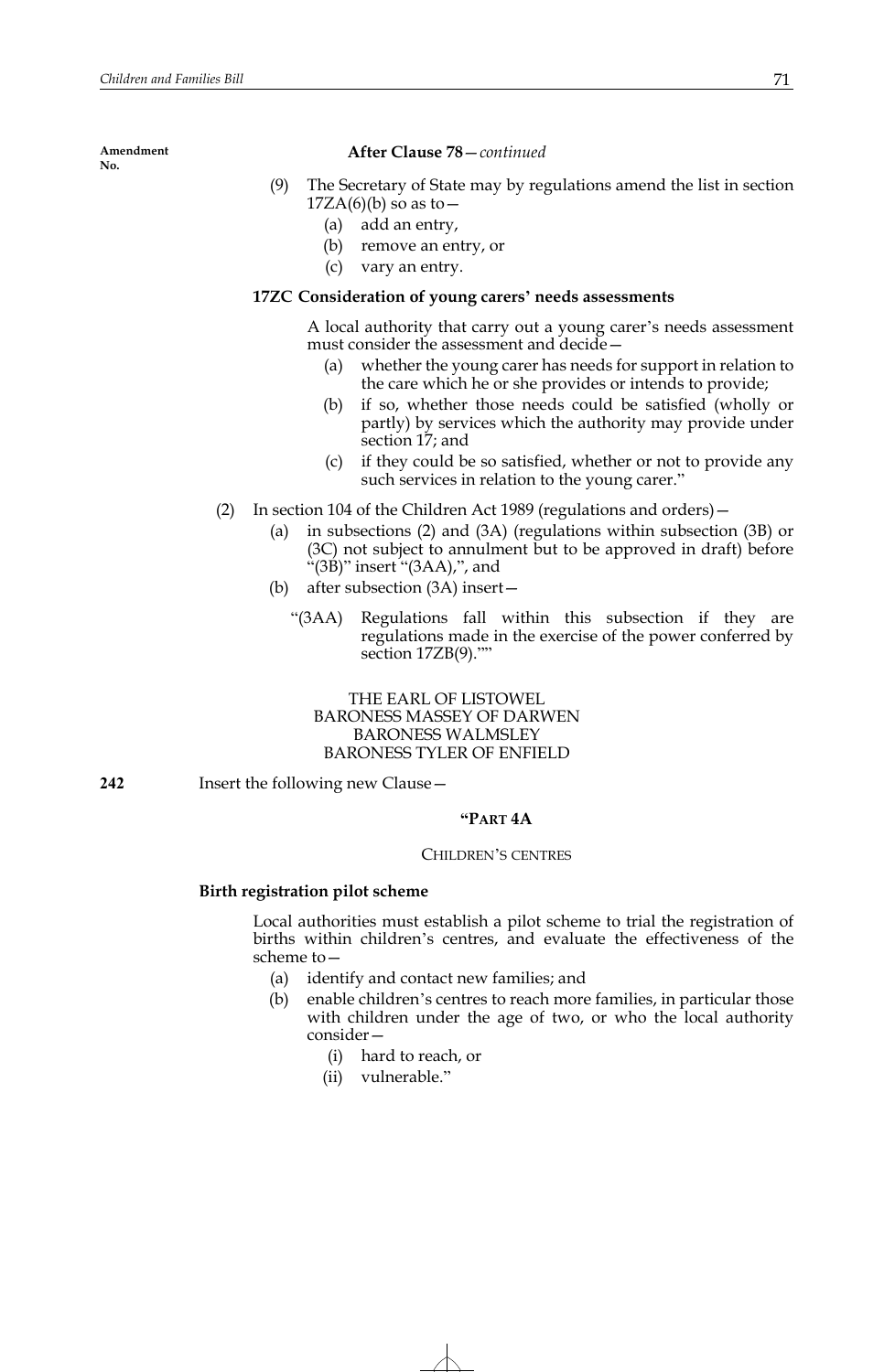## **After Clause 78**—*continued*

- (9) The Secretary of State may by regulations amend the list in section  $17ZA(6)(b)$  so as to  $-$ 
	- (a) add an entry,
	- (b) remove an entry, or
	- (c) vary an entry.

# **17ZC Consideration of young carers' needs assessments**

A local authority that carry out a young carer's needs assessment must consider the assessment and decide—

- (a) whether the young carer has needs for support in relation to the care which he or she provides or intends to provide;
- (b) if so, whether those needs could be satisfied (wholly or partly) by services which the authority may provide under section 17; and
- (c) if they could be so satisfied, whether or not to provide any such services in relation to the young carer."
- (2) In section 104 of the Children Act 1989 (regulations and orders)—
	- (a) in subsections (2) and (3A) (regulations within subsection (3B) or (3C) not subject to annulment but to be approved in draft) before "(3B)" insert "(3AA),", and
	- (b) after subsection (3A) insert—
		- "(3AA) Regulations fall within this subsection if they are regulations made in the exercise of the power conferred by section 17ZB(9).""

# THE EARL OF LISTOWEL BARONESS MASSEY OF DARWEN BARONESS WALMSLEY BARONESS TYLER OF ENFIELD

**242** Insert the following new Clause—

# **"PART 4A**

## CHILDREN'S CENTRES

# **Birth registration pilot scheme**

 Local authorities must establish a pilot scheme to trial the registration of births within children's centres, and evaluate the effectiveness of the scheme to—

- (a) identify and contact new families; and
- (b) enable children's centres to reach more families, in particular those with children under the age of two, or who the local authority consider—
	- (i) hard to reach, or
	- (ii) vulnerable."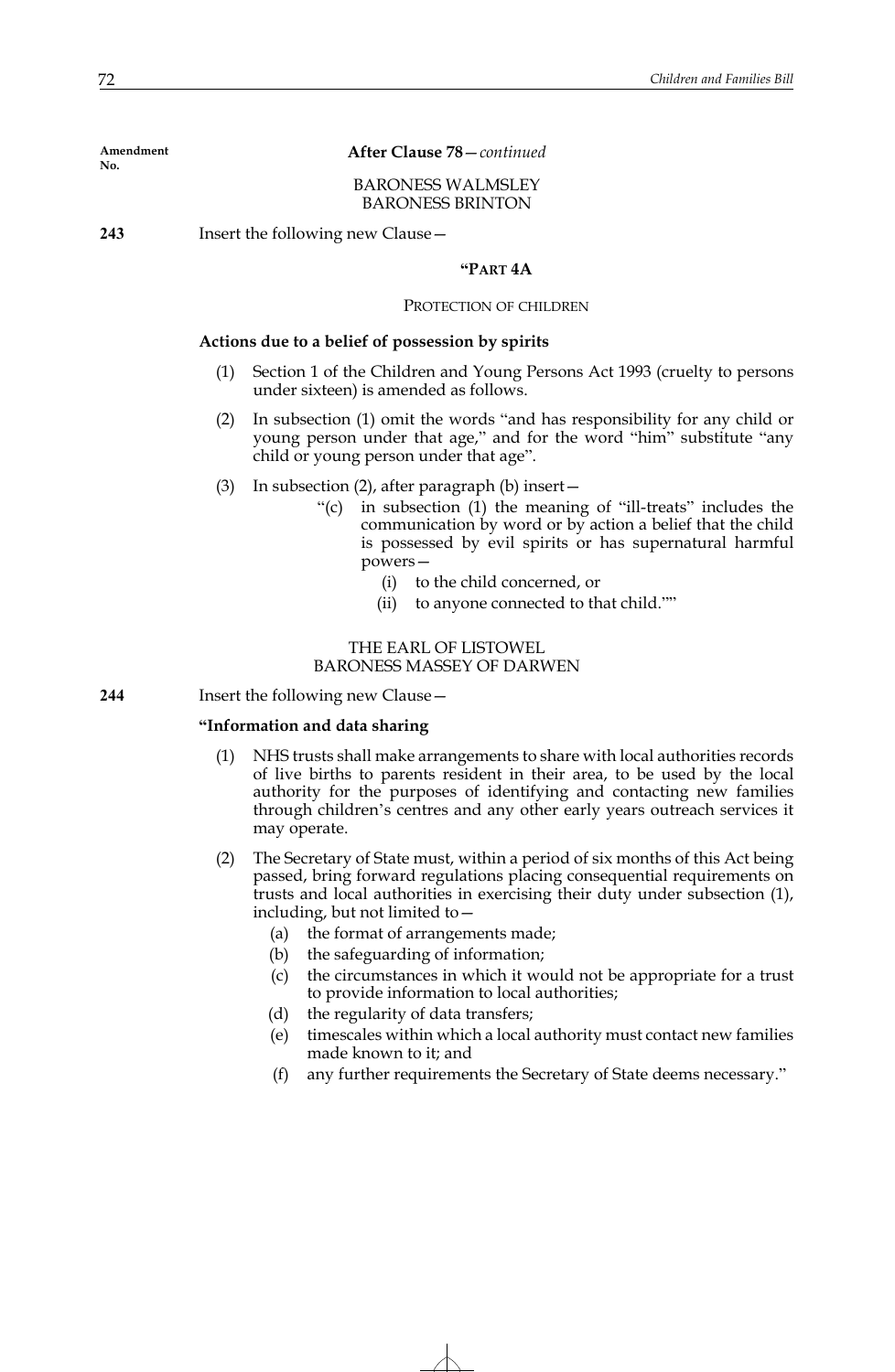**After Clause 78**—*continued*

BARONESS WALMSLEY BARONESS BRINTON

**243** Insert the following new Clause—

## **"PART 4A**

## PROTECTION OF CHILDREN

## **Actions due to a belief of possession by spirits**

- (1) Section 1 of the Children and Young Persons Act 1993 (cruelty to persons under sixteen) is amended as follows.
- (2) In subsection (1) omit the words "and has responsibility for any child or young person under that age," and for the word "him" substitute "any child or young person under that age".
- (3) In subsection (2), after paragraph (b) insert—
	- "(c) in subsection (1) the meaning of "ill-treats" includes the communication by word or by action a belief that the child is possessed by evil spirits or has supernatural harmful powers—
		- (i) to the child concerned, or
		- (ii) to anyone connected to that child.""

THE EARL OF LISTOWEL BARONESS MASSEY OF DARWEN

**244** Insert the following new Clause—

## **"Information and data sharing**

- (1) NHS trusts shall make arrangements to share with local authorities records of live births to parents resident in their area, to be used by the local authority for the purposes of identifying and contacting new families through children's centres and any other early years outreach services it may operate.
- (2) The Secretary of State must, within a period of six months of this Act being passed, bring forward regulations placing consequential requirements on trusts and local authorities in exercising their duty under subsection (1), including, but not limited to—
	- (a) the format of arrangements made;
	- (b) the safeguarding of information;
	- (c) the circumstances in which it would not be appropriate for a trust to provide information to local authorities;
	- (d) the regularity of data transfers;
	- (e) timescales within which a local authority must contact new families made known to it; and
	- (f) any further requirements the Secretary of State deems necessary."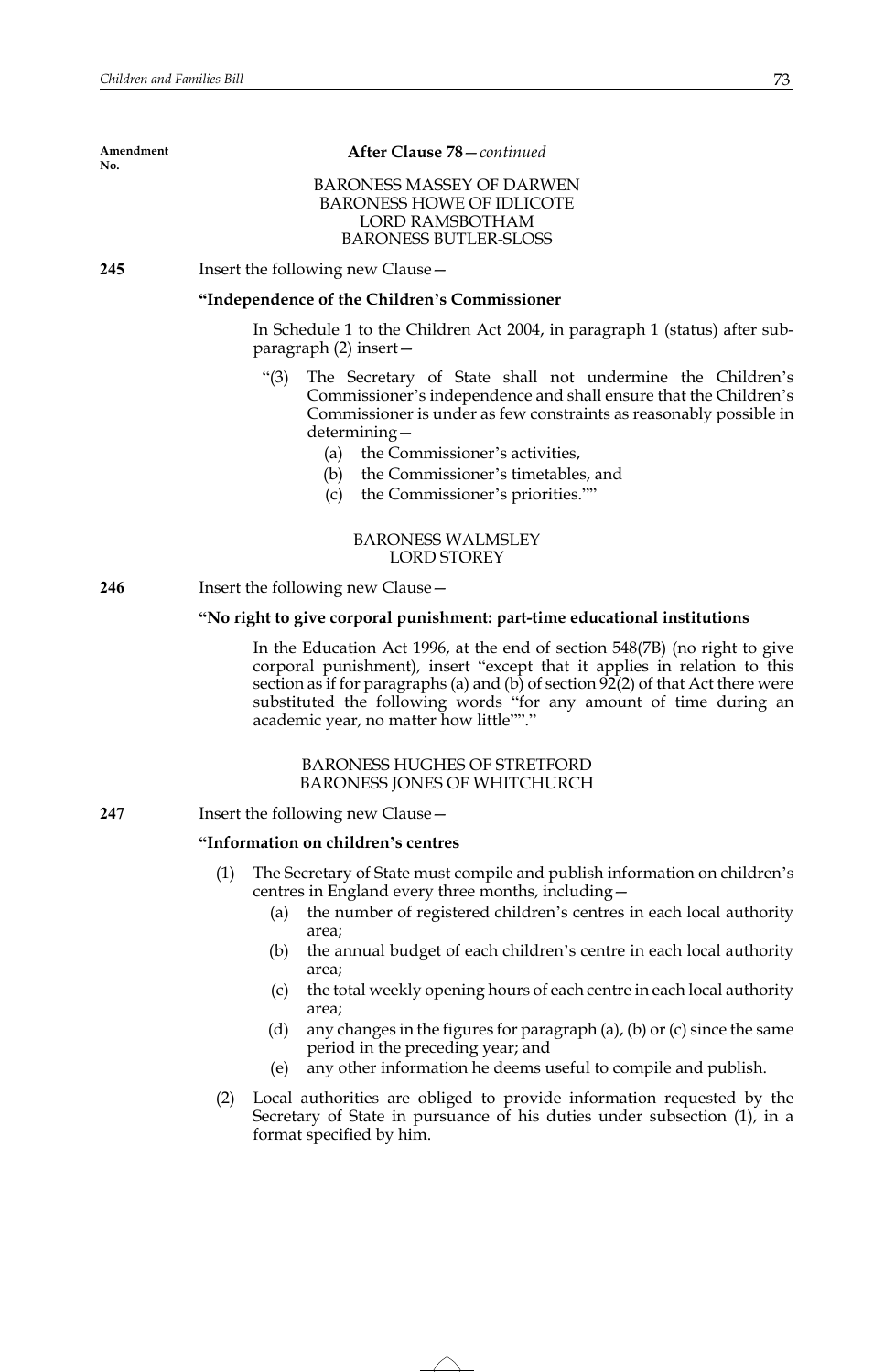| Amendment<br>No. | After Clause 78 - continued                                                                                                                                                                                                                                                                                                                                  |
|------------------|--------------------------------------------------------------------------------------------------------------------------------------------------------------------------------------------------------------------------------------------------------------------------------------------------------------------------------------------------------------|
|                  | <b>BARONESS MASSEY OF DARWEN</b><br><b>BARONESS HOWE OF IDLICOTE</b><br><b>LORD RAMSBOTHAM</b><br><b>BARONESS BUTLER-SLOSS</b>                                                                                                                                                                                                                               |
| 245              | Insert the following new Clause -                                                                                                                                                                                                                                                                                                                            |
|                  | "Independence of the Children's Commissioner                                                                                                                                                                                                                                                                                                                 |
|                  | In Schedule 1 to the Children Act 2004, in paragraph 1 (status) after sub-<br>$\frac{1}{2}$ paragraph (2) insert $-$                                                                                                                                                                                                                                         |
|                  | The Secretary of State shall not undermine the Children's<br>" $(3)$<br>Commissioner's independence and shall ensure that the Children's<br>Commissioner is under as few constraints as reasonably possible in<br>$determining -$<br>(a) the Commissioner's activities,<br>(b) the Commissioner's timetables, and<br>the Commissioner's priorities.""<br>(c) |
|                  | <b>BARONESS WALMSLEY</b><br><b>LORD STOREY</b>                                                                                                                                                                                                                                                                                                               |
| 246              | Insert the following new Clause -                                                                                                                                                                                                                                                                                                                            |
|                  | "No right to give corporal punishment: part-time educational institutions                                                                                                                                                                                                                                                                                    |
|                  | In the Education Act 1996, at the end of section 548(7B) (no right to give<br>corporal punishment), insert "except that it applies in relation to this<br>section as if for paragraphs (a) and (b) of section 92(2) of that Act there were<br>substituted the following words "for any amount of time during an<br>academic year, no matter how little""."   |
|                  | <b>BARONESS HUGHES OF STRETFORD</b><br><b>BARONESS JONES OF WHITCHURCH</b>                                                                                                                                                                                                                                                                                   |
| 247              | Insert the following new Clause -                                                                                                                                                                                                                                                                                                                            |
|                  | "Information on children's centres                                                                                                                                                                                                                                                                                                                           |
|                  | (1)<br>The Secretary of State must compile and publish information on children's<br>centres in England every three months, including -<br>the number of registered children's centres in each local authority<br>(a)                                                                                                                                         |
|                  | area;<br>the annual budget of each children's centre in each local authority<br>(b)<br>area;                                                                                                                                                                                                                                                                 |
|                  | the total weekly opening hours of each centre in each local authority<br>(c)<br>area;                                                                                                                                                                                                                                                                        |
|                  | (d)<br>any changes in the figures for paragraph $(a)$ , $(b)$ or $(c)$ since the same<br>period in the preceding year; and                                                                                                                                                                                                                                   |

- (e) any other information he deems useful to compile and publish.
- (2) Local authorities are obliged to provide information requested by the Secretary of State in pursuance of his duties under subsection (1), in a format specified by him.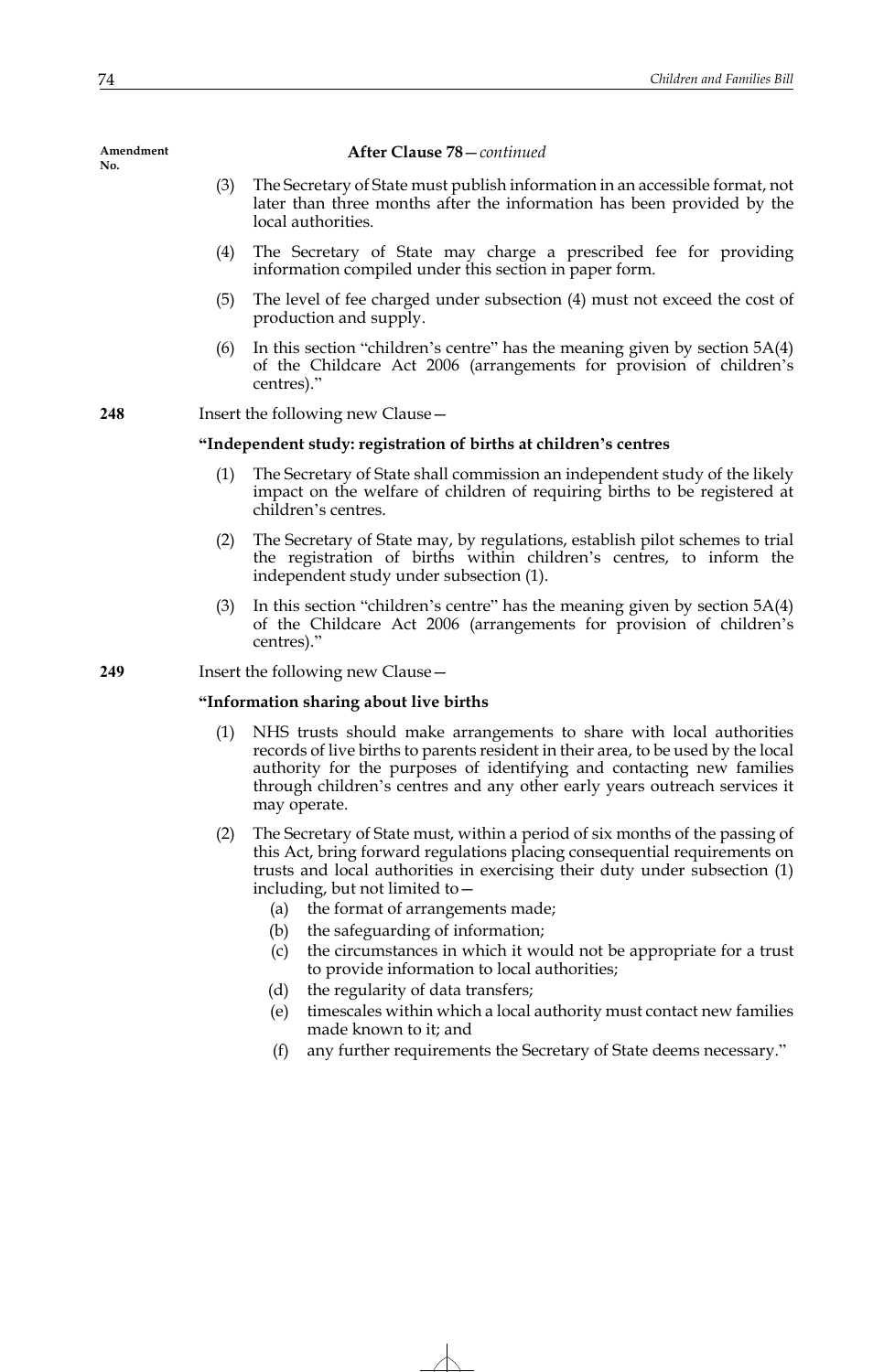#### **After Clause 78**—*continued*

- (3) The Secretary of State must publish information in an accessible format, not later than three months after the information has been provided by the local authorities.
- (4) The Secretary of State may charge a prescribed fee for providing information compiled under this section in paper form.
- (5) The level of fee charged under subsection (4) must not exceed the cost of production and supply.
- (6) In this section "children's centre" has the meaning given by section  $5A(4)$ of the Childcare Act 2006 (arrangements for provision of children's centres)."

**248** Insert the following new Clause—

#### **"Independent study: registration of births at children's centres**

- (1) The Secretary of State shall commission an independent study of the likely impact on the welfare of children of requiring births to be registered at children's centres.
- (2) The Secretary of State may, by regulations, establish pilot schemes to trial the registration of births within children's centres, to inform the independent study under subsection (1).
- (3) In this section "children's centre" has the meaning given by section 5A(4) of the Childcare Act 2006 (arrangements for provision of children's centres)."

**249** Insert the following new Clause—

#### **"Information sharing about live births**

- (1) NHS trusts should make arrangements to share with local authorities records of live births to parents resident in their area, to be used by the local authority for the purposes of identifying and contacting new families through children's centres and any other early years outreach services it may operate.
- (2) The Secretary of State must, within a period of six months of the passing of this Act, bring forward regulations placing consequential requirements on trusts and local authorities in exercising their duty under subsection (1) including, but not limited to—
	- (a) the format of arrangements made;
	- (b) the safeguarding of information;
	- (c) the circumstances in which it would not be appropriate for a trust to provide information to local authorities;
	- (d) the regularity of data transfers;
	- (e) timescales within which a local authority must contact new families made known to it; and
	- (f) any further requirements the Secretary of State deems necessary."

**Amendment No.**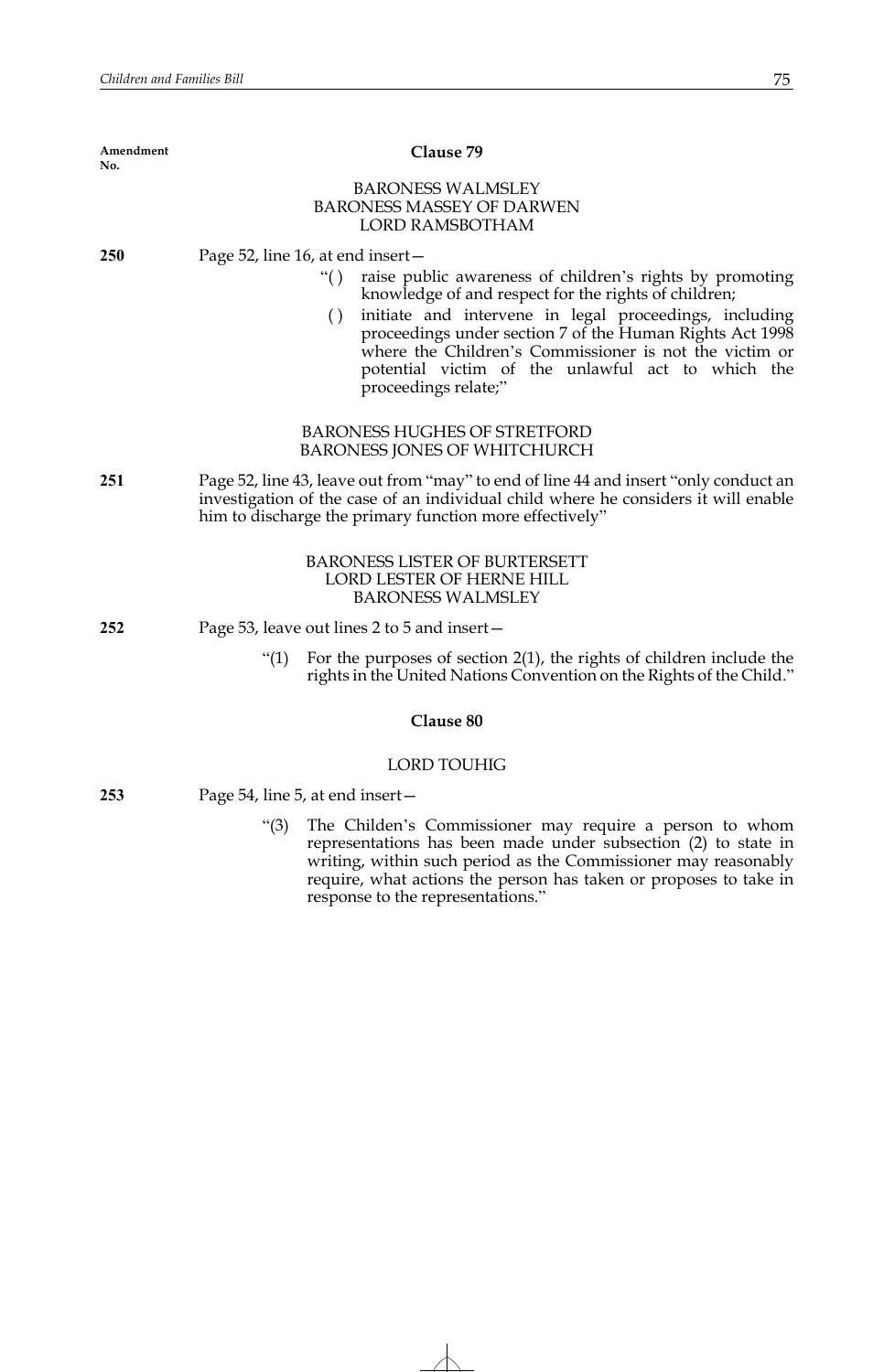| Amendment<br>No. | Clause 79                                                                                                                                                                                                                                                                                                                                                                                                                       |
|------------------|---------------------------------------------------------------------------------------------------------------------------------------------------------------------------------------------------------------------------------------------------------------------------------------------------------------------------------------------------------------------------------------------------------------------------------|
|                  | <b>BARONESS WALMSLEY</b><br><b>BARONESS MASSEY OF DARWEN</b><br><b>LORD RAMSBOTHAM</b>                                                                                                                                                                                                                                                                                                                                          |
| <b>250</b>       | Page 52, line 16, at end insert-<br>raise public awareness of children's rights by promoting<br>``()<br>knowledge of and respect for the rights of children;<br>initiate and intervene in legal proceedings, including<br>()<br>proceedings under section 7 of the Human Rights Act 1998<br>where the Children's Commissioner is not the victim or<br>potential victim of the unlawful act to which the<br>proceedings relate;" |
|                  | <b>BARONESS HUGHES OF STRETFORD</b><br><b>BARONESS JONES OF WHITCHURCH</b>                                                                                                                                                                                                                                                                                                                                                      |
| 251              | Page 52, line 43, leave out from "may" to end of line 44 and insert "only conduct an<br>investigation of the case of an individual child where he considers it will enable<br>him to discharge the primary function more effectively"                                                                                                                                                                                           |
|                  | <b>BARONESS LISTER OF BURTERSETT</b><br>LORD LESTER OF HERNE HILL<br><b>BARONESS WALMSLEY</b>                                                                                                                                                                                                                                                                                                                                   |
| 252              | Page 53, leave out lines 2 to 5 and insert –                                                                                                                                                                                                                                                                                                                                                                                    |
|                  | For the purposes of section $2(1)$ , the rights of children include the<br>" $(1)$<br>rights in the United Nations Convention on the Rights of the Child."                                                                                                                                                                                                                                                                      |
|                  | Clause 80                                                                                                                                                                                                                                                                                                                                                                                                                       |
|                  | <b>LORD TOUHIG</b>                                                                                                                                                                                                                                                                                                                                                                                                              |
| 253              | Page 54, line 5, at end insert –                                                                                                                                                                                                                                                                                                                                                                                                |
|                  | " $(3)$<br>The Childen's Commissioner may require a person to whom<br>representations has been made under subsection (2) to state in<br>writing, within such period as the Commissioner may reasonably<br>require, what actions the person has taken or proposes to take in<br>response to the representations."                                                                                                                |
|                  |                                                                                                                                                                                                                                                                                                                                                                                                                                 |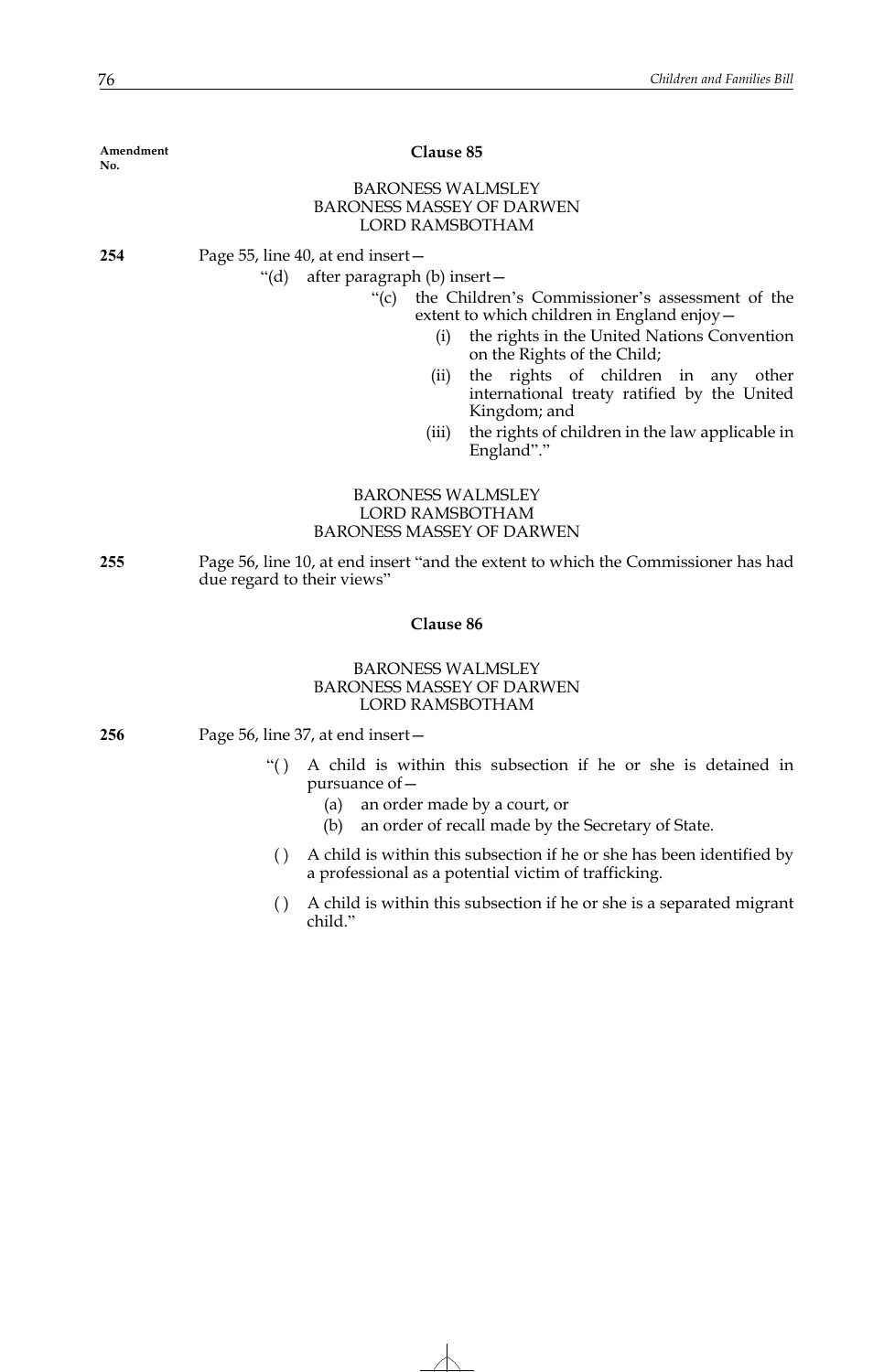| Amendment<br>No. | Clause 85                                                                                                                                                                                                                                                                                                                                                                                                                                                        |
|------------------|------------------------------------------------------------------------------------------------------------------------------------------------------------------------------------------------------------------------------------------------------------------------------------------------------------------------------------------------------------------------------------------------------------------------------------------------------------------|
|                  | <b>BARONESS WALMSLEY</b><br><b>BARONESS MASSEY OF DARWEN</b><br>LORD RAMSBOTHAM                                                                                                                                                                                                                                                                                                                                                                                  |
| 254              | Page 55, line 40, at end insert –<br>"(d) after paragraph (b) insert -<br>the Children's Commissioner's assessment of the<br>" $(c)$<br>extent to which children in England enjoy –<br>the rights in the United Nations Convention<br>(i)<br>on the Rights of the Child;<br>the rights of children in any other<br>(ii)<br>international treaty ratified by the United<br>Kingdom; and<br>the rights of children in the law applicable in<br>(iii)<br>England"." |
|                  | <b>BARONESS WALMSLEY</b><br><b>LORD RAMSBOTHAM</b><br><b>BARONESS MASSEY OF DARWEN</b>                                                                                                                                                                                                                                                                                                                                                                           |
| 255              | Page 56, line 10, at end insert "and the extent to which the Commissioner has had<br>due regard to their views"                                                                                                                                                                                                                                                                                                                                                  |
|                  | Clause 86                                                                                                                                                                                                                                                                                                                                                                                                                                                        |

# BARONESS WALMSLEY BARONESS MASSEY OF DARWEN LORD RAMSBOTHAM

**256** Page 56, line 37, at end insert—

- "( ) A child is within this subsection if he or she is detained in pursuance of—
	- (a) an order made by a court, or
	- (b) an order of recall made by the Secretary of State.
	- ( ) A child is within this subsection if he or she has been identified by a professional as a potential victim of trafficking.
	- ( ) A child is within this subsection if he or she is a separated migrant child."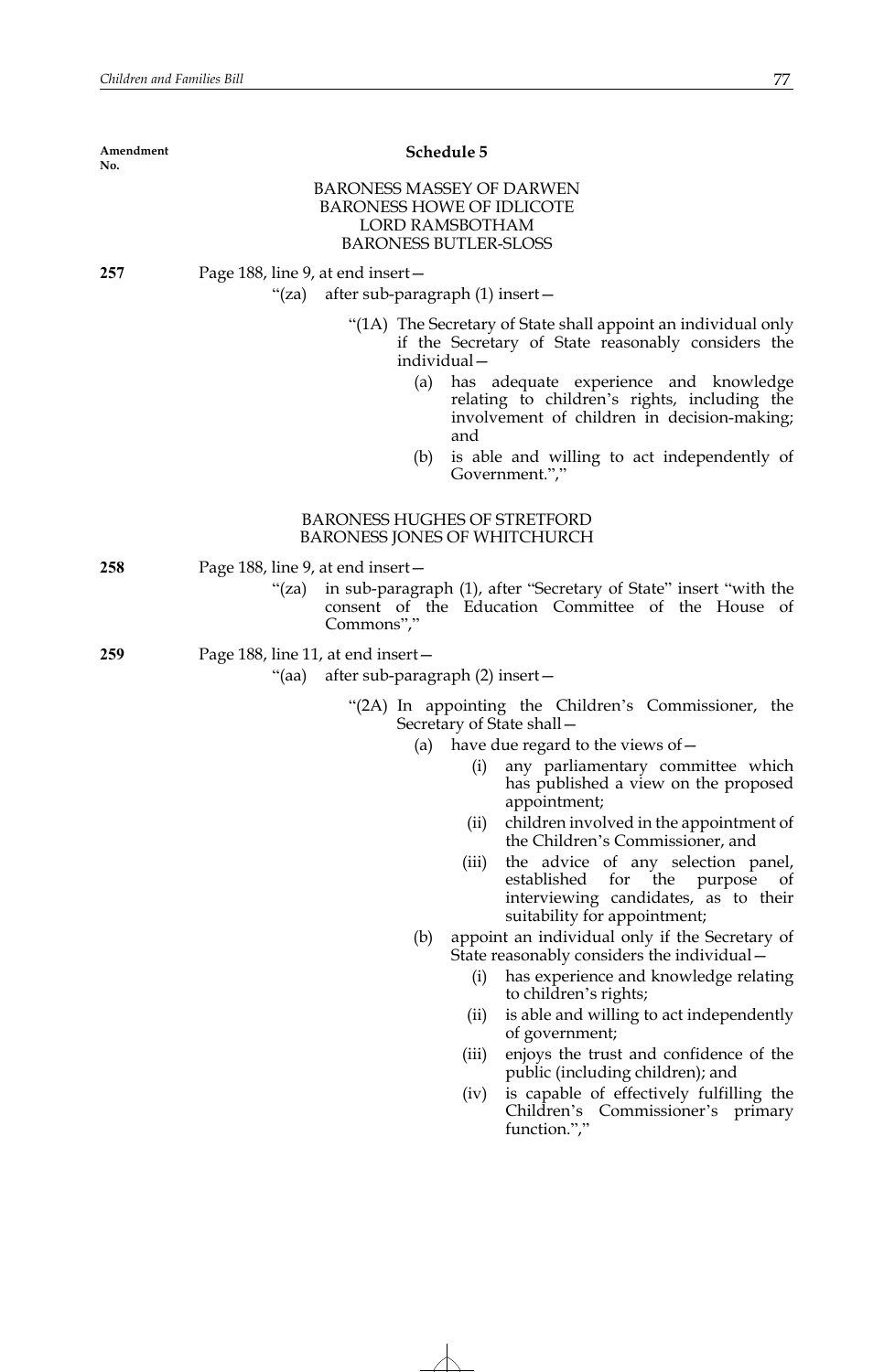| Amendment<br>No. |                                                                            | Schedule 5                                                                                                                                                                  |
|------------------|----------------------------------------------------------------------------|-----------------------------------------------------------------------------------------------------------------------------------------------------------------------------|
|                  |                                                                            | <b>BARONESS MASSEY OF DARWEN</b><br><b>BARONESS HOWE OF IDLICOTE</b><br><b>LORD RAMSBOTHAM</b><br><b>BARONESS BUTLER-SLOSS</b>                                              |
| 257              | Page 188, line 9, at end insert –                                          |                                                                                                                                                                             |
|                  | "(za) after sub-paragraph (1) insert –                                     |                                                                                                                                                                             |
|                  | (a)                                                                        | "(1A) The Secretary of State shall appoint an individual only<br>if the Secretary of State reasonably considers the<br>individual-<br>has adequate experience and knowledge |
|                  |                                                                            | relating to children's rights, including the<br>involvement of children in decision-making;<br>and                                                                          |
|                  | (b)                                                                        | is able and willing to act independently of<br>Government.","                                                                                                               |
|                  |                                                                            | <b>BARONESS HUGHES OF STRETFORD</b><br>BARONESS JONES OF WHITCHURCH                                                                                                         |
| 258              | Page 188, line 9, at end insert-                                           |                                                                                                                                                                             |
|                  | " $(za)$<br>Commons","                                                     | in sub-paragraph (1), after "Secretary of State" insert "with the<br>consent of the Education Committee of the House of                                                     |
| 259              | Page 188, line 11, at end insert-<br>"(aa) after sub-paragraph (2) insert- |                                                                                                                                                                             |
|                  |                                                                            | "(2A) In appointing the Children's Commissioner, the<br>Secretary of State shall -                                                                                          |
|                  | (a)                                                                        | have due regard to the views of -                                                                                                                                           |
|                  |                                                                            | any parliamentary committee which<br>(i)<br>has published a view on the proposed<br>appointment;                                                                            |
|                  |                                                                            | children involved in the appointment of<br>(ii)<br>the Children's Commissioner, and                                                                                         |
|                  |                                                                            | the advice of any selection panel,<br>(iii)<br>established<br>for the<br>purpose<br>of<br>interviewing candidates, as to their<br>suitability for appointment;              |
|                  | (b)                                                                        | appoint an individual only if the Secretary of<br>State reasonably considers the individual -                                                                               |
|                  |                                                                            | has experience and knowledge relating<br>(i)<br>to children's rights;                                                                                                       |
|                  |                                                                            | is able and willing to act independently<br>(ii)<br>of government;                                                                                                          |
|                  |                                                                            | enjoys the trust and confidence of the<br>(iii)<br>public (including children); and                                                                                         |
|                  |                                                                            | is capable of effectively fulfilling the<br>(iv)<br>Children's Commissioner's primary<br>function.","                                                                       |
|                  |                                                                            |                                                                                                                                                                             |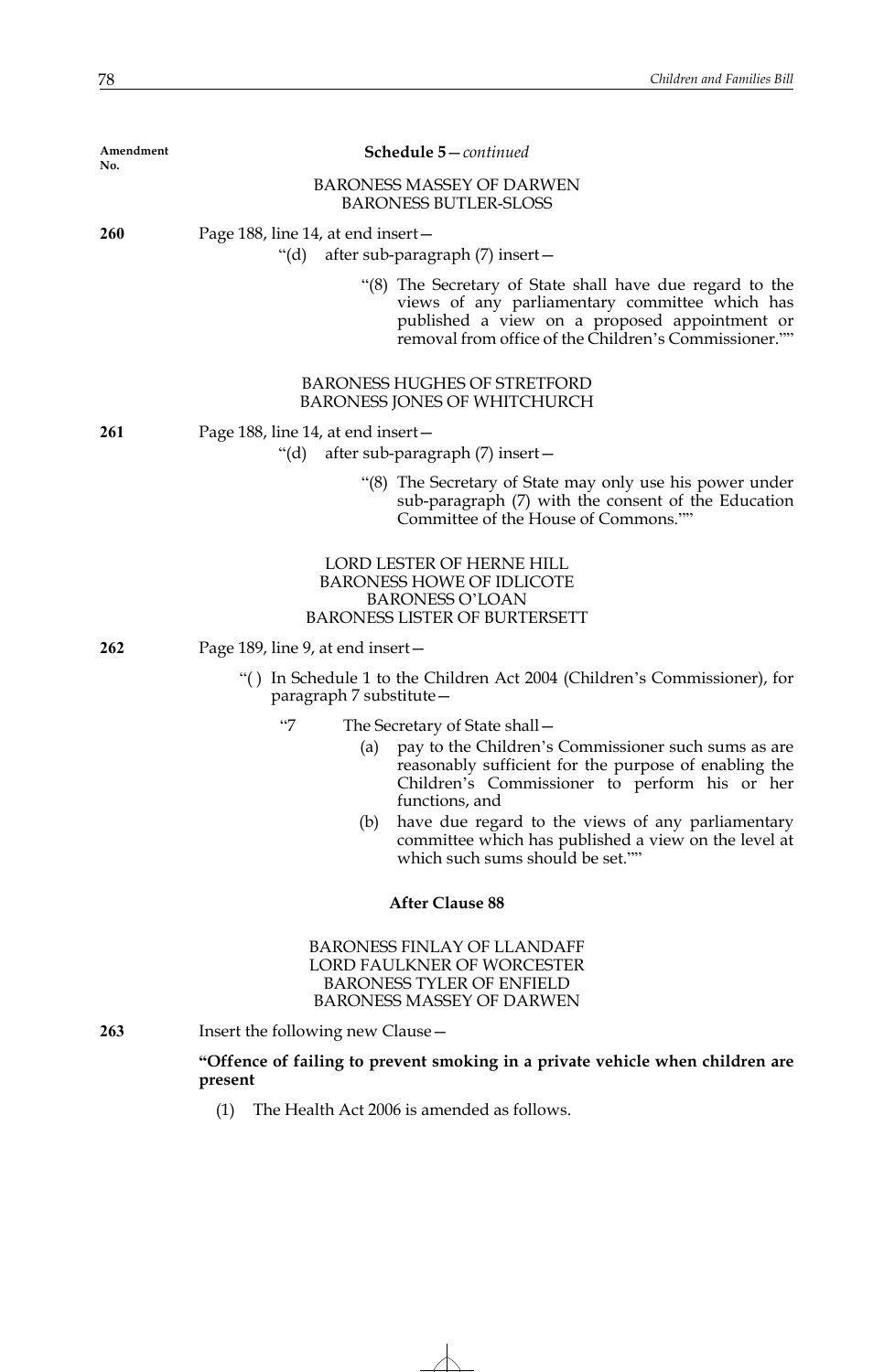| Amendment<br>No. | Schedule 5-continued                                                                                                                                                                                                                                                                                                                                                                               |
|------------------|----------------------------------------------------------------------------------------------------------------------------------------------------------------------------------------------------------------------------------------------------------------------------------------------------------------------------------------------------------------------------------------------------|
|                  | <b>BARONESS MASSEY OF DARWEN</b><br><b>BARONESS BUTLER-SLOSS</b>                                                                                                                                                                                                                                                                                                                                   |
| 260              | Page 188, line 14, at end insert-<br>"(d) after sub-paragraph (7) insert—                                                                                                                                                                                                                                                                                                                          |
|                  | "(8) The Secretary of State shall have due regard to the<br>views of any parliamentary committee which has<br>published a view on a proposed appointment or<br>removal from office of the Children's Commissioner.""                                                                                                                                                                               |
|                  | <b>BARONESS HUGHES OF STRETFORD</b><br>BARONESS JONES OF WHITCHURCH                                                                                                                                                                                                                                                                                                                                |
| 261              | Page 188, line 14, at end insert-<br>"(d) after sub-paragraph (7) insert—                                                                                                                                                                                                                                                                                                                          |
|                  | "(8) The Secretary of State may only use his power under<br>sub-paragraph (7) with the consent of the Education<br>Committee of the House of Commons.""                                                                                                                                                                                                                                            |
|                  | LORD LESTER OF HERNE HILL<br><b>BARONESS HOWE OF IDLICOTE</b><br><b>BARONESS O'LOAN</b><br><b>BARONESS LISTER OF BURTERSETT</b>                                                                                                                                                                                                                                                                    |
| 262              | Page 189, line 9, at end insert –                                                                                                                                                                                                                                                                                                                                                                  |
|                  | "() In Schedule 1 to the Children Act 2004 (Children's Commissioner), for<br>paragraph 7 substitute -                                                                                                                                                                                                                                                                                              |
|                  | $\lq\lq\lq\lq$<br>The Secretary of State shall -<br>pay to the Children's Commissioner such sums as are<br>(a)<br>reasonably sufficient for the purpose of enabling the<br>Children's Commissioner to perform his or her<br>functions, and<br>have due regard to the views of any parliamentary<br>(b)<br>committee which has published a view on the level at<br>which such sums should be set."" |
|                  | <b>After Clause 88</b>                                                                                                                                                                                                                                                                                                                                                                             |
|                  | <b>BARONESS FINLAY OF LLANDAFF</b><br><b>LORD FAULKNER OF WORCESTER</b><br><b>BARONESS TYLER OF ENFIELD</b><br><b>BARONESS MASSEY OF DARWEN</b>                                                                                                                                                                                                                                                    |
| 263              | Insert the following new Clause-                                                                                                                                                                                                                                                                                                                                                                   |
|                  | "Offence of failing to prevent smoking in a private vehicle when children are<br>present                                                                                                                                                                                                                                                                                                           |

(1) The Health Act 2006 is amended as follows.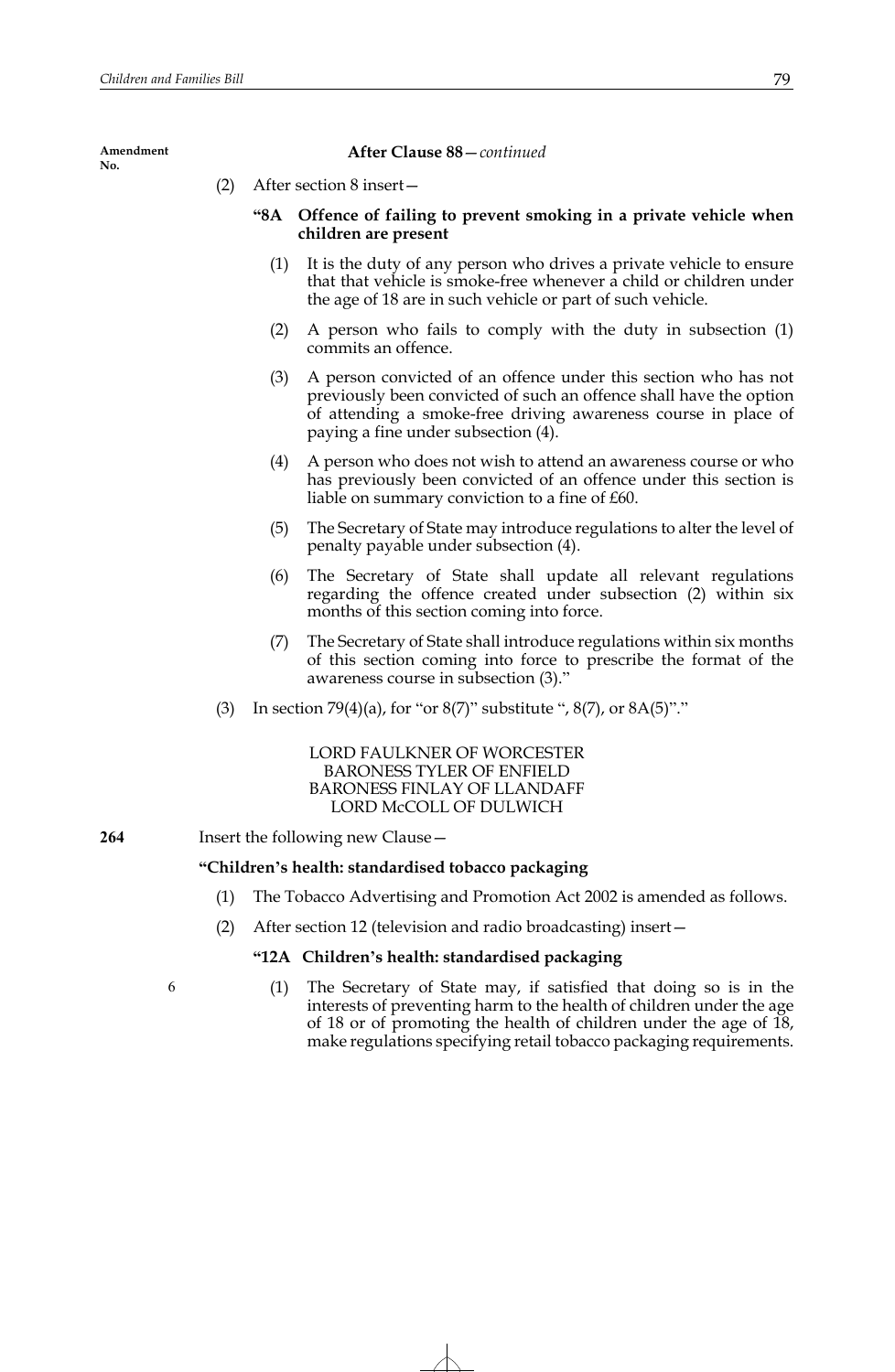#### **After Clause 88**—*continued*

(2) After section 8 insert—

# **"8A Offence of failing to prevent smoking in a private vehicle when children are present**

- (1) It is the duty of any person who drives a private vehicle to ensure that that vehicle is smoke-free whenever a child or children under the age of 18 are in such vehicle or part of such vehicle.
- (2) A person who fails to comply with the duty in subsection (1) commits an offence.
- (3) A person convicted of an offence under this section who has not previously been convicted of such an offence shall have the option of attending a smoke-free driving awareness course in place of paying a fine under subsection (4).
- (4) A person who does not wish to attend an awareness course or who has previously been convicted of an offence under this section is liable on summary conviction to a fine of £60.
- (5) The Secretary of State may introduce regulations to alter the level of penalty payable under subsection (4).
- (6) The Secretary of State shall update all relevant regulations regarding the offence created under subsection (2) within six months of this section coming into force.
- (7) The Secretary of State shall introduce regulations within six months of this section coming into force to prescribe the format of the awareness course in subsection (3)."
- (3) In section 79(4)(a), for "or  $8(7)$ " substitute ",  $8(7)$ , or  $8A(5)$ "."

LORD FAULKNER OF WORCESTER BARONESS TYLER OF ENFIELD BARONESS FINLAY OF LLANDAFF LORD McCOLL OF DULWICH

**264** Insert the following new Clause—

# **"Children's health: standardised tobacco packaging**

- (1) The Tobacco Advertising and Promotion Act 2002 is amended as follows.
- (2) After section 12 (television and radio broadcasting) insert—

# **"12A Children's health: standardised packaging**

6

(1) The Secretary of State may, if satisfied that doing so is in the interests of preventing harm to the health of children under the age of 18 or of promoting the health of children under the age of 18, make regulations specifying retail tobacco packaging requirements.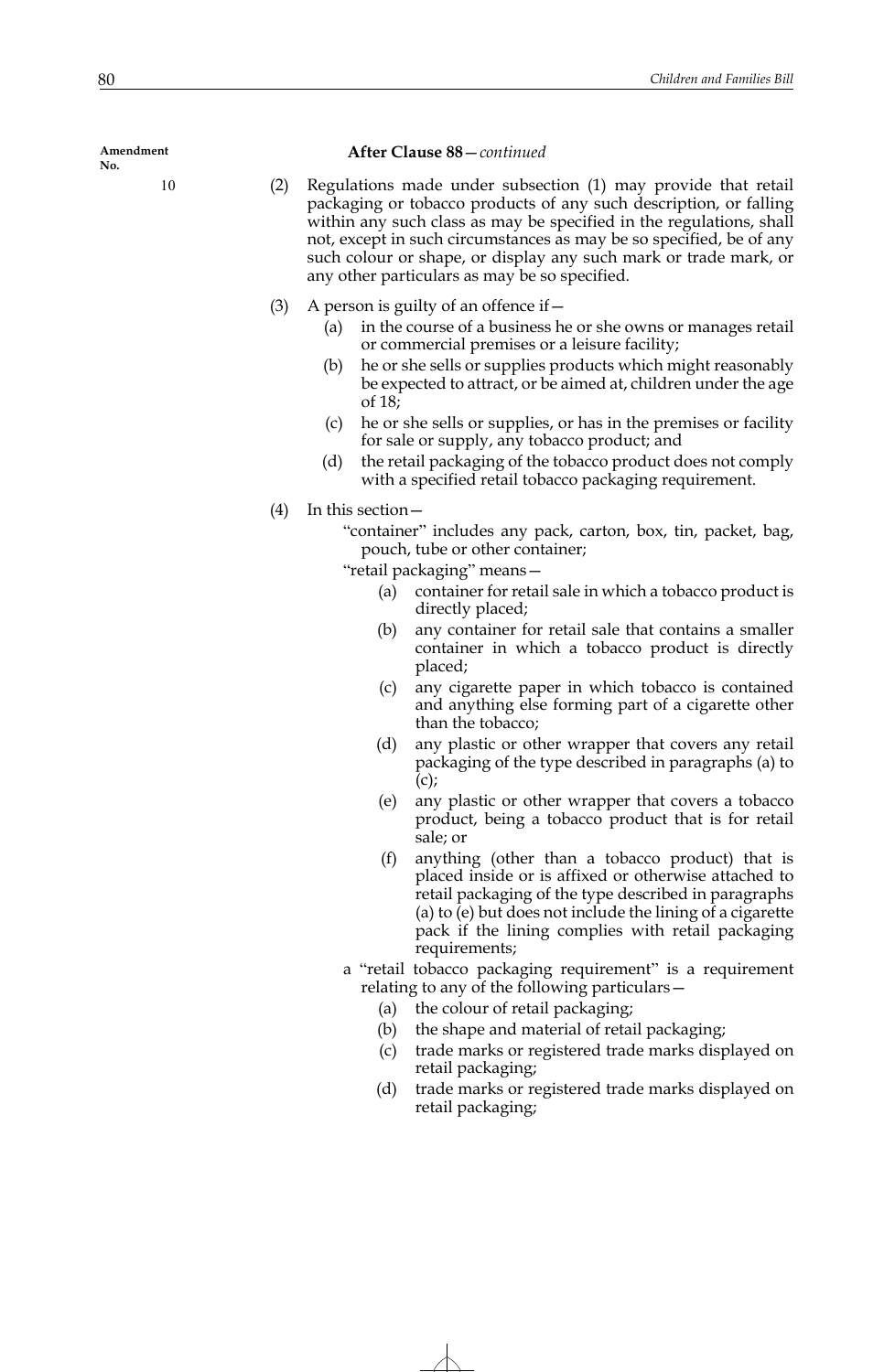# **After Clause 88**—*continued*

- (2) Regulations made under subsection (1) may provide that retail packaging or tobacco products of any such description, or falling within any such class as may be specified in the regulations, shall not, except in such circumstances as may be so specified, be of any such colour or shape, or display any such mark or trade mark, or any other particulars as may be so specified.
- (3) A person is guilty of an offence if  $-$ 
	- (a) in the course of a business he or she owns or manages retail or commercial premises or a leisure facility;
	- (b) he or she sells or supplies products which might reasonably be expected to attract, or be aimed at, children under the age of 18;
	- (c) he or she sells or supplies, or has in the premises or facility for sale or supply, any tobacco product; and
	- (d) the retail packaging of the tobacco product does not comply with a specified retail tobacco packaging requirement.
- (4) In this section—

"container" includes any pack, carton, box, tin, packet, bag, pouch, tube or other container;

"retail packaging" means—

- (a) container for retail sale in which a tobacco product is directly placed;
- (b) any container for retail sale that contains a smaller container in which a tobacco product is directly placed;
- (c) any cigarette paper in which tobacco is contained and anything else forming part of a cigarette other than the tobacco;
- (d) any plastic or other wrapper that covers any retail packaging of the type described in paragraphs (a) to  $(c)$ ;
- (e) any plastic or other wrapper that covers a tobacco product, being a tobacco product that is for retail sale; or
- (f) anything (other than a tobacco product) that is placed inside or is affixed or otherwise attached to retail packaging of the type described in paragraphs (a) to (e) but does not include the lining of a cigarette pack if the lining complies with retail packaging requirements;
- a "retail tobacco packaging requirement" is a requirement relating to any of the following particulars—
	- (a) the colour of retail packaging;
	- (b) the shape and material of retail packaging;
	- (c) trade marks or registered trade marks displayed on retail packaging;
	- (d) trade marks or registered trade marks displayed on retail packaging;

**Amendment No.**

10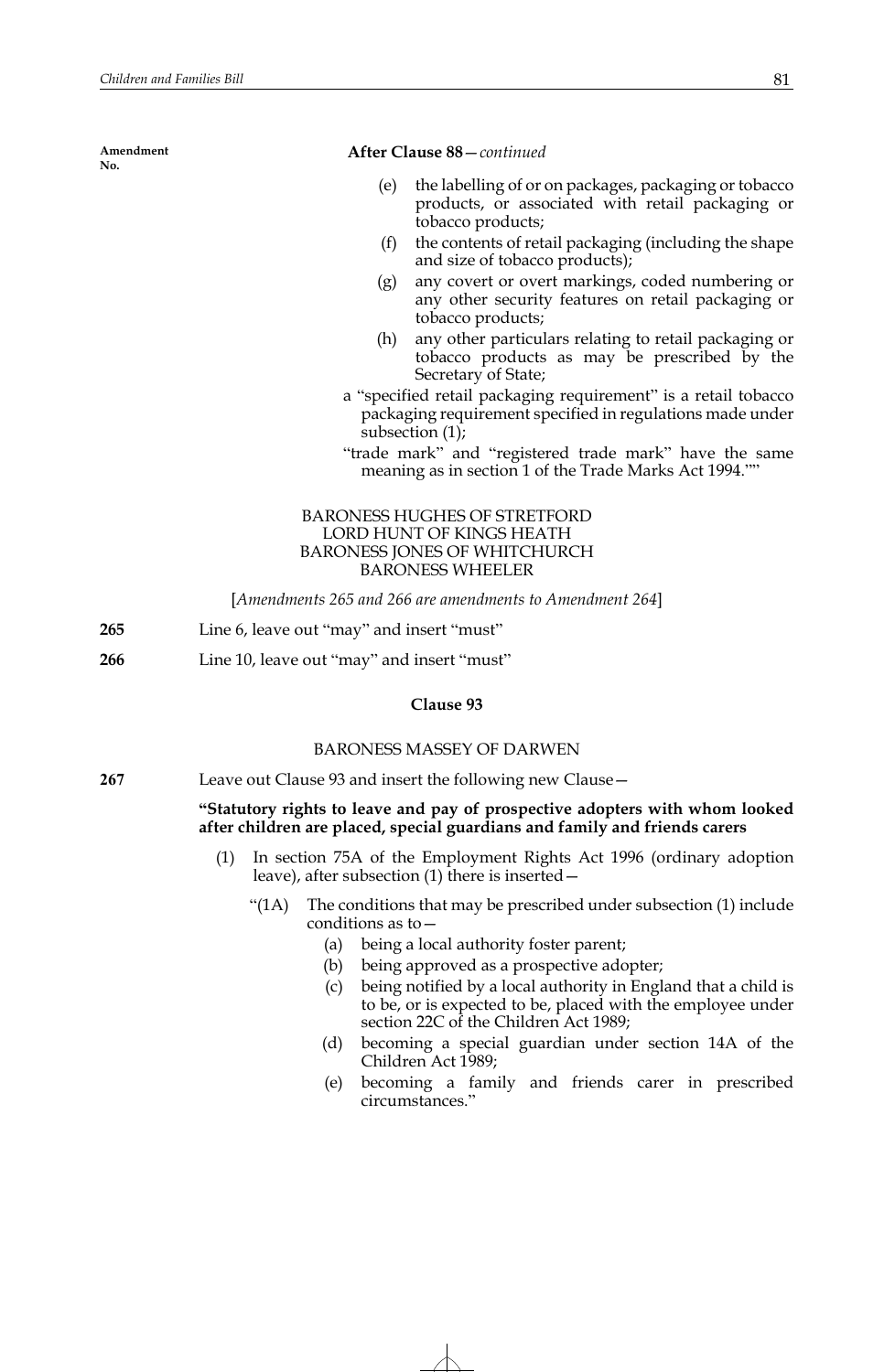### **After Clause 88**—*continued*

- (e) the labelling of or on packages, packaging or tobacco products, or associated with retail packaging or tobacco products;
- (f) the contents of retail packaging (including the shape and size of tobacco products);
- (g) any covert or overt markings, coded numbering or any other security features on retail packaging or tobacco products;
- (h) any other particulars relating to retail packaging or tobacco products as may be prescribed by the Secretary of State;
- a "specified retail packaging requirement" is a retail tobacco packaging requirement specified in regulations made under subsection (1);
- "trade mark" and "registered trade mark" have the same meaning as in section 1 of the Trade Marks Act 1994.""

## BARONESS HUGHES OF STRETFORD LORD HUNT OF KINGS HEATH BARONESS JONES OF WHITCHURCH BARONESS WHEELER

[*Amendments 265 and 266 are amendments to Amendment 264*]

- **265** Line 6, leave out "may" and insert "must"
- **266** Line 10, leave out "may" and insert "must"

## **Clause 93**

#### BARONESS MASSEY OF DARWEN

**267** Leave out Clause 93 and insert the following new Clause—

#### **"Statutory rights to leave and pay of prospective adopters with whom looked after children are placed, special guardians and family and friends carers**

- (1) In section 75A of the Employment Rights Act 1996 (ordinary adoption leave), after subsection (1) there is inserted—
	- "(1A) The conditions that may be prescribed under subsection (1) include conditions as to—
		- (a) being a local authority foster parent;
		- (b) being approved as a prospective adopter;
		- (c) being notified by a local authority in England that a child is to be, or is expected to be, placed with the employee under section 22C of the Children Act 1989;
		- (d) becoming a special guardian under section 14A of the Children Act 1989;
		- (e) becoming a family and friends carer in prescribed circumstances."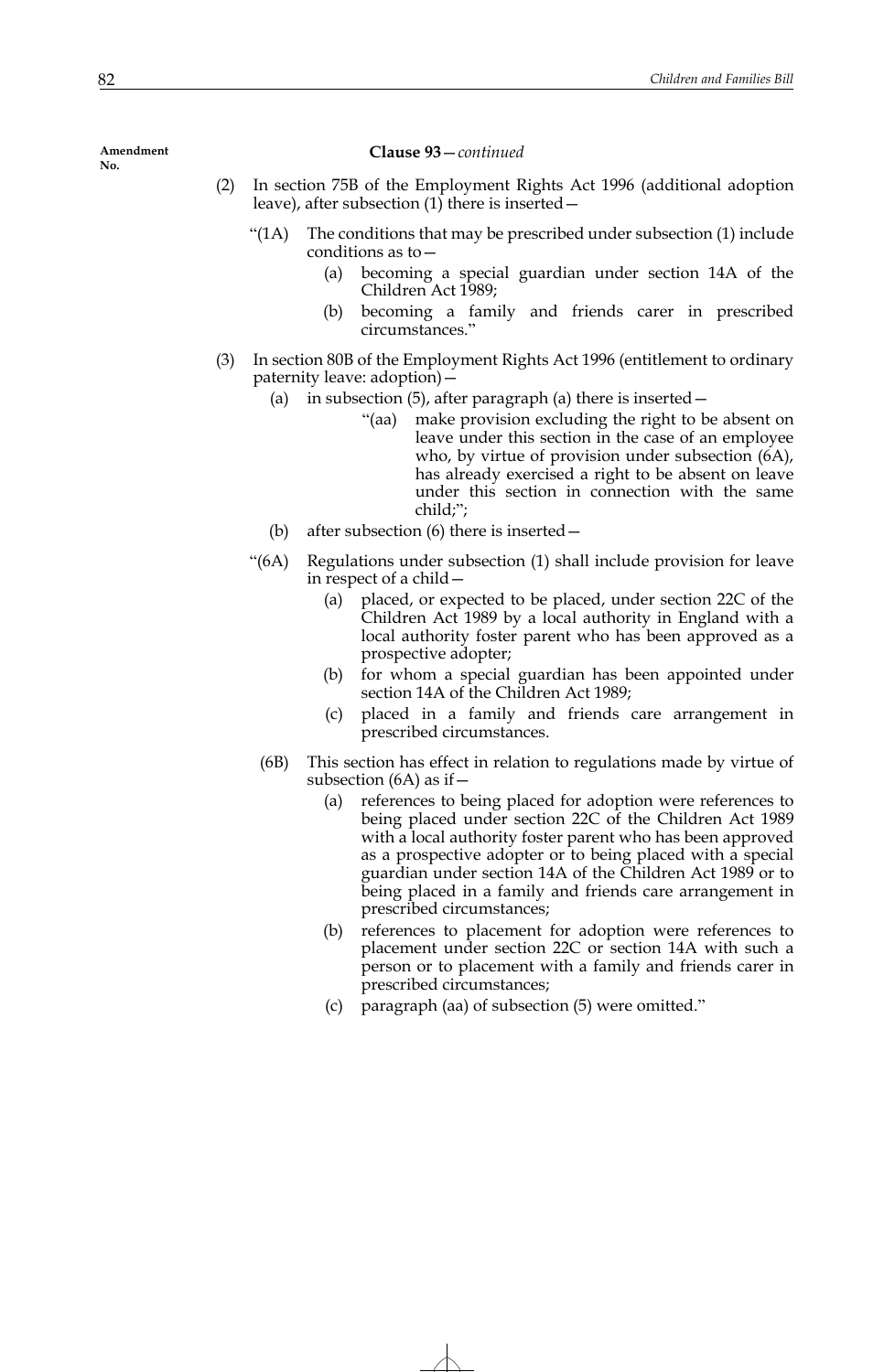**Clause 93**—*continued*

- (2) In section 75B of the Employment Rights Act 1996 (additional adoption leave), after subsection (1) there is inserted—
	- "(1A) The conditions that may be prescribed under subsection (1) include conditions as to—
		- (a) becoming a special guardian under section 14A of the Children Act 1989;
		- (b) becoming a family and friends carer in prescribed circumstances."
- (3) In section 80B of the Employment Rights Act 1996 (entitlement to ordinary paternity leave: adoption)—
	- (a) in subsection (5), after paragraph (a) there is inserted—
		- "(aa) make provision excluding the right to be absent on leave under this section in the case of an employee who, by virtue of provision under subsection  $(6A)$ , has already exercised a right to be absent on leave under this section in connection with the same child;";
	- (b) after subsection (6) there is inserted—
	- "(6A) Regulations under subsection (1) shall include provision for leave in respect of a child—
		- (a) placed, or expected to be placed, under section 22C of the Children Act 1989 by a local authority in England with a local authority foster parent who has been approved as a prospective adopter;
		- (b) for whom a special guardian has been appointed under section 14A of the Children Act 1989;
		- (c) placed in a family and friends care arrangement in prescribed circumstances.
		- (6B) This section has effect in relation to regulations made by virtue of subsection  $(6A)$  as if  $-$ 
			- (a) references to being placed for adoption were references to being placed under section 22C of the Children Act 1989 with a local authority foster parent who has been approved as a prospective adopter or to being placed with a special guardian under section 14A of the Children Act 1989 or to being placed in a family and friends care arrangement in prescribed circumstances;
			- (b) references to placement for adoption were references to placement under section 22C or section 14A with such a person or to placement with a family and friends carer in prescribed circumstances;
			- (c) paragraph (aa) of subsection (5) were omitted."

**Amendment No.**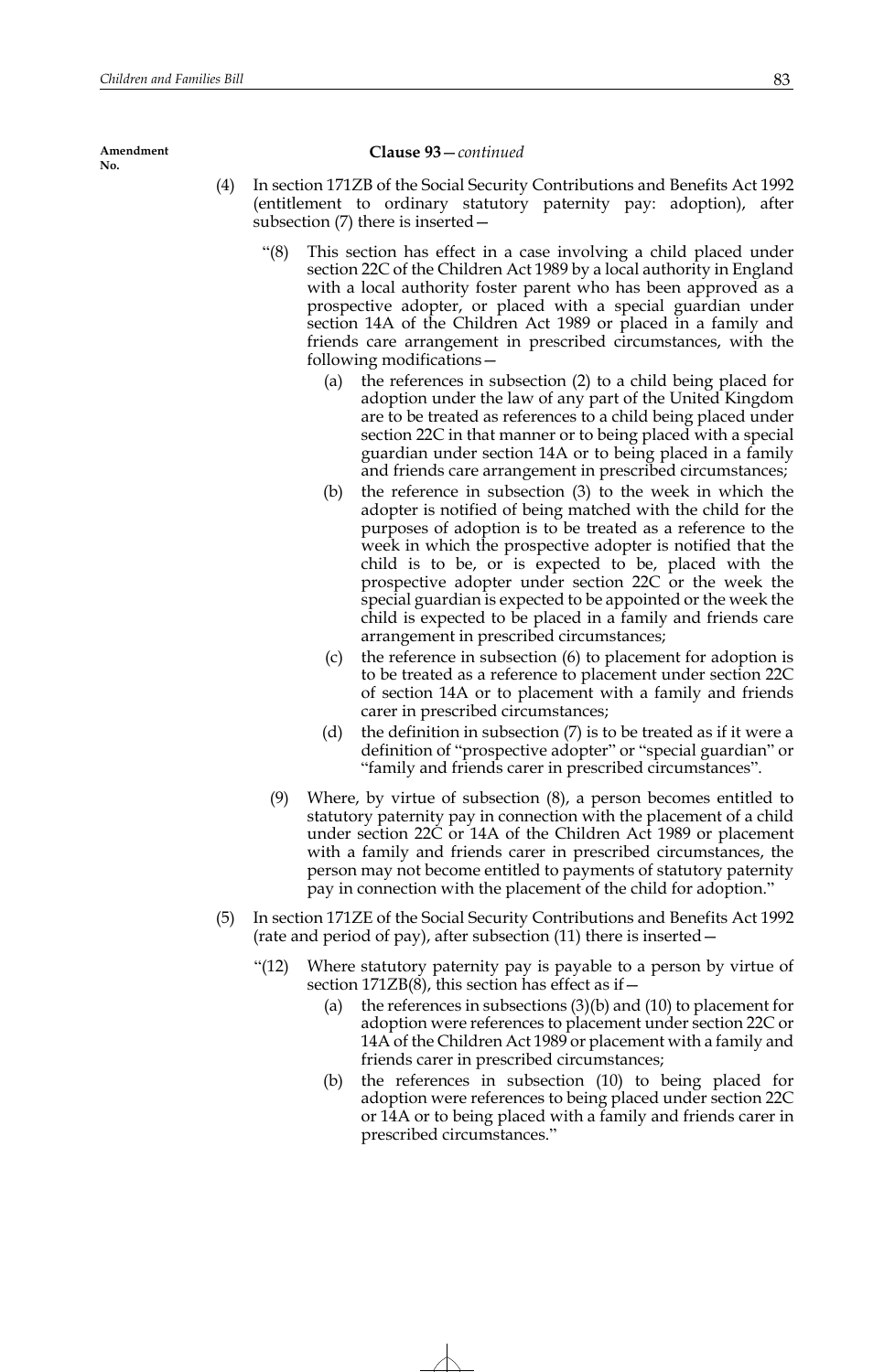#### **Clause 93**—*continued*

- (4) In section 171ZB of the Social Security Contributions and Benefits Act 1992 (entitlement to ordinary statutory paternity pay: adoption), after subsection (7) there is inserted—
	- "(8) This section has effect in a case involving a child placed under section 22C of the Children Act 1989 by a local authority in England with a local authority foster parent who has been approved as a prospective adopter, or placed with a special guardian under section 14A of the Children Act 1989 or placed in a family and friends care arrangement in prescribed circumstances, with the following modifications—
		- (a) the references in subsection (2) to a child being placed for adoption under the law of any part of the United Kingdom are to be treated as references to a child being placed under section 22C in that manner or to being placed with a special guardian under section 14A or to being placed in a family and friends care arrangement in prescribed circumstances;
		- (b) the reference in subsection (3) to the week in which the adopter is notified of being matched with the child for the purposes of adoption is to be treated as a reference to the week in which the prospective adopter is notified that the child is to be, or is expected to be, placed with the prospective adopter under section 22C or the week the special guardian is expected to be appointed or the week the child is expected to be placed in a family and friends care arrangement in prescribed circumstances;
		- (c) the reference in subsection (6) to placement for adoption is to be treated as a reference to placement under section 22C of section 14A or to placement with a family and friends carer in prescribed circumstances;
		- (d) the definition in subsection (7) is to be treated as if it were a definition of "prospective adopter" or "special guardian" or "family and friends carer in prescribed circumstances".
	- (9) Where, by virtue of subsection (8), a person becomes entitled to statutory paternity pay in connection with the placement of a child under section 22C or 14A of the Children Act 1989 or placement with a family and friends carer in prescribed circumstances, the person may not become entitled to payments of statutory paternity pay in connection with the placement of the child for adoption."
- (5) In section 171ZE of the Social Security Contributions and Benefits Act 1992 (rate and period of pay), after subsection (11) there is inserted—
	- "(12) Where statutory paternity pay is payable to a person by virtue of section  $171ZB(8)$ , this section has effect as if  $-$ 
		- (a) the references in subsections  $(3)(b)$  and  $(10)$  to placement for adoption were references to placement under section 22C or 14A of the Children Act 1989 or placement with a family and friends carer in prescribed circumstances;
		- (b) the references in subsection (10) to being placed for adoption were references to being placed under section 22C or 14A or to being placed with a family and friends carer in prescribed circumstances."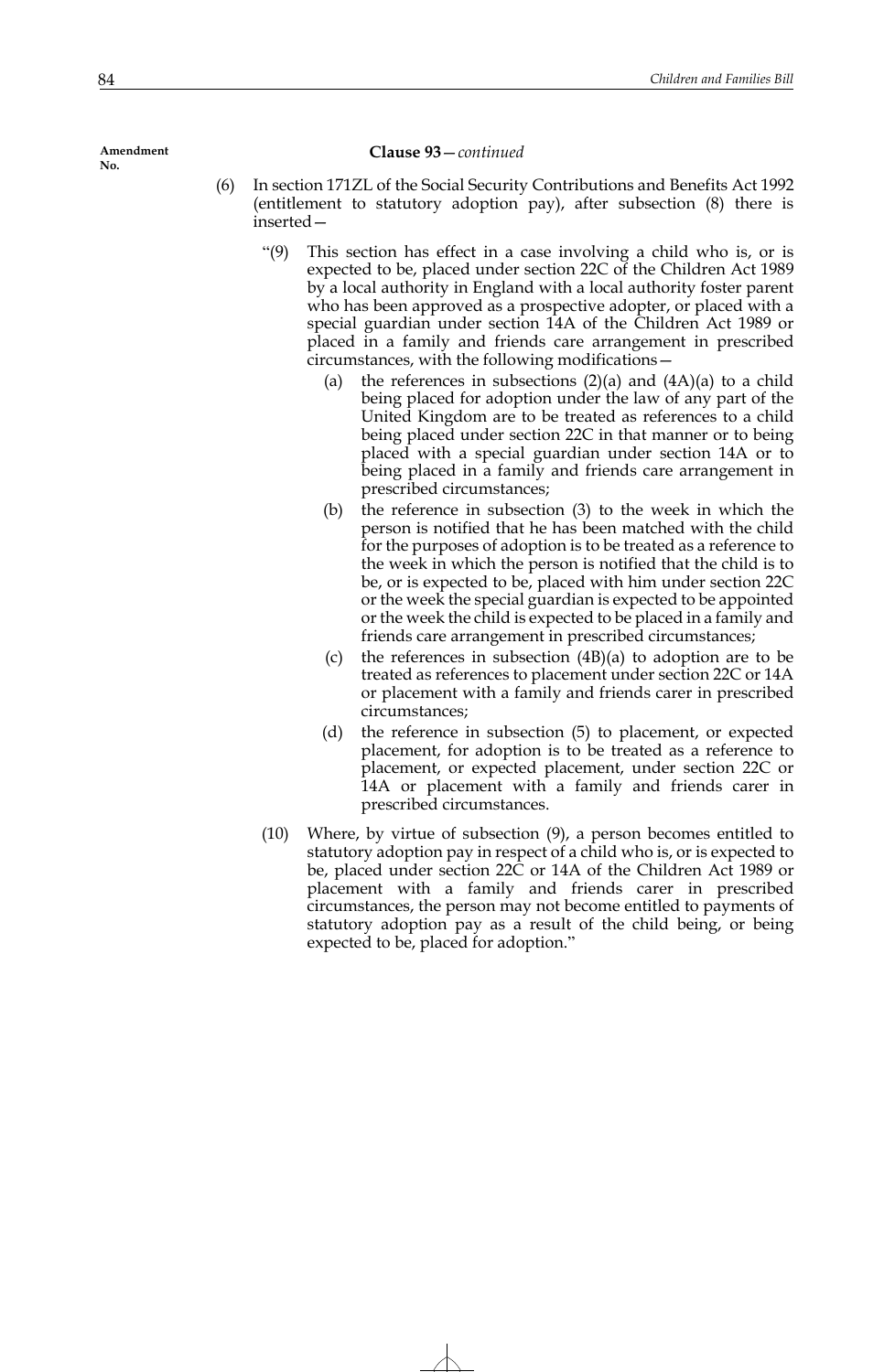#### **Clause 93**—*continued*

- (6) In section 171ZL of the Social Security Contributions and Benefits Act 1992 (entitlement to statutory adoption pay), after subsection (8) there is inserted—
	- "(9) This section has effect in a case involving a child who is, or is expected to be, placed under section 22C of the Children Act 1989 by a local authority in England with a local authority foster parent who has been approved as a prospective adopter, or placed with a special guardian under section 14A of the Children Act 1989 or placed in a family and friends care arrangement in prescribed circumstances, with the following modifications—
		- (a) the references in subsections  $(2)(a)$  and  $(4A)(a)$  to a child being placed for adoption under the law of any part of the United Kingdom are to be treated as references to a child being placed under section 22C in that manner or to being placed with a special guardian under section 14A or to being placed in a family and friends care arrangement in prescribed circumstances;
		- (b) the reference in subsection (3) to the week in which the person is notified that he has been matched with the child for the purposes of adoption is to be treated as a reference to the week in which the person is notified that the child is to be, or is expected to be, placed with him under section 22C or the week the special guardian is expected to be appointed or the week the child is expected to be placed in a family and friends care arrangement in prescribed circumstances;
		- (c) the references in subsection (4B)(a) to adoption are to be treated as references to placement under section 22C or 14A or placement with a family and friends carer in prescribed circumstances;
		- (d) the reference in subsection (5) to placement, or expected placement, for adoption is to be treated as a reference to placement, or expected placement, under section 22C or 14A or placement with a family and friends carer in prescribed circumstances.
	- (10) Where, by virtue of subsection (9), a person becomes entitled to statutory adoption pay in respect of a child who is, or is expected to be, placed under section 22C or 14A of the Children Act 1989 or placement with a family and friends carer in prescribed circumstances, the person may not become entitled to payments of statutory adoption pay as a result of the child being, or being expected to be, placed for adoption."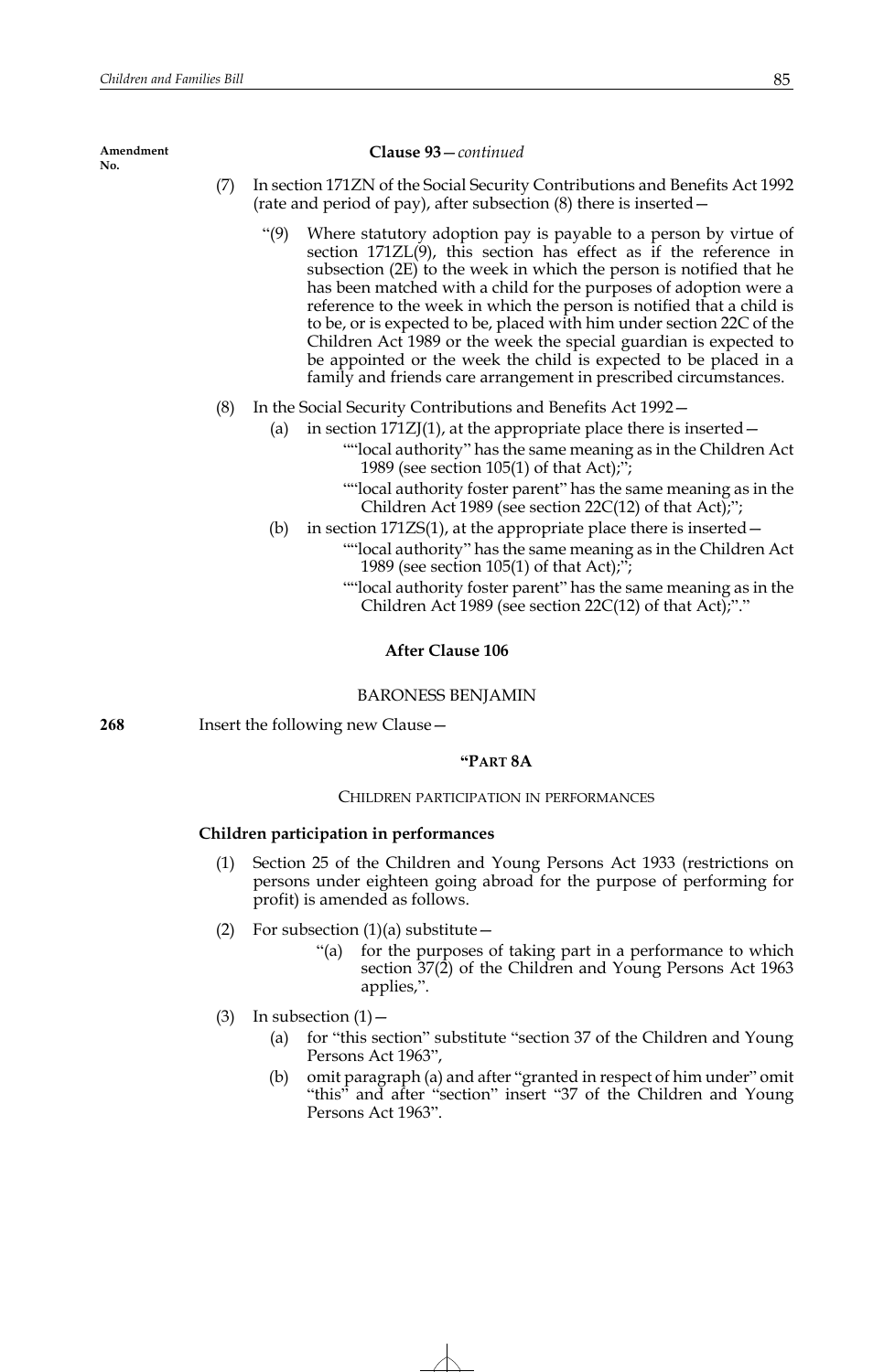#### **Clause 93**—*continued*

- (7) In section 171ZN of the Social Security Contributions and Benefits Act 1992 (rate and period of pay), after subsection (8) there is inserted—
	- "(9) Where statutory adoption pay is payable to a person by virtue of section 171ZL(9), this section has effect as if the reference in subsection  $(2E)$  to the week in which the person is notified that he has been matched with a child for the purposes of adoption were a reference to the week in which the person is notified that a child is to be, or is expected to be, placed with him under section 22C of the Children Act 1989 or the week the special guardian is expected to be appointed or the week the child is expected to be placed in a family and friends care arrangement in prescribed circumstances.
- (8) In the Social Security Contributions and Benefits Act 1992—
	- (a) in section  $171ZJ(1)$ , at the appropriate place there is inserted
		- ""local authority" has the same meaning as in the Children Act 1989 (see section 105(1) of that Act);";
		- ""local authority foster parent" has the same meaning as in the Children Act 1989 (see section 22C(12) of that Act);";
	- (b) in section  $171ZS(1)$ , at the appropriate place there is inserted  $-$ 
		- ""local authority" has the same meaning as in the Children Act 1989 (see section 105(1) of that Act);";
			- ""local authority foster parent" has the same meaning as in the Children Act 1989 (see section 22C(12) of that Act);"."

## **After Clause 106**

## BARONESS BENJAMIN

**268** Insert the following new Clause—

## **"PART 8A**

# CHILDREN PARTICIPATION IN PERFORMANCES

## **Children participation in performances**

- (1) Section 25 of the Children and Young Persons Act 1933 (restrictions on persons under eighteen going abroad for the purpose of performing for profit) is amended as follows.
- (2) For subsection  $(1)(a)$  substitute
	- for the purposes of taking part in a performance to which section 37(2) of the Children and Young Persons Act 1963 applies,".
- (3) In subsection  $(1)$ 
	- (a) for "this section" substitute "section 37 of the Children and Young Persons Act 1963",
	- (b) omit paragraph (a) and after "granted in respect of him under" omit "this" and after "section" insert "37 of the Children and Young Persons Act 1963".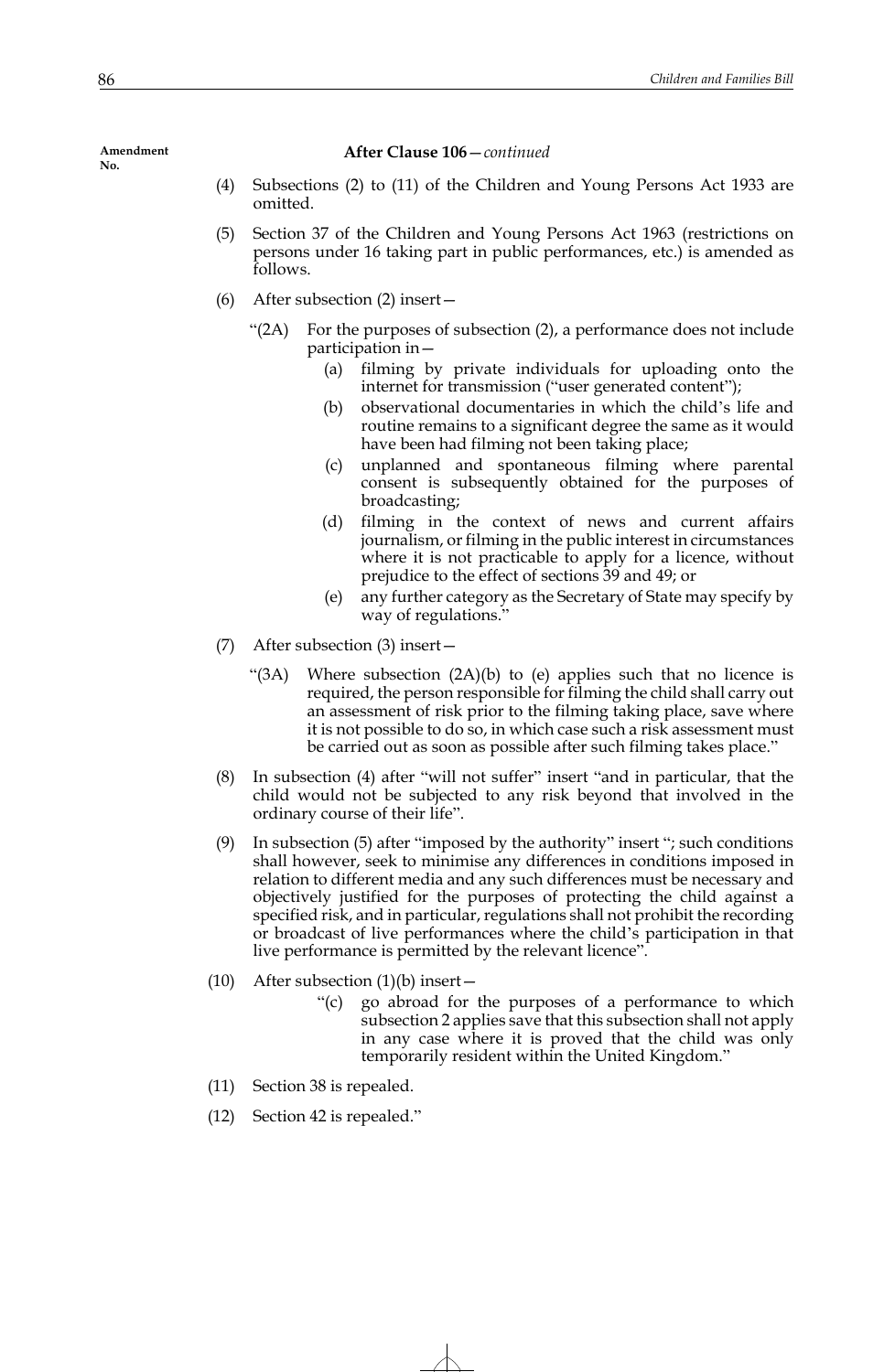**Amendment** 

**After Clause 106**—*continued*

- (4) Subsections (2) to (11) of the Children and Young Persons Act 1933 are omitted.
- (5) Section 37 of the Children and Young Persons Act 1963 (restrictions on persons under 16 taking part in public performances, etc.) is amended as follows.
- (6) After subsection (2) insert—
	- "(2A) For the purposes of subsection (2), a performance does not include participation in—
		- (a) filming by private individuals for uploading onto the internet for transmission ("user generated content");
		- (b) observational documentaries in which the child's life and routine remains to a significant degree the same as it would have been had filming not been taking place;
		- (c) unplanned and spontaneous filming where parental consent is subsequently obtained for the purposes of broadcasting;
		- (d) filming in the context of news and current affairs journalism, or filming in the public interest in circumstances where it is not practicable to apply for a licence, without prejudice to the effect of sections 39 and 49; or
		- (e) any further category as the Secretary of State may specify by way of regulations."
- (7) After subsection (3) insert—
	- "(3A) Where subsection (2A)(b) to (e) applies such that no licence is required, the person responsible for filming the child shall carry out an assessment of risk prior to the filming taking place, save where it is not possible to do so, in which case such a risk assessment must be carried out as soon as possible after such filming takes place."
- (8) In subsection (4) after "will not suffer" insert "and in particular, that the child would not be subjected to any risk beyond that involved in the ordinary course of their life".
- (9) In subsection (5) after "imposed by the authority" insert "; such conditions shall however, seek to minimise any differences in conditions imposed in relation to different media and any such differences must be necessary and objectively justified for the purposes of protecting the child against a specified risk, and in particular, regulations shall not prohibit the recording or broadcast of live performances where the child's participation in that live performance is permitted by the relevant licence".
- (10) After subsection  $(1)(b)$  insert
	- "(c) go abroad for the purposes of a performance to which subsection 2 applies save that this subsection shall not apply in any case where it is proved that the child was only temporarily resident within the United Kingdom."
- (11) Section 38 is repealed.
- (12) Section 42 is repealed."

**No.**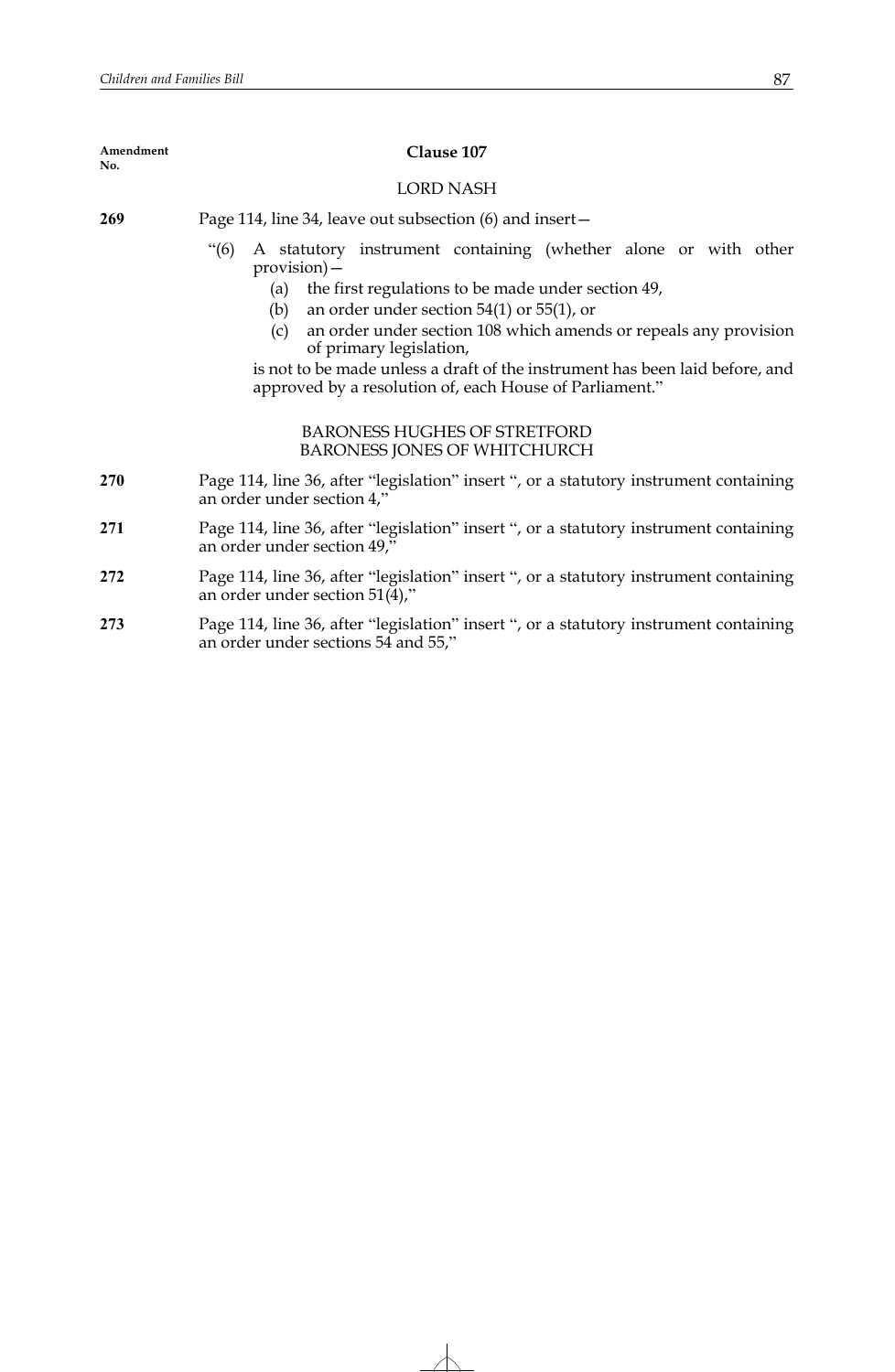| Amendment<br>No. | Clause 107                                                                                                                                                                                                                                                                                                                                                                                                                                                               |
|------------------|--------------------------------------------------------------------------------------------------------------------------------------------------------------------------------------------------------------------------------------------------------------------------------------------------------------------------------------------------------------------------------------------------------------------------------------------------------------------------|
|                  | LORD NASH                                                                                                                                                                                                                                                                                                                                                                                                                                                                |
| 269              | Page 114, line 34, leave out subsection (6) and insert-                                                                                                                                                                                                                                                                                                                                                                                                                  |
|                  | A statutory instrument containing (whether alone or with other<br>$\degree$ (6)<br>$provision)$ –<br>the first regulations to be made under section 49,<br>(a)<br>an order under section $54(1)$ or $55(1)$ , or<br>(b)<br>an order under section 108 which amends or repeals any provision<br>(c)<br>of primary legislation,<br>is not to be made unless a draft of the instrument has been laid before, and<br>approved by a resolution of, each House of Parliament." |
|                  | <b>BARONESS HUGHES OF STRETFORD</b><br><b>BARONESS JONES OF WHITCHURCH</b>                                                                                                                                                                                                                                                                                                                                                                                               |
| <b>270</b>       | Page 114, line 36, after "legislation" insert ", or a statutory instrument containing<br>an order under section 4,"                                                                                                                                                                                                                                                                                                                                                      |
| 271              | Page 114, line 36, after "legislation" insert ", or a statutory instrument containing<br>an order under section 49,"                                                                                                                                                                                                                                                                                                                                                     |
| 272              | Page 114, line 36, after "legislation" insert ", or a statutory instrument containing<br>an order under section $51(4)$ ,"                                                                                                                                                                                                                                                                                                                                               |

**273** Page 114, line 36, after "legislation" insert ", or a statutory instrument containing an order under sections 54 and 55,"